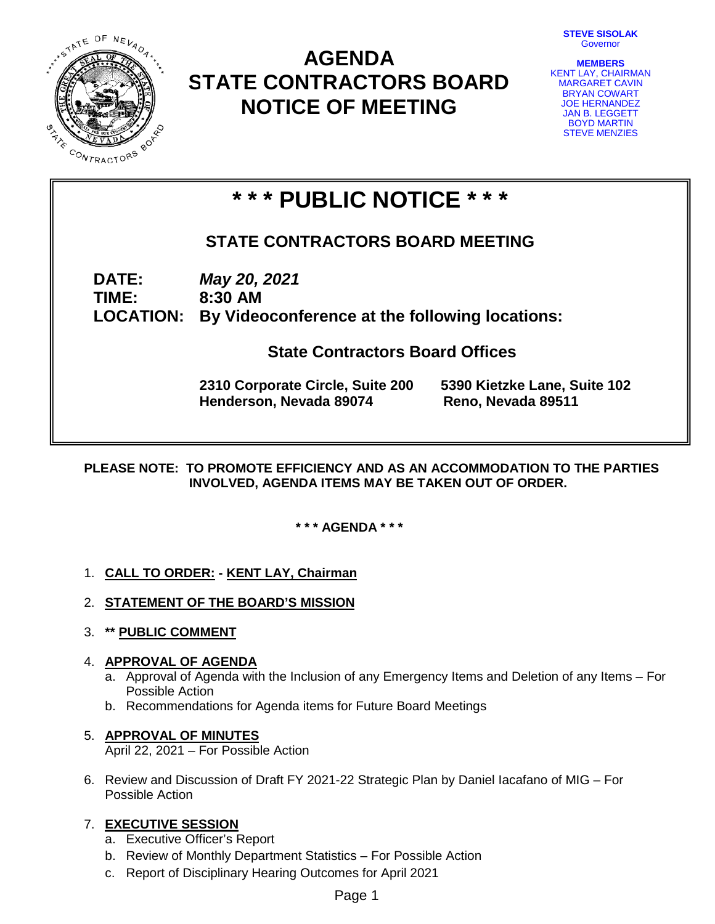**STEVE SISOLAK** Governor



# **AGENDA STATE CONTRACTORS BOARD NOTICE OF MEETING**



# **\* \* \* PUBLIC NOTICE \* \* \***

# **STATE CONTRACTORS BOARD MEETING**

**DATE:** *May 20, 2021* **TIME: 8:30 AM**

**LOCATION: By Videoconference at the following locations:**

 **State Contractors Board Offices**

**2310 Corporate Circle, Suite 200 5390 Kietzke Lane, Suite 102 Henderson, Nevada 89074 Reno, Nevada 89511**

**PLEASE NOTE: TO PROMOTE EFFICIENCY AND AS AN ACCOMMODATION TO THE PARTIES INVOLVED, AGENDA ITEMS MAY BE TAKEN OUT OF ORDER.**

**\* \* \* AGENDA \* \* \***

## 1. **CALL TO ORDER: - KENT LAY, Chairman**

- 2. **STATEMENT OF THE BOARD'S MISSION**
- 3. **\*\* PUBLIC COMMENT**

## 4. **APPROVAL OF AGENDA**

- a. Approval of Agenda with the Inclusion of any Emergency Items and Deletion of any Items For Possible Action
- b. Recommendations for Agenda items for Future Board Meetings

## 5. **APPROVAL OF MINUTES**

April 22, 2021 – For Possible Action

6. Review and Discussion of Draft FY 2021-22 Strategic Plan by Daniel Iacafano of MIG – For Possible Action

## 7. **EXECUTIVE SESSION**

- a. Executive Officer's Report
- b. Review of Monthly Department Statistics For Possible Action
- c. Report of Disciplinary Hearing Outcomes for April 2021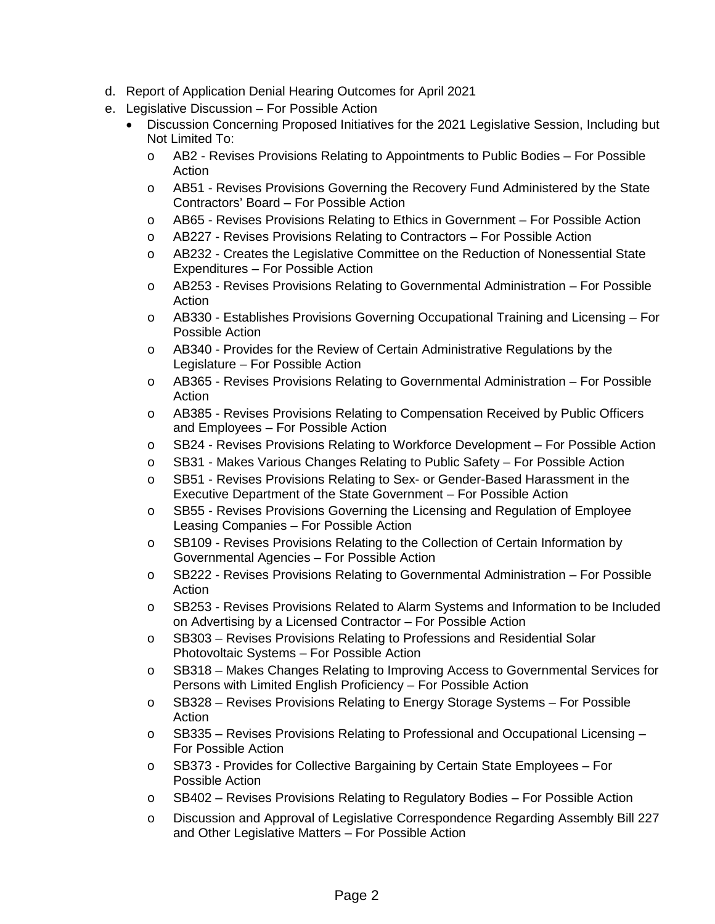- d. Report of Application Denial Hearing Outcomes for April 2021
- e. Legislative Discussion For Possible Action
	- Discussion Concerning Proposed Initiatives for the 2021 Legislative Session, Including but Not Limited To:
		- o AB2 Revises Provisions Relating to Appointments to Public Bodies For Possible Action
		- o AB51 Revises Provisions Governing the Recovery Fund Administered by the State Contractors' Board – For Possible Action
		- o AB65 Revises Provisions Relating to Ethics in Government For Possible Action
		- o AB227 Revises Provisions Relating to Contractors For Possible Action
		- o AB232 Creates the Legislative Committee on the Reduction of Nonessential State Expenditures – For Possible Action
		- o AB253 Revises Provisions Relating to Governmental Administration For Possible Action
		- o AB330 Establishes Provisions Governing Occupational Training and Licensing For Possible Action
		- o AB340 Provides for the Review of Certain Administrative Regulations by the Legislature – For Possible Action
		- o AB365 Revises Provisions Relating to Governmental Administration For Possible Action
		- o AB385 Revises Provisions Relating to Compensation Received by Public Officers and Employees – For Possible Action
		- o SB24 Revises Provisions Relating to Workforce Development For Possible Action
		- o SB31 Makes Various Changes Relating to Public Safety For Possible Action
		- o SB51 Revises Provisions Relating to Sex- or Gender-Based Harassment in the Executive Department of the State Government – For Possible Action
		- o SB55 Revises Provisions Governing the Licensing and Regulation of Employee Leasing Companies – For Possible Action
		- o SB109 Revises Provisions Relating to the Collection of Certain Information by Governmental Agencies – For Possible Action
		- o SB222 Revises Provisions Relating to Governmental Administration For Possible Action
		- o SB253 Revises Provisions Related to Alarm Systems and Information to be Included on Advertising by a Licensed Contractor – For Possible Action
		- o SB303 Revises Provisions Relating to Professions and Residential Solar Photovoltaic Systems – For Possible Action
		- o SB318 Makes Changes Relating to Improving Access to Governmental Services for Persons with Limited English Proficiency – For Possible Action
		- $\circ$  SB328 Revises Provisions Relating to Energy Storage Systems For Possible Action
		- o SB335 Revises Provisions Relating to Professional and Occupational Licensing For Possible Action
		- o SB373 Provides for Collective Bargaining by Certain State Employees For Possible Action
		- o SB402 Revises Provisions Relating to Regulatory Bodies For Possible Action
		- o Discussion and Approval of Legislative Correspondence Regarding Assembly Bill 227 and Other Legislative Matters – For Possible Action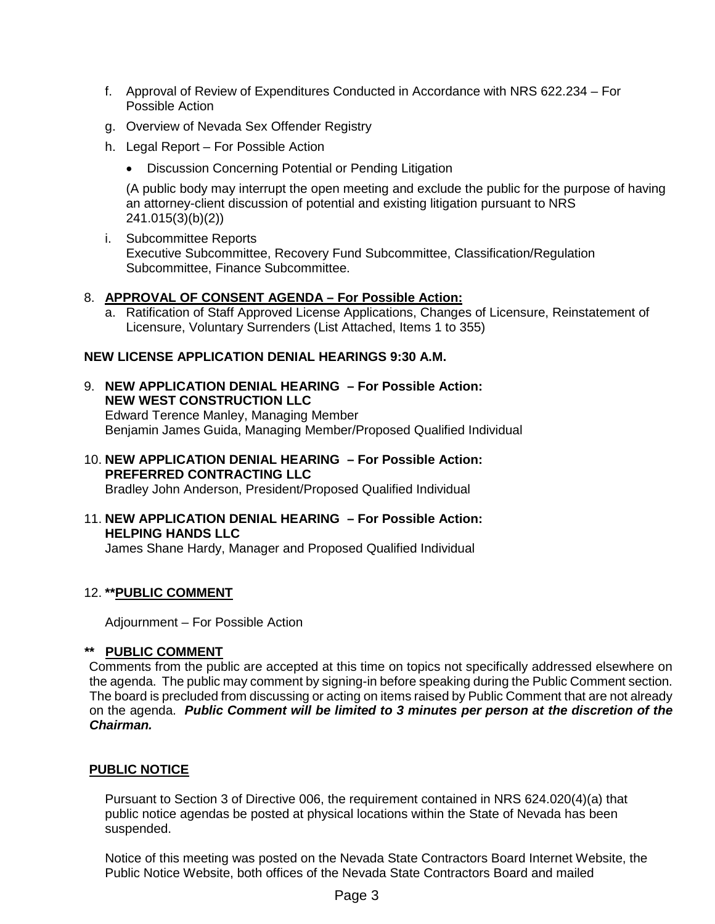- f. Approval of Review of Expenditures Conducted in Accordance with NRS 622.234 For Possible Action
- g. Overview of Nevada Sex Offender Registry
- h. Legal Report For Possible Action
	- Discussion Concerning Potential or Pending Litigation

(A public body may interrupt the open meeting and exclude the public for the purpose of having an attorney-client discussion of potential and existing litigation pursuant to NRS 241.015(3)(b)(2))

i. Subcommittee Reports Executive Subcommittee, Recovery Fund Subcommittee, Classification/Regulation Subcommittee, Finance Subcommittee.

#### 8. **APPROVAL OF CONSENT AGENDA – For Possible Action:**

a. Ratification of Staff Approved License Applications, Changes of Licensure, Reinstatement of Licensure, Voluntary Surrenders (List Attached, Items 1 to 355)

## **NEW LICENSE APPLICATION DENIAL HEARINGS 9:30 A.M.**

- 9. **NEW APPLICATION DENIAL HEARING – For Possible Action: NEW WEST CONSTRUCTION LLC** Edward Terence Manley, Managing Member Benjamin James Guida, Managing Member/Proposed Qualified Individual
- 10. **NEW APPLICATION DENIAL HEARING – For Possible Action: PREFERRED CONTRACTING LLC** Bradley John Anderson, President/Proposed Qualified Individual
- 11. **NEW APPLICATION DENIAL HEARING – For Possible Action: HELPING HANDS LLC** James Shane Hardy, Manager and Proposed Qualified Individual

## 12. **\*\*PUBLIC COMMENT**

Adjournment – For Possible Action

#### **\*\* PUBLIC COMMENT**

Comments from the public are accepted at this time on topics not specifically addressed elsewhere on the agenda. The public may comment by signing-in before speaking during the Public Comment section. The board is precluded from discussing or acting on items raised by Public Comment that are not already on the agenda. *Public Comment will be limited to 3 minutes per person at the discretion of the Chairman.*

## **PUBLIC NOTICE**

Pursuant to Section 3 of Directive 006, the requirement contained in NRS 624.020(4)(a) that public notice agendas be posted at physical locations within the State of Nevada has been suspended.

Notice of this meeting was posted on the Nevada State Contractors Board Internet Website, the Public Notice Website, both offices of the Nevada State Contractors Board and mailed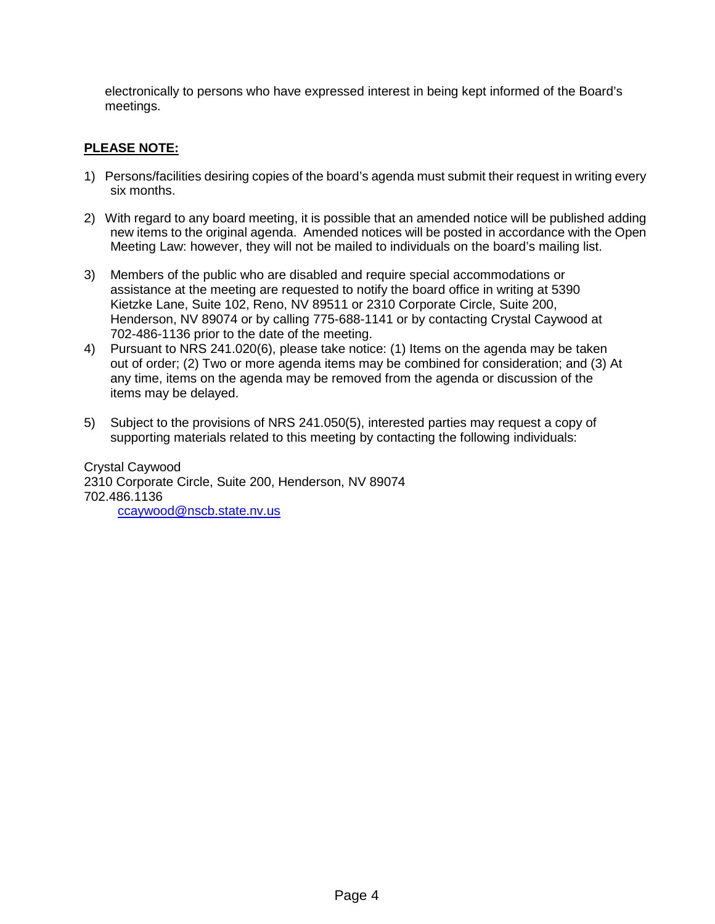electronically to persons who have expressed interest in being kept informed of the Board's meetings.

## **PLEASE NOTE:**

- 1) Persons/facilities desiring copies of the board's agenda must submit their request in writing every six months.
- 2) With regard to any board meeting, it is possible that an amended notice will be published adding new items to the original agenda. Amended notices will be posted in accordance with the Open Meeting Law: however, they will not be mailed to individuals on the board's mailing list.
- 3) Members of the public who are disabled and require special accommodations or assistance at the meeting are requested to notify the board office in writing at 5390 Kietzke Lane, Suite 102, Reno, NV 89511 or 2310 Corporate Circle, Suite 200, Henderson, NV 89074 or by calling 775-688-1141 or by contacting Crystal Caywood at 702-486-1136 prior to the date of the meeting.
- 4) Pursuant to NRS 241.020(6), please take notice: (1) Items on the agenda may be taken out of order; (2) Two or more agenda items may be combined for consideration; and (3) At any time, items on the agenda may be removed from the agenda or discussion of the items may be delayed.
- 5) Subject to the provisions of NRS 241.050(5), interested parties may request a copy of supporting materials related to this meeting by contacting the following individuals:

Crystal Caywood 2310 Corporate Circle, Suite 200, Henderson, NV 89074 702.486.1136 [ccaywood@nscb.state.nv.us](mailto:ccaywood@nscb.state.nv.us)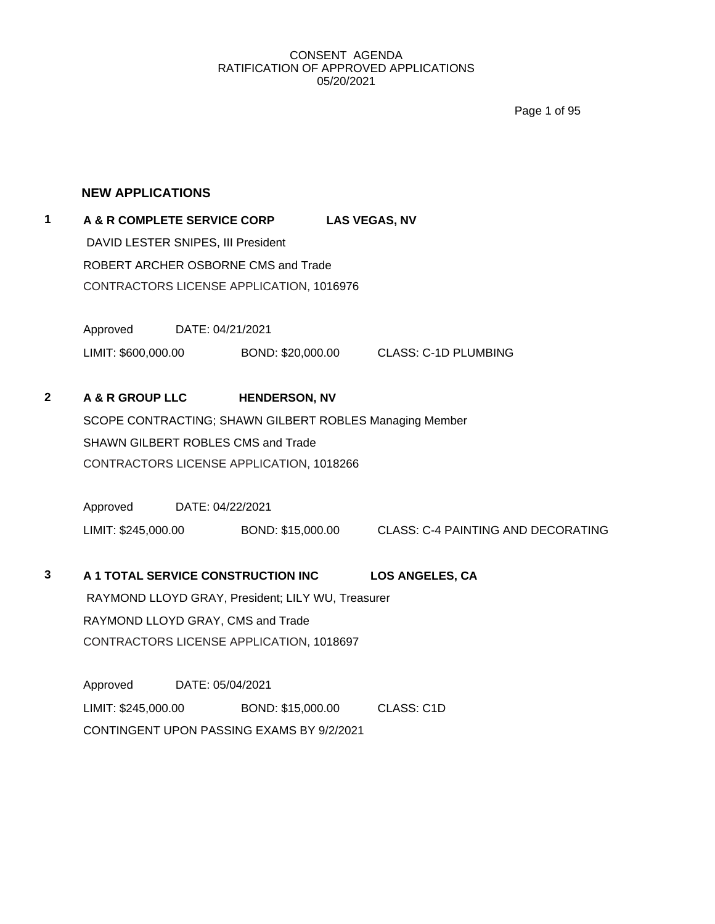Page 1 of 95

#### **NEW APPLICATIONS**

## **1 A & R COMPLETE SERVICE CORP LAS VEGAS, NV** DAVID LESTER SNIPES, III President ROBERT ARCHER OSBORNE CMS and Trade CONTRACTORS LICENSE APPLICATION, 1016976

Approved DATE: 04/21/2021 LIMIT: \$600,000.00 BOND: \$20,000.00 CLASS: C-1D PLUMBING

**2 A & R GROUP LLC HENDERSON, NV**

SCOPE CONTRACTING; SHAWN GILBERT ROBLES Managing Member SHAWN GILBERT ROBLES CMS and Trade CONTRACTORS LICENSE APPLICATION, 1018266

Approved DATE: 04/22/2021 LIMIT: \$245,000.00 BOND: \$15,000.00 CLASS: C-4 PAINTING AND DECORATING

# **3 A 1 TOTAL SERVICE CONSTRUCTION INC LOS ANGELES, CA** RAYMOND LLOYD GRAY, President; LILY WU, Treasurer RAYMOND LLOYD GRAY, CMS and Trade CONTRACTORS LICENSE APPLICATION, 1018697

Approved DATE: 05/04/2021 LIMIT: \$245,000.00 BOND: \$15,000.00 CLASS: C1D CONTINGENT UPON PASSING EXAMS BY 9/2/2021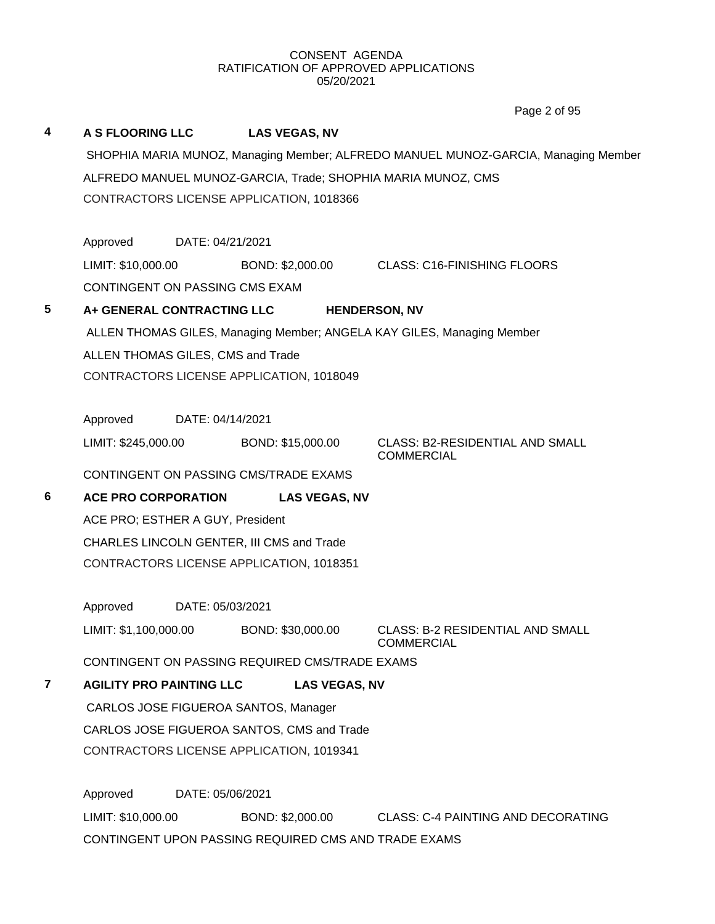**4 A S FLOORING LLC LAS VEGAS, NV** SHOPHIA MARIA MUNOZ, Managing Member; ALFREDO MANUEL MUNOZ-GARCIA, Managing Member ALFREDO MANUEL MUNOZ-GARCIA, Trade; SHOPHIA MARIA MUNOZ, CMS CONTRACTORS LICENSE APPLICATION, 1018366 Approved DATE: 04/21/2021 LIMIT: \$10,000.00 BOND: \$2,000.00 CLASS: C16-FINISHING FLOORS CONTINGENT ON PASSING CMS EXAM **5 A+ GENERAL CONTRACTING LLC HENDERSON, NV** ALLEN THOMAS GILES, Managing Member; ANGELA KAY GILES, Managing Member ALLEN THOMAS GILES, CMS and Trade CONTRACTORS LICENSE APPLICATION, 1018049 Approved DATE: 04/14/2021 LIMIT: \$245,000.00 BOND: \$15,000.00 CLASS: B2-RESIDENTIAL AND SMALL COMMERCIAL CONTINGENT ON PASSING CMS/TRADE EXAMS **6 ACE PRO CORPORATION LAS VEGAS, NV** ACE PRO; ESTHER A GUY, President CHARLES LINCOLN GENTER, III CMS and Trade CONTRACTORS LICENSE APPLICATION, 1018351 Approved DATE: 05/03/2021 LIMIT: \$1,100,000.00 BOND: \$30,000.00 CLASS: B-2 RESIDENTIAL AND SMALL COMMERCIAL CONTINGENT ON PASSING REQUIRED CMS/TRADE EXAMS **7 AGILITY PRO PAINTING LLC LAS VEGAS, NV** CARLOS JOSE FIGUEROA SANTOS, Manager CARLOS JOSE FIGUEROA SANTOS, CMS and Trade CONTRACTORS LICENSE APPLICATION, 1019341 Approved DATE: 05/06/2021 LIMIT: \$10,000.00 BOND: \$2,000.00 CLASS: C-4 PAINTING AND DECORATING Page 2 of 95

CONTINGENT UPON PASSING REQUIRED CMS AND TRADE EXAMS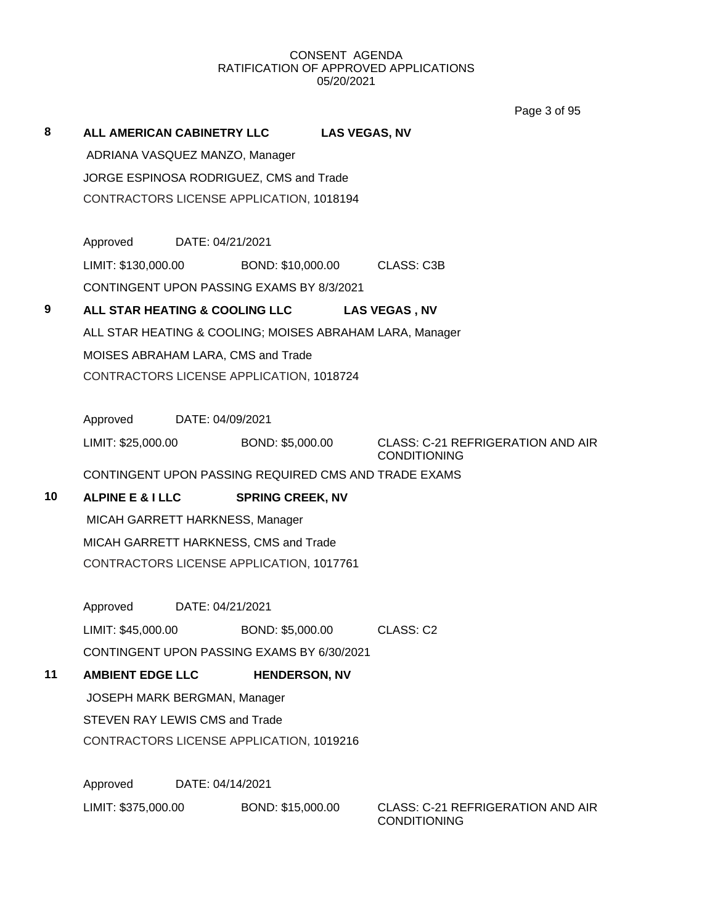Page 3 of 95

| 8  | ALL AMERICAN CABINETRY LLC         |                  |                                                          | <b>LAS VEGAS, NV</b> |                                                                 |
|----|------------------------------------|------------------|----------------------------------------------------------|----------------------|-----------------------------------------------------------------|
|    | ADRIANA VASQUEZ MANZO, Manager     |                  |                                                          |                      |                                                                 |
|    |                                    |                  | JORGE ESPINOSA RODRIGUEZ, CMS and Trade                  |                      |                                                                 |
|    |                                    |                  | CONTRACTORS LICENSE APPLICATION, 1018194                 |                      |                                                                 |
|    |                                    |                  |                                                          |                      |                                                                 |
|    | Approved                           | DATE: 04/21/2021 |                                                          |                      |                                                                 |
|    |                                    |                  | LIMIT: \$130,000.00 BOND: \$10,000.00 CLASS: C3B         |                      |                                                                 |
|    |                                    |                  | CONTINGENT UPON PASSING EXAMS BY 8/3/2021                |                      |                                                                 |
| 9  |                                    |                  | ALL STAR HEATING & COOLING LLC                           |                      | <b>LAS VEGAS, NV</b>                                            |
|    |                                    |                  | ALL STAR HEATING & COOLING; MOISES ABRAHAM LARA, Manager |                      |                                                                 |
|    | MOISES ABRAHAM LARA, CMS and Trade |                  |                                                          |                      |                                                                 |
|    |                                    |                  | CONTRACTORS LICENSE APPLICATION, 1018724                 |                      |                                                                 |
|    |                                    |                  |                                                          |                      |                                                                 |
|    | Approved                           | DATE: 04/09/2021 |                                                          |                      |                                                                 |
|    | LIMIT: \$25,000.00                 |                  | BOND: \$5,000.00                                         |                      | <b>CLASS: C-21 REFRIGERATION AND AIR</b><br><b>CONDITIONING</b> |
|    |                                    |                  | CONTINGENT UPON PASSING REQUIRED CMS AND TRADE EXAMS     |                      |                                                                 |
| 10 | <b>ALPINE E &amp; I LLC</b>        |                  | <b>SPRING CREEK, NV</b>                                  |                      |                                                                 |
|    | MICAH GARRETT HARKNESS, Manager    |                  |                                                          |                      |                                                                 |
|    |                                    |                  | MICAH GARRETT HARKNESS, CMS and Trade                    |                      |                                                                 |
|    |                                    |                  | CONTRACTORS LICENSE APPLICATION, 1017761                 |                      |                                                                 |
|    |                                    |                  |                                                          |                      |                                                                 |
|    | Approved                           | DATE: 04/21/2021 |                                                          |                      |                                                                 |
|    | LIMIT: \$45,000.00                 |                  | BOND: \$5,000.00                                         |                      | CLASS: C2                                                       |
|    |                                    |                  | CONTINGENT UPON PASSING EXAMS BY 6/30/2021               |                      |                                                                 |
| 11 | <b>AMBIENT EDGE LLC</b>            |                  | <b>HENDERSON, NV</b>                                     |                      |                                                                 |
|    | JOSEPH MARK BERGMAN, Manager       |                  |                                                          |                      |                                                                 |
|    | STEVEN RAY LEWIS CMS and Trade     |                  |                                                          |                      |                                                                 |
|    |                                    |                  | CONTRACTORS LICENSE APPLICATION, 1019216                 |                      |                                                                 |
|    | Approved                           | DATE: 04/14/2021 |                                                          |                      |                                                                 |
|    |                                    |                  |                                                          |                      |                                                                 |
|    | LIMIT: \$375,000.00                |                  | BOND: \$15,000.00                                        |                      | <b>CLASS: C-21 REFRIGERATION AND AIR</b><br><b>CONDITIONING</b> |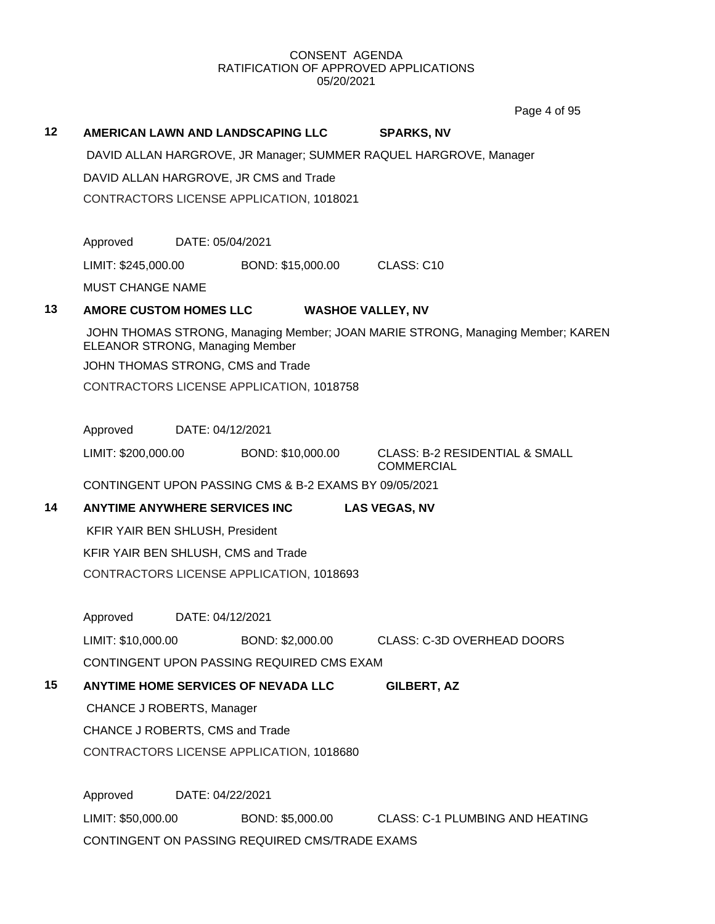Page 4 of 95

|    |                                        |                  |                                                       |                                                                                | Page 4 of 95 |
|----|----------------------------------------|------------------|-------------------------------------------------------|--------------------------------------------------------------------------------|--------------|
| 12 |                                        |                  | AMERICAN LAWN AND LANDSCAPING LLC                     | <b>SPARKS, NV</b>                                                              |              |
|    |                                        |                  |                                                       | DAVID ALLAN HARGROVE, JR Manager; SUMMER RAQUEL HARGROVE, Manager              |              |
|    |                                        |                  | DAVID ALLAN HARGROVE, JR CMS and Trade                |                                                                                |              |
|    |                                        |                  | CONTRACTORS LICENSE APPLICATION, 1018021              |                                                                                |              |
|    |                                        |                  |                                                       |                                                                                |              |
|    | Approved                               | DATE: 05/04/2021 |                                                       |                                                                                |              |
|    | LIMIT: \$245,000.00                    |                  | BOND: \$15,000.00                                     | CLASS: C <sub>10</sub>                                                         |              |
|    | <b>MUST CHANGE NAME</b>                |                  |                                                       |                                                                                |              |
| 13 | <b>AMORE CUSTOM HOMES LLC</b>          |                  |                                                       | <b>WASHOE VALLEY, NV</b>                                                       |              |
|    | <b>ELEANOR STRONG, Managing Member</b> |                  |                                                       | JOHN THOMAS STRONG, Managing Member; JOAN MARIE STRONG, Managing Member; KAREN |              |
|    |                                        |                  | JOHN THOMAS STRONG, CMS and Trade                     |                                                                                |              |
|    |                                        |                  | CONTRACTORS LICENSE APPLICATION, 1018758              |                                                                                |              |
|    |                                        |                  |                                                       |                                                                                |              |
|    | Approved                               | DATE: 04/12/2021 |                                                       |                                                                                |              |
|    | LIMIT: \$200,000.00                    |                  | BOND: \$10,000.00                                     | <b>CLASS: B-2 RESIDENTIAL &amp; SMALL</b><br><b>COMMERCIAL</b>                 |              |
|    |                                        |                  | CONTINGENT UPON PASSING CMS & B-2 EXAMS BY 09/05/2021 |                                                                                |              |
| 14 | <b>ANYTIME ANYWHERE SERVICES INC.</b>  |                  |                                                       | <b>LAS VEGAS, NV</b>                                                           |              |
|    | KFIR YAIR BEN SHLUSH, President        |                  |                                                       |                                                                                |              |
|    | KFIR YAIR BEN SHLUSH, CMS and Trade    |                  |                                                       |                                                                                |              |
|    |                                        |                  | CONTRACTORS LICENSE APPLICATION, 1018693              |                                                                                |              |
|    |                                        |                  |                                                       |                                                                                |              |
|    | Approved                               | DATE: 04/12/2021 |                                                       |                                                                                |              |
|    | LIMIT: \$10,000.00                     |                  | BOND: \$2,000.00                                      | <b>CLASS: C-3D OVERHEAD DOORS</b>                                              |              |
|    |                                        |                  | CONTINGENT UPON PASSING REQUIRED CMS EXAM             |                                                                                |              |
| 15 |                                        |                  | <b>ANYTIME HOME SERVICES OF NEVADA LLC</b>            | <b>GILBERT, AZ</b>                                                             |              |
|    | CHANCE J ROBERTS, Manager              |                  |                                                       |                                                                                |              |
|    | CHANCE J ROBERTS, CMS and Trade        |                  |                                                       |                                                                                |              |
|    |                                        |                  | CONTRACTORS LICENSE APPLICATION, 1018680              |                                                                                |              |
|    |                                        |                  |                                                       |                                                                                |              |
|    | Approved                               | DATE: 04/22/2021 |                                                       |                                                                                |              |
|    | LIMIT: \$50,000.00                     |                  | BOND: \$5,000.00                                      | <b>CLASS: C-1 PLUMBING AND HEATING</b>                                         |              |
|    |                                        |                  | CONTINGENT ON PASSING REQUIRED CMS/TRADE EXAMS        |                                                                                |              |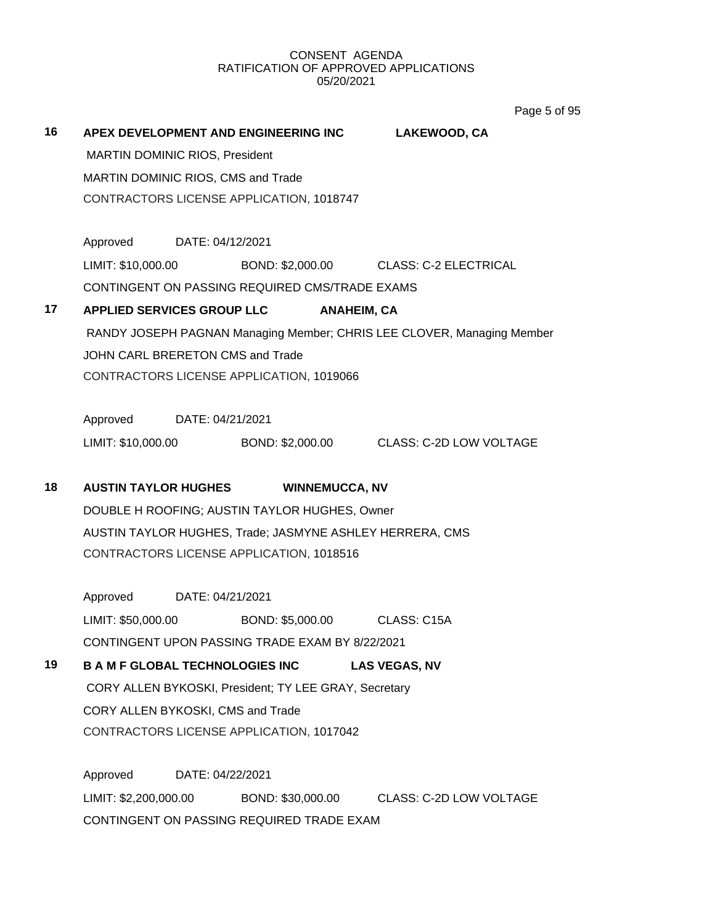Page 5 of 95

| 16 | APEX DEVELOPMENT AND ENGINEERING INC<br>MARTIN DOMINIC RIOS, President<br>MARTIN DOMINIC RIOS, CMS and Trade |                              | LAKEWOOD, CA                                                           |
|----|--------------------------------------------------------------------------------------------------------------|------------------------------|------------------------------------------------------------------------|
|    | CONTRACTORS LICENSE APPLICATION, 1018747                                                                     |                              |                                                                        |
|    | Approved DATE: 04/12/2021                                                                                    |                              |                                                                        |
|    | LIMIT: \$10,000.00<br>CONTINGENT ON PASSING REQUIRED CMS/TRADE EXAMS                                         |                              | BOND: \$2,000.00 CLASS: C-2 ELECTRICAL                                 |
| 17 | <b>APPLIED SERVICES GROUP LLC</b>                                                                            | <b>ANAHEIM, CA</b>           |                                                                        |
|    |                                                                                                              |                              | RANDY JOSEPH PAGNAN Managing Member; CHRIS LEE CLOVER, Managing Member |
|    | JOHN CARL BRERETON CMS and Trade                                                                             |                              |                                                                        |
|    | CONTRACTORS LICENSE APPLICATION, 1019066                                                                     |                              |                                                                        |
|    |                                                                                                              |                              |                                                                        |
|    | Approved DATE: 04/21/2021                                                                                    |                              |                                                                        |
|    |                                                                                                              |                              | LIMIT: \$10,000.00 BOND: \$2,000.00 CLASS: C-2D LOW VOLTAGE            |
| 18 | <b>AUSTIN TAYLOR HUGHES</b>                                                                                  | <b>WINNEMUCCA, NV</b>        |                                                                        |
|    | DOUBLE H ROOFING; AUSTIN TAYLOR HUGHES, Owner                                                                |                              |                                                                        |
|    | AUSTIN TAYLOR HUGHES, Trade; JASMYNE ASHLEY HERRERA, CMS                                                     |                              |                                                                        |
|    | CONTRACTORS LICENSE APPLICATION, 1018516                                                                     |                              |                                                                        |
|    |                                                                                                              |                              |                                                                        |
|    | Approved DATE: 04/21/2021<br>LIMIT: \$50,000.00                                                              | BOND: \$5,000.00 CLASS: C15A |                                                                        |
|    | CONTINGENT UPON PASSING TRADE EXAM BY 8/22/2021                                                              |                              |                                                                        |
| 19 | <b>B A M F GLOBAL TECHNOLOGIES INC</b>                                                                       |                              | <b>LAS VEGAS, NV</b>                                                   |
|    | CORY ALLEN BYKOSKI, President; TY LEE GRAY, Secretary                                                        |                              |                                                                        |
|    | CORY ALLEN BYKOSKI, CMS and Trade                                                                            |                              |                                                                        |
|    | CONTRACTORS LICENSE APPLICATION, 1017042                                                                     |                              |                                                                        |
|    |                                                                                                              |                              |                                                                        |
|    | Approved<br>DATE: 04/22/2021                                                                                 |                              |                                                                        |
|    | LIMIT: \$2,200,000.00                                                                                        | BOND: \$30,000.00            | CLASS: C-2D LOW VOLTAGE                                                |
|    | CONTINGENT ON PASSING REQUIRED TRADE EXAM                                                                    |                              |                                                                        |
|    |                                                                                                              |                              |                                                                        |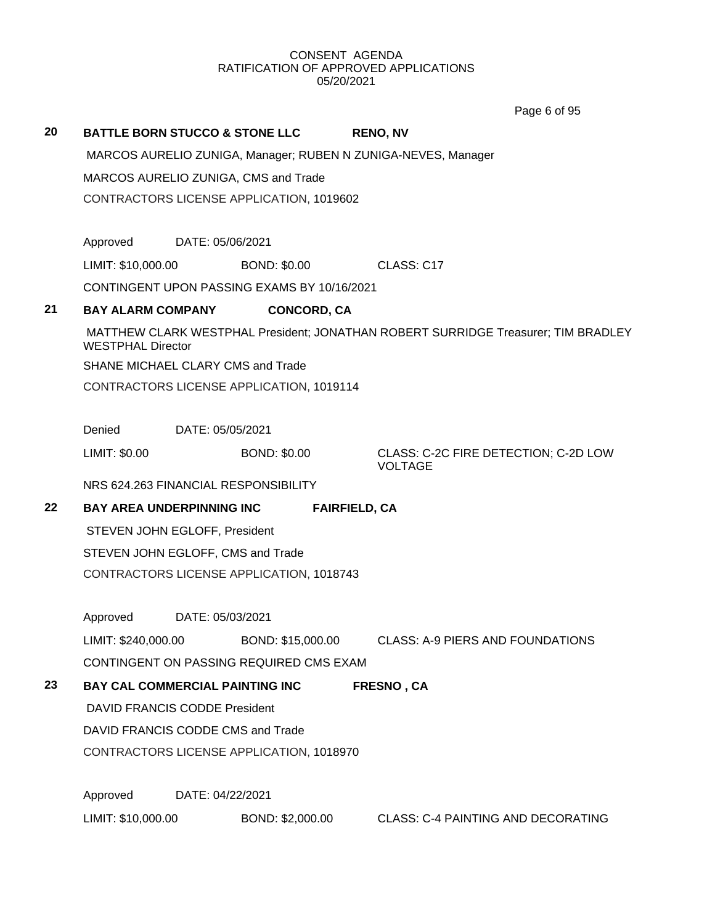Page 6 of 95

| 20 | <b>BATTLE BORN STUCCO &amp; STONE LLC</b> |                                          |                                             |  | <b>RENO, NV</b>                                                                   |  |  |  |
|----|-------------------------------------------|------------------------------------------|---------------------------------------------|--|-----------------------------------------------------------------------------------|--|--|--|
|    |                                           |                                          |                                             |  | MARCOS AURELIO ZUNIGA, Manager; RUBEN N ZUNIGA-NEVES, Manager                     |  |  |  |
|    |                                           | MARCOS AURELIO ZUNIGA, CMS and Trade     |                                             |  |                                                                                   |  |  |  |
|    |                                           |                                          | CONTRACTORS LICENSE APPLICATION, 1019602    |  |                                                                                   |  |  |  |
|    | Approved                                  | DATE: 05/06/2021                         |                                             |  |                                                                                   |  |  |  |
|    | LIMIT: \$10,000.00                        |                                          | <b>BOND: \$0.00</b>                         |  | CLASS: C17                                                                        |  |  |  |
|    |                                           |                                          | CONTINGENT UPON PASSING EXAMS BY 10/16/2021 |  |                                                                                   |  |  |  |
| 21 | <b>BAY ALARM COMPANY</b>                  |                                          | <b>CONCORD, CA</b>                          |  |                                                                                   |  |  |  |
|    | <b>WESTPHAL Director</b>                  |                                          |                                             |  | MATTHEW CLARK WESTPHAL President; JONATHAN ROBERT SURRIDGE Treasurer; TIM BRADLEY |  |  |  |
|    | SHANE MICHAEL CLARY CMS and Trade         |                                          |                                             |  |                                                                                   |  |  |  |
|    |                                           | CONTRACTORS LICENSE APPLICATION, 1019114 |                                             |  |                                                                                   |  |  |  |
|    | Denied                                    | DATE: 05/05/2021                         |                                             |  |                                                                                   |  |  |  |
|    | LIMIT: \$0.00                             |                                          | <b>BOND: \$0.00</b>                         |  | CLASS: C-2C FIRE DETECTION; C-2D LOW<br><b>VOLTAGE</b>                            |  |  |  |
|    | NRS 624.263 FINANCIAL RESPONSIBILITY      |                                          |                                             |  |                                                                                   |  |  |  |
| 22 | <b>BAY AREA UNDERPINNING INC</b>          |                                          | <b>FAIRFIELD, CA</b>                        |  |                                                                                   |  |  |  |
|    | STEVEN JOHN EGLOFF, President             |                                          |                                             |  |                                                                                   |  |  |  |
|    | STEVEN JOHN EGLOFF, CMS and Trade         |                                          |                                             |  |                                                                                   |  |  |  |
|    |                                           |                                          | CONTRACTORS LICENSE APPLICATION, 1018743    |  |                                                                                   |  |  |  |
|    | Approved                                  | DATE: 05/03/2021                         |                                             |  |                                                                                   |  |  |  |
|    | LIMIT: \$240,000.00                       |                                          |                                             |  | BOND: \$15,000.00 CLASS: A-9 PIERS AND FOUNDATIONS                                |  |  |  |
|    |                                           |                                          | CONTINGENT ON PASSING REQUIRED CMS EXAM     |  |                                                                                   |  |  |  |
| 23 | BAY CAL COMMERCIAL PAINTING INC           |                                          |                                             |  | <b>FRESNO, CA</b>                                                                 |  |  |  |
|    | DAVID FRANCIS CODDE President             |                                          |                                             |  |                                                                                   |  |  |  |
|    | DAVID FRANCIS CODDE CMS and Trade         |                                          |                                             |  |                                                                                   |  |  |  |
|    |                                           |                                          | CONTRACTORS LICENSE APPLICATION, 1018970    |  |                                                                                   |  |  |  |
|    | Approved                                  | DATE: 04/22/2021                         |                                             |  |                                                                                   |  |  |  |
|    | LIMIT: \$10,000.00                        |                                          | BOND: \$2,000.00                            |  | CLASS: C-4 PAINTING AND DECORATING                                                |  |  |  |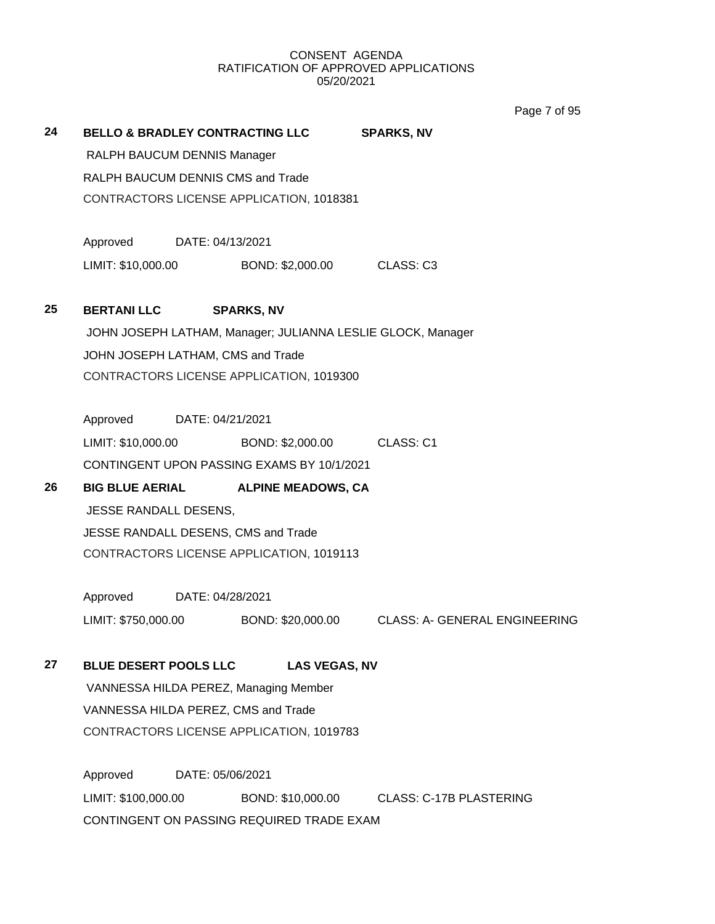Page 7 of 95

| 24 | <b>BELLO &amp; BRADLEY CONTRACTING LLC</b><br>RALPH BAUCUM DENNIS Manager |                  |                                                             | <b>SPARKS, NV</b>                               |  |
|----|---------------------------------------------------------------------------|------------------|-------------------------------------------------------------|-------------------------------------------------|--|
|    |                                                                           |                  |                                                             |                                                 |  |
|    | RALPH BAUCUM DENNIS CMS and Trade                                         |                  |                                                             |                                                 |  |
|    | CONTRACTORS LICENSE APPLICATION, 1018381                                  |                  |                                                             |                                                 |  |
|    | Approved                                                                  | DATE: 04/13/2021 |                                                             |                                                 |  |
|    | LIMIT: \$10,000.00                                                        |                  | BOND: \$2,000.00 CLASS: C3                                  |                                                 |  |
| 25 | <b>BERTANI LLC</b>                                                        |                  | <b>SPARKS, NV</b>                                           |                                                 |  |
|    |                                                                           |                  | JOHN JOSEPH LATHAM, Manager; JULIANNA LESLIE GLOCK, Manager |                                                 |  |
|    | JOHN JOSEPH LATHAM, CMS and Trade                                         |                  |                                                             |                                                 |  |
|    |                                                                           |                  | CONTRACTORS LICENSE APPLICATION, 1019300                    |                                                 |  |
|    | Approved DATE: 04/21/2021                                                 |                  |                                                             |                                                 |  |
|    | LIMIT: \$10,000.00                                                        |                  | BOND: \$2,000.00 CLASS: C1                                  |                                                 |  |
|    |                                                                           |                  | CONTINGENT UPON PASSING EXAMS BY 10/1/2021                  |                                                 |  |
| 26 | <b>BIG BLUE AERIAL</b>                                                    |                  | <b>ALPINE MEADOWS, CA</b>                                   |                                                 |  |
|    | JESSE RANDALL DESENS,                                                     |                  |                                                             |                                                 |  |
|    |                                                                           |                  | JESSE RANDALL DESENS, CMS and Trade                         |                                                 |  |
|    |                                                                           |                  | CONTRACTORS LICENSE APPLICATION, 1019113                    |                                                 |  |
|    | Approved DATE: 04/28/2021                                                 |                  |                                                             |                                                 |  |
|    | LIMIT: \$750,000.00                                                       |                  |                                                             | BOND: \$20,000.00 CLASS: A- GENERAL ENGINEERING |  |
| 27 | <b>BLUE DESERT POOLS LLC</b>                                              |                  | <b>LAS VEGAS, NV</b>                                        |                                                 |  |
|    |                                                                           |                  | VANNESSA HILDA PEREZ, Managing Member                       |                                                 |  |
|    | VANNESSA HILDA PEREZ, CMS and Trade                                       |                  |                                                             |                                                 |  |
|    |                                                                           |                  | CONTRACTORS LICENSE APPLICATION, 1019783                    |                                                 |  |
|    | Approved                                                                  | DATE: 05/06/2021 |                                                             |                                                 |  |
|    | LIMIT: \$100,000.00                                                       |                  | BOND: \$10,000.00                                           | <b>CLASS: C-17B PLASTERING</b>                  |  |
|    |                                                                           |                  | CONTINGENT ON PASSING REQUIRED TRADE EXAM                   |                                                 |  |
|    |                                                                           |                  |                                                             |                                                 |  |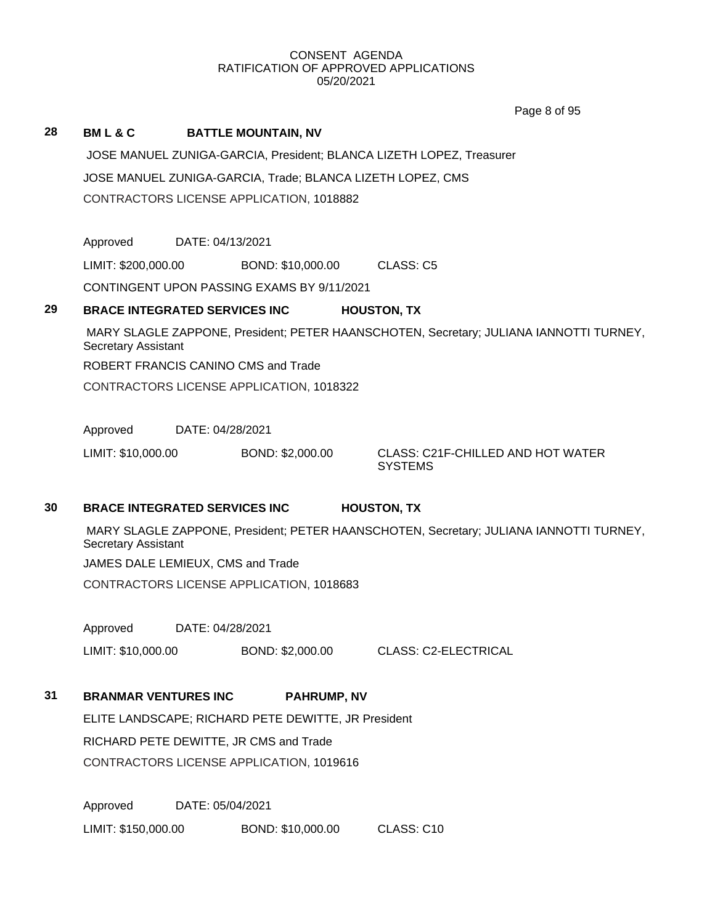Page 8 of 95

#### **28 BM L & C BATTLE MOUNTAIN, NV**

JOSE MANUEL ZUNIGA-GARCIA, President; BLANCA LIZETH LOPEZ, Treasurer JOSE MANUEL ZUNIGA-GARCIA, Trade; BLANCA LIZETH LOPEZ, CMS CONTRACTORS LICENSE APPLICATION, 1018882

Approved DATE: 04/13/2021

LIMIT: \$200,000.00 BOND: \$10,000.00 CLASS: C5

CONTINGENT UPON PASSING EXAMS BY 9/11/2021

#### **29 BRACE INTEGRATED SERVICES INC HOUSTON, TX**

MARY SLAGLE ZAPPONE, President; PETER HAANSCHOTEN, Secretary; JULIANA IANNOTTI TURNEY, Secretary Assistant ROBERT FRANCIS CANINO CMS and Trade

CONTRACTORS LICENSE APPLICATION, 1018322

Approved DATE: 04/28/2021

LIMIT: \$10,000.00 BOND: \$2,000.00 CLASS: C21F-CHILLED AND HOT WATER

**SYSTEMS** 

## **30 BRACE INTEGRATED SERVICES INC HOUSTON, TX**

MARY SLAGLE ZAPPONE, President; PETER HAANSCHOTEN, Secretary; JULIANA IANNOTTI TURNEY, Secretary Assistant

JAMES DALE LEMIEUX, CMS and Trade

CONTRACTORS LICENSE APPLICATION, 1018683

Approved DATE: 04/28/2021

LIMIT: \$10,000.00 BOND: \$2,000.00 CLASS: C2-ELECTRICAL

## **31 BRANMAR VENTURES INC PAHRUMP, NV**

ELITE LANDSCAPE; RICHARD PETE DEWITTE, JR President RICHARD PETE DEWITTE, JR CMS and Trade CONTRACTORS LICENSE APPLICATION, 1019616

Approved DATE: 05/04/2021 LIMIT: \$150,000.00 BOND: \$10,000.00 CLASS: C10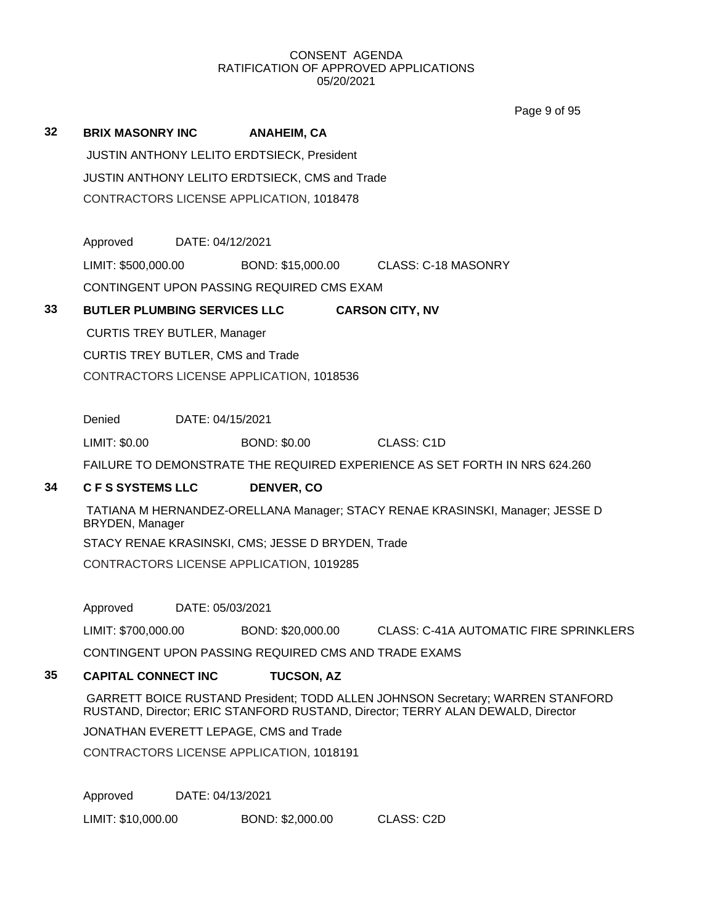Page 9 of 95

| 32 | <b>BRIX MASONRY INC</b>            |                  | <b>ANAHEIM, CA</b>                                   |                                                                                                                                                                   |
|----|------------------------------------|------------------|------------------------------------------------------|-------------------------------------------------------------------------------------------------------------------------------------------------------------------|
|    |                                    |                  | JUSTIN ANTHONY LELITO ERDTSIECK, President           |                                                                                                                                                                   |
|    |                                    |                  | JUSTIN ANTHONY LELITO ERDTSIECK, CMS and Trade       |                                                                                                                                                                   |
|    |                                    |                  | CONTRACTORS LICENSE APPLICATION, 1018478             |                                                                                                                                                                   |
|    | Approved                           | DATE: 04/12/2021 |                                                      |                                                                                                                                                                   |
|    | LIMIT: \$500,000.00                |                  | BOND: \$15,000.00                                    | CLASS: C-18 MASONRY                                                                                                                                               |
|    |                                    |                  | CONTINGENT UPON PASSING REQUIRED CMS EXAM            |                                                                                                                                                                   |
| 33 |                                    |                  | <b>BUTLER PLUMBING SERVICES LLC</b>                  | <b>CARSON CITY, NV</b>                                                                                                                                            |
|    | <b>CURTIS TREY BUTLER, Manager</b> |                  |                                                      |                                                                                                                                                                   |
|    | CURTIS TREY BUTLER, CMS and Trade  |                  |                                                      |                                                                                                                                                                   |
|    |                                    |                  | CONTRACTORS LICENSE APPLICATION, 1018536             |                                                                                                                                                                   |
|    |                                    |                  |                                                      |                                                                                                                                                                   |
|    | Denied                             | DATE: 04/15/2021 |                                                      |                                                                                                                                                                   |
|    | LIMIT: \$0.00                      |                  | <b>BOND: \$0.00</b>                                  | CLASS: C <sub>1</sub> D                                                                                                                                           |
|    |                                    |                  |                                                      | FAILURE TO DEMONSTRATE THE REQUIRED EXPERIENCE AS SET FORTH IN NRS 624.260                                                                                        |
| 34 | <b>CFS SYSTEMS LLC</b>             |                  | DENVER, CO                                           |                                                                                                                                                                   |
|    | BRYDEN, Manager                    |                  |                                                      | TATIANA M HERNANDEZ-ORELLANA Manager; STACY RENAE KRASINSKI, Manager; JESSE D                                                                                     |
|    |                                    |                  | STACY RENAE KRASINSKI, CMS; JESSE D BRYDEN, Trade    |                                                                                                                                                                   |
|    |                                    |                  | CONTRACTORS LICENSE APPLICATION, 1019285             |                                                                                                                                                                   |
|    | Approved                           | DATE: 05/03/2021 |                                                      |                                                                                                                                                                   |
|    | LIMIT: \$700,000.00                |                  | BOND: \$20,000.00                                    | <b>CLASS: C-41A AUTOMATIC FIRE SPRINKLERS</b>                                                                                                                     |
|    |                                    |                  | CONTINGENT UPON PASSING REQUIRED CMS AND TRADE EXAMS |                                                                                                                                                                   |
| 35 | <b>CAPITAL CONNECT INC</b>         |                  | <b>TUCSON, AZ</b>                                    |                                                                                                                                                                   |
|    |                                    |                  |                                                      | GARRETT BOICE RUSTAND President; TODD ALLEN JOHNSON Secretary; WARREN STANFORD<br>RUSTAND, Director; ERIC STANFORD RUSTAND, Director; TERRY ALAN DEWALD, Director |

JONATHAN EVERETT LEPAGE, CMS and Trade

CONTRACTORS LICENSE APPLICATION, 1018191

Approved DATE: 04/13/2021

LIMIT: \$10,000.00 BOND: \$2,000.00 CLASS: C2D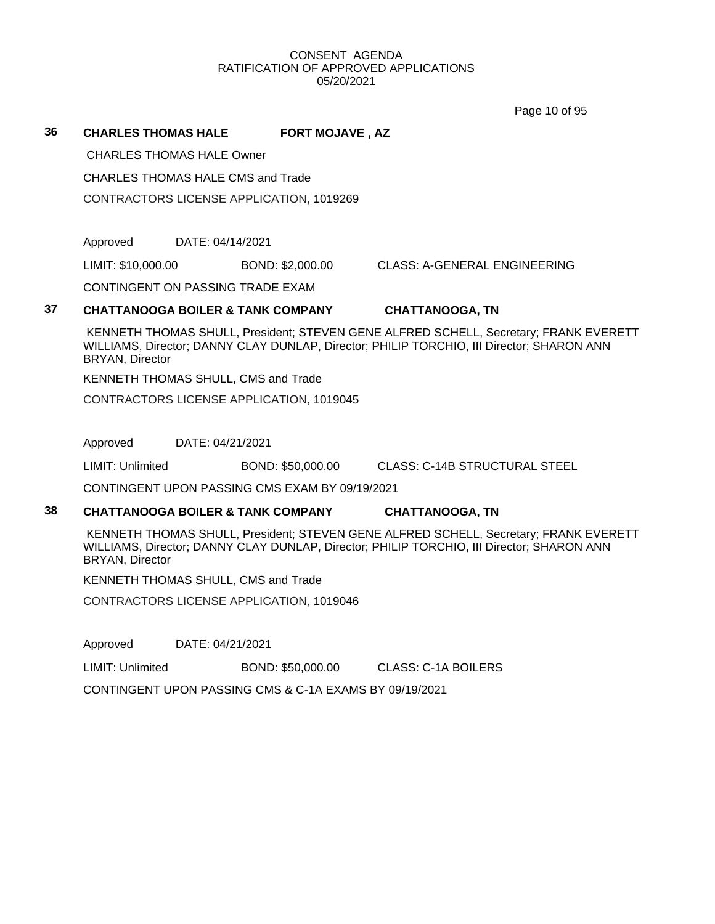Page 10 of 95

#### **36 CHARLES THOMAS HALE FORT MOJAVE , AZ**

CHARLES THOMAS HALE Owner

CHARLES THOMAS HALE CMS and Trade

CONTRACTORS LICENSE APPLICATION, 1019269

Approved DATE: 04/14/2021

LIMIT: \$10,000.00 BOND: \$2,000.00 CLASS: A-GENERAL ENGINEERING

CONTINGENT ON PASSING TRADE EXAM

### **37 CHATTANOOGA BOILER & TANK COMPANY CHATTANOOGA, TN**

KENNETH THOMAS SHULL, President; STEVEN GENE ALFRED SCHELL, Secretary; FRANK EVERETT WILLIAMS, Director; DANNY CLAY DUNLAP, Director; PHILIP TORCHIO, III Director; SHARON ANN BRYAN, Director

KENNETH THOMAS SHULL, CMS and Trade

CONTRACTORS LICENSE APPLICATION, 1019045

Approved DATE: 04/21/2021

LIMIT: Unlimited BOND: \$50,000.00 CLASS: C-14B STRUCTURAL STEEL

CONTINGENT UPON PASSING CMS EXAM BY 09/19/2021

#### **38 CHATTANOOGA BOILER & TANK COMPANY CHATTANOOGA, TN**

KENNETH THOMAS SHULL, President; STEVEN GENE ALFRED SCHELL, Secretary; FRANK EVERETT WILLIAMS, Director; DANNY CLAY DUNLAP, Director; PHILIP TORCHIO, III Director; SHARON ANN BRYAN, Director

KENNETH THOMAS SHULL, CMS and Trade

CONTRACTORS LICENSE APPLICATION, 1019046

Approved DATE: 04/21/2021

LIMIT: Unlimited BOND: \$50,000.00 CLASS: C-1A BOILERS

CONTINGENT UPON PASSING CMS & C-1A EXAMS BY 09/19/2021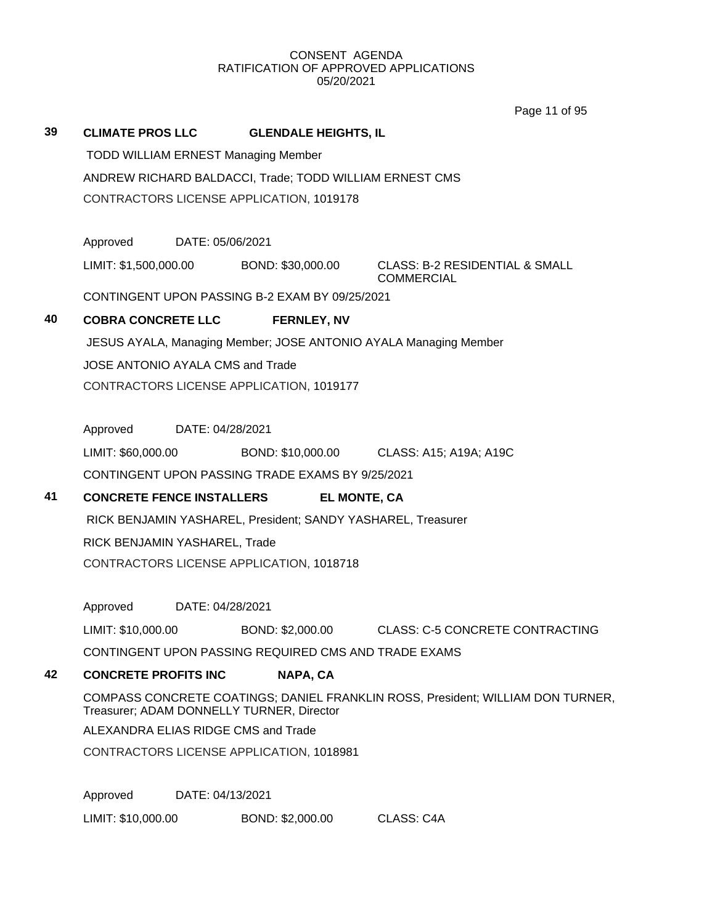Page 11 of 95

|    |                                     |                                                                  |                                                              | Lade II of ap                                                                   |  |  |  |
|----|-------------------------------------|------------------------------------------------------------------|--------------------------------------------------------------|---------------------------------------------------------------------------------|--|--|--|
| 39 | <b>CLIMATE PROS LLC</b>             |                                                                  | <b>GLENDALE HEIGHTS, IL</b>                                  |                                                                                 |  |  |  |
|    |                                     |                                                                  | <b>TODD WILLIAM ERNEST Managing Member</b>                   |                                                                                 |  |  |  |
|    |                                     | ANDREW RICHARD BALDACCI, Trade; TODD WILLIAM ERNEST CMS          |                                                              |                                                                                 |  |  |  |
|    |                                     |                                                                  | CONTRACTORS LICENSE APPLICATION, 1019178                     |                                                                                 |  |  |  |
|    |                                     |                                                                  |                                                              |                                                                                 |  |  |  |
|    | Approved                            | DATE: 05/06/2021                                                 |                                                              |                                                                                 |  |  |  |
|    | LIMIT: \$1,500,000.00               |                                                                  | BOND: \$30,000.00                                            | <b>CLASS: B-2 RESIDENTIAL &amp; SMALL</b><br><b>COMMERCIAL</b>                  |  |  |  |
|    |                                     |                                                                  | CONTINGENT UPON PASSING B-2 EXAM BY 09/25/2021               |                                                                                 |  |  |  |
| 40 | <b>COBRA CONCRETE LLC</b>           |                                                                  | <b>FERNLEY, NV</b>                                           |                                                                                 |  |  |  |
|    |                                     | JESUS AYALA, Managing Member; JOSE ANTONIO AYALA Managing Member |                                                              |                                                                                 |  |  |  |
|    | JOSE ANTONIO AYALA CMS and Trade    |                                                                  |                                                              |                                                                                 |  |  |  |
|    |                                     |                                                                  | CONTRACTORS LICENSE APPLICATION, 1019177                     |                                                                                 |  |  |  |
|    |                                     |                                                                  |                                                              |                                                                                 |  |  |  |
|    | Approved                            | DATE: 04/28/2021                                                 |                                                              |                                                                                 |  |  |  |
|    | LIMIT: \$60,000.00                  |                                                                  |                                                              | BOND: \$10,000.00 CLASS: A15; A19A; A19C                                        |  |  |  |
|    |                                     |                                                                  | CONTINGENT UPON PASSING TRADE EXAMS BY 9/25/2021             |                                                                                 |  |  |  |
| 41 | <b>CONCRETE FENCE INSTALLERS</b>    |                                                                  | <b>EL MONTE, CA</b>                                          |                                                                                 |  |  |  |
|    |                                     |                                                                  | RICK BENJAMIN YASHAREL, President; SANDY YASHAREL, Treasurer |                                                                                 |  |  |  |
|    | RICK BENJAMIN YASHAREL, Trade       |                                                                  |                                                              |                                                                                 |  |  |  |
|    |                                     |                                                                  | CONTRACTORS LICENSE APPLICATION, 1018718                     |                                                                                 |  |  |  |
|    |                                     |                                                                  |                                                              |                                                                                 |  |  |  |
|    | Approved                            | DATE: 04/28/2021                                                 |                                                              |                                                                                 |  |  |  |
|    | LIMIT: \$10,000.00                  |                                                                  | BOND: \$2,000.00                                             | <b>CLASS: C-5 CONCRETE CONTRACTING</b>                                          |  |  |  |
|    |                                     |                                                                  | CONTINGENT UPON PASSING REQUIRED CMS AND TRADE EXAMS         |                                                                                 |  |  |  |
| 42 | <b>CONCRETE PROFITS INC</b>         |                                                                  | NAPA, CA                                                     |                                                                                 |  |  |  |
|    |                                     |                                                                  | Treasurer; ADAM DONNELLY TURNER, Director                    | COMPASS CONCRETE COATINGS; DANIEL FRANKLIN ROSS, President; WILLIAM DON TURNER, |  |  |  |
|    | ALEXANDRA ELIAS RIDGE CMS and Trade |                                                                  |                                                              |                                                                                 |  |  |  |
|    |                                     |                                                                  | CONTRACTORS LICENSE APPLICATION, 1018981                     |                                                                                 |  |  |  |
|    | Approved                            | DATE: 04/13/2021                                                 |                                                              |                                                                                 |  |  |  |
|    | LIMIT: \$10,000.00                  |                                                                  | BOND: \$2,000.00                                             | CLASS: C4A                                                                      |  |  |  |
|    |                                     |                                                                  |                                                              |                                                                                 |  |  |  |
|    |                                     |                                                                  |                                                              |                                                                                 |  |  |  |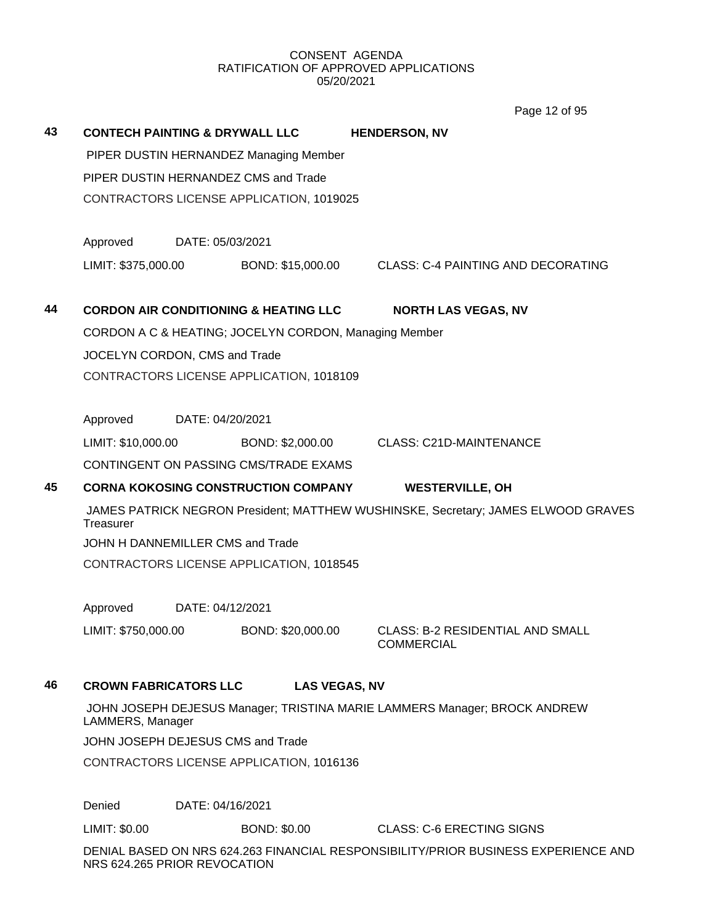Page 12 of 95

| 43 | <b>CONTECH PAINTING &amp; DRYWALL LLC</b> |                                          |                                                       | <b>HENDERSON, NV</b>                                                              |  |  |  |  |
|----|-------------------------------------------|------------------------------------------|-------------------------------------------------------|-----------------------------------------------------------------------------------|--|--|--|--|
|    |                                           |                                          | PIPER DUSTIN HERNANDEZ Managing Member                |                                                                                   |  |  |  |  |
|    |                                           |                                          | PIPER DUSTIN HERNANDEZ CMS and Trade                  |                                                                                   |  |  |  |  |
|    |                                           | CONTRACTORS LICENSE APPLICATION, 1019025 |                                                       |                                                                                   |  |  |  |  |
|    | Approved                                  |                                          | DATE: 05/03/2021                                      |                                                                                   |  |  |  |  |
|    | LIMIT: \$375,000.00                       |                                          | BOND: \$15,000.00                                     | <b>CLASS: C-4 PAINTING AND DECORATING</b>                                         |  |  |  |  |
| 44 |                                           |                                          | <b>CORDON AIR CONDITIONING &amp; HEATING LLC</b>      | <b>NORTH LAS VEGAS, NV</b>                                                        |  |  |  |  |
|    |                                           |                                          | CORDON A C & HEATING; JOCELYN CORDON, Managing Member |                                                                                   |  |  |  |  |
|    | JOCELYN CORDON, CMS and Trade             |                                          |                                                       |                                                                                   |  |  |  |  |
|    |                                           | CONTRACTORS LICENSE APPLICATION, 1018109 |                                                       |                                                                                   |  |  |  |  |
|    | Approved                                  |                                          | DATE: 04/20/2021                                      |                                                                                   |  |  |  |  |
|    | LIMIT: \$10,000.00                        |                                          | BOND: \$2,000.00                                      | <b>CLASS: C21D-MAINTENANCE</b>                                                    |  |  |  |  |
|    |                                           |                                          | <b>CONTINGENT ON PASSING CMS/TRADE EXAMS</b>          |                                                                                   |  |  |  |  |
| 45 |                                           |                                          | <b>CORNA KOKOSING CONSTRUCTION COMPANY</b>            | <b>WESTERVILLE, OH</b>                                                            |  |  |  |  |
|    | Treasurer                                 |                                          |                                                       | JAMES PATRICK NEGRON President; MATTHEW WUSHINSKE, Secretary; JAMES ELWOOD GRAVES |  |  |  |  |
|    |                                           |                                          | JOHN H DANNEMILLER CMS and Trade                      |                                                                                   |  |  |  |  |
|    |                                           |                                          | CONTRACTORS LICENSE APPLICATION, 1018545              |                                                                                   |  |  |  |  |
|    | Approved                                  |                                          | DATE: 04/12/2021                                      |                                                                                   |  |  |  |  |
|    | LIMIT: \$750,000.00                       |                                          | BOND: \$20,000.00                                     | <b>CLASS: B-2 RESIDENTIAL AND SMALL</b>                                           |  |  |  |  |
|    |                                           |                                          |                                                       | <b>COMMERCIAL</b>                                                                 |  |  |  |  |
| 46 | <b>CROWN FABRICATORS LLC</b>              |                                          | <b>LAS VEGAS, NV</b>                                  |                                                                                   |  |  |  |  |
|    | LAMMERS, Manager                          |                                          |                                                       | JOHN JOSEPH DEJESUS Manager; TRISTINA MARIE LAMMERS Manager; BROCK ANDREW         |  |  |  |  |
|    |                                           |                                          | JOHN JOSEPH DEJESUS CMS and Trade                     |                                                                                   |  |  |  |  |
|    |                                           |                                          | CONTRACTORS LICENSE APPLICATION, 1016136              |                                                                                   |  |  |  |  |
|    | Denied                                    |                                          | DATE: 04/16/2021                                      |                                                                                   |  |  |  |  |

DENIAL BASED ON NRS 624.263 FINANCIAL RESPONSIBILITY/PRIOR BUSINESS EXPERIENCE AND NRS 624.265 PRIOR REVOCATION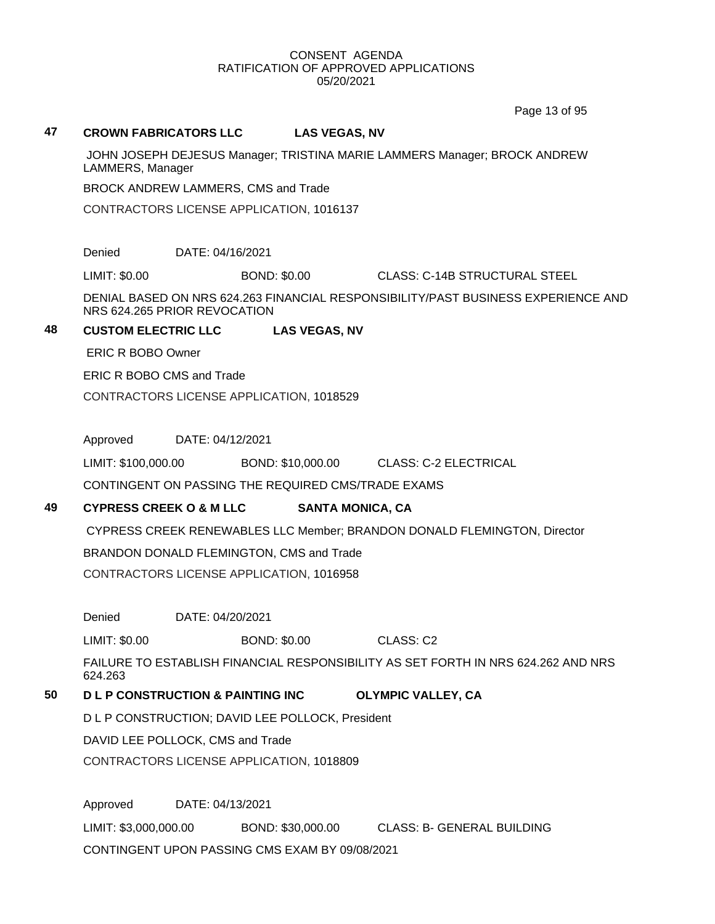Page 13 of 95

#### **47 CROWN FABRICATORS LLC LAS VEGAS, NV**

JOHN JOSEPH DEJESUS Manager; TRISTINA MARIE LAMMERS Manager; BROCK ANDREW LAMMERS, Manager

BROCK ANDREW LAMMERS, CMS and Trade

CONTRACTORS LICENSE APPLICATION, 1016137

Denied DATE: 04/16/2021

LIMIT: \$0.00 BOND: \$0.00 CLASS: C-14B STRUCTURAL STEEL

DENIAL BASED ON NRS 624.263 FINANCIAL RESPONSIBILITY/PAST BUSINESS EXPERIENCE AND NRS 624.265 PRIOR REVOCATION

#### **48 CUSTOM ELECTRIC LLC LAS VEGAS, NV**

ERIC R BOBO Owner

ERIC R BOBO CMS and Trade

CONTRACTORS LICENSE APPLICATION, 1018529

Approved DATE: 04/12/2021

LIMIT: \$100,000.00 BOND: \$10,000.00 CLASS: C-2 ELECTRICAL

CONTINGENT ON PASSING THE REQUIRED CMS/TRADE EXAMS

## **49 CYPRESS CREEK O & M LLC SANTA MONICA, CA**

CYPRESS CREEK RENEWABLES LLC Member; BRANDON DONALD FLEMINGTON, Director

BRANDON DONALD FLEMINGTON, CMS and Trade

CONTRACTORS LICENSE APPLICATION, 1016958

Denied DATE: 04/20/2021

LIMIT: \$0.00 BOND: \$0.00 CLASS: C2

FAILURE TO ESTABLISH FINANCIAL RESPONSIBILITY AS SET FORTH IN NRS 624.262 AND NRS 624.263

## **50 D L P CONSTRUCTION & PAINTING INC OLYMPIC VALLEY, CA**

D L P CONSTRUCTION; DAVID LEE POLLOCK, President

DAVID LEE POLLOCK, CMS and Trade

CONTRACTORS LICENSE APPLICATION, 1018809

Approved DATE: 04/13/2021 LIMIT: \$3,000,000.00 BOND: \$30,000.00 CLASS: B- GENERAL BUILDING CONTINGENT UPON PASSING CMS EXAM BY 09/08/2021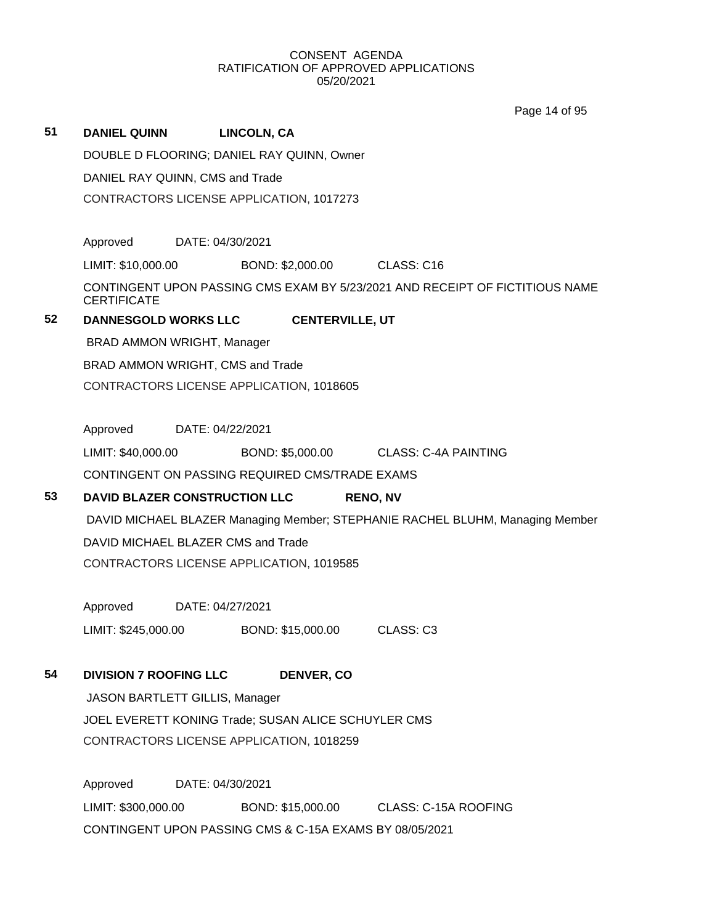Page 14 of 95

| 51 | <b>DANIEL QUINN</b>                  | <b>LINCOLN, CA</b>                                      |                                                                               |  |  |  |
|----|--------------------------------------|---------------------------------------------------------|-------------------------------------------------------------------------------|--|--|--|
|    |                                      | DOUBLE D FLOORING; DANIEL RAY QUINN, Owner              |                                                                               |  |  |  |
|    | DANIEL RAY QUINN, CMS and Trade      |                                                         |                                                                               |  |  |  |
|    |                                      | CONTRACTORS LICENSE APPLICATION, 1017273                |                                                                               |  |  |  |
|    |                                      |                                                         |                                                                               |  |  |  |
|    | Approved DATE: 04/30/2021            |                                                         |                                                                               |  |  |  |
|    | LIMIT: \$10,000.00                   | BOND: \$2,000.00 CLASS: C16                             |                                                                               |  |  |  |
|    | <b>CERTIFICATE</b>                   |                                                         | CONTINGENT UPON PASSING CMS EXAM BY 5/23/2021 AND RECEIPT OF FICTITIOUS NAME  |  |  |  |
| 52 | <b>DANNESGOLD WORKS LLC</b>          | <b>CENTERVILLE, UT</b>                                  |                                                                               |  |  |  |
|    | BRAD AMMON WRIGHT, Manager           |                                                         |                                                                               |  |  |  |
|    | BRAD AMMON WRIGHT, CMS and Trade     |                                                         |                                                                               |  |  |  |
|    |                                      | CONTRACTORS LICENSE APPLICATION, 1018605                |                                                                               |  |  |  |
|    |                                      | DATE: 04/22/2021                                        |                                                                               |  |  |  |
|    | Approved                             |                                                         |                                                                               |  |  |  |
|    | LIMIT: \$40,000.00                   |                                                         | BOND: \$5,000.00 CLASS: C-4A PAINTING                                         |  |  |  |
|    |                                      | CONTINGENT ON PASSING REQUIRED CMS/TRADE EXAMS          |                                                                               |  |  |  |
| 53 | <b>DAVID BLAZER CONSTRUCTION LLC</b> |                                                         | <b>RENO, NV</b>                                                               |  |  |  |
|    |                                      |                                                         | DAVID MICHAEL BLAZER Managing Member; STEPHANIE RACHEL BLUHM, Managing Member |  |  |  |
|    | DAVID MICHAEL BLAZER CMS and Trade   |                                                         |                                                                               |  |  |  |
|    |                                      | CONTRACTORS LICENSE APPLICATION, 1019585                |                                                                               |  |  |  |
|    | Approved DATE: 04/27/2021            |                                                         |                                                                               |  |  |  |
|    | LIMIT: \$245,000.00                  | BOND: \$15,000.00 CLASS: C3                             |                                                                               |  |  |  |
|    |                                      |                                                         |                                                                               |  |  |  |
| 54 | <b>DIVISION 7 ROOFING LLC</b>        | DENVER, CO                                              |                                                                               |  |  |  |
|    | JASON BARTLETT GILLIS, Manager       |                                                         |                                                                               |  |  |  |
|    |                                      | JOEL EVERETT KONING Trade; SUSAN ALICE SCHUYLER CMS     |                                                                               |  |  |  |
|    |                                      | CONTRACTORS LICENSE APPLICATION, 1018259                |                                                                               |  |  |  |
|    | Approved                             | DATE: 04/30/2021                                        |                                                                               |  |  |  |
|    | LIMIT: \$300,000.00                  |                                                         | BOND: \$15,000.00 CLASS: C-15A ROOFING                                        |  |  |  |
|    |                                      | CONTINGENT UPON PASSING CMS & C-15A EXAMS BY 08/05/2021 |                                                                               |  |  |  |
|    |                                      |                                                         |                                                                               |  |  |  |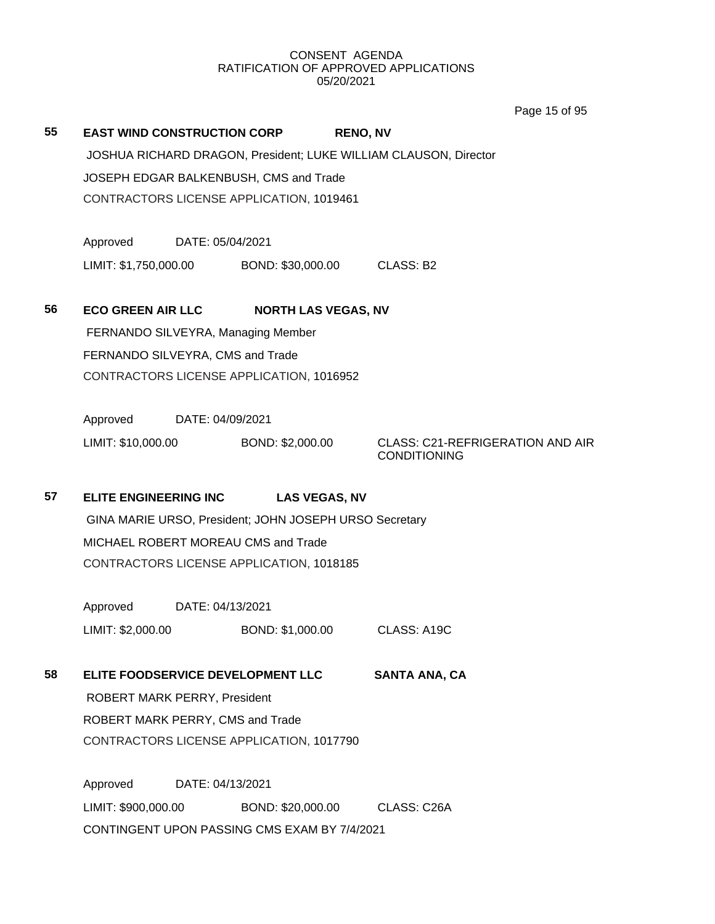Page 15 of 95

|    |                                    |                  |                                                        |                 |                                                                  | Page 15 of 95 |
|----|------------------------------------|------------------|--------------------------------------------------------|-----------------|------------------------------------------------------------------|---------------|
| 55 | <b>EAST WIND CONSTRUCTION CORP</b> |                  |                                                        | <b>RENO, NV</b> |                                                                  |               |
|    |                                    |                  |                                                        |                 | JOSHUA RICHARD DRAGON, President; LUKE WILLIAM CLAUSON, Director |               |
|    |                                    |                  | JOSEPH EDGAR BALKENBUSH, CMS and Trade                 |                 |                                                                  |               |
|    |                                    |                  | CONTRACTORS LICENSE APPLICATION, 1019461               |                 |                                                                  |               |
|    |                                    |                  |                                                        |                 |                                                                  |               |
|    | Approved                           | DATE: 05/04/2021 |                                                        |                 |                                                                  |               |
|    |                                    |                  | LIMIT: \$1,750,000.00 BOND: \$30,000.00                |                 | CLASS: B2                                                        |               |
|    |                                    |                  |                                                        |                 |                                                                  |               |
| 56 | <b>ECO GREEN AIR LLC</b>           |                  | <b>NORTH LAS VEGAS, NV</b>                             |                 |                                                                  |               |
|    |                                    |                  | FERNANDO SILVEYRA, Managing Member                     |                 |                                                                  |               |
|    | FERNANDO SILVEYRA, CMS and Trade   |                  |                                                        |                 |                                                                  |               |
|    |                                    |                  | CONTRACTORS LICENSE APPLICATION, 1016952               |                 |                                                                  |               |
|    |                                    |                  |                                                        |                 |                                                                  |               |
|    | Approved                           | DATE: 04/09/2021 |                                                        |                 |                                                                  |               |
|    | LIMIT: \$10,000.00                 |                  | BOND: \$2,000.00                                       |                 | <b>CLASS: C21-REFRIGERATION AND AIR</b>                          |               |
|    |                                    |                  |                                                        |                 | <b>CONDITIONING</b>                                              |               |
| 57 |                                    |                  |                                                        |                 |                                                                  |               |
|    | <b>ELITE ENGINEERING INC</b>       |                  | <b>LAS VEGAS, NV</b>                                   |                 |                                                                  |               |
|    |                                    |                  | GINA MARIE URSO, President; JOHN JOSEPH URSO Secretary |                 |                                                                  |               |
|    |                                    |                  | MICHAEL ROBERT MOREAU CMS and Trade                    |                 |                                                                  |               |
|    |                                    |                  | CONTRACTORS LICENSE APPLICATION, 1018185               |                 |                                                                  |               |
|    | Approved                           | DATE: 04/13/2021 |                                                        |                 |                                                                  |               |
|    | LIMIT: \$2,000.00                  |                  | BOND: \$1,000.00                                       |                 | CLASS: A19C                                                      |               |
|    |                                    |                  |                                                        |                 |                                                                  |               |
| 58 |                                    |                  | ELITE FOODSERVICE DEVELOPMENT LLC                      |                 | <b>SANTA ANA, CA</b>                                             |               |
|    | ROBERT MARK PERRY, President       |                  |                                                        |                 |                                                                  |               |
|    | ROBERT MARK PERRY, CMS and Trade   |                  |                                                        |                 |                                                                  |               |
|    |                                    |                  | CONTRACTORS LICENSE APPLICATION, 1017790               |                 |                                                                  |               |
|    |                                    |                  |                                                        |                 |                                                                  |               |
|    | Approved                           | DATE: 04/13/2021 |                                                        |                 |                                                                  |               |
|    | LIMIT: \$900,000.00                |                  | BOND: \$20,000.00                                      |                 | CLASS: C26A                                                      |               |
|    |                                    |                  | CONTINGENT UPON PASSING CMS EXAM BY 7/4/2021           |                 |                                                                  |               |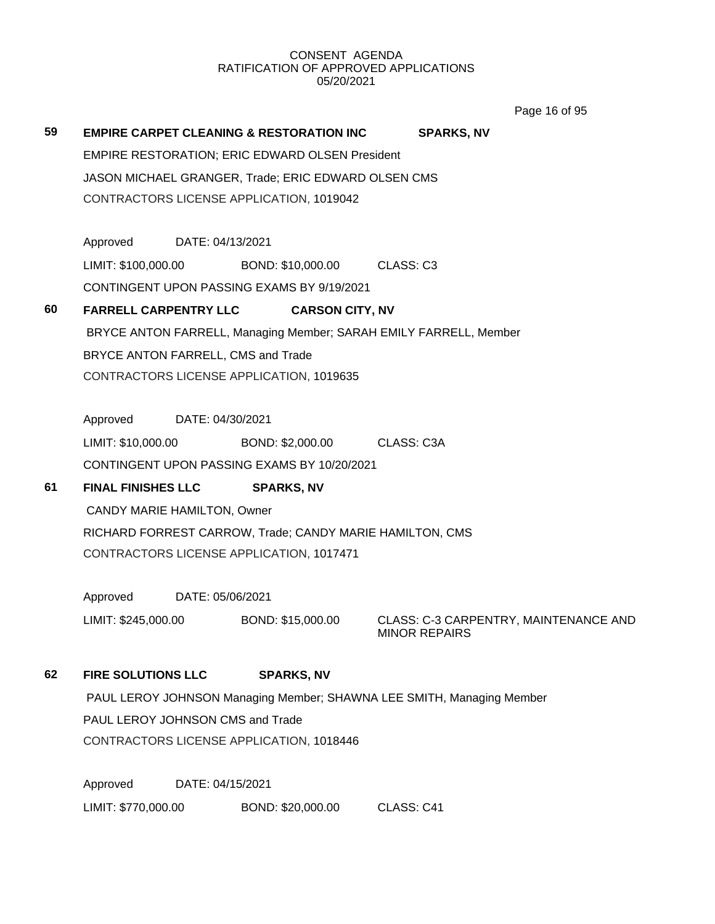Page 16 of 95

**59 EMPIRE CARPET CLEANING & RESTORATION INC SPARKS, NV** EMPIRE RESTORATION; ERIC EDWARD OLSEN President JASON MICHAEL GRANGER, Trade; ERIC EDWARD OLSEN CMS CONTRACTORS LICENSE APPLICATION, 1019042 Approved DATE: 04/13/2021 LIMIT: \$100,000.00 BOND: \$10,000.00 CLASS: C3 CONTINGENT UPON PASSING EXAMS BY 9/19/2021 **60 FARRELL CARPENTRY LLC CARSON CITY, NV** BRYCE ANTON FARRELL, Managing Member; SARAH EMILY FARRELL, Member BRYCE ANTON FARRELL, CMS and Trade CONTRACTORS LICENSE APPLICATION, 1019635 Approved DATE: 04/30/2021 LIMIT: \$10,000.00 BOND: \$2,000.00 CLASS: C3A CONTINGENT UPON PASSING EXAMS BY 10/20/2021 **61 FINAL FINISHES LLC SPARKS, NV** CANDY MARIE HAMILTON, Owner RICHARD FORREST CARROW, Trade; CANDY MARIE HAMILTON, CMS CONTRACTORS LICENSE APPLICATION, 1017471 Approved DATE: 05/06/2021 LIMIT: \$245,000.00 BOND: \$15,000.00 CLASS: C-3 CARPENTRY, MAINTENANCE AND MINOR REPAIRS **62 FIRE SOLUTIONS LLC SPARKS, NV** PAUL LEROY JOHNSON Managing Member; SHAWNA LEE SMITH, Managing Member PAUL LEROY JOHNSON CMS and Trade

CONTRACTORS LICENSE APPLICATION, 1018446

Approved DATE: 04/15/2021 LIMIT: \$770,000.00 BOND: \$20,000.00 CLASS: C41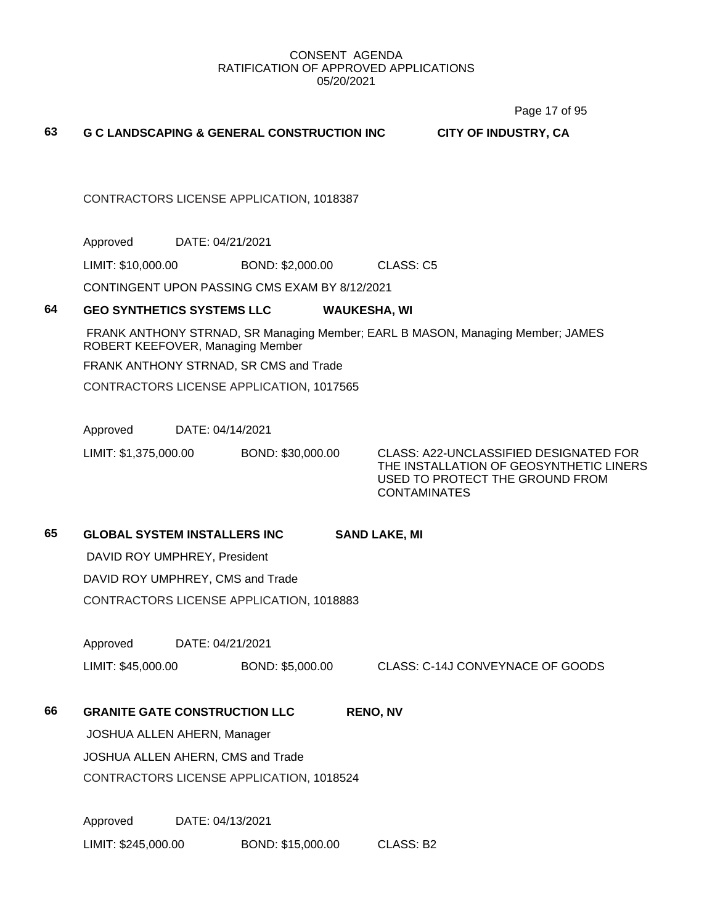Page 17 of 95

#### **63 G C LANDSCAPING & GENERAL CONSTRUCTION INC CITY OF INDUSTRY, CA**

CONTRACTORS LICENSE APPLICATION, 1018387

Approved DATE: 04/21/2021

LIMIT: \$10,000.00 BOND: \$2,000.00 CLASS: C5

CONTINGENT UPON PASSING CMS EXAM BY 8/12/2021

#### **64 GEO SYNTHETICS SYSTEMS LLC WAUKESHA, WI**

FRANK ANTHONY STRNAD, SR Managing Member; EARL B MASON, Managing Member; JAMES ROBERT KEEFOVER, Managing Member

FRANK ANTHONY STRNAD, SR CMS and Trade

CONTRACTORS LICENSE APPLICATION, 1017565

Approved DATE: 04/14/2021

LIMIT: \$1,375,000.00 BOND: \$30,000.00 CLASS: A22-UNCLASSIFIED DESIGNATED FOR THE INSTALLATION OF GEOSYNTHETIC LINERS USED TO PROTECT THE GROUND FROM **CONTAMINATES** 

## **65 GLOBAL SYSTEM INSTALLERS INC SAND LAKE, MI**

DAVID ROY UMPHREY, President

DAVID ROY UMPHREY, CMS and Trade

CONTRACTORS LICENSE APPLICATION, 1018883

Approved DATE: 04/21/2021

LIMIT: \$45,000.00 BOND: \$5,000.00 CLASS: C-14J CONVEYNACE OF GOODS

**66 GRANITE GATE CONSTRUCTION LLC RENO, NV**

JOSHUA ALLEN AHERN, Manager

JOSHUA ALLEN AHERN, CMS and Trade CONTRACTORS LICENSE APPLICATION, 1018524

Approved DATE: 04/13/2021 LIMIT: \$245,000.00 BOND: \$15,000.00 CLASS: B2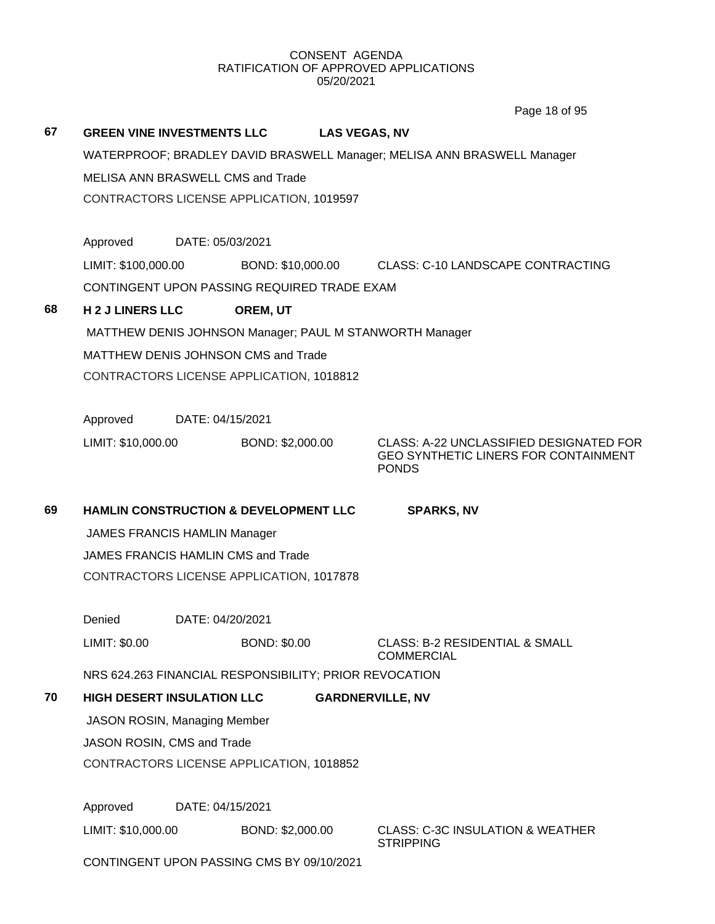Page 18 of 95

|    |                                                                         |                  |                                                        | $0.40$ 10 01 00                                                                                 |  |
|----|-------------------------------------------------------------------------|------------------|--------------------------------------------------------|-------------------------------------------------------------------------------------------------|--|
| 67 | <b>GREEN VINE INVESTMENTS LLC</b>                                       |                  |                                                        | <b>LAS VEGAS, NV</b>                                                                            |  |
|    | WATERPROOF; BRADLEY DAVID BRASWELL Manager; MELISA ANN BRASWELL Manager |                  |                                                        |                                                                                                 |  |
|    | MELISA ANN BRASWELL CMS and Trade                                       |                  |                                                        |                                                                                                 |  |
|    |                                                                         |                  | CONTRACTORS LICENSE APPLICATION, 1019597               |                                                                                                 |  |
|    |                                                                         |                  |                                                        |                                                                                                 |  |
|    | Approved                                                                | DATE: 05/03/2021 |                                                        |                                                                                                 |  |
|    | LIMIT: \$100,000.00                                                     |                  | BOND: \$10,000.00                                      | CLASS: C-10 LANDSCAPE CONTRACTING                                                               |  |
|    |                                                                         |                  | CONTINGENT UPON PASSING REQUIRED TRADE EXAM            |                                                                                                 |  |
| 68 | <b>H2J LINERS LLC</b>                                                   |                  | OREM, UT                                               |                                                                                                 |  |
|    |                                                                         |                  |                                                        | MATTHEW DENIS JOHNSON Manager; PAUL M STANWORTH Manager                                         |  |
|    |                                                                         |                  | MATTHEW DENIS JOHNSON CMS and Trade                    |                                                                                                 |  |
|    |                                                                         |                  | CONTRACTORS LICENSE APPLICATION, 1018812               |                                                                                                 |  |
|    |                                                                         |                  |                                                        |                                                                                                 |  |
|    | Approved                                                                | DATE: 04/15/2021 |                                                        |                                                                                                 |  |
|    | LIMIT: \$10,000.00                                                      |                  | BOND: \$2,000.00                                       | CLASS: A-22 UNCLASSIFIED DESIGNATED FOR<br>GEO SYNTHETIC LINERS FOR CONTAINMENT<br><b>PONDS</b> |  |
|    |                                                                         |                  |                                                        |                                                                                                 |  |
| 69 |                                                                         |                  | <b>HAMLIN CONSTRUCTION &amp; DEVELOPMENT LLC</b>       | <b>SPARKS, NV</b>                                                                               |  |
|    | <b>JAMES FRANCIS HAMLIN Manager</b>                                     |                  |                                                        |                                                                                                 |  |
|    | JAMES FRANCIS HAMLIN CMS and Trade                                      |                  |                                                        |                                                                                                 |  |
|    |                                                                         |                  | CONTRACTORS LICENSE APPLICATION, 1017878               |                                                                                                 |  |
|    |                                                                         |                  |                                                        |                                                                                                 |  |
|    | Denied                                                                  | DATE: 04/20/2021 |                                                        |                                                                                                 |  |
|    | LIMIT: \$0.00                                                           |                  | <b>BOND: \$0.00</b>                                    | <b>CLASS: B-2 RESIDENTIAL &amp; SMALL</b><br><b>COMMERCIAL</b>                                  |  |
|    |                                                                         |                  |                                                        |                                                                                                 |  |
|    |                                                                         |                  | NRS 624.263 FINANCIAL RESPONSIBILITY; PRIOR REVOCATION |                                                                                                 |  |
| 70 | <b>HIGH DESERT INSULATION LLC</b>                                       |                  |                                                        | <b>GARDNERVILLE, NV</b>                                                                         |  |
|    | <b>JASON ROSIN, Managing Member</b>                                     |                  |                                                        |                                                                                                 |  |
|    | JASON ROSIN, CMS and Trade                                              |                  |                                                        |                                                                                                 |  |
|    |                                                                         |                  | CONTRACTORS LICENSE APPLICATION, 1018852               |                                                                                                 |  |
|    |                                                                         |                  |                                                        |                                                                                                 |  |
|    | Approved<br>LIMIT: \$10,000.00                                          | DATE: 04/15/2021 | BOND: \$2,000.00                                       | <b>CLASS: C-3C INSULATION &amp; WEATHER</b>                                                     |  |

CONTINGENT UPON PASSING CMS BY 09/10/2021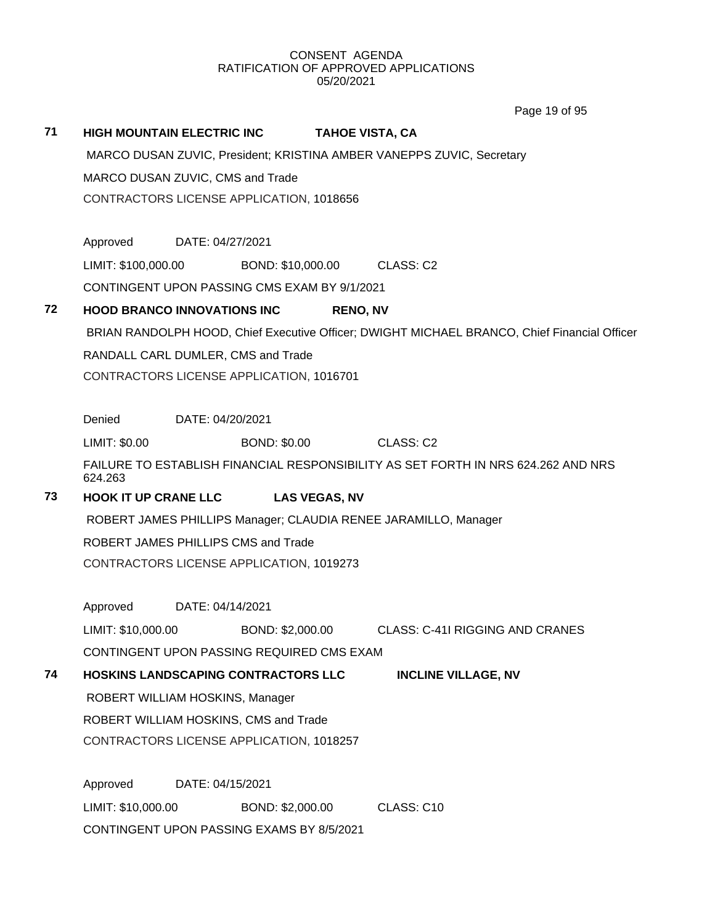Page 19 of 95

#### **71 HIGH MOUNTAIN ELECTRIC INC TAHOE VISTA, CA**

MARCO DUSAN ZUVIC, President; KRISTINA AMBER VANEPPS ZUVIC, Secretary MARCO DUSAN ZUVIC, CMS and Trade CONTRACTORS LICENSE APPLICATION, 1018656

Approved DATE: 04/27/2021

LIMIT: \$100,000.00 BOND: \$10,000.00 CLASS: C2

CONTINGENT UPON PASSING CMS EXAM BY 9/1/2021

#### **72 HOOD BRANCO INNOVATIONS INC RENO, NV**

BRIAN RANDOLPH HOOD, Chief Executive Officer; DWIGHT MICHAEL BRANCO, Chief Financial Officer RANDALL CARL DUMLER, CMS and Trade CONTRACTORS LICENSE APPLICATION, 1016701

Denied DATE: 04/20/2021

LIMIT: \$0.00 BOND: \$0.00 CLASS: C2

FAILURE TO ESTABLISH FINANCIAL RESPONSIBILITY AS SET FORTH IN NRS 624.262 AND NRS 624.263

## **73 HOOK IT UP CRANE LLC LAS VEGAS, NV**

ROBERT JAMES PHILLIPS Manager; CLAUDIA RENEE JARAMILLO, Manager

ROBERT JAMES PHILLIPS CMS and Trade

CONTRACTORS LICENSE APPLICATION, 1019273

Approved DATE: 04/14/2021

LIMIT: \$10,000.00 BOND: \$2,000.00 CLASS: C-41I RIGGING AND CRANES CONTINGENT UPON PASSING REQUIRED CMS EXAM

## **74 HOSKINS LANDSCAPING CONTRACTORS LLC INCLINE VILLAGE, NV**

ROBERT WILLIAM HOSKINS, Manager

ROBERT WILLIAM HOSKINS, CMS and Trade

CONTRACTORS LICENSE APPLICATION, 1018257

Approved DATE: 04/15/2021 LIMIT: \$10,000.00 BOND: \$2,000.00 CLASS: C10 CONTINGENT UPON PASSING EXAMS BY 8/5/2021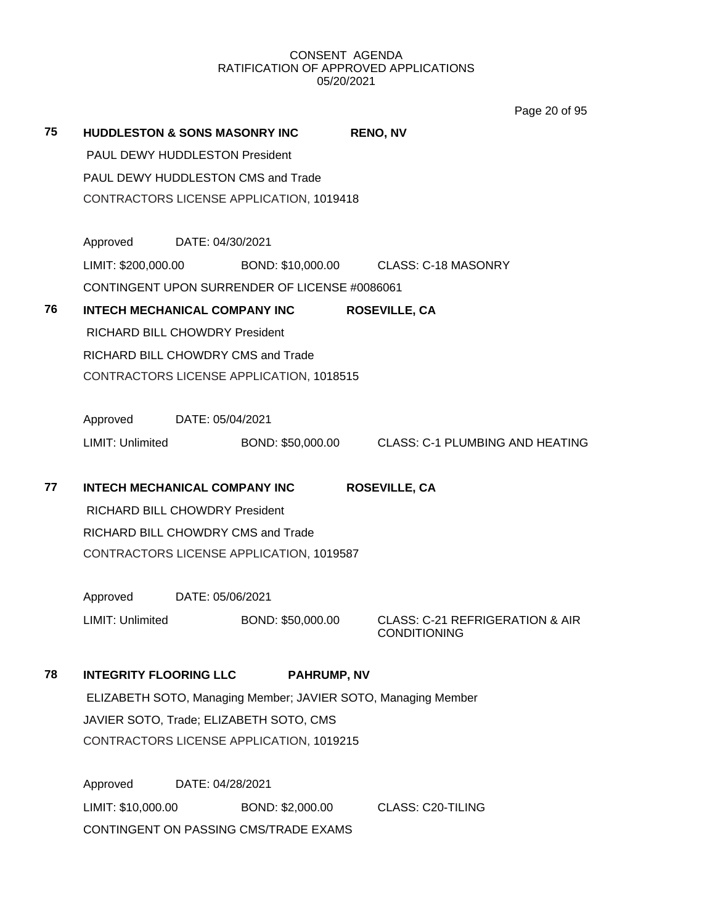Page 20 of 95

| 75 | <b>HUDDLESTON &amp; SONS MASONRY INC</b> |                                          |                                               | <b>RENO, NV</b>                                               |  |  |
|----|------------------------------------------|------------------------------------------|-----------------------------------------------|---------------------------------------------------------------|--|--|
|    | <b>PAUL DEWY HUDDLESTON President</b>    |                                          |                                               |                                                               |  |  |
|    | PAUL DEWY HUDDLESTON CMS and Trade       |                                          |                                               |                                                               |  |  |
|    |                                          |                                          | CONTRACTORS LICENSE APPLICATION, 1019418      |                                                               |  |  |
|    | Approved                                 | DATE: 04/30/2021                         |                                               |                                                               |  |  |
|    | LIMIT: \$200,000.00                      |                                          |                                               | BOND: \$10,000.00 CLASS: C-18 MASONRY                         |  |  |
|    |                                          |                                          | CONTINGENT UPON SURRENDER OF LICENSE #0086061 |                                                               |  |  |
| 76 | <b>INTECH MECHANICAL COMPANY INC</b>     |                                          |                                               | <b>ROSEVILLE, CA</b>                                          |  |  |
|    | RICHARD BILL CHOWDRY President           |                                          |                                               |                                                               |  |  |
|    | RICHARD BILL CHOWDRY CMS and Trade       |                                          |                                               |                                                               |  |  |
|    |                                          | CONTRACTORS LICENSE APPLICATION, 1018515 |                                               |                                                               |  |  |
|    | Approved                                 | DATE: 05/04/2021                         |                                               |                                                               |  |  |
|    | LIMIT: Unlimited                         |                                          |                                               | BOND: \$50,000.00 CLASS: C-1 PLUMBING AND HEATING             |  |  |
| 77 | <b>INTECH MECHANICAL COMPANY INC</b>     |                                          |                                               | <b>ROSEVILLE, CA</b>                                          |  |  |
|    | RICHARD BILL CHOWDRY President           |                                          |                                               |                                                               |  |  |
|    | RICHARD BILL CHOWDRY CMS and Trade       |                                          |                                               |                                                               |  |  |
|    |                                          |                                          | CONTRACTORS LICENSE APPLICATION, 1019587      |                                                               |  |  |
|    | Approved                                 | DATE: 05/06/2021                         |                                               |                                                               |  |  |
|    | LIMIT: Unlimited                         |                                          | BOND: \$50,000.00                             | CLASS: C-21 REFRIGERATION & AIR<br><b>CONDITIONING</b>        |  |  |
| 78 | <b>INTEGRITY FLOORING LLC</b>            |                                          | <b>PAHRUMP, NV</b>                            |                                                               |  |  |
|    |                                          |                                          |                                               | ELIZABETH SOTO, Managing Member; JAVIER SOTO, Managing Member |  |  |
|    |                                          |                                          | JAVIER SOTO, Trade; ELIZABETH SOTO, CMS       |                                                               |  |  |
|    |                                          |                                          | CONTRACTORS LICENSE APPLICATION, 1019215      |                                                               |  |  |
|    | Approved                                 | DATE: 04/28/2021                         |                                               |                                                               |  |  |
|    | LIMIT: \$10,000.00                       |                                          | BOND: \$2,000.00                              | <b>CLASS: C20-TILING</b>                                      |  |  |
|    |                                          |                                          | CONTINGENT ON PASSING CMS/TRADE EXAMS         |                                                               |  |  |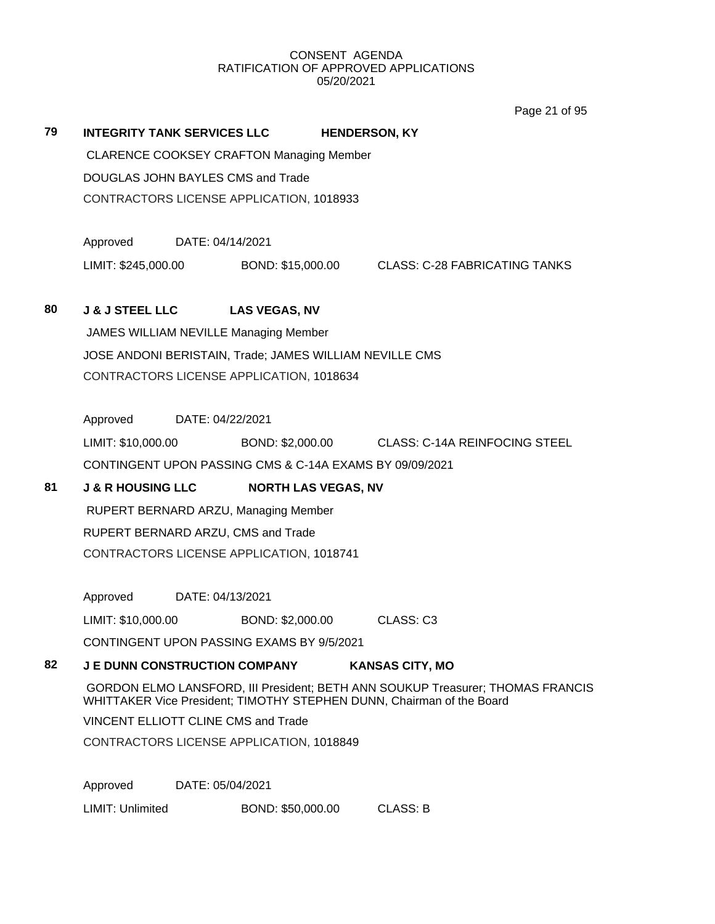Page 21 of 95

# **79 INTEGRITY TANK SERVICES LLC HENDERSON, KY** CLARENCE COOKSEY CRAFTON Managing Member DOUGLAS JOHN BAYLES CMS and Trade CONTRACTORS LICENSE APPLICATION, 1018933 Approved DATE: 04/14/2021 LIMIT: \$245,000.00 BOND: \$15,000.00 CLASS: C-28 FABRICATING TANKS **80 J & J STEEL LLC LAS VEGAS, NV** JAMES WILLIAM NEVILLE Managing Member JOSE ANDONI BERISTAIN, Trade; JAMES WILLIAM NEVILLE CMS CONTRACTORS LICENSE APPLICATION, 1018634 Approved DATE: 04/22/2021 LIMIT: \$10,000.00 BOND: \$2,000.00 CLASS: C-14A REINFOCING STEEL CONTINGENT UPON PASSING CMS & C-14A EXAMS BY 09/09/2021 **81 J & R HOUSING LLC NORTH LAS VEGAS, NV** RUPERT BERNARD ARZU, Managing Member RUPERT BERNARD ARZU, CMS and Trade CONTRACTORS LICENSE APPLICATION, 1018741 Approved DATE: 04/13/2021 LIMIT: \$10,000.00 BOND: \$2,000.00 CLASS: C3 CONTINGENT UPON PASSING EXAMS BY 9/5/2021 **82 J E DUNN CONSTRUCTION COMPANY KANSAS CITY, MO** GORDON ELMO LANSFORD, III President; BETH ANN SOUKUP Treasurer; THOMAS FRANCIS WHITTAKER Vice President; TIMOTHY STEPHEN DUNN, Chairman of the Board VINCENT ELLIOTT CLINE CMS and Trade CONTRACTORS LICENSE APPLICATION, 1018849 Approved DATE: 05/04/2021 LIMIT: Unlimited BOND: \$50,000.00 CLASS: B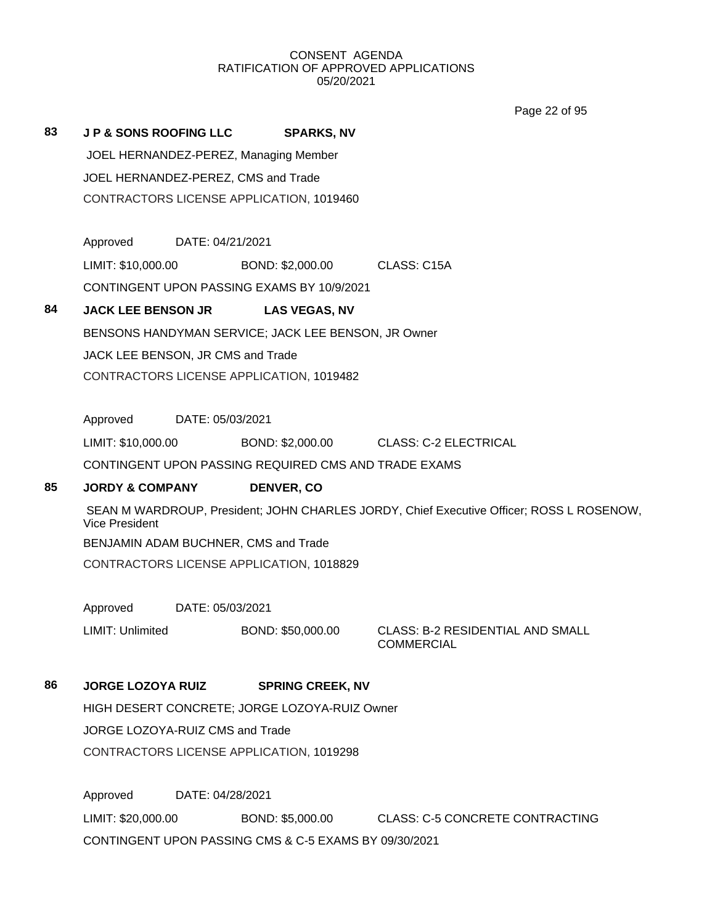Page 22 of 95

**83 J P & SONS ROOFING LLC SPARKS, NV** JOEL HERNANDEZ-PEREZ, Managing Member JOEL HERNANDEZ-PEREZ, CMS and Trade CONTRACTORS LICENSE APPLICATION, 1019460

> Approved DATE: 04/21/2021 LIMIT: \$10,000.00 BOND: \$2,000.00 CLASS: C15A CONTINGENT UPON PASSING EXAMS BY 10/9/2021

## **84 JACK LEE BENSON JR LAS VEGAS, NV**

BENSONS HANDYMAN SERVICE; JACK LEE BENSON, JR Owner

JACK LEE BENSON, JR CMS and Trade

CONTRACTORS LICENSE APPLICATION, 1019482

Approved DATE: 05/03/2021

LIMIT: \$10,000.00 BOND: \$2,000.00 CLASS: C-2 ELECTRICAL

CONTINGENT UPON PASSING REQUIRED CMS AND TRADE EXAMS

#### **85 JORDY & COMPANY DENVER, CO**

SEAN M WARDROUP, President; JOHN CHARLES JORDY, Chief Executive Officer; ROSS L ROSENOW, Vice President BENJAMIN ADAM BUCHNER, CMS and Trade

CONTRACTORS LICENSE APPLICATION, 1018829

Approved DATE: 05/03/2021

LIMIT: Unlimited BOND: \$50,000.00 CLASS: B-2 RESIDENTIAL AND SMALL

**COMMERCIAL** 

#### **86 JORGE LOZOYA RUIZ SPRING CREEK, NV**

HIGH DESERT CONCRETE; JORGE LOZOYA-RUIZ Owner

JORGE LOZOYA-RUIZ CMS and Trade

CONTRACTORS LICENSE APPLICATION, 1019298

Approved DATE: 04/28/2021 LIMIT: \$20,000.00 BOND: \$5,000.00 CLASS: C-5 CONCRETE CONTRACTING CONTINGENT UPON PASSING CMS & C-5 EXAMS BY 09/30/2021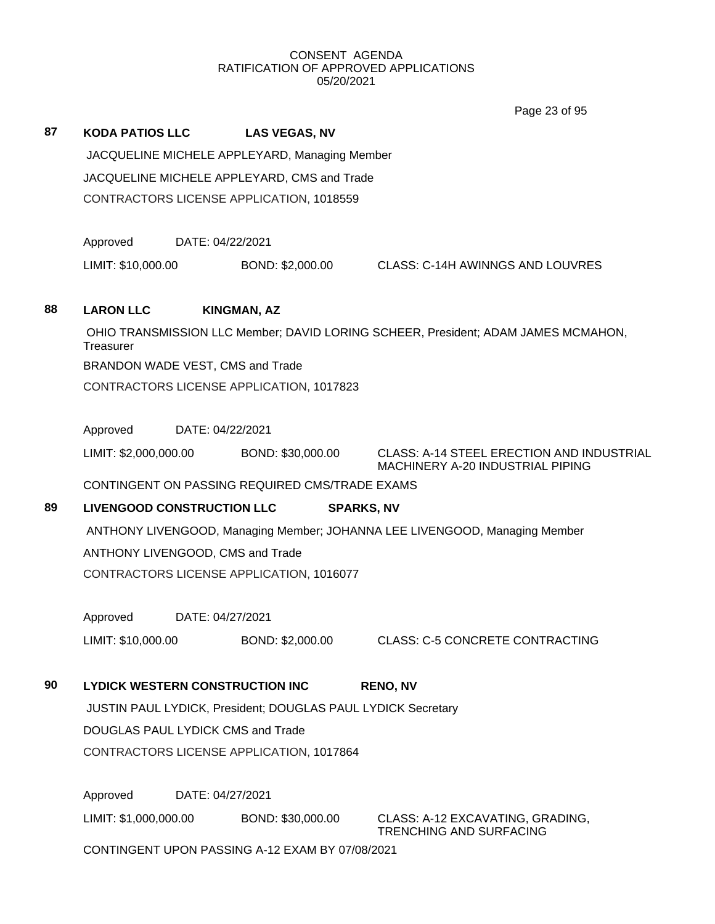Page 23 of 95

|    |                                                                                         |                                                              | Page 23 of 95                                                                     |  |  |  |
|----|-----------------------------------------------------------------------------------------|--------------------------------------------------------------|-----------------------------------------------------------------------------------|--|--|--|
| 87 | <b>KODA PATIOS LLC</b>                                                                  | <b>LAS VEGAS, NV</b>                                         |                                                                                   |  |  |  |
|    | JACQUELINE MICHELE APPLEYARD, Managing Member                                           |                                                              |                                                                                   |  |  |  |
|    | JACQUELINE MICHELE APPLEYARD, CMS and Trade<br>CONTRACTORS LICENSE APPLICATION, 1018559 |                                                              |                                                                                   |  |  |  |
|    |                                                                                         |                                                              |                                                                                   |  |  |  |
|    |                                                                                         |                                                              |                                                                                   |  |  |  |
|    | Approved                                                                                | DATE: 04/22/2021                                             |                                                                                   |  |  |  |
|    | LIMIT: \$10,000.00                                                                      | BOND: \$2,000.00                                             | CLASS: C-14H AWINNGS AND LOUVRES                                                  |  |  |  |
|    |                                                                                         |                                                              |                                                                                   |  |  |  |
| 88 | <b>LARON LLC</b>                                                                        | <b>KINGMAN, AZ</b>                                           |                                                                                   |  |  |  |
|    | Treasurer                                                                               |                                                              | OHIO TRANSMISSION LLC Member; DAVID LORING SCHEER, President; ADAM JAMES MCMAHON, |  |  |  |
|    | BRANDON WADE VEST, CMS and Trade                                                        |                                                              |                                                                                   |  |  |  |
|    |                                                                                         | CONTRACTORS LICENSE APPLICATION, 1017823                     |                                                                                   |  |  |  |
|    |                                                                                         |                                                              |                                                                                   |  |  |  |
|    | Approved                                                                                | DATE: 04/22/2021                                             |                                                                                   |  |  |  |
|    | LIMIT: \$2,000,000.00                                                                   | BOND: \$30,000.00                                            | CLASS: A-14 STEEL ERECTION AND INDUSTRIAL<br>MACHINERY A-20 INDUSTRIAL PIPING     |  |  |  |
|    |                                                                                         | CONTINGENT ON PASSING REQUIRED CMS/TRADE EXAMS               |                                                                                   |  |  |  |
| 89 | <b>LIVENGOOD CONSTRUCTION LLC</b>                                                       |                                                              | <b>SPARKS, NV</b>                                                                 |  |  |  |
|    | ANTHONY LIVENGOOD, Managing Member; JOHANNA LEE LIVENGOOD, Managing Member              |                                                              |                                                                                   |  |  |  |
|    | ANTHONY LIVENGOOD, CMS and Trade                                                        |                                                              |                                                                                   |  |  |  |
|    | CONTRACTORS LICENSE APPLICATION, 1016077                                                |                                                              |                                                                                   |  |  |  |
|    |                                                                                         |                                                              |                                                                                   |  |  |  |
|    | Approved                                                                                | DATE: 04/27/2021                                             |                                                                                   |  |  |  |
|    | LIMIT: \$10,000.00                                                                      | BOND: \$2,000.00                                             | <b>CLASS: C-5 CONCRETE CONTRACTING</b>                                            |  |  |  |
| 90 | <b>LYDICK WESTERN CONSTRUCTION INC</b>                                                  |                                                              | <b>RENO, NV</b>                                                                   |  |  |  |
|    |                                                                                         | JUSTIN PAUL LYDICK, President; DOUGLAS PAUL LYDICK Secretary |                                                                                   |  |  |  |
|    | <b>DOUGLAS PAUL LYDICK CMS and Trade</b>                                                |                                                              |                                                                                   |  |  |  |
|    |                                                                                         | CONTRACTORS LICENSE APPLICATION, 1017864                     |                                                                                   |  |  |  |
|    |                                                                                         |                                                              |                                                                                   |  |  |  |
|    | Approved                                                                                | DATE: 04/27/2021                                             |                                                                                   |  |  |  |
|    | LIMIT: \$1,000,000.00                                                                   | BOND: \$30,000.00                                            | CLASS: A-12 EXCAVATING, GRADING,<br><b>TRENCHING AND SURFACING</b>                |  |  |  |
|    | CONTINGENT UPON PASSING A-12 EXAM BY 07/08/2021                                         |                                                              |                                                                                   |  |  |  |
|    |                                                                                         |                                                              |                                                                                   |  |  |  |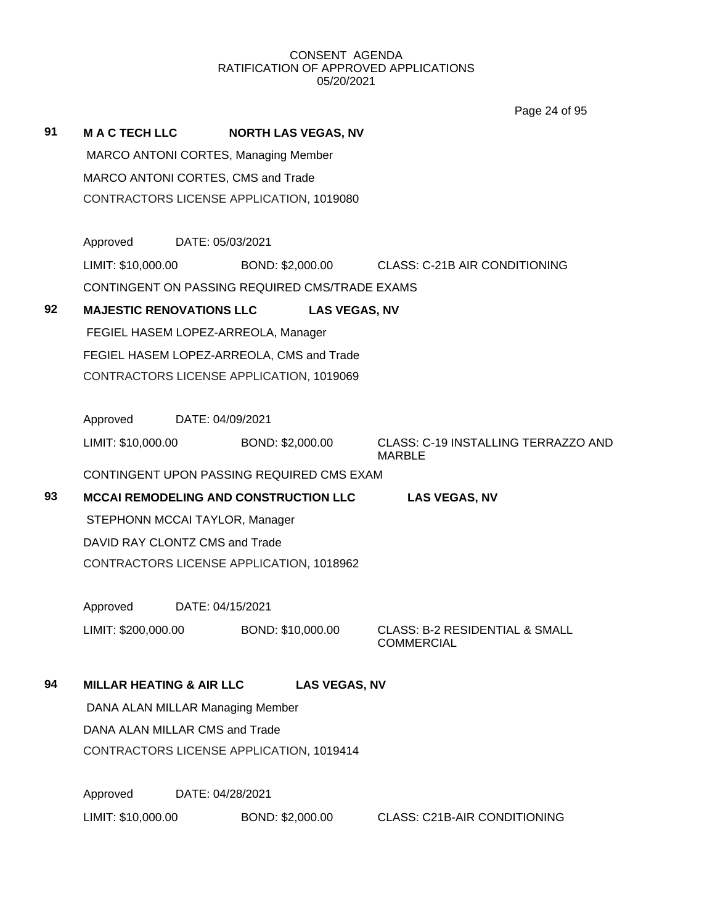Page 24 of 95

|    |                                                             |                                                                      |                  |                            | <b>AVOID LA UI</b>                                             |  |  |
|----|-------------------------------------------------------------|----------------------------------------------------------------------|------------------|----------------------------|----------------------------------------------------------------|--|--|
| 91 | <b>MAC TECH LLC</b>                                         |                                                                      |                  | <b>NORTH LAS VEGAS, NV</b> |                                                                |  |  |
|    | MARCO ANTONI CORTES, Managing Member                        |                                                                      |                  |                            |                                                                |  |  |
|    | MARCO ANTONI CORTES, CMS and Trade                          |                                                                      |                  |                            |                                                                |  |  |
|    | CONTRACTORS LICENSE APPLICATION, 1019080                    |                                                                      |                  |                            |                                                                |  |  |
|    | Approved                                                    | DATE: 05/03/2021                                                     |                  |                            |                                                                |  |  |
|    | LIMIT: \$10,000.00                                          |                                                                      |                  |                            | BOND: \$2,000.00 CLASS: C-21B AIR CONDITIONING                 |  |  |
|    | CONTINGENT ON PASSING REQUIRED CMS/TRADE EXAMS              |                                                                      |                  |                            |                                                                |  |  |
| 92 | <b>MAJESTIC RENOVATIONS LLC</b>                             |                                                                      |                  | <b>LAS VEGAS, NV</b>       |                                                                |  |  |
|    | FEGIEL HASEM LOPEZ-ARREOLA, Manager                         |                                                                      |                  |                            |                                                                |  |  |
|    | FEGIEL HASEM LOPEZ-ARREOLA, CMS and Trade                   |                                                                      |                  |                            |                                                                |  |  |
|    |                                                             | CONTRACTORS LICENSE APPLICATION, 1019069                             |                  |                            |                                                                |  |  |
|    | Approved DATE: 04/09/2021                                   |                                                                      |                  |                            |                                                                |  |  |
|    | LIMIT: \$10,000.00                                          |                                                                      | BOND: \$2,000.00 |                            | CLASS: C-19 INSTALLING TERRAZZO AND<br><b>MARBLE</b>           |  |  |
|    | CONTINGENT UPON PASSING REQUIRED CMS EXAM                   |                                                                      |                  |                            |                                                                |  |  |
| 93 |                                                             | <b>MCCAI REMODELING AND CONSTRUCTION LLC</b><br><b>LAS VEGAS, NV</b> |                  |                            |                                                                |  |  |
|    | STEPHONN MCCAI TAYLOR, Manager                              |                                                                      |                  |                            |                                                                |  |  |
|    | DAVID RAY CLONTZ CMS and Trade                              |                                                                      |                  |                            |                                                                |  |  |
|    | CONTRACTORS LICENSE APPLICATION, 1018962                    |                                                                      |                  |                            |                                                                |  |  |
|    | Approved                                                    | DATE: 04/15/2021                                                     |                  |                            |                                                                |  |  |
|    | LIMIT: \$200,000.00                                         |                                                                      |                  | BOND: \$10,000.00          | <b>CLASS: B-2 RESIDENTIAL &amp; SMALL</b><br><b>COMMERCIAL</b> |  |  |
| 94 | <b>MILLAR HEATING &amp; AIR LLC</b><br><b>LAS VEGAS, NV</b> |                                                                      |                  |                            |                                                                |  |  |
|    | DANA ALAN MILLAR Managing Member                            |                                                                      |                  |                            |                                                                |  |  |
|    |                                                             | DANA ALAN MILLAR CMS and Trade                                       |                  |                            |                                                                |  |  |
|    |                                                             | CONTRACTORS LICENSE APPLICATION, 1019414                             |                  |                            |                                                                |  |  |
|    | Approved                                                    |                                                                      | DATE: 04/28/2021 |                            |                                                                |  |  |
|    | LIMIT: \$10,000.00                                          |                                                                      | BOND: \$2,000.00 |                            | <b>CLASS: C21B-AIR CONDITIONING</b>                            |  |  |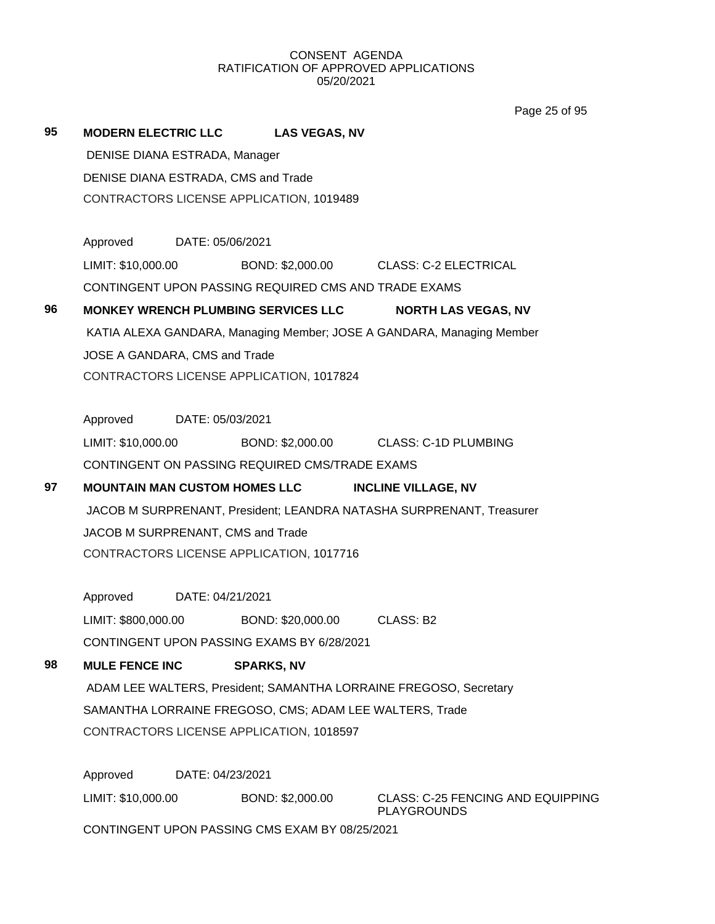Page 25 of 95

| 95 | <b>MODERN ELECTRIC LLC</b>                                           |                                                                   | <b>LAS VEGAS, NV</b>                                    |                                                                       |  |  |
|----|----------------------------------------------------------------------|-------------------------------------------------------------------|---------------------------------------------------------|-----------------------------------------------------------------------|--|--|
|    | DENISE DIANA ESTRADA, Manager                                        |                                                                   |                                                         |                                                                       |  |  |
|    | DENISE DIANA ESTRADA, CMS and Trade                                  |                                                                   |                                                         |                                                                       |  |  |
|    | CONTRACTORS LICENSE APPLICATION, 1019489                             |                                                                   |                                                         |                                                                       |  |  |
|    | Approved DATE: 05/06/2021                                            |                                                                   |                                                         |                                                                       |  |  |
|    |                                                                      |                                                                   |                                                         | LIMIT: \$10,000.00 BOND: \$2,000.00 CLASS: C-2 ELECTRICAL             |  |  |
|    |                                                                      |                                                                   | CONTINGENT UPON PASSING REQUIRED CMS AND TRADE EXAMS    |                                                                       |  |  |
| 96 |                                                                      | MONKEY WRENCH PLUMBING SERVICES LLC<br><b>NORTH LAS VEGAS, NV</b> |                                                         |                                                                       |  |  |
|    |                                                                      |                                                                   |                                                         | KATIA ALEXA GANDARA, Managing Member; JOSE A GANDARA, Managing Member |  |  |
|    | JOSE A GANDARA, CMS and Trade                                        |                                                                   |                                                         |                                                                       |  |  |
|    |                                                                      |                                                                   | CONTRACTORS LICENSE APPLICATION, 1017824                |                                                                       |  |  |
|    | Approved DATE: 05/03/2021                                            |                                                                   |                                                         |                                                                       |  |  |
|    |                                                                      |                                                                   |                                                         | LIMIT: \$10,000.00 BOND: \$2,000.00 CLASS: C-1D PLUMBING              |  |  |
|    |                                                                      |                                                                   | CONTINGENT ON PASSING REQUIRED CMS/TRADE EXAMS          |                                                                       |  |  |
| 97 | MOUNTAIN MAN CUSTOM HOMES LLC INCLINE VILLAGE, NV                    |                                                                   |                                                         |                                                                       |  |  |
|    | JACOB M SURPRENANT, President; LEANDRA NATASHA SURPRENANT, Treasurer |                                                                   |                                                         |                                                                       |  |  |
|    | JACOB M SURPRENANT, CMS and Trade                                    |                                                                   |                                                         |                                                                       |  |  |
|    | CONTRACTORS LICENSE APPLICATION, 1017716                             |                                                                   |                                                         |                                                                       |  |  |
|    | Approved DATE: 04/21/2021                                            |                                                                   |                                                         |                                                                       |  |  |
|    |                                                                      |                                                                   | LIMIT: \$800,000.00 BOND: \$20,000.00 CLASS: B2         |                                                                       |  |  |
|    |                                                                      |                                                                   | CONTINGENT UPON PASSING EXAMS BY 6/28/2021              |                                                                       |  |  |
| 98 | <b>MULE FENCE INC</b>                                                |                                                                   | <b>SPARKS, NV</b>                                       |                                                                       |  |  |
|    | ADAM LEE WALTERS, President; SAMANTHA LORRAINE FREGOSO, Secretary    |                                                                   |                                                         |                                                                       |  |  |
|    |                                                                      |                                                                   |                                                         |                                                                       |  |  |
|    |                                                                      |                                                                   | SAMANTHA LORRAINE FREGOSO, CMS; ADAM LEE WALTERS, Trade |                                                                       |  |  |
|    |                                                                      |                                                                   | CONTRACTORS LICENSE APPLICATION, 1018597                |                                                                       |  |  |
|    | Approved                                                             | DATE: 04/23/2021                                                  |                                                         |                                                                       |  |  |
|    | LIMIT: \$10,000.00                                                   |                                                                   | BOND: \$2,000.00                                        | <b>CLASS: C-25 FENCING AND EQUIPPING</b><br><b>PLAYGROUNDS</b>        |  |  |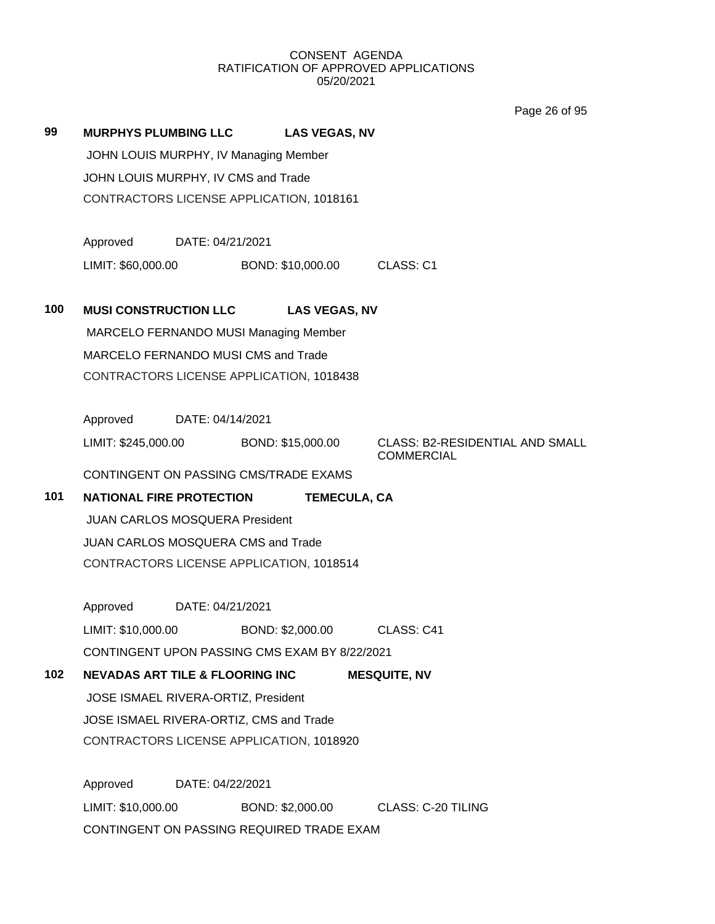Page 26 of 95

**99 MURPHYS PLUMBING LLC LAS VEGAS, NV**

JOHN LOUIS MURPHY, IV Managing Member JOHN LOUIS MURPHY, IV CMS and Trade CONTRACTORS LICENSE APPLICATION, 1018161

Approved DATE: 04/21/2021

LIMIT: \$60,000.00 BOND: \$10,000.00 CLASS: C1

#### **100 MUSI CONSTRUCTION LLC LAS VEGAS, NV**

MARCELO FERNANDO MUSI Managing Member MARCELO FERNANDO MUSI CMS and Trade CONTRACTORS LICENSE APPLICATION, 1018438

Approved DATE: 04/14/2021

LIMIT: \$245,000.00 BOND: \$15,000.00 CLASS: B2-RESIDENTIAL AND SMALL

COMMERCIAL

CONTINGENT ON PASSING CMS/TRADE EXAMS

#### **101 NATIONAL FIRE PROTECTION TEMECULA, CA**

JUAN CARLOS MOSQUERA President JUAN CARLOS MOSQUERA CMS and Trade CONTRACTORS LICENSE APPLICATION, 1018514

Approved DATE: 04/21/2021 LIMIT: \$10,000.00 BOND: \$2,000.00 CLASS: C41 CONTINGENT UPON PASSING CMS EXAM BY 8/22/2021

# **102 NEVADAS ART TILE & FLOORING INC MESQUITE, NV** JOSE ISMAEL RIVERA-ORTIZ, President JOSE ISMAEL RIVERA-ORTIZ, CMS and Trade CONTRACTORS LICENSE APPLICATION, 1018920

Approved DATE: 04/22/2021 LIMIT: \$10,000.00 BOND: \$2,000.00 CLASS: C-20 TILING CONTINGENT ON PASSING REQUIRED TRADE EXAM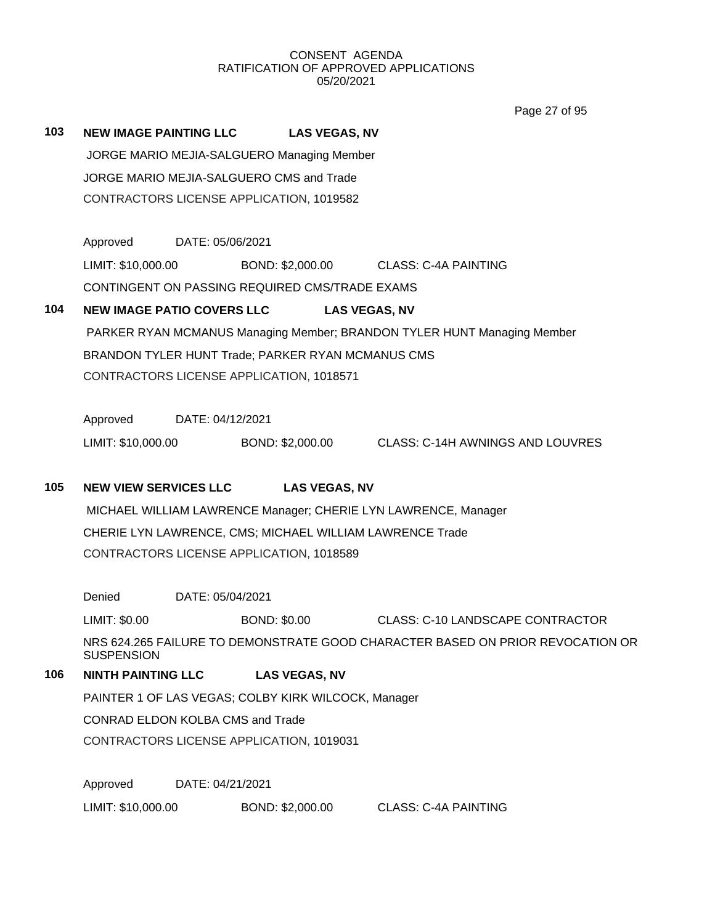Page 27 of 95

**103 NEW IMAGE PAINTING LLC LAS VEGAS, NV** JORGE MARIO MEJIA-SALGUERO Managing Member JORGE MARIO MEJIA-SALGUERO CMS and Trade CONTRACTORS LICENSE APPLICATION, 1019582

> Approved DATE: 05/06/2021 LIMIT: \$10,000.00 BOND: \$2,000.00 CLASS: C-4A PAINTING CONTINGENT ON PASSING REQUIRED CMS/TRADE EXAMS

## **104 NEW IMAGE PATIO COVERS LLC LAS VEGAS, NV**

PARKER RYAN MCMANUS Managing Member; BRANDON TYLER HUNT Managing Member BRANDON TYLER HUNT Trade; PARKER RYAN MCMANUS CMS CONTRACTORS LICENSE APPLICATION, 1018571

Approved DATE: 04/12/2021

LIMIT: \$10,000.00 BOND: \$2,000.00 CLASS: C-14H AWNINGS AND LOUVRES

## **105 NEW VIEW SERVICES LLC LAS VEGAS, NV**

MICHAEL WILLIAM LAWRENCE Manager; CHERIE LYN LAWRENCE, Manager CHERIE LYN LAWRENCE, CMS; MICHAEL WILLIAM LAWRENCE Trade CONTRACTORS LICENSE APPLICATION, 1018589

Denied DATE: 05/04/2021

LIMIT: \$0.00 BOND: \$0.00 CLASS: C-10 LANDSCAPE CONTRACTOR

NRS 624.265 FAILURE TO DEMONSTRATE GOOD CHARACTER BASED ON PRIOR REVOCATION OR **SUSPENSION** 

## **106 NINTH PAINTING LLC LAS VEGAS, NV**

PAINTER 1 OF LAS VEGAS; COLBY KIRK WILCOCK, Manager

CONRAD ELDON KOLBA CMS and Trade

CONTRACTORS LICENSE APPLICATION, 1019031

Approved DATE: 04/21/2021

LIMIT: \$10,000.00 BOND: \$2,000.00 CLASS: C-4A PAINTING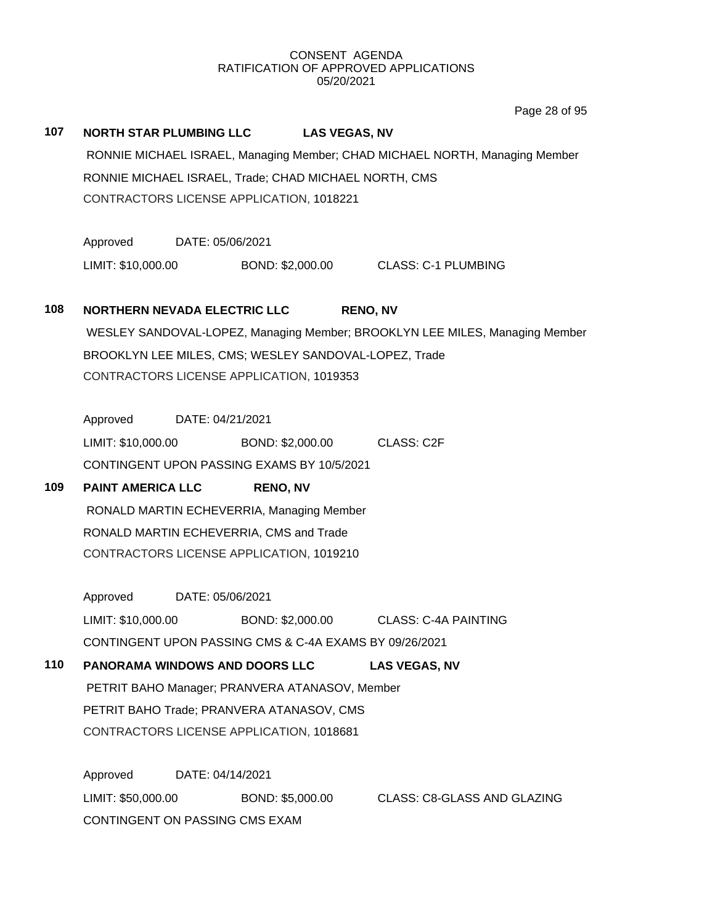Page 28 of 95

#### **107 NORTH STAR PLUMBING LLC LAS VEGAS, NV**

RONNIE MICHAEL ISRAEL, Managing Member; CHAD MICHAEL NORTH, Managing Member RONNIE MICHAEL ISRAEL, Trade; CHAD MICHAEL NORTH, CMS CONTRACTORS LICENSE APPLICATION, 1018221

Approved DATE: 05/06/2021

LIMIT: \$10,000.00 BOND: \$2,000.00 CLASS: C-1 PLUMBING

#### **108 NORTHERN NEVADA ELECTRIC LLC RENO, NV**

WESLEY SANDOVAL-LOPEZ, Managing Member; BROOKLYN LEE MILES, Managing Member BROOKLYN LEE MILES, CMS; WESLEY SANDOVAL-LOPEZ, Trade CONTRACTORS LICENSE APPLICATION, 1019353

Approved DATE: 04/21/2021

LIMIT: \$10,000.00 BOND: \$2,000.00 CLASS: C2F CONTINGENT UPON PASSING EXAMS BY 10/5/2021

# **109 PAINT AMERICA LLC RENO, NV** RONALD MARTIN ECHEVERRIA, Managing Member RONALD MARTIN ECHEVERRIA, CMS and Trade CONTRACTORS LICENSE APPLICATION, 1019210

Approved DATE: 05/06/2021 LIMIT: \$10,000.00 BOND: \$2,000.00 CLASS: C-4A PAINTING

CONTINGENT UPON PASSING CMS & C-4A EXAMS BY 09/26/2021

## **110 PANORAMA WINDOWS AND DOORS LLC LAS VEGAS, NV** PETRIT BAHO Manager; PRANVERA ATANASOV, Member PETRIT BAHO Trade; PRANVERA ATANASOV, CMS CONTRACTORS LICENSE APPLICATION, 1018681

Approved DATE: 04/14/2021 LIMIT: \$50,000.00 BOND: \$5,000.00 CLASS: C8-GLASS AND GLAZING CONTINGENT ON PASSING CMS EXAM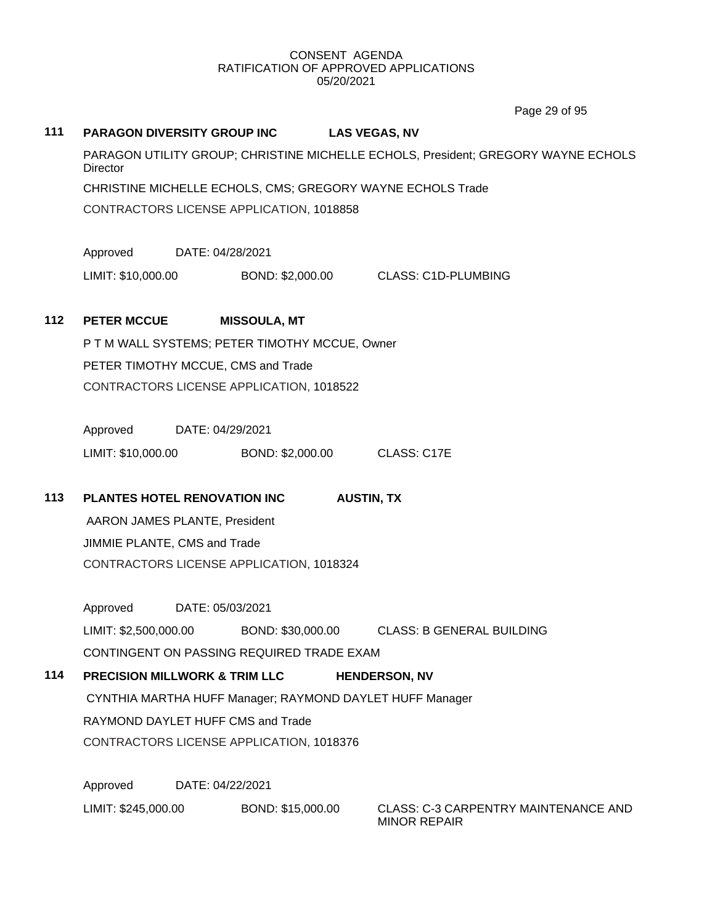Page 29 of 95

# **111 PARAGON DIVERSITY GROUP INC LAS VEGAS, NV** PARAGON UTILITY GROUP; CHRISTINE MICHELLE ECHOLS, President; GREGORY WAYNE ECHOLS **Director** CHRISTINE MICHELLE ECHOLS, CMS; GREGORY WAYNE ECHOLS Trade CONTRACTORS LICENSE APPLICATION, 1018858 Approved DATE: 04/28/2021 LIMIT: \$10,000.00 BOND: \$2,000.00 CLASS: C1D-PLUMBING **112 PETER MCCUE MISSOULA, MT**

P T M WALL SYSTEMS; PETER TIMOTHY MCCUE, Owner PETER TIMOTHY MCCUE, CMS and Trade CONTRACTORS LICENSE APPLICATION, 1018522

Approved DATE: 04/29/2021 LIMIT: \$10,000.00 BOND: \$2,000.00 CLASS: C17E

## **113 PLANTES HOTEL RENOVATION INC AUSTIN, TX**

AARON JAMES PLANTE, President JIMMIE PLANTE, CMS and Trade CONTRACTORS LICENSE APPLICATION, 1018324

Approved DATE: 05/03/2021 LIMIT: \$2,500,000.00 BOND: \$30,000.00 CLASS: B GENERAL BUILDING CONTINGENT ON PASSING REQUIRED TRADE EXAM

# **114 PRECISION MILLWORK & TRIM LLC HENDERSON, NV** CYNTHIA MARTHA HUFF Manager; RAYMOND DAYLET HUFF Manager RAYMOND DAYLET HUFF CMS and Trade CONTRACTORS LICENSE APPLICATION, 1018376

Approved DATE: 04/22/2021 LIMIT: \$245,000.00 BOND: \$15,000.00 CLASS: C-3 CARPENTRY MAINTENANCE AND

MINOR REPAIR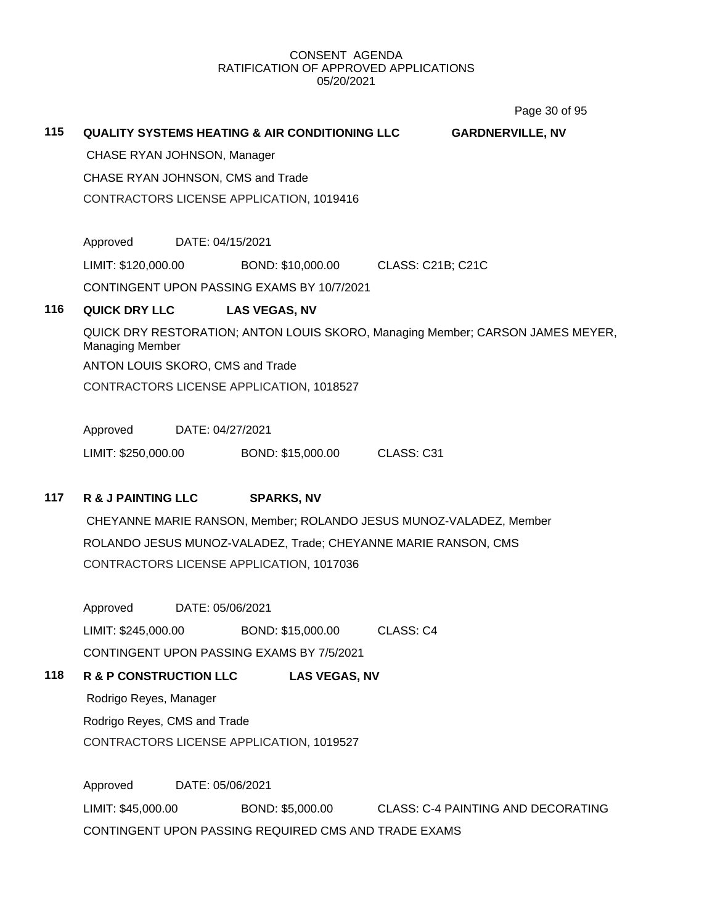Page 30 of 95

| 115 | <b>QUALITY SYSTEMS HEATING &amp; AIR CONDITIONING LLC</b><br><b>GARDNERVILLE, NV</b>                     |                  |                      |                      |                   |  |  |
|-----|----------------------------------------------------------------------------------------------------------|------------------|----------------------|----------------------|-------------------|--|--|
|     | CHASE RYAN JOHNSON, Manager                                                                              |                  |                      |                      |                   |  |  |
|     | CHASE RYAN JOHNSON, CMS and Trade<br>CONTRACTORS LICENSE APPLICATION, 1019416                            |                  |                      |                      |                   |  |  |
|     |                                                                                                          |                  |                      |                      |                   |  |  |
|     |                                                                                                          |                  |                      |                      |                   |  |  |
|     | Approved                                                                                                 | DATE: 04/15/2021 |                      |                      |                   |  |  |
|     | LIMIT: \$120,000.00                                                                                      |                  | BOND: \$10,000.00    |                      | CLASS: C21B; C21C |  |  |
|     | CONTINGENT UPON PASSING EXAMS BY 10/7/2021                                                               |                  |                      |                      |                   |  |  |
| 116 | <b>QUICK DRY LLC</b>                                                                                     |                  | <b>LAS VEGAS, NV</b> |                      |                   |  |  |
|     | QUICK DRY RESTORATION; ANTON LOUIS SKORO, Managing Member; CARSON JAMES MEYER,<br><b>Managing Member</b> |                  |                      |                      |                   |  |  |
|     | ANTON LOUIS SKORO, CMS and Trade                                                                         |                  |                      |                      |                   |  |  |
|     | CONTRACTORS LICENSE APPLICATION, 1018527                                                                 |                  |                      |                      |                   |  |  |
|     |                                                                                                          |                  |                      |                      |                   |  |  |
|     | Approved<br>DATE: 04/27/2021                                                                             |                  |                      |                      |                   |  |  |
|     | LIMIT: \$250,000.00                                                                                      |                  | BOND: \$15,000.00    |                      | CLASS: C31        |  |  |
|     |                                                                                                          |                  |                      |                      |                   |  |  |
| 117 | <b>R &amp; J PAINTING LLC</b>                                                                            |                  | <b>SPARKS, NV</b>    |                      |                   |  |  |
|     | CHEYANNE MARIE RANSON, Member; ROLANDO JESUS MUNOZ-VALADEZ, Member                                       |                  |                      |                      |                   |  |  |
|     | ROLANDO JESUS MUNOZ-VALADEZ, Trade; CHEYANNE MARIE RANSON, CMS                                           |                  |                      |                      |                   |  |  |
|     | CONTRACTORS LICENSE APPLICATION, 1017036                                                                 |                  |                      |                      |                   |  |  |
|     |                                                                                                          |                  |                      |                      |                   |  |  |
|     | Approved                                                                                                 | DATE: 05/06/2021 |                      |                      |                   |  |  |
|     | LIMIT: \$245,000.00                                                                                      |                  | BOND: \$15,000.00    |                      | CLASS: C4         |  |  |
|     | CONTINGENT UPON PASSING EXAMS BY 7/5/2021                                                                |                  |                      |                      |                   |  |  |
| 118 | <b>R &amp; P CONSTRUCTION LLC</b>                                                                        |                  |                      | <b>LAS VEGAS, NV</b> |                   |  |  |

Rodrigo Reyes, Manager Rodrigo Reyes, CMS and Trade CONTRACTORS LICENSE APPLICATION, 1019527

Approved DATE: 05/06/2021 LIMIT: \$45,000.00 BOND: \$5,000.00 CLASS: C-4 PAINTING AND DECORATING CONTINGENT UPON PASSING REQUIRED CMS AND TRADE EXAMS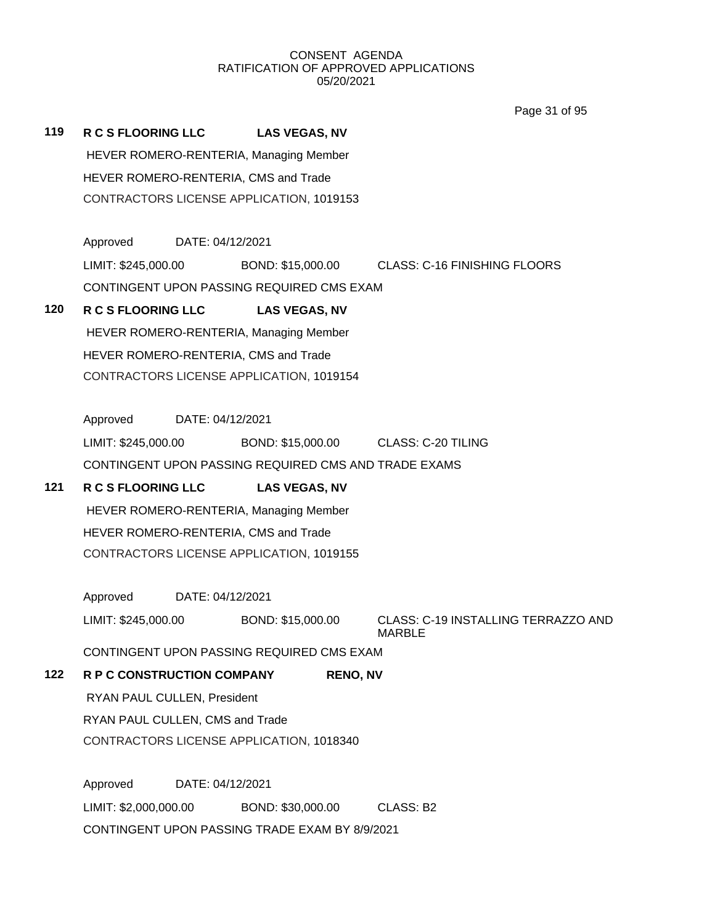Page 31 of 95

**119 R C S FLOORING LLC LAS VEGAS, NV** HEVER ROMERO-RENTERIA, Managing Member HEVER ROMERO-RENTERIA, CMS and Trade CONTRACTORS LICENSE APPLICATION, 1019153 Approved DATE: 04/12/2021 LIMIT: \$245,000.00 BOND: \$15,000.00 CLASS: C-16 FINISHING FLOORS CONTINGENT UPON PASSING REQUIRED CMS EXAM **120 R C S FLOORING LLC LAS VEGAS, NV** HEVER ROMERO-RENTERIA, Managing Member HEVER ROMERO-RENTERIA, CMS and Trade CONTRACTORS LICENSE APPLICATION, 1019154 Approved DATE: 04/12/2021 LIMIT: \$245,000.00 BOND: \$15,000.00 CLASS: C-20 TILING CONTINGENT UPON PASSING REQUIRED CMS AND TRADE EXAMS **121 R C S FLOORING LLC LAS VEGAS, NV** HEVER ROMERO-RENTERIA, Managing Member HEVER ROMERO-RENTERIA, CMS and Trade CONTRACTORS LICENSE APPLICATION, 1019155 Approved DATE: 04/12/2021 LIMIT: \$245,000.00 BOND: \$15,000.00 CLASS: C-19 INSTALLING TERRAZZO AND MARBLE CONTINGENT UPON PASSING REQUIRED CMS EXAM **122 R P C CONSTRUCTION COMPANY RENO, NV** RYAN PAUL CULLEN, President RYAN PAUL CULLEN, CMS and Trade CONTRACTORS LICENSE APPLICATION, 1018340 Approved DATE: 04/12/2021 LIMIT: \$2,000,000.00 BOND: \$30,000.00 CLASS: B2 CONTINGENT UPON PASSING TRADE EXAM BY 8/9/2021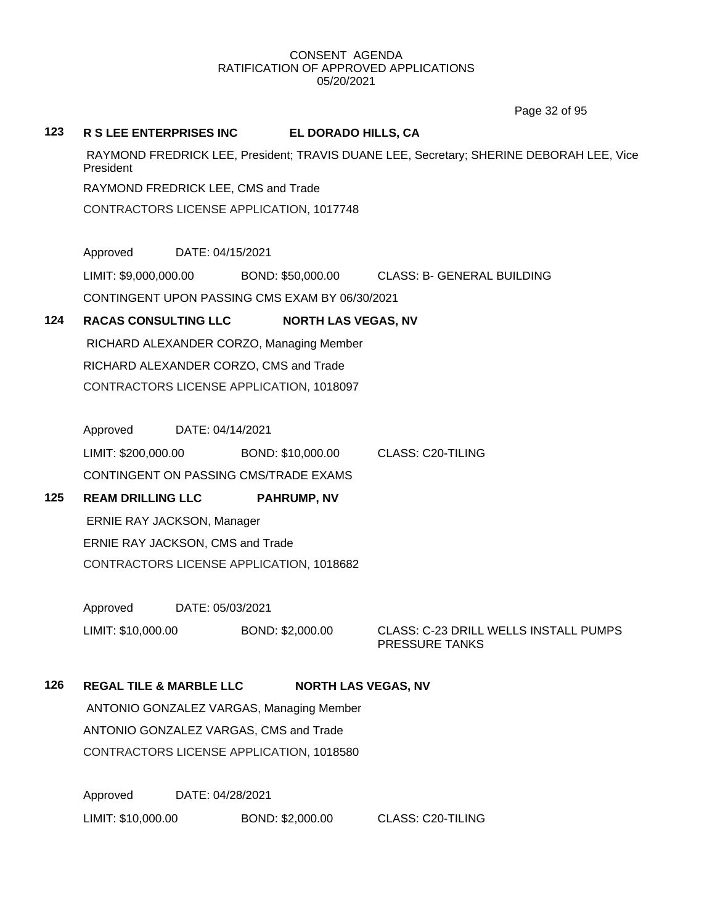Page 32 of 95

#### **123 R S LEE ENTERPRISES INC EL DORADO HILLS, CA**

RAYMOND FREDRICK LEE, President; TRAVIS DUANE LEE, Secretary; SHERINE DEBORAH LEE, Vice **President** 

RAYMOND FREDRICK LEE, CMS and Trade

CONTRACTORS LICENSE APPLICATION, 1017748

Approved DATE: 04/15/2021

LIMIT: \$9,000,000.00 BOND: \$50,000.00 CLASS: B- GENERAL BUILDING CONTINGENT UPON PASSING CMS EXAM BY 06/30/2021

## **124 RACAS CONSULTING LLC NORTH LAS VEGAS, NV**

RICHARD ALEXANDER CORZO, Managing Member RICHARD ALEXANDER CORZO, CMS and Trade CONTRACTORS LICENSE APPLICATION, 1018097

Approved DATE: 04/14/2021

LIMIT: \$200,000.00 BOND: \$10,000.00 CLASS: C20-TILING CONTINGENT ON PASSING CMS/TRADE EXAMS

## **125 REAM DRILLING LLC PAHRUMP, NV**

ERNIE RAY JACKSON, Manager ERNIE RAY JACKSON, CMS and Trade CONTRACTORS LICENSE APPLICATION, 1018682

Approved DATE: 05/03/2021

LIMIT: \$10,000.00 BOND: \$2,000.00 CLASS: C-23 DRILL WELLS INSTALL PUMPS PRESSURE TANKS

## **126 REGAL TILE & MARBLE LLC NORTH LAS VEGAS, NV**

ANTONIO GONZALEZ VARGAS, Managing Member ANTONIO GONZALEZ VARGAS, CMS and Trade CONTRACTORS LICENSE APPLICATION, 1018580

Approved DATE: 04/28/2021

LIMIT: \$10,000.00 BOND: \$2,000.00 CLASS: C20-TILING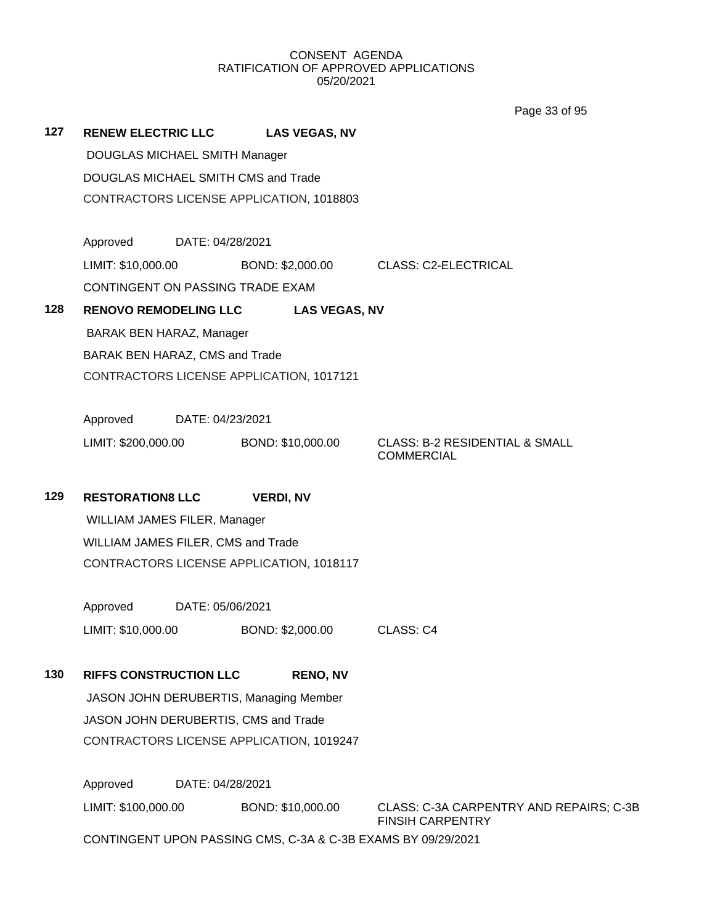Page 33 of 95

| 127 | <b>RENEW ELECTRIC LLC</b>                                    | <b>LAS VEGAS, NV</b>                                               |                                                                |  |  |
|-----|--------------------------------------------------------------|--------------------------------------------------------------------|----------------------------------------------------------------|--|--|
|     | DOUGLAS MICHAEL SMITH Manager                                |                                                                    |                                                                |  |  |
|     | DOUGLAS MICHAEL SMITH CMS and Trade                          |                                                                    |                                                                |  |  |
|     | CONTRACTORS LICENSE APPLICATION, 1018803                     |                                                                    |                                                                |  |  |
|     |                                                              |                                                                    |                                                                |  |  |
|     | Approved<br>DATE: 04/28/2021                                 |                                                                    |                                                                |  |  |
|     | LIMIT: \$10,000.00                                           | BOND: \$2,000.00                                                   | <b>CLASS: C2-ELECTRICAL</b>                                    |  |  |
|     | CONTINGENT ON PASSING TRADE EXAM                             |                                                                    |                                                                |  |  |
| 128 | <b>RENOVO REMODELING LLC</b>                                 | <b>LAS VEGAS, NV</b>                                               |                                                                |  |  |
|     | <b>BARAK BEN HARAZ, Manager</b>                              |                                                                    |                                                                |  |  |
|     | BARAK BEN HARAZ, CMS and Trade                               |                                                                    |                                                                |  |  |
|     | CONTRACTORS LICENSE APPLICATION, 1017121                     |                                                                    |                                                                |  |  |
|     |                                                              |                                                                    |                                                                |  |  |
|     | Approved<br>DATE: 04/23/2021                                 |                                                                    |                                                                |  |  |
|     | LIMIT: \$200,000.00 BOND: \$10,000.00                        |                                                                    | <b>CLASS: B-2 RESIDENTIAL &amp; SMALL</b><br><b>COMMERCIAL</b> |  |  |
|     |                                                              |                                                                    |                                                                |  |  |
| 129 | <b>RESTORATION8 LLC</b>                                      | <b>VERDI, NV</b>                                                   |                                                                |  |  |
|     | WILLIAM JAMES FILER, Manager                                 |                                                                    |                                                                |  |  |
|     | WILLIAM JAMES FILER, CMS and Trade                           |                                                                    |                                                                |  |  |
|     | CONTRACTORS LICENSE APPLICATION, 1018117                     |                                                                    |                                                                |  |  |
|     |                                                              |                                                                    |                                                                |  |  |
|     | Approved<br>DATE: 05/06/2021                                 |                                                                    |                                                                |  |  |
|     | LIMIT: \$10,000.00                                           | BOND: \$2,000.00                                                   | CLASS: C4                                                      |  |  |
|     |                                                              |                                                                    |                                                                |  |  |
| 130 | <b>RIFFS CONSTRUCTION LLC</b>                                | <b>RENO, NV</b>                                                    |                                                                |  |  |
|     | JASON JOHN DERUBERTIS, Managing Member                       |                                                                    |                                                                |  |  |
|     | JASON JOHN DERUBERTIS, CMS and Trade                         |                                                                    |                                                                |  |  |
|     | CONTRACTORS LICENSE APPLICATION, 1019247                     |                                                                    |                                                                |  |  |
|     | Approved<br>DATE: 04/28/2021                                 |                                                                    |                                                                |  |  |
|     |                                                              | BOND: \$10,000.00                                                  |                                                                |  |  |
|     | LIMIT: \$100,000.00                                          | CLASS: C-3A CARPENTRY AND REPAIRS; C-3B<br><b>FINSIH CARPENTRY</b> |                                                                |  |  |
|     | CONTINGENT UPON PASSING CMS, C-3A & C-3B EXAMS BY 09/29/2021 |                                                                    |                                                                |  |  |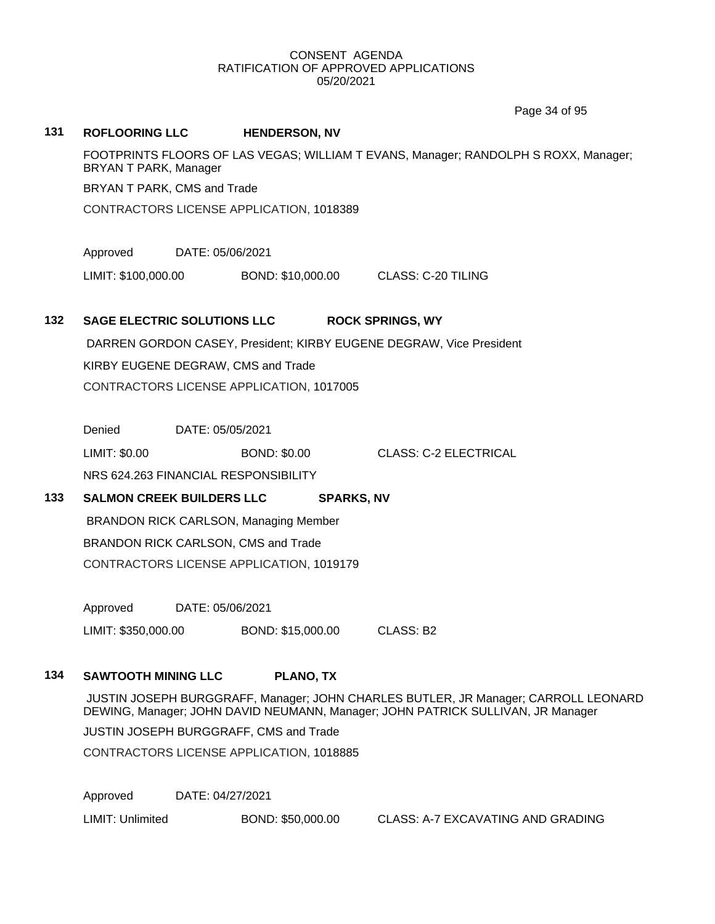Page 34 of 95

# **131 ROFLOORING LLC HENDERSON, NV** FOOTPRINTS FLOORS OF LAS VEGAS; WILLIAM T EVANS, Manager; RANDOLPH S ROXX, Manager; BRYAN T PARK, Manager BRYAN T PARK, CMS and Trade CONTRACTORS LICENSE APPLICATION, 1018389 Approved DATE: 05/06/2021 LIMIT: \$100,000.00 BOND: \$10,000.00 CLASS: C-20 TILING **132 SAGE ELECTRIC SOLUTIONS LLC ROCK SPRINGS, WY** DARREN GORDON CASEY, President; KIRBY EUGENE DEGRAW, Vice President KIRBY EUGENE DEGRAW, CMS and Trade CONTRACTORS LICENSE APPLICATION, 1017005 Denied DATE: 05/05/2021 LIMIT: \$0.00 BOND: \$0.00 CLASS: C-2 ELECTRICAL NRS 624.263 FINANCIAL RESPONSIBILITY **133 SALMON CREEK BUILDERS LLC SPARKS, NV** BRANDON RICK CARLSON, Managing Member BRANDON RICK CARLSON, CMS and Trade CONTRACTORS LICENSE APPLICATION, 1019179 Approved DATE: 05/06/2021 LIMIT: \$350,000.00 BOND: \$15,000.00 CLASS: B2 **134 SAWTOOTH MINING LLC PLANO, TX**

JUSTIN JOSEPH BURGGRAFF, Manager; JOHN CHARLES BUTLER, JR Manager; CARROLL LEONARD DEWING, Manager; JOHN DAVID NEUMANN, Manager; JOHN PATRICK SULLIVAN, JR Manager

JUSTIN JOSEPH BURGGRAFF, CMS and Trade

CONTRACTORS LICENSE APPLICATION, 1018885

Approved DATE: 04/27/2021

LIMIT: Unlimited BOND: \$50,000.00 CLASS: A-7 EXCAVATING AND GRADING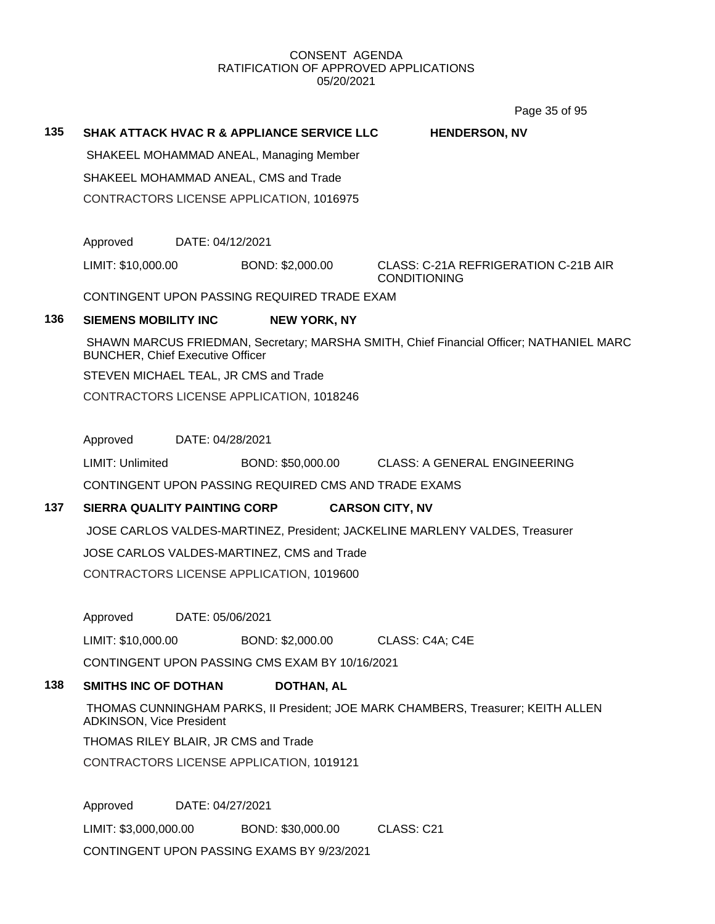Page 35 of 95

# **135 SHAK ATTACK HVAC R & APPLIANCE SERVICE LLC HENDERSON, NV**

SHAKEEL MOHAMMAD ANEAL, Managing Member

SHAKEEL MOHAMMAD ANEAL, CMS and Trade

CONTRACTORS LICENSE APPLICATION, 1016975

Approved DATE: 04/12/2021

LIMIT: \$10,000.00 BOND: \$2,000.00 CLASS: C-21A REFRIGERATION C-21B AIR

# CONDITIONING

CONTINGENT UPON PASSING REQUIRED TRADE EXAM

# **136 SIEMENS MOBILITY INC NEW YORK, NY**

SHAWN MARCUS FRIEDMAN, Secretary; MARSHA SMITH, Chief Financial Officer; NATHANIEL MARC BUNCHER, Chief Executive Officer

STEVEN MICHAEL TEAL, JR CMS and Trade

CONTRACTORS LICENSE APPLICATION, 1018246

Approved DATE: 04/28/2021

LIMIT: Unlimited BOND: \$50,000.00 CLASS: A GENERAL ENGINEERING

CONTINGENT UPON PASSING REQUIRED CMS AND TRADE EXAMS

# **137 SIERRA QUALITY PAINTING CORP CARSON CITY, NV**

JOSE CARLOS VALDES-MARTINEZ, President; JACKELINE MARLENY VALDES, Treasurer

JOSE CARLOS VALDES-MARTINEZ, CMS and Trade

CONTRACTORS LICENSE APPLICATION, 1019600

Approved DATE: 05/06/2021

LIMIT: \$10,000.00 BOND: \$2,000.00 CLASS: C4A; C4E

CONTINGENT UPON PASSING CMS EXAM BY 10/16/2021

# **138 SMITHS INC OF DOTHAN DOTHAN, AL**

THOMAS CUNNINGHAM PARKS, II President; JOE MARK CHAMBERS, Treasurer; KEITH ALLEN ADKINSON, Vice President

THOMAS RILEY BLAIR, JR CMS and Trade

CONTRACTORS LICENSE APPLICATION, 1019121

Approved DATE: 04/27/2021 LIMIT: \$3,000,000.00 BOND: \$30,000.00 CLASS: C21 CONTINGENT UPON PASSING EXAMS BY 9/23/2021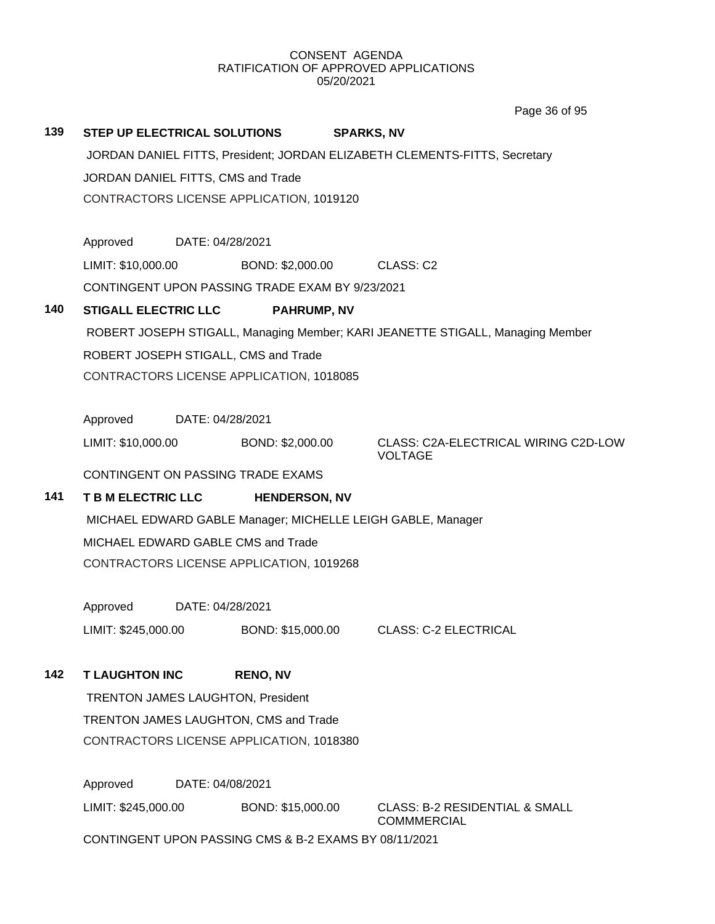Page 36 of 95

| 139 |                                                                            |  | STEP UP ELECTRICAL SOLUTIONS                    | <b>SPARKS, NV</b> |                                                                                |  |
|-----|----------------------------------------------------------------------------|--|-------------------------------------------------|-------------------|--------------------------------------------------------------------------------|--|
|     | JORDAN DANIEL FITTS, President; JORDAN ELIZABETH CLEMENTS-FITTS, Secretary |  |                                                 |                   |                                                                                |  |
|     | JORDAN DANIEL FITTS, CMS and Trade                                         |  |                                                 |                   |                                                                                |  |
|     |                                                                            |  | CONTRACTORS LICENSE APPLICATION, 1019120        |                   |                                                                                |  |
|     |                                                                            |  |                                                 |                   |                                                                                |  |
|     | Approved DATE: 04/28/2021                                                  |  |                                                 |                   |                                                                                |  |
|     | LIMIT: \$10,000.00                                                         |  | BOND: \$2,000.00 CLASS: C2                      |                   |                                                                                |  |
|     |                                                                            |  | CONTINGENT UPON PASSING TRADE EXAM BY 9/23/2021 |                   |                                                                                |  |
| 140 | <b>STIGALL ELECTRIC LLC</b>                                                |  | <b>PAHRUMP, NV</b>                              |                   |                                                                                |  |
|     |                                                                            |  |                                                 |                   | ROBERT JOSEPH STIGALL, Managing Member; KARI JEANETTE STIGALL, Managing Member |  |
|     |                                                                            |  | ROBERT JOSEPH STIGALL, CMS and Trade            |                   |                                                                                |  |
|     |                                                                            |  | CONTRACTORS LICENSE APPLICATION, 1018085        |                   |                                                                                |  |
|     |                                                                            |  |                                                 |                   |                                                                                |  |
|     | Approved DATE: 04/28/2021                                                  |  |                                                 |                   |                                                                                |  |
|     | LIMIT: \$10,000.00                                                         |  | BOND: \$2,000.00                                |                   | CLASS: C2A-ELECTRICAL WIRING C2D-LOW<br><b>VOLTAGE</b>                         |  |
|     |                                                                            |  | CONTINGENT ON PASSING TRADE EXAMS               |                   |                                                                                |  |
| 141 |                                                                            |  | T B M ELECTRIC LLC HENDERSON, NV                |                   |                                                                                |  |
|     | MICHAEL EDWARD GABLE Manager; MICHELLE LEIGH GABLE, Manager                |  |                                                 |                   |                                                                                |  |
|     | MICHAEL EDWARD GABLE CMS and Trade                                         |  |                                                 |                   |                                                                                |  |
|     | CONTRACTORS LICENSE APPLICATION, 1019268                                   |  |                                                 |                   |                                                                                |  |
|     |                                                                            |  |                                                 |                   |                                                                                |  |
|     | Approved DATE: 04/28/2021                                                  |  |                                                 |                   |                                                                                |  |
|     | LIMIT: \$245,000.00                                                        |  |                                                 |                   | BOND: \$15,000.00 CLASS: C-2 ELECTRICAL                                        |  |
| 142 | <b>T LAUGHTON INC</b>                                                      |  | <b>RENO, NV</b>                                 |                   |                                                                                |  |
|     | TRENTON JAMES LAUGHTON, President                                          |  |                                                 |                   |                                                                                |  |
|     | TRENTON JAMES LAUGHTON, CMS and Trade                                      |  |                                                 |                   |                                                                                |  |
|     |                                                                            |  | CONTRACTORS LICENSE APPLICATION, 1018380        |                   |                                                                                |  |
|     |                                                                            |  |                                                 |                   |                                                                                |  |
|     |                                                                            |  |                                                 |                   |                                                                                |  |

Approved DATE: 04/08/2021 LIMIT: \$245,000.00 BOND: \$15,000.00 CLASS: B-2 RESIDENTIAL & SMALL COMMMERCIAL CONTINGENT UPON PASSING CMS & B-2 EXAMS BY 08/11/2021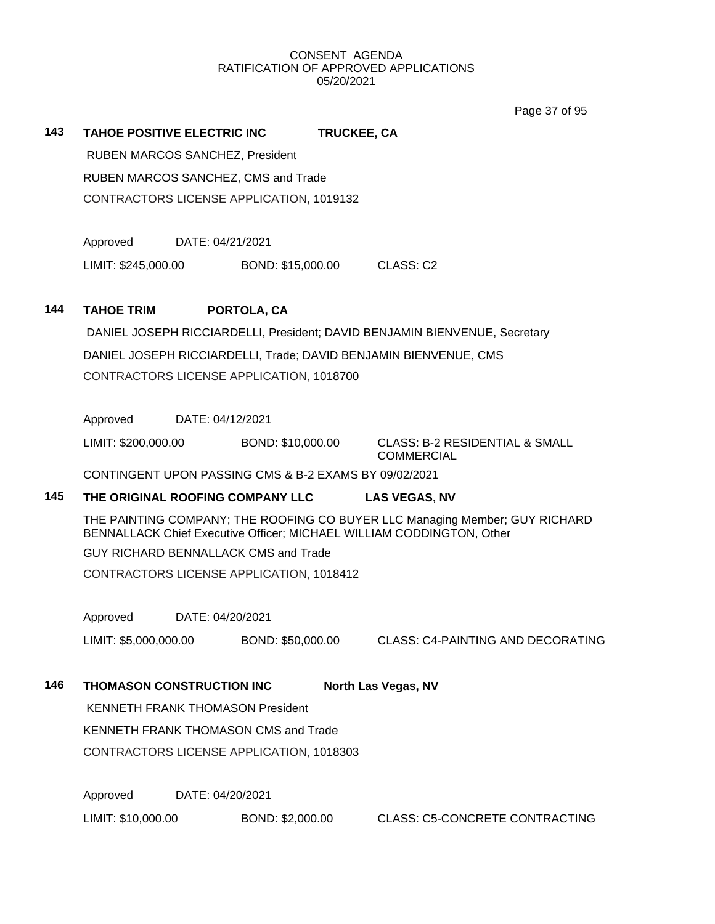Page 37 of 95

# **143 TAHOE POSITIVE ELECTRIC INC TRUCKEE, CA**

RUBEN MARCOS SANCHEZ, President RUBEN MARCOS SANCHEZ, CMS and Trade CONTRACTORS LICENSE APPLICATION, 1019132

Approved DATE: 04/21/2021

LIMIT: \$245,000.00 BOND: \$15,000.00 CLASS: C2

# **144 TAHOE TRIM PORTOLA, CA**

DANIEL JOSEPH RICCIARDELLI, President; DAVID BENJAMIN BIENVENUE, Secretary DANIEL JOSEPH RICCIARDELLI, Trade; DAVID BENJAMIN BIENVENUE, CMS CONTRACTORS LICENSE APPLICATION, 1018700

Approved DATE: 04/12/2021

LIMIT: \$200,000.00 BOND: \$10,000.00 CLASS: B-2 RESIDENTIAL & SMALL

COMMERCIAL

CONTINGENT UPON PASSING CMS & B-2 EXAMS BY 09/02/2021

# **145 THE ORIGINAL ROOFING COMPANY LLC LAS VEGAS, NV**

THE PAINTING COMPANY; THE ROOFING CO BUYER LLC Managing Member; GUY RICHARD BENNALLACK Chief Executive Officer; MICHAEL WILLIAM CODDINGTON, Other

GUY RICHARD BENNALLACK CMS and Trade

CONTRACTORS LICENSE APPLICATION, 1018412

Approved DATE: 04/20/2021

LIMIT: \$5,000,000.00 BOND: \$50,000.00 CLASS: C4-PAINTING AND DECORATING

**146 THOMASON CONSTRUCTION INC North Las Vegas, NV**

KENNETH FRANK THOMASON President

KENNETH FRANK THOMASON CMS and Trade

CONTRACTORS LICENSE APPLICATION, 1018303

Approved DATE: 04/20/2021

LIMIT: \$10,000.00 BOND: \$2,000.00 CLASS: C5-CONCRETE CONTRACTING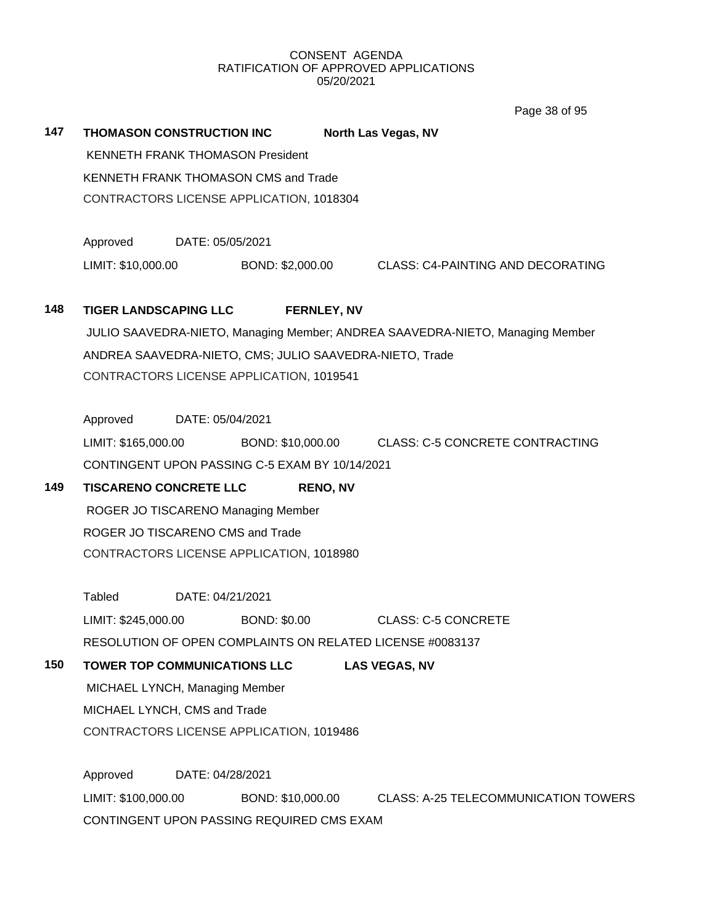147 **THOMASON CONSTRUCTION INC** North Las Vegas, NV

Page 38 of 95

KENNETH FRANK THOMASON President KENNETH FRANK THOMASON CMS and Trade CONTRACTORS LICENSE APPLICATION, 1018304 Approved DATE: 05/05/2021 LIMIT: \$10,000.00 BOND: \$2,000.00 CLASS: C4-PAINTING AND DECORATING **148 TIGER LANDSCAPING LLC FERNLEY, NV** JULIO SAAVEDRA-NIETO, Managing Member; ANDREA SAAVEDRA-NIETO, Managing Member ANDREA SAAVEDRA-NIETO, CMS; JULIO SAAVEDRA-NIETO, Trade CONTRACTORS LICENSE APPLICATION, 1019541 Approved DATE: 05/04/2021 LIMIT: \$165,000.00 BOND: \$10,000.00 CLASS: C-5 CONCRETE CONTRACTING CONTINGENT UPON PASSING C-5 EXAM BY 10/14/2021 **149 TISCARENO CONCRETE LLC RENO, NV** ROGER JO TISCARENO Managing Member ROGER JO TISCARENO CMS and Trade CONTRACTORS LICENSE APPLICATION, 1018980 Tabled DATE: 04/21/2021 LIMIT: \$245,000.00 BOND: \$0.00 CLASS: C-5 CONCRETE RESOLUTION OF OPEN COMPLAINTS ON RELATED LICENSE #0083137 **150 TOWER TOP COMMUNICATIONS LLC LAS VEGAS, NV** MICHAEL LYNCH, Managing Member MICHAEL LYNCH, CMS and Trade CONTRACTORS LICENSE APPLICATION, 1019486 Approved DATE: 04/28/2021 LIMIT: \$100,000.00 BOND: \$10,000.00 CLASS: A-25 TELECOMMUNICATION TOWERS CONTINGENT UPON PASSING REQUIRED CMS EXAM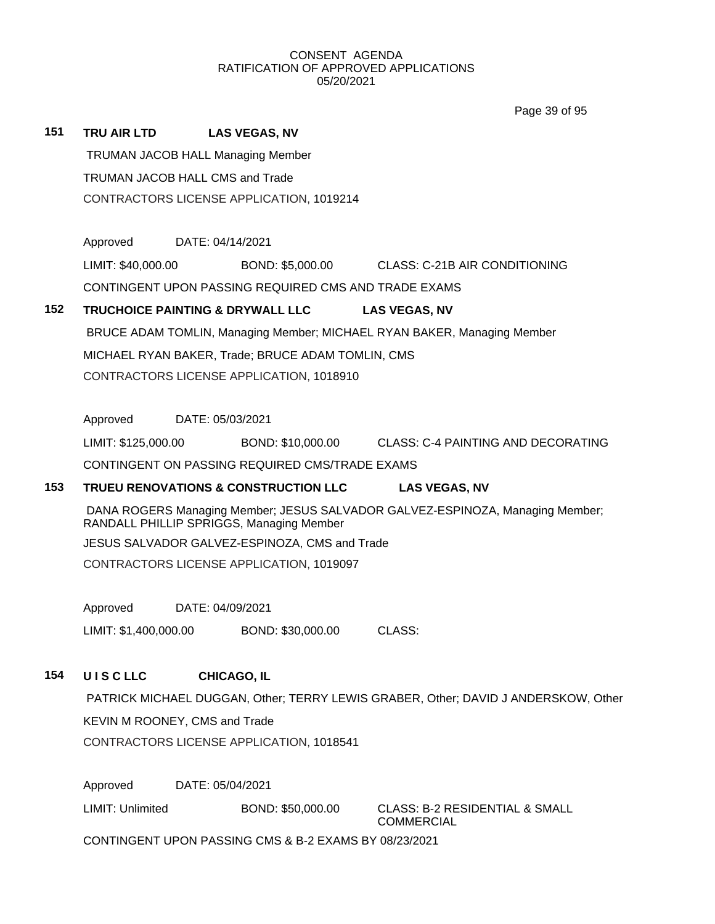Page 39 of 95

| 151                                      | TRU AIR LTD                                                                               |                                                                               | <b>LAS VEGAS, NV</b>                                 |  |                                                                         |  |  |  |
|------------------------------------------|-------------------------------------------------------------------------------------------|-------------------------------------------------------------------------------|------------------------------------------------------|--|-------------------------------------------------------------------------|--|--|--|
|                                          |                                                                                           |                                                                               | <b>TRUMAN JACOB HALL Managing Member</b>             |  |                                                                         |  |  |  |
|                                          | TRUMAN JACOB HALL CMS and Trade                                                           |                                                                               |                                                      |  |                                                                         |  |  |  |
|                                          |                                                                                           |                                                                               | CONTRACTORS LICENSE APPLICATION, 1019214             |  |                                                                         |  |  |  |
|                                          | Approved                                                                                  | DATE: 04/14/2021                                                              |                                                      |  |                                                                         |  |  |  |
|                                          |                                                                                           |                                                                               |                                                      |  |                                                                         |  |  |  |
|                                          | LIMIT: \$40,000.00                                                                        |                                                                               | BOND: \$5,000.00                                     |  | CLASS: C-21B AIR CONDITIONING                                           |  |  |  |
|                                          |                                                                                           |                                                                               | CONTINGENT UPON PASSING REQUIRED CMS AND TRADE EXAMS |  |                                                                         |  |  |  |
| 152                                      |                                                                                           |                                                                               | <b>TRUCHOICE PAINTING &amp; DRYWALL LLC</b>          |  | <b>LAS VEGAS, NV</b>                                                    |  |  |  |
|                                          |                                                                                           |                                                                               |                                                      |  | BRUCE ADAM TOMLIN, Managing Member; MICHAEL RYAN BAKER, Managing Member |  |  |  |
|                                          |                                                                                           |                                                                               | MICHAEL RYAN BAKER, Trade; BRUCE ADAM TOMLIN, CMS    |  |                                                                         |  |  |  |
|                                          |                                                                                           |                                                                               | CONTRACTORS LICENSE APPLICATION, 1018910             |  |                                                                         |  |  |  |
|                                          | Approved                                                                                  | DATE: 05/03/2021                                                              |                                                      |  |                                                                         |  |  |  |
|                                          | LIMIT: \$125,000.00                                                                       |                                                                               | BOND: \$10,000.00                                    |  | CLASS: C-4 PAINTING AND DECORATING                                      |  |  |  |
|                                          |                                                                                           |                                                                               | CONTINGENT ON PASSING REQUIRED CMS/TRADE EXAMS       |  |                                                                         |  |  |  |
| 153                                      |                                                                                           |                                                                               | <b>TRUEU RENOVATIONS &amp; CONSTRUCTION LLC</b>      |  | <b>LAS VEGAS, NV</b>                                                    |  |  |  |
|                                          |                                                                                           | DANA ROGERS Managing Member; JESUS SALVADOR GALVEZ-ESPINOZA, Managing Member; |                                                      |  |                                                                         |  |  |  |
|                                          | RANDALL PHILLIP SPRIGGS, Managing Member<br>JESUS SALVADOR GALVEZ-ESPINOZA, CMS and Trade |                                                                               |                                                      |  |                                                                         |  |  |  |
| CONTRACTORS LICENSE APPLICATION, 1019097 |                                                                                           |                                                                               |                                                      |  |                                                                         |  |  |  |
|                                          |                                                                                           |                                                                               |                                                      |  |                                                                         |  |  |  |
|                                          | Approved                                                                                  | DATE: 04/09/2021                                                              |                                                      |  |                                                                         |  |  |  |
|                                          | LIMIT: \$1,400,000.00                                                                     |                                                                               | BOND: \$30,000.00                                    |  | CLASS:                                                                  |  |  |  |
| 154                                      | <b>UISCLLC</b>                                                                            |                                                                               | <b>CHICAGO, IL</b>                                   |  |                                                                         |  |  |  |
|                                          | PATRICK MICHAEL DUGGAN, Other; TERRY LEWIS GRABER, Other; DAVID J ANDERSKOW, Other        |                                                                               |                                                      |  |                                                                         |  |  |  |
|                                          | KEVIN M ROONEY, CMS and Trade                                                             |                                                                               |                                                      |  |                                                                         |  |  |  |
|                                          |                                                                                           | CONTRACTORS LICENSE APPLICATION, 1018541                                      |                                                      |  |                                                                         |  |  |  |
|                                          |                                                                                           |                                                                               |                                                      |  |                                                                         |  |  |  |
|                                          | Approved                                                                                  | DATE: 05/04/2021                                                              |                                                      |  |                                                                         |  |  |  |
|                                          | LIMIT: Unlimited                                                                          |                                                                               | BOND: \$50,000.00                                    |  | <b>CLASS: B-2 RESIDENTIAL &amp; SMALL</b><br><b>COMMERCIAL</b>          |  |  |  |
|                                          |                                                                                           | CONTINGENT UPON PASSING CMS & B-2 EXAMS BY 08/23/2021                         |                                                      |  |                                                                         |  |  |  |
|                                          |                                                                                           |                                                                               |                                                      |  |                                                                         |  |  |  |
|                                          |                                                                                           |                                                                               |                                                      |  |                                                                         |  |  |  |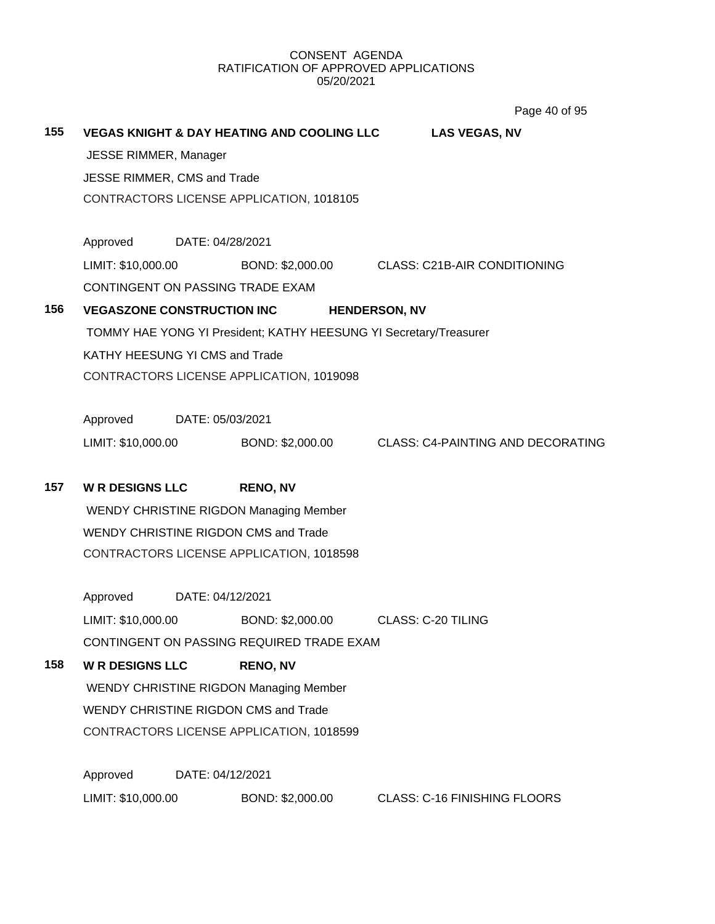Page 40 of 95

| 155                                           |                                                                                  |                  | <b>VEGAS KNIGHT &amp; DAY HEATING AND COOLING LLC</b> |  | <b>LAS VEGAS, NV</b>                                              |  |  |
|-----------------------------------------------|----------------------------------------------------------------------------------|------------------|-------------------------------------------------------|--|-------------------------------------------------------------------|--|--|
|                                               | JESSE RIMMER, Manager                                                            |                  |                                                       |  |                                                                   |  |  |
|                                               | JESSE RIMMER, CMS and Trade                                                      |                  |                                                       |  |                                                                   |  |  |
|                                               |                                                                                  |                  | CONTRACTORS LICENSE APPLICATION, 1018105              |  |                                                                   |  |  |
|                                               |                                                                                  |                  |                                                       |  |                                                                   |  |  |
|                                               | Approved                                                                         | DATE: 04/28/2021 |                                                       |  |                                                                   |  |  |
|                                               |                                                                                  |                  |                                                       |  | LIMIT: \$10,000.00 BOND: \$2,000.00 CLASS: C21B-AIR CONDITIONING  |  |  |
|                                               | CONTINGENT ON PASSING TRADE EXAM                                                 |                  |                                                       |  |                                                                   |  |  |
| 156                                           |                                                                                  |                  | <b>VEGASZONE CONSTRUCTION INC</b>                     |  | <b>HENDERSON, NV</b>                                              |  |  |
|                                               |                                                                                  |                  |                                                       |  | TOMMY HAE YONG YI President; KATHY HEESUNG YI Secretary/Treasurer |  |  |
|                                               | KATHY HEESUNG YI CMS and Trade                                                   |                  |                                                       |  |                                                                   |  |  |
|                                               |                                                                                  |                  | CONTRACTORS LICENSE APPLICATION, 1019098              |  |                                                                   |  |  |
|                                               |                                                                                  |                  |                                                       |  |                                                                   |  |  |
|                                               | Approved                                                                         | DATE: 05/03/2021 |                                                       |  |                                                                   |  |  |
|                                               | LIMIT: \$10,000.00                                                               |                  |                                                       |  | BOND: \$2,000.00 CLASS: C4-PAINTING AND DECORATING                |  |  |
|                                               |                                                                                  |                  |                                                       |  |                                                                   |  |  |
| 157                                           | <b>WR DESIGNS LLC</b>                                                            |                  | <b>RENO, NV</b>                                       |  |                                                                   |  |  |
|                                               | <b>WENDY CHRISTINE RIGDON Managing Member</b>                                    |                  |                                                       |  |                                                                   |  |  |
|                                               | WENDY CHRISTINE RIGDON CMS and Trade                                             |                  |                                                       |  |                                                                   |  |  |
|                                               | CONTRACTORS LICENSE APPLICATION, 1018598                                         |                  |                                                       |  |                                                                   |  |  |
|                                               |                                                                                  |                  |                                                       |  |                                                                   |  |  |
|                                               | Approved                                                                         | DATE: 04/12/2021 |                                                       |  |                                                                   |  |  |
|                                               | LIMIT: \$10,000.00                                                               |                  | BOND: \$2,000.00                                      |  | <b>CLASS: C-20 TILING</b>                                         |  |  |
|                                               | CONTINGENT ON PASSING REQUIRED TRADE EXAM                                        |                  |                                                       |  |                                                                   |  |  |
| 158                                           | <b>WR DESIGNS LLC</b>                                                            |                  | <b>RENO, NV</b>                                       |  |                                                                   |  |  |
| <b>WENDY CHRISTINE RIGDON Managing Member</b> |                                                                                  |                  |                                                       |  |                                                                   |  |  |
|                                               | WENDY CHRISTINE RIGDON CMS and Trade<br>CONTRACTORS LICENSE APPLICATION, 1018599 |                  |                                                       |  |                                                                   |  |  |
|                                               |                                                                                  |                  |                                                       |  |                                                                   |  |  |
|                                               |                                                                                  |                  |                                                       |  |                                                                   |  |  |
|                                               | Approved                                                                         | DATE: 04/12/2021 |                                                       |  |                                                                   |  |  |
|                                               | LIMIT: \$10,000.00                                                               |                  | BOND: \$2,000.00                                      |  | <b>CLASS: C-16 FINISHING FLOORS</b>                               |  |  |
|                                               |                                                                                  |                  |                                                       |  |                                                                   |  |  |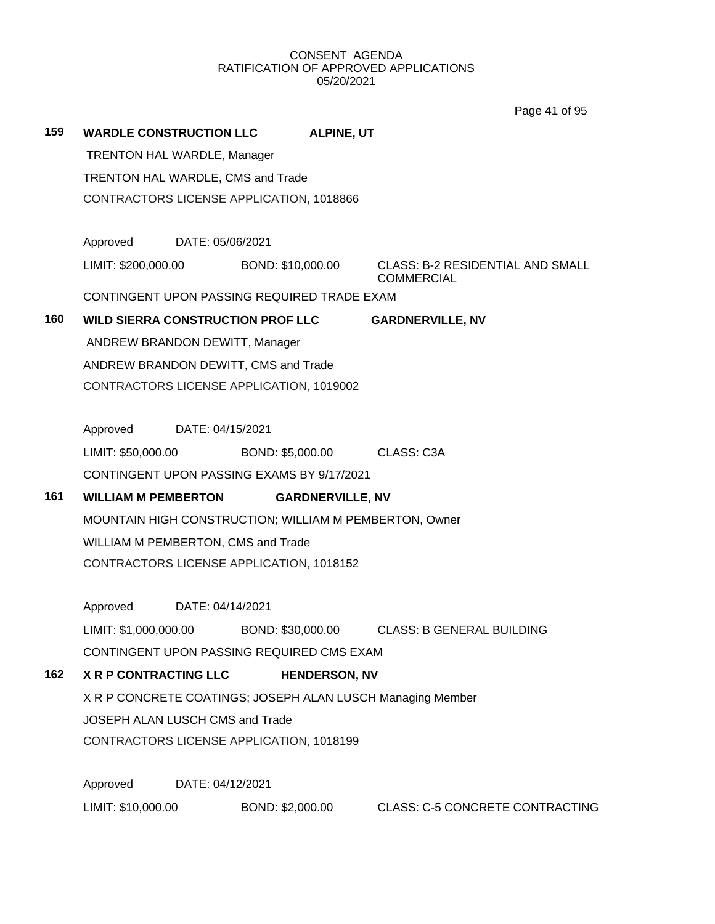Page 41 of 95

| 159                                                        | <b>WARDLE CONSTRUCTION LLC</b>                                                |                  |                  | <b>ALPINE, UT</b>    |                                                              |  |  |
|------------------------------------------------------------|-------------------------------------------------------------------------------|------------------|------------------|----------------------|--------------------------------------------------------------|--|--|
|                                                            | <b>TRENTON HAL WARDLE, Manager</b>                                            |                  |                  |                      |                                                              |  |  |
|                                                            | TRENTON HAL WARDLE, CMS and Trade<br>CONTRACTORS LICENSE APPLICATION, 1018866 |                  |                  |                      |                                                              |  |  |
|                                                            |                                                                               |                  |                  |                      |                                                              |  |  |
|                                                            |                                                                               |                  |                  |                      |                                                              |  |  |
|                                                            | Approved                                                                      | DATE: 05/06/2021 |                  |                      |                                                              |  |  |
|                                                            | LIMIT: \$200,000.00 BOND: \$10,000.00                                         |                  |                  |                      | <b>CLASS: B-2 RESIDENTIAL AND SMALL</b><br><b>COMMERCIAL</b> |  |  |
|                                                            | CONTINGENT UPON PASSING REQUIRED TRADE EXAM                                   |                  |                  |                      |                                                              |  |  |
| 160                                                        | <b>WILD SIERRA CONSTRUCTION PROF LLC</b>                                      |                  |                  |                      | <b>GARDNERVILLE, NV</b>                                      |  |  |
|                                                            | ANDREW BRANDON DEWITT, Manager                                                |                  |                  |                      |                                                              |  |  |
|                                                            | ANDREW BRANDON DEWITT, CMS and Trade                                          |                  |                  |                      |                                                              |  |  |
|                                                            | CONTRACTORS LICENSE APPLICATION, 1019002                                      |                  |                  |                      |                                                              |  |  |
|                                                            |                                                                               |                  |                  |                      |                                                              |  |  |
|                                                            | Approved                                                                      | DATE: 04/15/2021 |                  |                      |                                                              |  |  |
|                                                            | LIMIT: \$50,000.00                                                            |                  |                  |                      | BOND: \$5,000.00 CLASS: C3A                                  |  |  |
|                                                            | CONTINGENT UPON PASSING EXAMS BY 9/17/2021                                    |                  |                  |                      |                                                              |  |  |
| 161                                                        | <b>WILLIAM M PEMBERTON</b><br><b>GARDNERVILLE, NV</b>                         |                  |                  |                      |                                                              |  |  |
| MOUNTAIN HIGH CONSTRUCTION; WILLIAM M PEMBERTON, Owner     |                                                                               |                  |                  |                      |                                                              |  |  |
|                                                            | WILLIAM M PEMBERTON, CMS and Trade                                            |                  |                  |                      |                                                              |  |  |
|                                                            | CONTRACTORS LICENSE APPLICATION, 1018152                                      |                  |                  |                      |                                                              |  |  |
|                                                            |                                                                               |                  |                  |                      |                                                              |  |  |
|                                                            | Approved                                                                      | DATE: 04/14/2021 |                  |                      |                                                              |  |  |
|                                                            | LIMIT: \$1,000,000.00                                                         |                  |                  |                      | BOND: \$30,000.00 CLASS: B GENERAL BUILDING                  |  |  |
|                                                            | CONTINGENT UPON PASSING REQUIRED CMS EXAM                                     |                  |                  |                      |                                                              |  |  |
| 162                                                        | <b>X R P CONTRACTING LLC</b>                                                  |                  |                  | <b>HENDERSON, NV</b> |                                                              |  |  |
| X R P CONCRETE COATINGS; JOSEPH ALAN LUSCH Managing Member |                                                                               |                  |                  |                      |                                                              |  |  |
|                                                            | JOSEPH ALAN LUSCH CMS and Trade                                               |                  |                  |                      |                                                              |  |  |
| CONTRACTORS LICENSE APPLICATION, 1018199                   |                                                                               |                  |                  |                      |                                                              |  |  |
|                                                            |                                                                               |                  |                  |                      |                                                              |  |  |
|                                                            | Approved                                                                      | DATE: 04/12/2021 |                  |                      |                                                              |  |  |
|                                                            | LIMIT: \$10,000.00                                                            |                  | BOND: \$2,000.00 |                      | <b>CLASS: C-5 CONCRETE CONTRACTING</b>                       |  |  |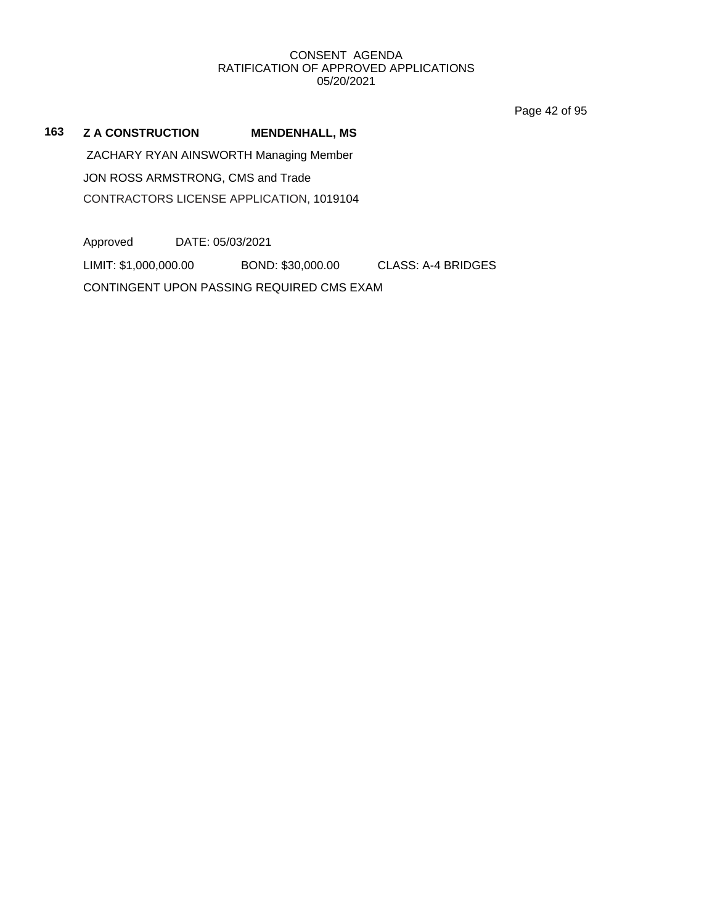Page 42 of 95

# **163 Z A CONSTRUCTION MENDENHALL, MS**

ZACHARY RYAN AINSWORTH Managing Member JON ROSS ARMSTRONG, CMS and Trade CONTRACTORS LICENSE APPLICATION, 1019104

Approved DATE: 05/03/2021 LIMIT: \$1,000,000.00 BOND: \$30,000.00 CLASS: A-4 BRIDGES CONTINGENT UPON PASSING REQUIRED CMS EXAM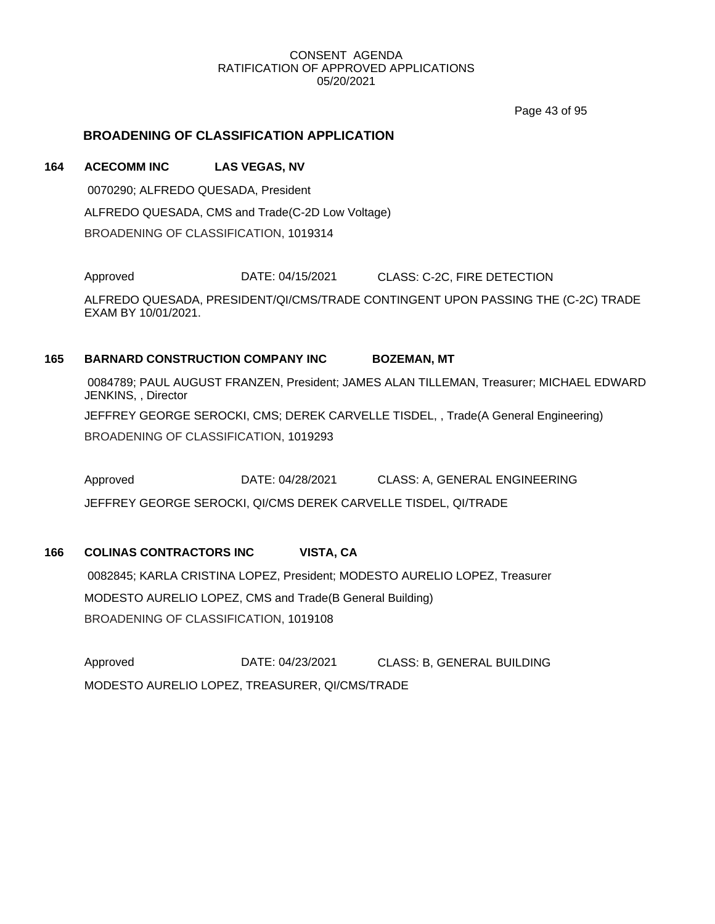Page 43 of 95

# **BROADENING OF CLASSIFICATION APPLICATION**

# **164 ACECOMM INC LAS VEGAS, NV** 0070290; ALFREDO QUESADA, President ALFREDO QUESADA, CMS and Trade(C-2D Low Voltage) BROADENING OF CLASSIFICATION, 1019314

Approved DATE: 04/15/2021 CLASS: C-2C, FIRE DETECTION

ALFREDO QUESADA, PRESIDENT/QI/CMS/TRADE CONTINGENT UPON PASSING THE (C-2C) TRADE EXAM BY 10/01/2021.

# **165 BARNARD CONSTRUCTION COMPANY INC BOZEMAN, MT**

0084789; PAUL AUGUST FRANZEN, President; JAMES ALAN TILLEMAN, Treasurer; MICHAEL EDWARD JENKINS, , Director JEFFREY GEORGE SEROCKI, CMS; DEREK CARVELLE TISDEL, , Trade(A General Engineering) BROADENING OF CLASSIFICATION, 1019293

Approved DATE: 04/28/2021 CLASS: A, GENERAL ENGINEERING JEFFREY GEORGE SEROCKI, QI/CMS DEREK CARVELLE TISDEL, QI/TRADE

# **166 COLINAS CONTRACTORS INC VISTA, CA**

0082845; KARLA CRISTINA LOPEZ, President; MODESTO AURELIO LOPEZ, Treasurer MODESTO AURELIO LOPEZ, CMS and Trade(B General Building) BROADENING OF CLASSIFICATION, 1019108

Approved DATE: 04/23/2021 CLASS: B, GENERAL BUILDING MODESTO AURELIO LOPEZ, TREASURER, QI/CMS/TRADE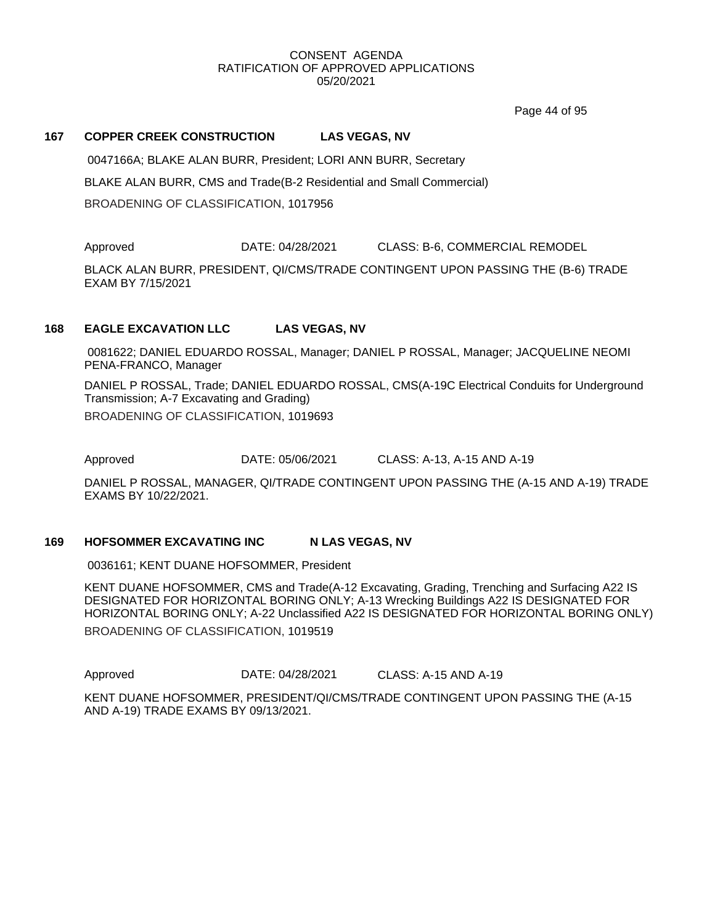Page 44 of 95

#### **167 COPPER CREEK CONSTRUCTION LAS VEGAS, NV**

0047166A; BLAKE ALAN BURR, President; LORI ANN BURR, Secretary BLAKE ALAN BURR, CMS and Trade(B-2 Residential and Small Commercial) BROADENING OF CLASSIFICATION, 1017956

Approved DATE: 04/28/2021 CLASS: B-6, COMMERCIAL REMODEL

BLACK ALAN BURR, PRESIDENT, QI/CMS/TRADE CONTINGENT UPON PASSING THE (B-6) TRADE EXAM BY 7/15/2021

# **168 EAGLE EXCAVATION LLC LAS VEGAS, NV**

0081622; DANIEL EDUARDO ROSSAL, Manager; DANIEL P ROSSAL, Manager; JACQUELINE NEOMI PENA-FRANCO, Manager

DANIEL P ROSSAL, Trade; DANIEL EDUARDO ROSSAL, CMS(A-19C Electrical Conduits for Underground Transmission; A-7 Excavating and Grading) BROADENING OF CLASSIFICATION, 1019693

Approved DATE: 05/06/2021 CLASS: A-13, A-15 AND A-19

DANIEL P ROSSAL, MANAGER, QI/TRADE CONTINGENT UPON PASSING THE (A-15 AND A-19) TRADE EXAMS BY 10/22/2021.

#### **169 HOFSOMMER EXCAVATING INC N LAS VEGAS, NV**

0036161; KENT DUANE HOFSOMMER, President

KENT DUANE HOFSOMMER, CMS and Trade(A-12 Excavating, Grading, Trenching and Surfacing A22 IS DESIGNATED FOR HORIZONTAL BORING ONLY; A-13 Wrecking Buildings A22 IS DESIGNATED FOR HORIZONTAL BORING ONLY; A-22 Unclassified A22 IS DESIGNATED FOR HORIZONTAL BORING ONLY) BROADENING OF CLASSIFICATION, 1019519

Approved DATE: 04/28/2021 CLASS: A-15 AND A-19

KENT DUANE HOFSOMMER, PRESIDENT/QI/CMS/TRADE CONTINGENT UPON PASSING THE (A-15 AND A-19) TRADE EXAMS BY 09/13/2021.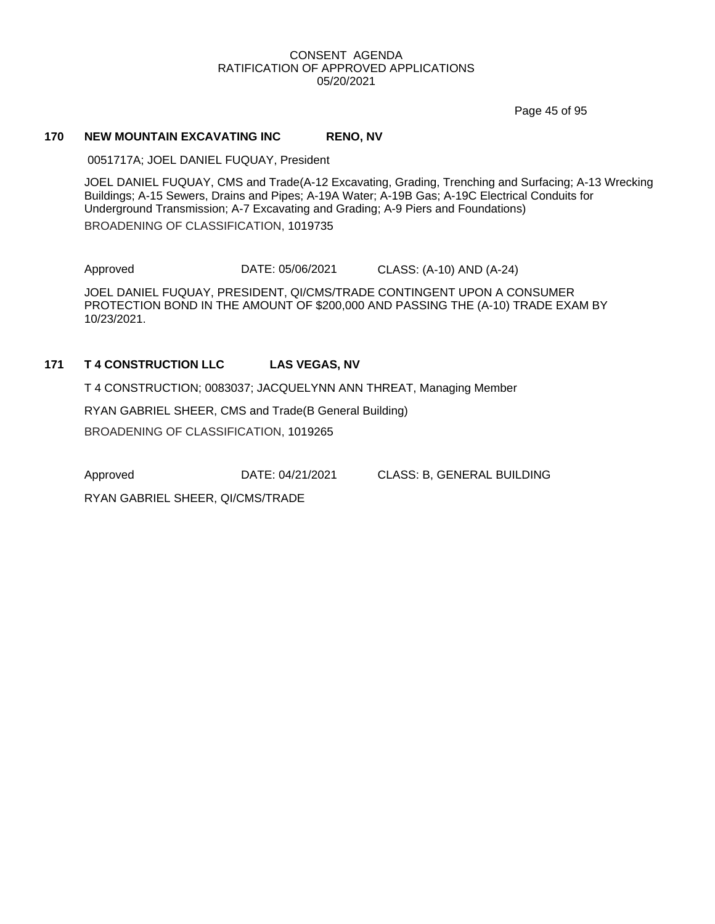Page 45 of 95

#### **170 NEW MOUNTAIN EXCAVATING INC RENO, NV**

0051717A; JOEL DANIEL FUQUAY, President

JOEL DANIEL FUQUAY, CMS and Trade(A-12 Excavating, Grading, Trenching and Surfacing; A-13 Wrecking Buildings; A-15 Sewers, Drains and Pipes; A-19A Water; A-19B Gas; A-19C Electrical Conduits for Underground Transmission; A-7 Excavating and Grading; A-9 Piers and Foundations) BROADENING OF CLASSIFICATION, 1019735

Approved DATE: 05/06/2021 CLASS: (A-10) AND (A-24)

JOEL DANIEL FUQUAY, PRESIDENT, QI/CMS/TRADE CONTINGENT UPON A CONSUMER PROTECTION BOND IN THE AMOUNT OF \$200,000 AND PASSING THE (A-10) TRADE EXAM BY 10/23/2021.

# **171 T 4 CONSTRUCTION LLC LAS VEGAS, NV**

T 4 CONSTRUCTION; 0083037; JACQUELYNN ANN THREAT, Managing Member

RYAN GABRIEL SHEER, CMS and Trade(B General Building)

BROADENING OF CLASSIFICATION, 1019265

Approved DATE: 04/21/2021 CLASS: B, GENERAL BUILDING

RYAN GABRIEL SHEER, QI/CMS/TRADE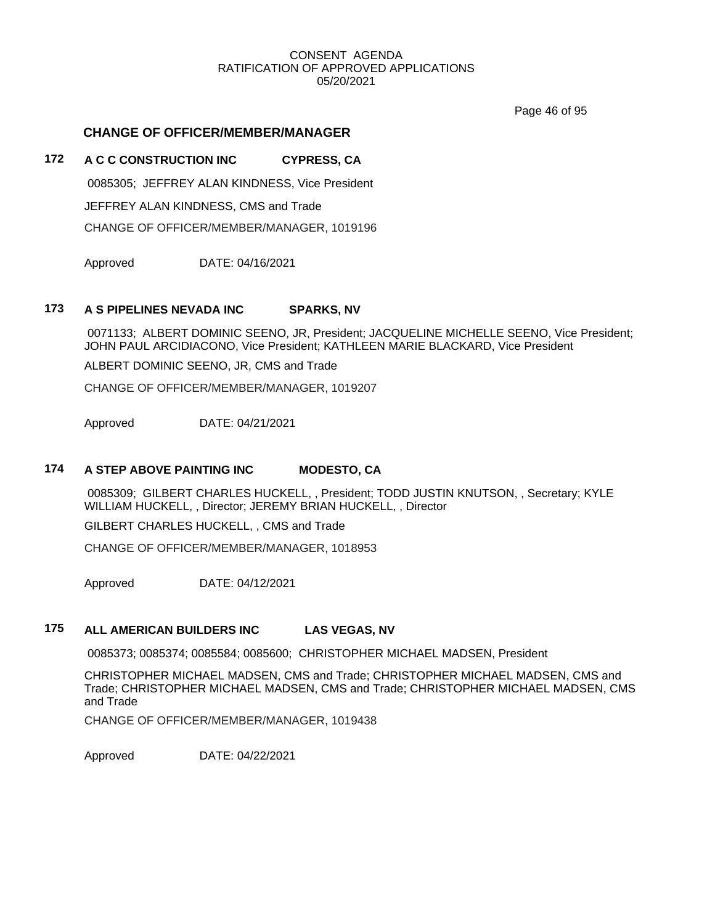Page 46 of 95

# **CHANGE OF OFFICER/MEMBER/MANAGER**

# **172 A C C CONSTRUCTION INC CYPRESS, CA**

0085305; JEFFREY ALAN KINDNESS, Vice President

JEFFREY ALAN KINDNESS, CMS and Trade

CHANGE OF OFFICER/MEMBER/MANAGER, 1019196

Approved DATE: 04/16/2021

# **173 A S PIPELINES NEVADA INC SPARKS, NV**

0071133; ALBERT DOMINIC SEENO, JR, President; JACQUELINE MICHELLE SEENO, Vice President; JOHN PAUL ARCIDIACONO, Vice President; KATHLEEN MARIE BLACKARD, Vice President

ALBERT DOMINIC SEENO, JR, CMS and Trade

CHANGE OF OFFICER/MEMBER/MANAGER, 1019207

Approved DATE: 04/21/2021

# **174 A STEP ABOVE PAINTING INC MODESTO, CA**

0085309; GILBERT CHARLES HUCKELL, , President; TODD JUSTIN KNUTSON, , Secretary; KYLE WILLIAM HUCKELL, , Director; JEREMY BRIAN HUCKELL, , Director

GILBERT CHARLES HUCKELL, , CMS and Trade

CHANGE OF OFFICER/MEMBER/MANAGER, 1018953

Approved DATE: 04/12/2021

# **175 ALL AMERICAN BUILDERS INC LAS VEGAS, NV**

0085373; 0085374; 0085584; 0085600; CHRISTOPHER MICHAEL MADSEN, President

CHRISTOPHER MICHAEL MADSEN, CMS and Trade; CHRISTOPHER MICHAEL MADSEN, CMS and Trade; CHRISTOPHER MICHAEL MADSEN, CMS and Trade; CHRISTOPHER MICHAEL MADSEN, CMS and Trade

CHANGE OF OFFICER/MEMBER/MANAGER, 1019438

Approved DATE: 04/22/2021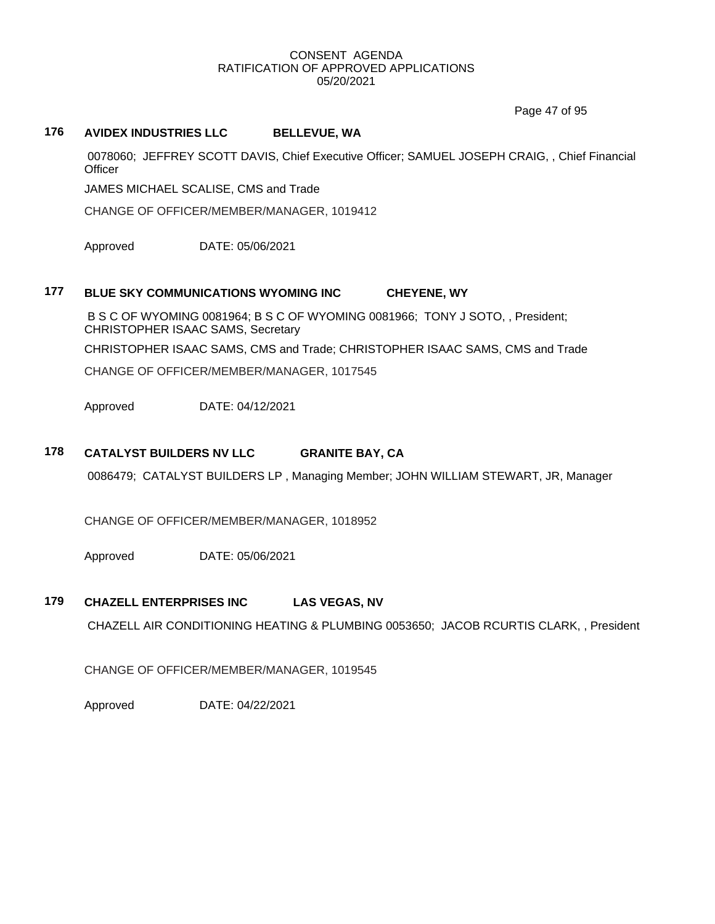Page 47 of 95

# **176 AVIDEX INDUSTRIES LLC BELLEVUE, WA**

0078060; JEFFREY SCOTT DAVIS, Chief Executive Officer; SAMUEL JOSEPH CRAIG, , Chief Financial **Officer** 

JAMES MICHAEL SCALISE, CMS and Trade

CHANGE OF OFFICER/MEMBER/MANAGER, 1019412

Approved DATE: 05/06/2021

# **177 BLUE SKY COMMUNICATIONS WYOMING INC CHEYENE, WY**

B S C OF WYOMING 0081964; B S C OF WYOMING 0081966; TONY J SOTO, , President; CHRISTOPHER ISAAC SAMS, Secretary CHRISTOPHER ISAAC SAMS, CMS and Trade; CHRISTOPHER ISAAC SAMS, CMS and Trade CHANGE OF OFFICER/MEMBER/MANAGER, 1017545

Approved DATE: 04/12/2021

# **178 CATALYST BUILDERS NV LLC GRANITE BAY, CA**

0086479; CATALYST BUILDERS LP , Managing Member; JOHN WILLIAM STEWART, JR, Manager

CHANGE OF OFFICER/MEMBER/MANAGER, 1018952

Approved DATE: 05/06/2021

# **179 CHAZELL ENTERPRISES INC LAS VEGAS, NV**

CHAZELL AIR CONDITIONING HEATING & PLUMBING 0053650; JACOB RCURTIS CLARK, , President

CHANGE OF OFFICER/MEMBER/MANAGER, 1019545

Approved DATE: 04/22/2021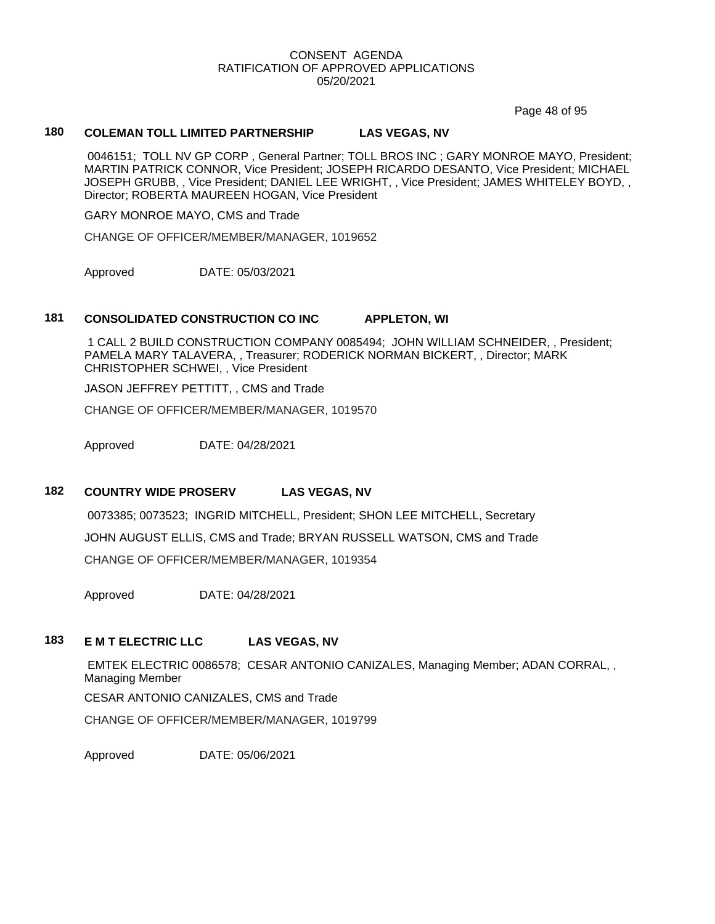Page 48 of 95

# **180 COLEMAN TOLL LIMITED PARTNERSHIP LAS VEGAS, NV**

0046151; TOLL NV GP CORP , General Partner; TOLL BROS INC ; GARY MONROE MAYO, President; MARTIN PATRICK CONNOR, Vice President; JOSEPH RICARDO DESANTO, Vice President; MICHAEL JOSEPH GRUBB, , Vice President; DANIEL LEE WRIGHT, , Vice President; JAMES WHITELEY BOYD, , Director; ROBERTA MAUREEN HOGAN, Vice President

GARY MONROE MAYO, CMS and Trade

CHANGE OF OFFICER/MEMBER/MANAGER, 1019652

Approved DATE: 05/03/2021

#### **181 CONSOLIDATED CONSTRUCTION CO INC APPLETON, WI**

1 CALL 2 BUILD CONSTRUCTION COMPANY 0085494; JOHN WILLIAM SCHNEIDER, , President; PAMELA MARY TALAVERA, , Treasurer; RODERICK NORMAN BICKERT, , Director; MARK CHRISTOPHER SCHWEI, , Vice President

JASON JEFFREY PETTITT, , CMS and Trade

CHANGE OF OFFICER/MEMBER/MANAGER, 1019570

Approved DATE: 04/28/2021

# **182 COUNTRY WIDE PROSERV LAS VEGAS, NV**

0073385; 0073523; INGRID MITCHELL, President; SHON LEE MITCHELL, Secretary JOHN AUGUST ELLIS, CMS and Trade; BRYAN RUSSELL WATSON, CMS and Trade CHANGE OF OFFICER/MEMBER/MANAGER, 1019354

Approved DATE: 04/28/2021

## **183 E M T ELECTRIC LLC LAS VEGAS, NV**

EMTEK ELECTRIC 0086578; CESAR ANTONIO CANIZALES, Managing Member; ADAN CORRAL, , Managing Member

CESAR ANTONIO CANIZALES, CMS and Trade

CHANGE OF OFFICER/MEMBER/MANAGER, 1019799

Approved DATE: 05/06/2021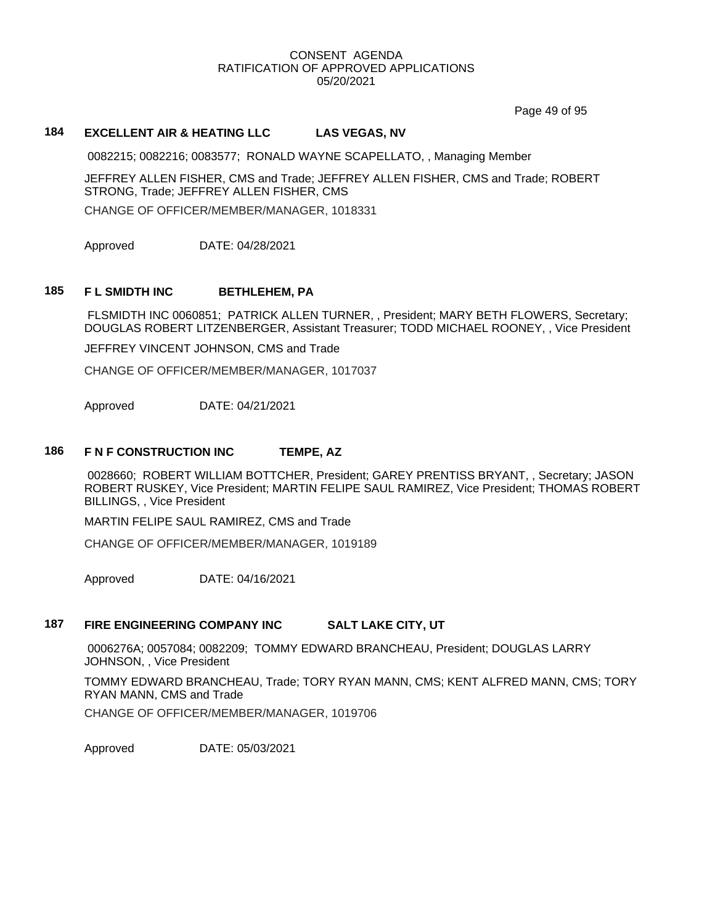Page 49 of 95

# **184 EXCELLENT AIR & HEATING LLC LAS VEGAS, NV**

0082215; 0082216; 0083577; RONALD WAYNE SCAPELLATO, , Managing Member

JEFFREY ALLEN FISHER, CMS and Trade; JEFFREY ALLEN FISHER, CMS and Trade; ROBERT STRONG, Trade; JEFFREY ALLEN FISHER, CMS CHANGE OF OFFICER/MEMBER/MANAGER, 1018331

Approved DATE: 04/28/2021

#### **185 F L SMIDTH INC BETHLEHEM, PA**

FLSMIDTH INC 0060851; PATRICK ALLEN TURNER, , President; MARY BETH FLOWERS, Secretary; DOUGLAS ROBERT LITZENBERGER, Assistant Treasurer; TODD MICHAEL ROONEY, , Vice President

JEFFREY VINCENT JOHNSON, CMS and Trade

CHANGE OF OFFICER/MEMBER/MANAGER, 1017037

Approved DATE: 04/21/2021

#### **186 F N F CONSTRUCTION INC TEMPE, AZ**

0028660; ROBERT WILLIAM BOTTCHER, President; GAREY PRENTISS BRYANT, , Secretary; JASON ROBERT RUSKEY, Vice President; MARTIN FELIPE SAUL RAMIREZ, Vice President; THOMAS ROBERT BILLINGS, , Vice President

MARTIN FELIPE SAUL RAMIREZ, CMS and Trade

CHANGE OF OFFICER/MEMBER/MANAGER, 1019189

Approved DATE: 04/16/2021

#### **187 FIRE ENGINEERING COMPANY INC SALT LAKE CITY, UT**

0006276A; 0057084; 0082209; TOMMY EDWARD BRANCHEAU, President; DOUGLAS LARRY JOHNSON, , Vice President

TOMMY EDWARD BRANCHEAU, Trade; TORY RYAN MANN, CMS; KENT ALFRED MANN, CMS; TORY RYAN MANN, CMS and Trade

CHANGE OF OFFICER/MEMBER/MANAGER, 1019706

Approved DATE: 05/03/2021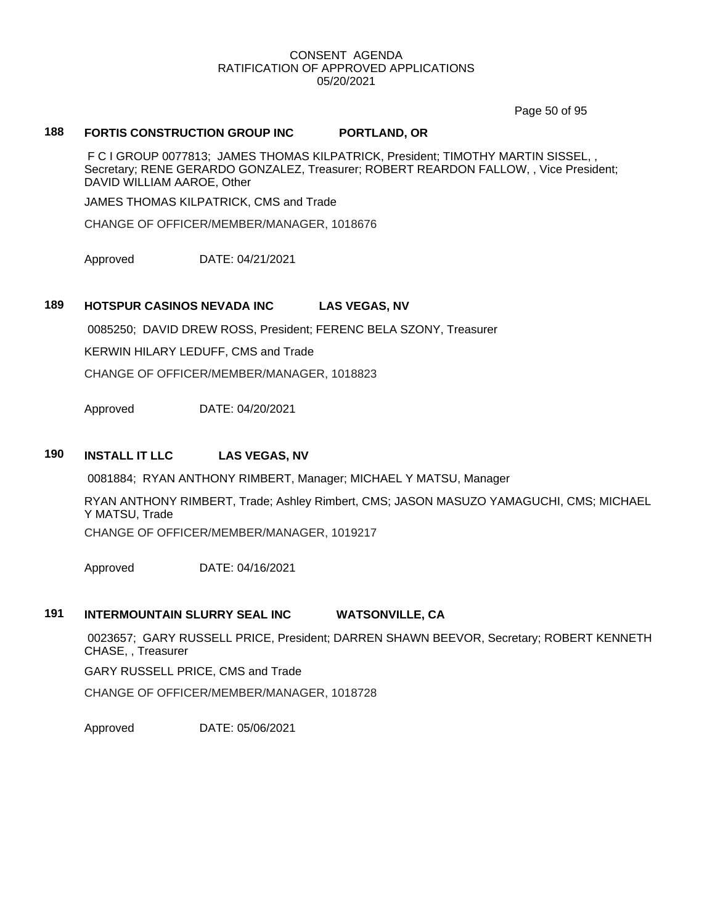Page 50 of 95

## **188 FORTIS CONSTRUCTION GROUP INC PORTLAND, OR**

F C I GROUP 0077813; JAMES THOMAS KILPATRICK, President; TIMOTHY MARTIN SISSEL, , Secretary; RENE GERARDO GONZALEZ, Treasurer; ROBERT REARDON FALLOW, , Vice President; DAVID WILLIAM AAROE, Other

JAMES THOMAS KILPATRICK, CMS and Trade

CHANGE OF OFFICER/MEMBER/MANAGER, 1018676

Approved DATE: 04/21/2021

#### **189 HOTSPUR CASINOS NEVADA INC LAS VEGAS, NV**

0085250; DAVID DREW ROSS, President; FERENC BELA SZONY, Treasurer

KERWIN HILARY LEDUFF, CMS and Trade

CHANGE OF OFFICER/MEMBER/MANAGER, 1018823

Approved DATE: 04/20/2021

#### **190 INSTALL IT LLC LAS VEGAS, NV**

0081884; RYAN ANTHONY RIMBERT, Manager; MICHAEL Y MATSU, Manager

RYAN ANTHONY RIMBERT, Trade; Ashley Rimbert, CMS; JASON MASUZO YAMAGUCHI, CMS; MICHAEL Y MATSU, Trade

CHANGE OF OFFICER/MEMBER/MANAGER, 1019217

Approved DATE: 04/16/2021

#### **191 INTERMOUNTAIN SLURRY SEAL INC WATSONVILLE, CA**

0023657; GARY RUSSELL PRICE, President; DARREN SHAWN BEEVOR, Secretary; ROBERT KENNETH CHASE, , Treasurer

GARY RUSSELL PRICE, CMS and Trade

CHANGE OF OFFICER/MEMBER/MANAGER, 1018728

Approved DATE: 05/06/2021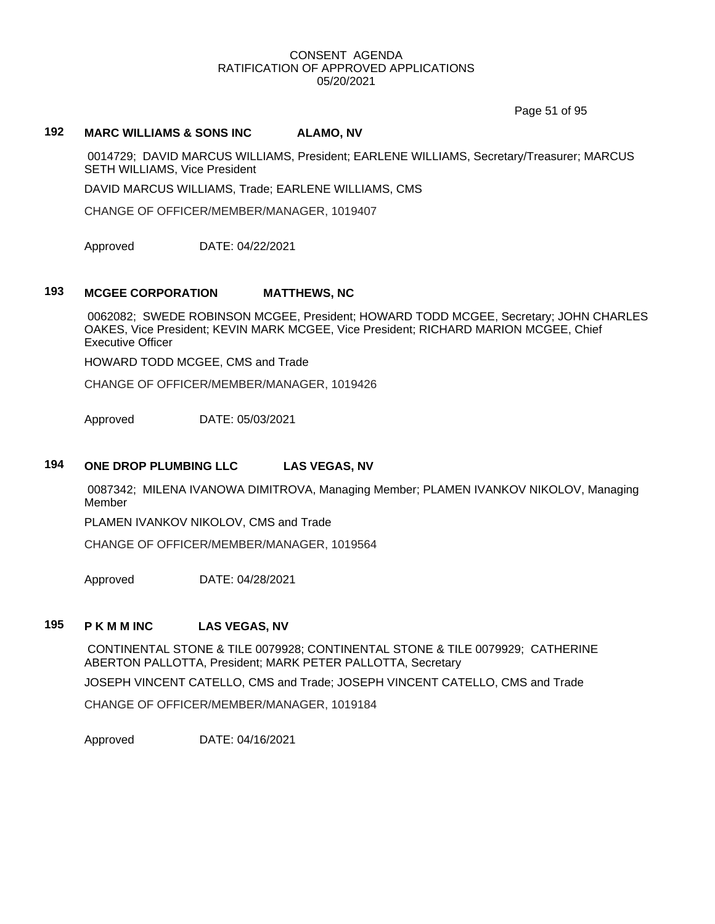Page 51 of 95

# **192 MARC WILLIAMS & SONS INC ALAMO, NV**

0014729; DAVID MARCUS WILLIAMS, President; EARLENE WILLIAMS, Secretary/Treasurer; MARCUS SETH WILLIAMS, Vice President

DAVID MARCUS WILLIAMS, Trade; EARLENE WILLIAMS, CMS

CHANGE OF OFFICER/MEMBER/MANAGER, 1019407

Approved DATE: 04/22/2021

# **193 MCGEE CORPORATION MATTHEWS, NC**

0062082; SWEDE ROBINSON MCGEE, President; HOWARD TODD MCGEE, Secretary; JOHN CHARLES OAKES, Vice President; KEVIN MARK MCGEE, Vice President; RICHARD MARION MCGEE, Chief Executive Officer

HOWARD TODD MCGEE, CMS and Trade

CHANGE OF OFFICER/MEMBER/MANAGER, 1019426

Approved DATE: 05/03/2021

#### **194 ONE DROP PLUMBING LLC LAS VEGAS, NV**

0087342; MILENA IVANOWA DIMITROVA, Managing Member; PLAMEN IVANKOV NIKOLOV, Managing Member

PLAMEN IVANKOV NIKOLOV, CMS and Trade

CHANGE OF OFFICER/MEMBER/MANAGER, 1019564

Approved DATE: 04/28/2021

#### **195 P K M M INC LAS VEGAS, NV**

CONTINENTAL STONE & TILE 0079928; CONTINENTAL STONE & TILE 0079929; CATHERINE ABERTON PALLOTTA, President; MARK PETER PALLOTTA, Secretary

JOSEPH VINCENT CATELLO, CMS and Trade; JOSEPH VINCENT CATELLO, CMS and Trade

CHANGE OF OFFICER/MEMBER/MANAGER, 1019184

Approved DATE: 04/16/2021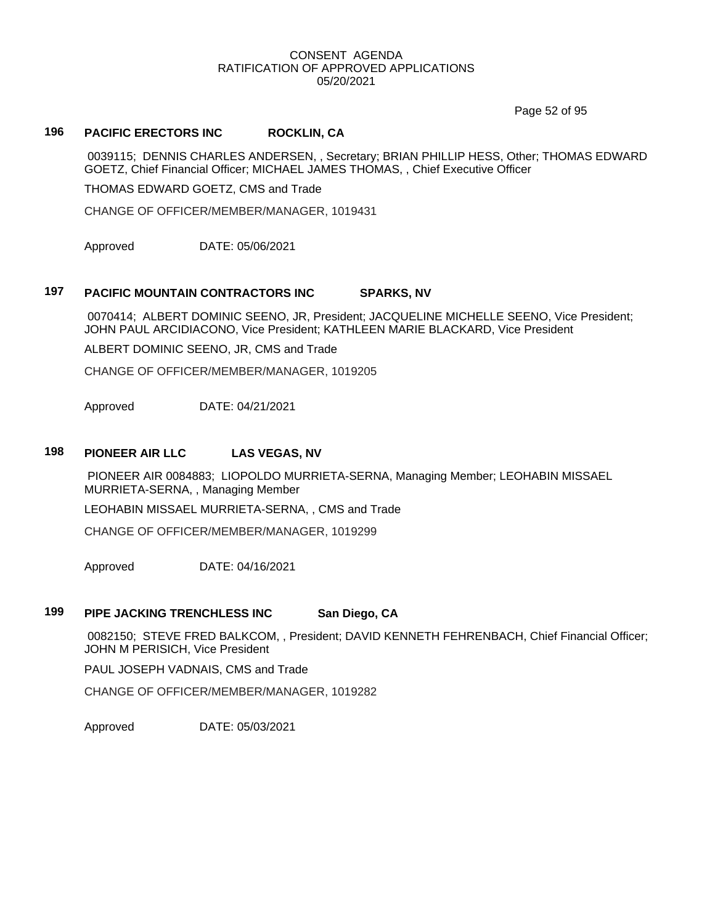Page 52 of 95

# **196 PACIFIC ERECTORS INC ROCKLIN, CA**

0039115; DENNIS CHARLES ANDERSEN, , Secretary; BRIAN PHILLIP HESS, Other; THOMAS EDWARD GOETZ, Chief Financial Officer; MICHAEL JAMES THOMAS, , Chief Executive Officer

THOMAS EDWARD GOETZ, CMS and Trade

CHANGE OF OFFICER/MEMBER/MANAGER, 1019431

Approved DATE: 05/06/2021

#### **197 PACIFIC MOUNTAIN CONTRACTORS INC SPARKS, NV**

0070414; ALBERT DOMINIC SEENO, JR, President; JACQUELINE MICHELLE SEENO, Vice President; JOHN PAUL ARCIDIACONO, Vice President; KATHLEEN MARIE BLACKARD, Vice President

ALBERT DOMINIC SEENO, JR, CMS and Trade

CHANGE OF OFFICER/MEMBER/MANAGER, 1019205

Approved DATE: 04/21/2021

#### **198 PIONEER AIR LLC LAS VEGAS, NV**

PIONEER AIR 0084883; LIOPOLDO MURRIETA-SERNA, Managing Member; LEOHABIN MISSAEL MURRIETA-SERNA, , Managing Member

LEOHABIN MISSAEL MURRIETA-SERNA, , CMS and Trade

CHANGE OF OFFICER/MEMBER/MANAGER, 1019299

Approved DATE: 04/16/2021

# **199 PIPE JACKING TRENCHLESS INC San Diego, CA**

0082150; STEVE FRED BALKCOM, , President; DAVID KENNETH FEHRENBACH, Chief Financial Officer; JOHN M PERISICH, Vice President

PAUL JOSEPH VADNAIS, CMS and Trade

CHANGE OF OFFICER/MEMBER/MANAGER, 1019282

Approved DATE: 05/03/2021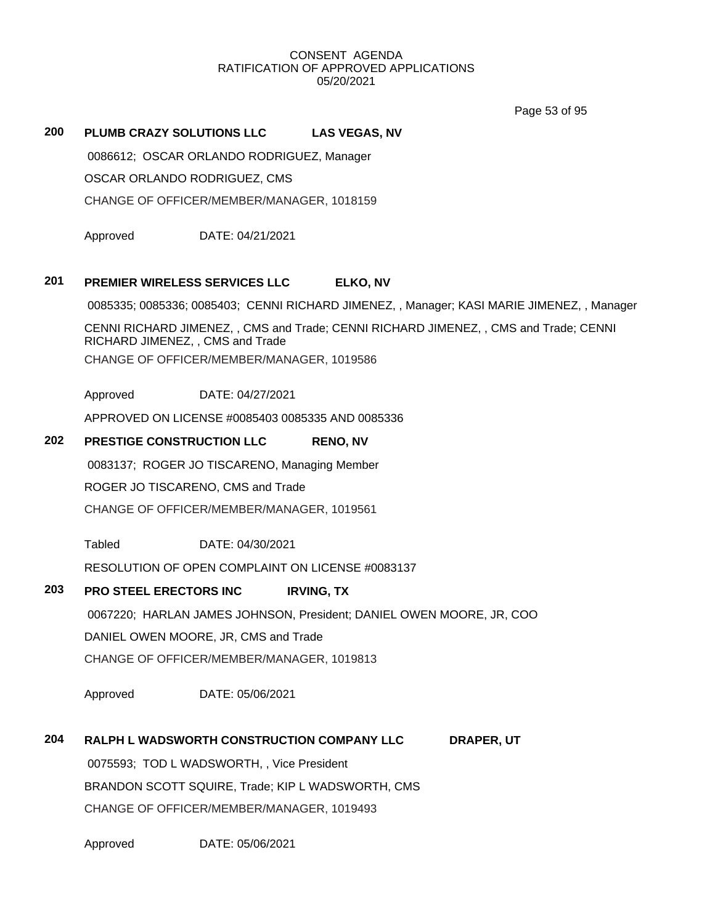Page 53 of 95

# **200 PLUMB CRAZY SOLUTIONS LLC LAS VEGAS, NV**

0086612; OSCAR ORLANDO RODRIGUEZ, Manager

OSCAR ORLANDO RODRIGUEZ, CMS

CHANGE OF OFFICER/MEMBER/MANAGER, 1018159

Approved DATE: 04/21/2021

# **201 PREMIER WIRELESS SERVICES LLC ELKO, NV**

0085335; 0085336; 0085403; CENNI RICHARD JIMENEZ, , Manager; KASI MARIE JIMENEZ, , Manager

CENNI RICHARD JIMENEZ, , CMS and Trade; CENNI RICHARD JIMENEZ, , CMS and Trade; CENNI RICHARD JIMENEZ, , CMS and Trade

CHANGE OF OFFICER/MEMBER/MANAGER, 1019586

Approved DATE: 04/27/2021

APPROVED ON LICENSE #0085403 0085335 AND 0085336

# **202 PRESTIGE CONSTRUCTION LLC RENO, NV**

0083137; ROGER JO TISCARENO, Managing Member

ROGER JO TISCARENO, CMS and Trade

CHANGE OF OFFICER/MEMBER/MANAGER, 1019561

Tabled DATE: 04/30/2021

RESOLUTION OF OPEN COMPLAINT ON LICENSE #0083137

# **203 PRO STEEL ERECTORS INC IRVING, TX**

0067220; HARLAN JAMES JOHNSON, President; DANIEL OWEN MOORE, JR, COO

DANIEL OWEN MOORE, JR, CMS and Trade

CHANGE OF OFFICER/MEMBER/MANAGER, 1019813

Approved DATE: 05/06/2021

# **204 RALPH L WADSWORTH CONSTRUCTION COMPANY LLC DRAPER, UT**

0075593; TOD L WADSWORTH, , Vice President BRANDON SCOTT SQUIRE, Trade; KIP L WADSWORTH, CMS CHANGE OF OFFICER/MEMBER/MANAGER, 1019493

Approved DATE: 05/06/2021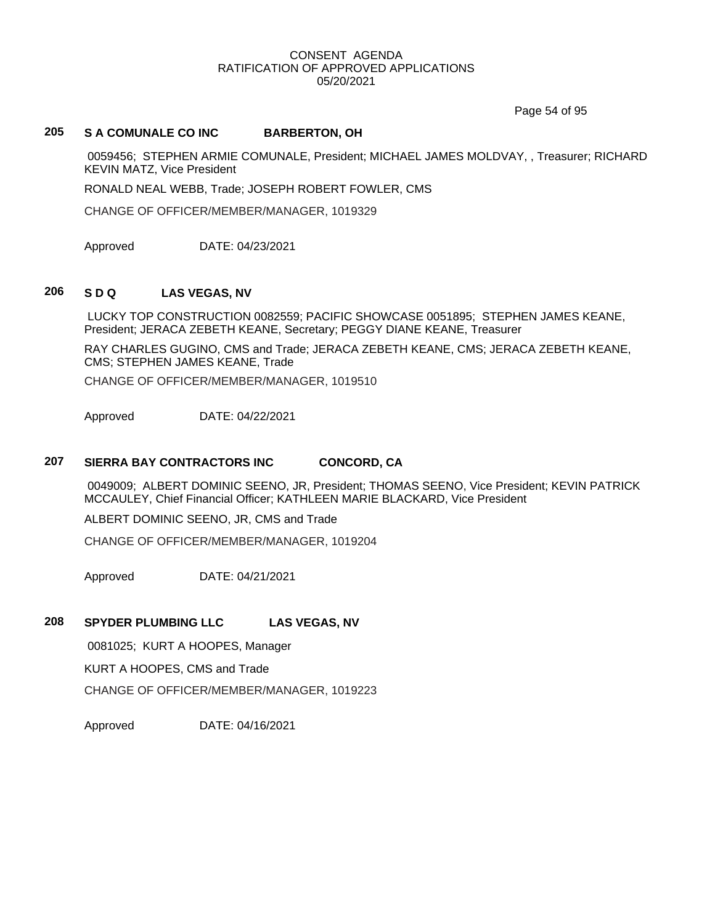Page 54 of 95

# **205 S A COMUNALE CO INC BARBERTON, OH**

0059456; STEPHEN ARMIE COMUNALE, President; MICHAEL JAMES MOLDVAY, , Treasurer; RICHARD KEVIN MATZ, Vice President

RONALD NEAL WEBB, Trade; JOSEPH ROBERT FOWLER, CMS

CHANGE OF OFFICER/MEMBER/MANAGER, 1019329

Approved DATE: 04/23/2021

# **206 S D Q LAS VEGAS, NV**

LUCKY TOP CONSTRUCTION 0082559; PACIFIC SHOWCASE 0051895; STEPHEN JAMES KEANE, President; JERACA ZEBETH KEANE, Secretary; PEGGY DIANE KEANE, Treasurer

RAY CHARLES GUGINO, CMS and Trade; JERACA ZEBETH KEANE, CMS; JERACA ZEBETH KEANE, CMS; STEPHEN JAMES KEANE, Trade

CHANGE OF OFFICER/MEMBER/MANAGER, 1019510

Approved DATE: 04/22/2021

# **207 SIERRA BAY CONTRACTORS INC CONCORD, CA**

0049009; ALBERT DOMINIC SEENO, JR, President; THOMAS SEENO, Vice President; KEVIN PATRICK MCCAULEY, Chief Financial Officer; KATHLEEN MARIE BLACKARD, Vice President

ALBERT DOMINIC SEENO, JR, CMS and Trade

CHANGE OF OFFICER/MEMBER/MANAGER, 1019204

Approved DATE: 04/21/2021

# **208 SPYDER PLUMBING LLC LAS VEGAS, NV**

0081025; KURT A HOOPES, Manager

KURT A HOOPES, CMS and Trade

CHANGE OF OFFICER/MEMBER/MANAGER, 1019223

Approved DATE: 04/16/2021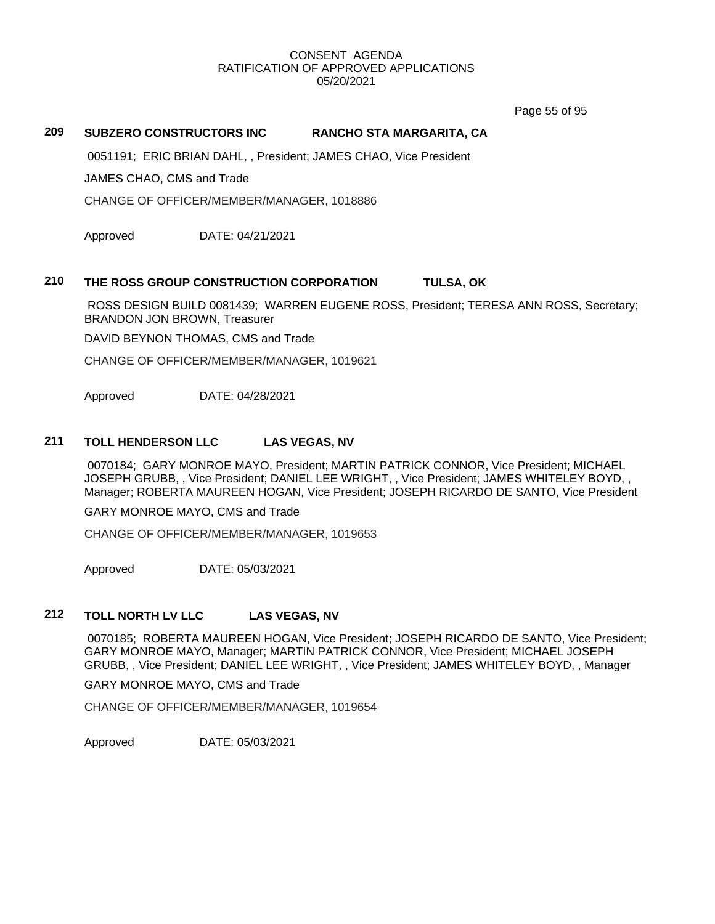Page 55 of 95

# **209 SUBZERO CONSTRUCTORS INC RANCHO STA MARGARITA, CA**

0051191; ERIC BRIAN DAHL, , President; JAMES CHAO, Vice President

JAMES CHAO, CMS and Trade

CHANGE OF OFFICER/MEMBER/MANAGER, 1018886

Approved DATE: 04/21/2021

#### **210 THE ROSS GROUP CONSTRUCTION CORPORATION TULSA, OK**

ROSS DESIGN BUILD 0081439; WARREN EUGENE ROSS, President; TERESA ANN ROSS, Secretary; BRANDON JON BROWN, Treasurer

DAVID BEYNON THOMAS, CMS and Trade

CHANGE OF OFFICER/MEMBER/MANAGER, 1019621

Approved DATE: 04/28/2021

# **211 TOLL HENDERSON LLC LAS VEGAS, NV**

0070184; GARY MONROE MAYO, President; MARTIN PATRICK CONNOR, Vice President; MICHAEL JOSEPH GRUBB, , Vice President; DANIEL LEE WRIGHT, , Vice President; JAMES WHITELEY BOYD, , Manager; ROBERTA MAUREEN HOGAN, Vice President; JOSEPH RICARDO DE SANTO, Vice President

GARY MONROE MAYO, CMS and Trade

CHANGE OF OFFICER/MEMBER/MANAGER, 1019653

Approved DATE: 05/03/2021

# **212 TOLL NORTH LV LLC LAS VEGAS, NV**

0070185; ROBERTA MAUREEN HOGAN, Vice President; JOSEPH RICARDO DE SANTO, Vice President; GARY MONROE MAYO, Manager; MARTIN PATRICK CONNOR, Vice President; MICHAEL JOSEPH GRUBB, , Vice President; DANIEL LEE WRIGHT, , Vice President; JAMES WHITELEY BOYD, , Manager

GARY MONROE MAYO, CMS and Trade

CHANGE OF OFFICER/MEMBER/MANAGER, 1019654

Approved DATE: 05/03/2021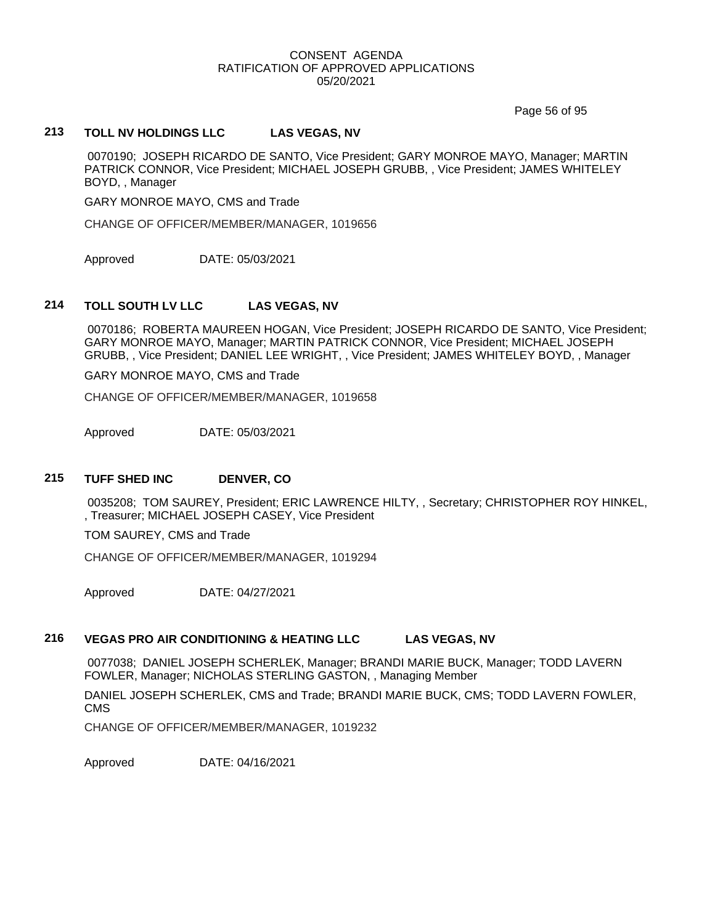Page 56 of 95

#### **213 TOLL NV HOLDINGS LLC LAS VEGAS, NV**

0070190; JOSEPH RICARDO DE SANTO, Vice President; GARY MONROE MAYO, Manager; MARTIN PATRICK CONNOR, Vice President; MICHAEL JOSEPH GRUBB, , Vice President; JAMES WHITELEY BOYD, , Manager

GARY MONROE MAYO, CMS and Trade

CHANGE OF OFFICER/MEMBER/MANAGER, 1019656

Approved DATE: 05/03/2021

#### **214 TOLL SOUTH LV LLC LAS VEGAS, NV**

0070186; ROBERTA MAUREEN HOGAN, Vice President; JOSEPH RICARDO DE SANTO, Vice President; GARY MONROE MAYO, Manager; MARTIN PATRICK CONNOR, Vice President; MICHAEL JOSEPH GRUBB, , Vice President; DANIEL LEE WRIGHT, , Vice President; JAMES WHITELEY BOYD, , Manager

GARY MONROE MAYO, CMS and Trade

CHANGE OF OFFICER/MEMBER/MANAGER, 1019658

Approved DATE: 05/03/2021

#### **215 TUFF SHED INC DENVER, CO**

0035208; TOM SAUREY, President; ERIC LAWRENCE HILTY, , Secretary; CHRISTOPHER ROY HINKEL, , Treasurer; MICHAEL JOSEPH CASEY, Vice President

TOM SAUREY, CMS and Trade

CHANGE OF OFFICER/MEMBER/MANAGER, 1019294

Approved DATE: 04/27/2021

# **216 VEGAS PRO AIR CONDITIONING & HEATING LLC LAS VEGAS, NV**

0077038; DANIEL JOSEPH SCHERLEK, Manager; BRANDI MARIE BUCK, Manager; TODD LAVERN FOWLER, Manager; NICHOLAS STERLING GASTON, , Managing Member

DANIEL JOSEPH SCHERLEK, CMS and Trade; BRANDI MARIE BUCK, CMS; TODD LAVERN FOWLER, CMS

CHANGE OF OFFICER/MEMBER/MANAGER, 1019232

Approved DATE: 04/16/2021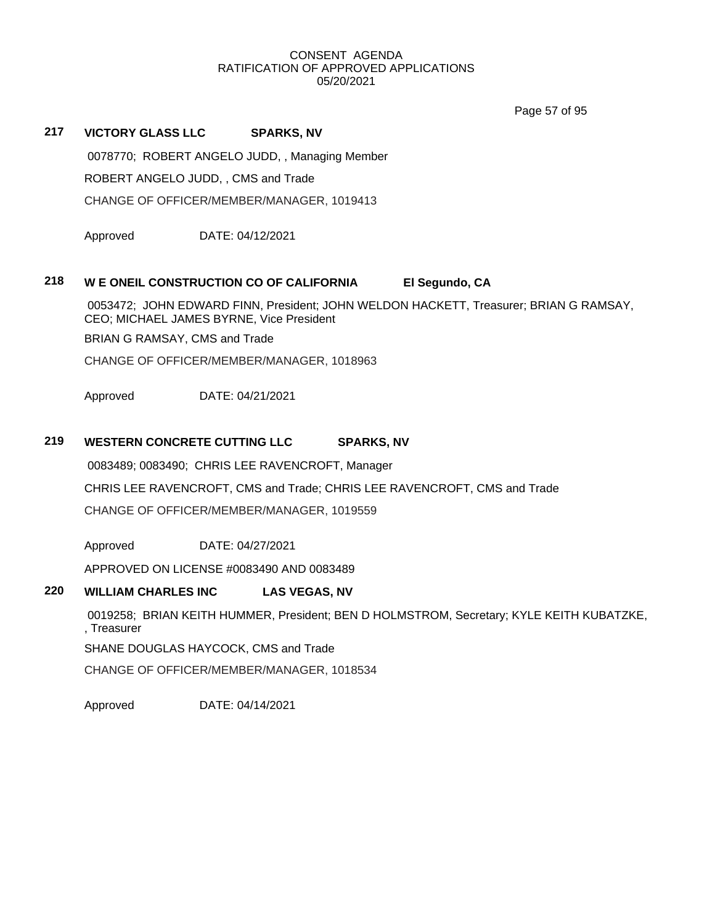Page 57 of 95

0078770; ROBERT ANGELO JUDD, , Managing Member ROBERT ANGELO JUDD, , CMS and Trade CHANGE OF OFFICER/MEMBER/MANAGER, 1019413 Approved DATE: 04/12/2021

# **218 W E ONEIL CONSTRUCTION CO OF CALIFORNIA El Segundo, CA**

0053472; JOHN EDWARD FINN, President; JOHN WELDON HACKETT, Treasurer; BRIAN G RAMSAY, CEO; MICHAEL JAMES BYRNE, Vice President

BRIAN G RAMSAY, CMS and Trade

**217 VICTORY GLASS LLC SPARKS, NV**

CHANGE OF OFFICER/MEMBER/MANAGER, 1018963

Approved DATE: 04/21/2021

# **219 WESTERN CONCRETE CUTTING LLC SPARKS, NV**

0083489; 0083490; CHRIS LEE RAVENCROFT, Manager

CHRIS LEE RAVENCROFT, CMS and Trade; CHRIS LEE RAVENCROFT, CMS and Trade

CHANGE OF OFFICER/MEMBER/MANAGER, 1019559

Approved DATE: 04/27/2021

APPROVED ON LICENSE #0083490 AND 0083489

# **220 WILLIAM CHARLES INC LAS VEGAS, NV**

0019258; BRIAN KEITH HUMMER, President; BEN D HOLMSTROM, Secretary; KYLE KEITH KUBATZKE, , Treasurer

SHANE DOUGLAS HAYCOCK, CMS and Trade

CHANGE OF OFFICER/MEMBER/MANAGER, 1018534

Approved DATE: 04/14/2021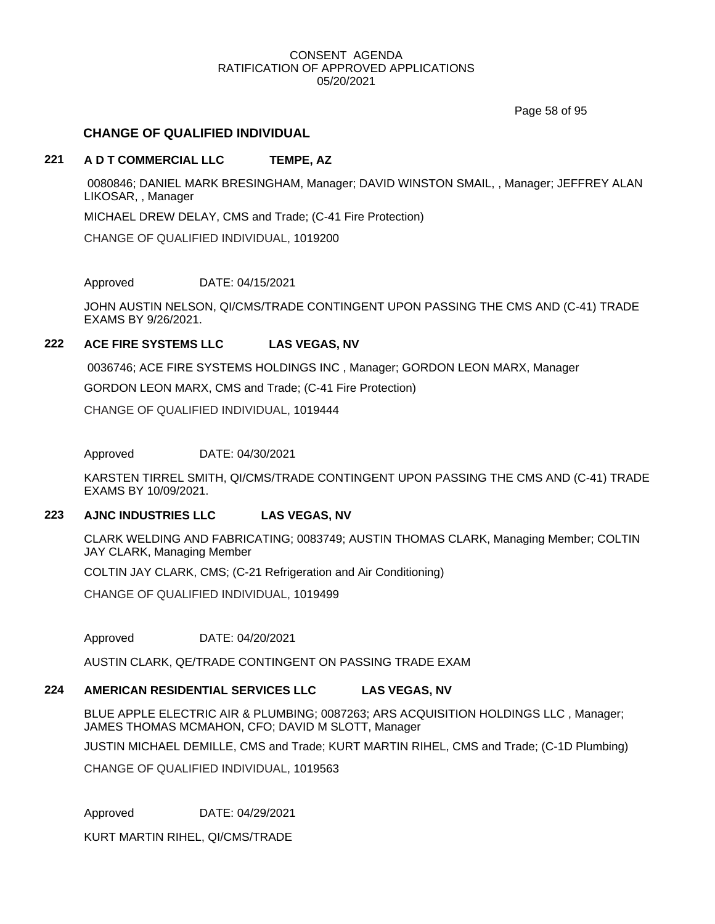Page 58 of 95

# **CHANGE OF QUALIFIED INDIVIDUAL**

# **221 A D T COMMERCIAL LLC TEMPE, AZ**

0080846; DANIEL MARK BRESINGHAM, Manager; DAVID WINSTON SMAIL, , Manager; JEFFREY ALAN LIKOSAR, , Manager

MICHAEL DREW DELAY, CMS and Trade; (C-41 Fire Protection)

CHANGE OF QUALIFIED INDIVIDUAL, 1019200

Approved DATE: 04/15/2021

JOHN AUSTIN NELSON, QI/CMS/TRADE CONTINGENT UPON PASSING THE CMS AND (C-41) TRADE EXAMS BY 9/26/2021.

## **222 ACE FIRE SYSTEMS LLC LAS VEGAS, NV**

0036746; ACE FIRE SYSTEMS HOLDINGS INC , Manager; GORDON LEON MARX, Manager

GORDON LEON MARX, CMS and Trade; (C-41 Fire Protection)

CHANGE OF QUALIFIED INDIVIDUAL, 1019444

Approved DATE: 04/30/2021

KARSTEN TIRREL SMITH, QI/CMS/TRADE CONTINGENT UPON PASSING THE CMS AND (C-41) TRADE EXAMS BY 10/09/2021.

# **223 AJNC INDUSTRIES LLC LAS VEGAS, NV**

CLARK WELDING AND FABRICATING; 0083749; AUSTIN THOMAS CLARK, Managing Member; COLTIN JAY CLARK, Managing Member

COLTIN JAY CLARK, CMS; (C-21 Refrigeration and Air Conditioning)

CHANGE OF QUALIFIED INDIVIDUAL, 1019499

Approved DATE: 04/20/2021

AUSTIN CLARK, QE/TRADE CONTINGENT ON PASSING TRADE EXAM

# **224 AMERICAN RESIDENTIAL SERVICES LLC LAS VEGAS, NV**

BLUE APPLE ELECTRIC AIR & PLUMBING; 0087263; ARS ACQUISITION HOLDINGS LLC , Manager; JAMES THOMAS MCMAHON, CFO; DAVID M SLOTT, Manager

JUSTIN MICHAEL DEMILLE, CMS and Trade; KURT MARTIN RIHEL, CMS and Trade; (C-1D Plumbing)

CHANGE OF QUALIFIED INDIVIDUAL, 1019563

Approved DATE: 04/29/2021

KURT MARTIN RIHEL, QI/CMS/TRADE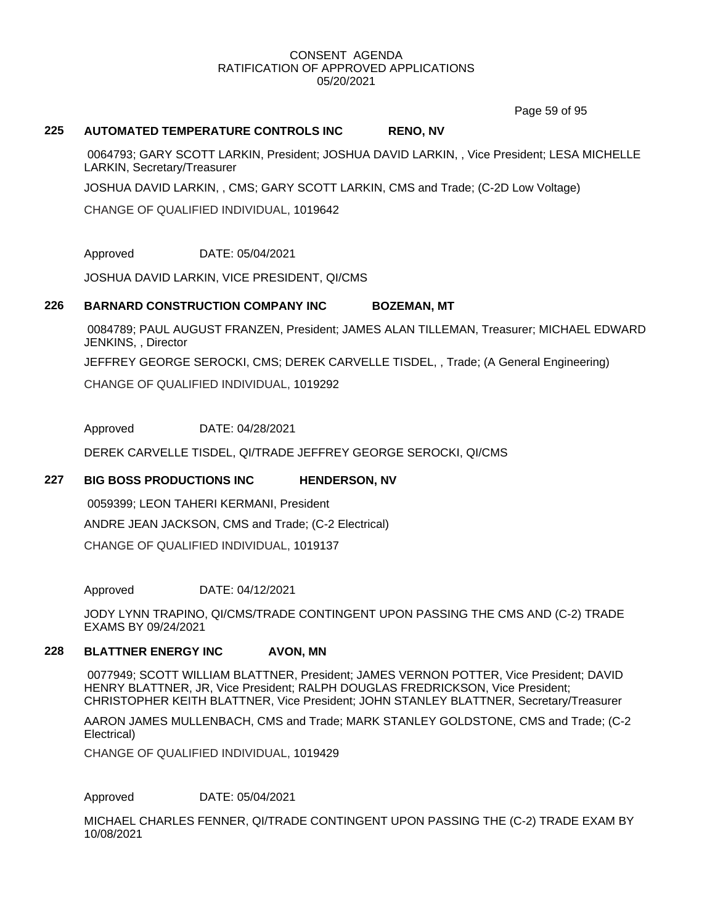Page 59 of 95

## **225 AUTOMATED TEMPERATURE CONTROLS INC RENO, NV**

0064793; GARY SCOTT LARKIN, President; JOSHUA DAVID LARKIN, , Vice President; LESA MICHELLE LARKIN, Secretary/Treasurer

JOSHUA DAVID LARKIN, , CMS; GARY SCOTT LARKIN, CMS and Trade; (C-2D Low Voltage)

CHANGE OF QUALIFIED INDIVIDUAL, 1019642

Approved DATE: 05/04/2021

JOSHUA DAVID LARKIN, VICE PRESIDENT, QI/CMS

## **226 BARNARD CONSTRUCTION COMPANY INC BOZEMAN, MT**

0084789; PAUL AUGUST FRANZEN, President; JAMES ALAN TILLEMAN, Treasurer; MICHAEL EDWARD JENKINS, , Director

JEFFREY GEORGE SEROCKI, CMS; DEREK CARVELLE TISDEL, , Trade; (A General Engineering)

CHANGE OF QUALIFIED INDIVIDUAL, 1019292

Approved DATE: 04/28/2021

DEREK CARVELLE TISDEL, QI/TRADE JEFFREY GEORGE SEROCKI, QI/CMS

# **227 BIG BOSS PRODUCTIONS INC HENDERSON, NV**

0059399; LEON TAHERI KERMANI, President ANDRE JEAN JACKSON, CMS and Trade; (C-2 Electrical)

CHANGE OF QUALIFIED INDIVIDUAL, 1019137

Approved DATE: 04/12/2021

JODY LYNN TRAPINO, QI/CMS/TRADE CONTINGENT UPON PASSING THE CMS AND (C-2) TRADE EXAMS BY 09/24/2021

# **228 BLATTNER ENERGY INC AVON, MN**

0077949; SCOTT WILLIAM BLATTNER, President; JAMES VERNON POTTER, Vice President; DAVID HENRY BLATTNER, JR, Vice President; RALPH DOUGLAS FREDRICKSON, Vice President; CHRISTOPHER KEITH BLATTNER, Vice President; JOHN STANLEY BLATTNER, Secretary/Treasurer

AARON JAMES MULLENBACH, CMS and Trade; MARK STANLEY GOLDSTONE, CMS and Trade; (C-2 Electrical)

CHANGE OF QUALIFIED INDIVIDUAL, 1019429

Approved DATE: 05/04/2021

MICHAEL CHARLES FENNER, QI/TRADE CONTINGENT UPON PASSING THE (C-2) TRADE EXAM BY 10/08/2021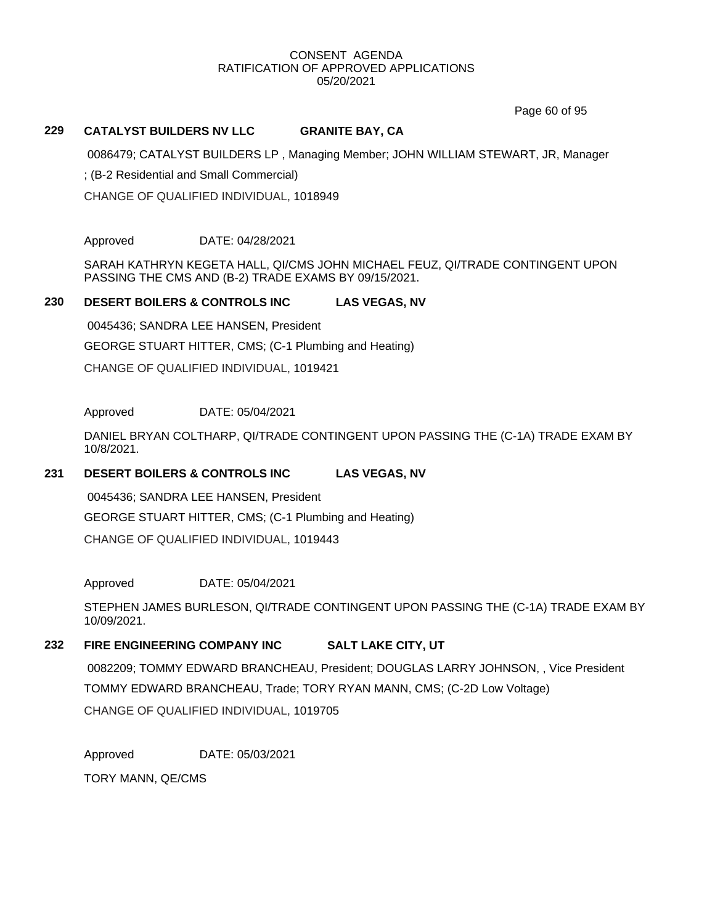Page 60 of 95

#### **229 CATALYST BUILDERS NV LLC GRANITE BAY, CA**

0086479; CATALYST BUILDERS LP , Managing Member; JOHN WILLIAM STEWART, JR, Manager

; (B-2 Residential and Small Commercial)

CHANGE OF QUALIFIED INDIVIDUAL, 1018949

Approved DATE: 04/28/2021

SARAH KATHRYN KEGETA HALL, QI/CMS JOHN MICHAEL FEUZ, QI/TRADE CONTINGENT UPON PASSING THE CMS AND (B-2) TRADE EXAMS BY 09/15/2021.

#### **230 DESERT BOILERS & CONTROLS INC LAS VEGAS, NV**

0045436; SANDRA LEE HANSEN, President GEORGE STUART HITTER, CMS; (C-1 Plumbing and Heating) CHANGE OF QUALIFIED INDIVIDUAL, 1019421

#### Approved DATE: 05/04/2021

DANIEL BRYAN COLTHARP, QI/TRADE CONTINGENT UPON PASSING THE (C-1A) TRADE EXAM BY 10/8/2021.

#### **231 DESERT BOILERS & CONTROLS INC LAS VEGAS, NV**

0045436; SANDRA LEE HANSEN, President GEORGE STUART HITTER, CMS; (C-1 Plumbing and Heating) CHANGE OF QUALIFIED INDIVIDUAL, 1019443

Approved DATE: 05/04/2021

STEPHEN JAMES BURLESON, QI/TRADE CONTINGENT UPON PASSING THE (C-1A) TRADE EXAM BY 10/09/2021.

# **232 FIRE ENGINEERING COMPANY INC SALT LAKE CITY, UT**

0082209; TOMMY EDWARD BRANCHEAU, President; DOUGLAS LARRY JOHNSON, , Vice President TOMMY EDWARD BRANCHEAU, Trade; TORY RYAN MANN, CMS; (C-2D Low Voltage) CHANGE OF QUALIFIED INDIVIDUAL, 1019705

Approved DATE: 05/03/2021

TORY MANN, QE/CMS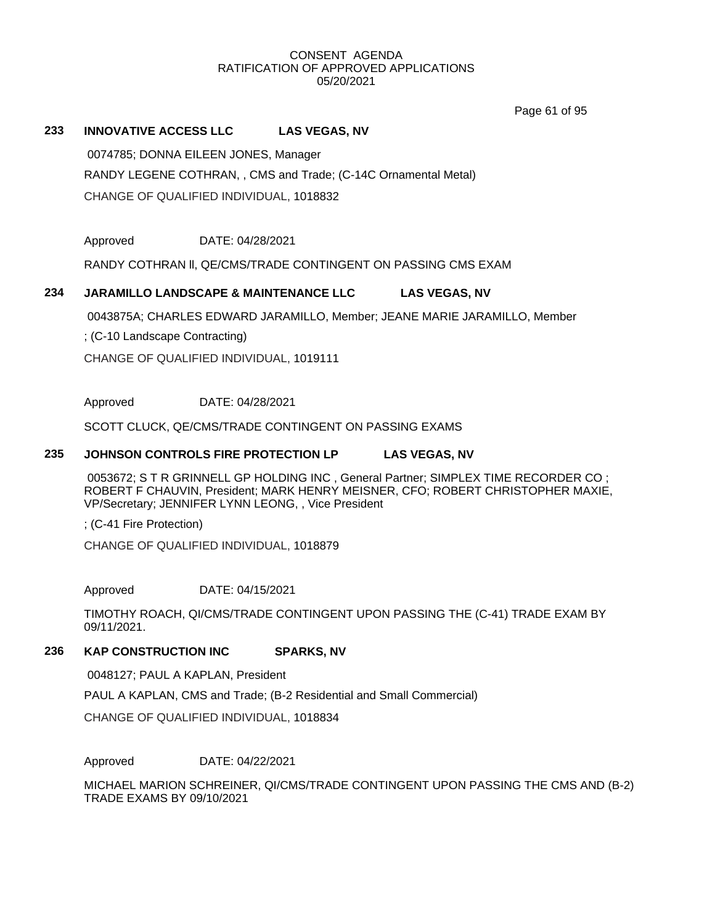Page 61 of 95

# **233 INNOVATIVE ACCESS LLC LAS VEGAS, NV**

0074785; DONNA EILEEN JONES, Manager RANDY LEGENE COTHRAN, , CMS and Trade; (C-14C Ornamental Metal)

CHANGE OF QUALIFIED INDIVIDUAL, 1018832

Approved DATE: 04/28/2021

RANDY COTHRAN ll, QE/CMS/TRADE CONTINGENT ON PASSING CMS EXAM

# **234 JARAMILLO LANDSCAPE & MAINTENANCE LLC LAS VEGAS, NV**

0043875A; CHARLES EDWARD JARAMILLO, Member; JEANE MARIE JARAMILLO, Member

; (C-10 Landscape Contracting)

CHANGE OF QUALIFIED INDIVIDUAL, 1019111

## Approved DATE: 04/28/2021

SCOTT CLUCK, QE/CMS/TRADE CONTINGENT ON PASSING EXAMS

#### **235 JOHNSON CONTROLS FIRE PROTECTION LP LAS VEGAS, NV**

0053672; S T R GRINNELL GP HOLDING INC , General Partner; SIMPLEX TIME RECORDER CO ; ROBERT F CHAUVIN, President; MARK HENRY MEISNER, CFO; ROBERT CHRISTOPHER MAXIE, VP/Secretary; JENNIFER LYNN LEONG, , Vice President

; (C-41 Fire Protection)

CHANGE OF QUALIFIED INDIVIDUAL, 1018879

Approved DATE: 04/15/2021

TIMOTHY ROACH, QI/CMS/TRADE CONTINGENT UPON PASSING THE (C-41) TRADE EXAM BY 09/11/2021.

# **236 KAP CONSTRUCTION INC SPARKS, NV**

0048127; PAUL A KAPLAN, President

PAUL A KAPLAN, CMS and Trade; (B-2 Residential and Small Commercial)

CHANGE OF QUALIFIED INDIVIDUAL, 1018834

Approved DATE: 04/22/2021

MICHAEL MARION SCHREINER, QI/CMS/TRADE CONTINGENT UPON PASSING THE CMS AND (B-2) TRADE EXAMS BY 09/10/2021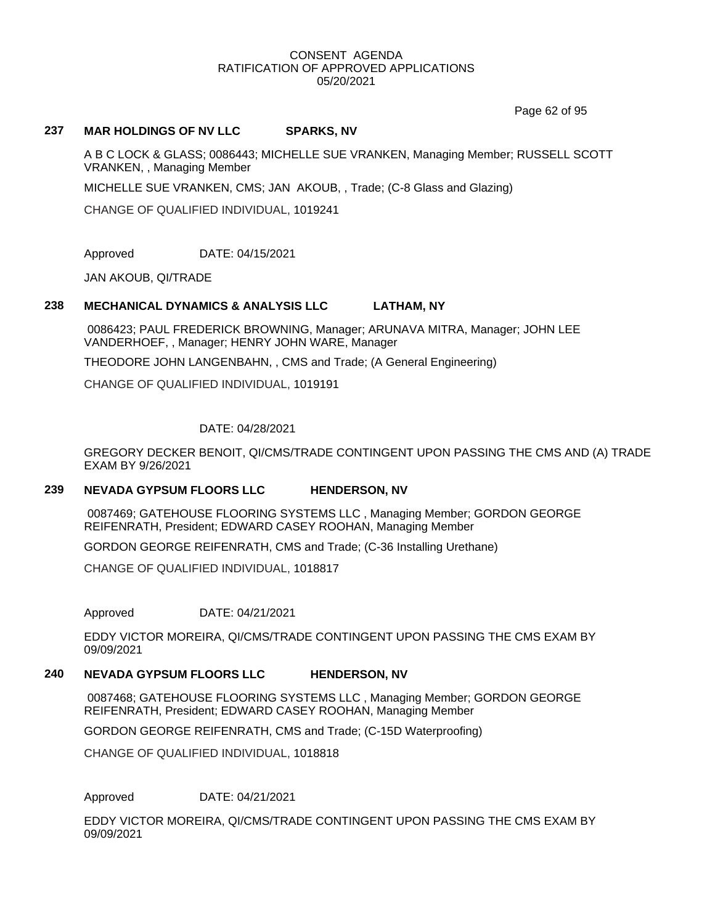Page 62 of 95

# **237 MAR HOLDINGS OF NV LLC SPARKS, NV**

A B C LOCK & GLASS; 0086443; MICHELLE SUE VRANKEN, Managing Member; RUSSELL SCOTT VRANKEN, , Managing Member

MICHELLE SUE VRANKEN, CMS; JAN AKOUB, , Trade; (C-8 Glass and Glazing)

CHANGE OF QUALIFIED INDIVIDUAL, 1019241

Approved DATE: 04/15/2021

JAN AKOUB, QI/TRADE

#### **238 MECHANICAL DYNAMICS & ANALYSIS LLC LATHAM, NY**

0086423; PAUL FREDERICK BROWNING, Manager; ARUNAVA MITRA, Manager; JOHN LEE VANDERHOEF, , Manager; HENRY JOHN WARE, Manager

THEODORE JOHN LANGENBAHN, , CMS and Trade; (A General Engineering)

CHANGE OF QUALIFIED INDIVIDUAL, 1019191

#### DATE: 04/28/2021

GREGORY DECKER BENOIT, QI/CMS/TRADE CONTINGENT UPON PASSING THE CMS AND (A) TRADE EXAM BY 9/26/2021

# **239 NEVADA GYPSUM FLOORS LLC HENDERSON, NV**

0087469; GATEHOUSE FLOORING SYSTEMS LLC , Managing Member; GORDON GEORGE REIFENRATH, President; EDWARD CASEY ROOHAN, Managing Member

GORDON GEORGE REIFENRATH, CMS and Trade; (C-36 Installing Urethane)

CHANGE OF QUALIFIED INDIVIDUAL, 1018817

Approved DATE: 04/21/2021

EDDY VICTOR MOREIRA, QI/CMS/TRADE CONTINGENT UPON PASSING THE CMS EXAM BY 09/09/2021

# **240 NEVADA GYPSUM FLOORS LLC HENDERSON, NV**

0087468; GATEHOUSE FLOORING SYSTEMS LLC , Managing Member; GORDON GEORGE REIFENRATH, President; EDWARD CASEY ROOHAN, Managing Member

GORDON GEORGE REIFENRATH, CMS and Trade; (C-15D Waterproofing)

CHANGE OF QUALIFIED INDIVIDUAL, 1018818

Approved DATE: 04/21/2021

EDDY VICTOR MOREIRA, QI/CMS/TRADE CONTINGENT UPON PASSING THE CMS EXAM BY 09/09/2021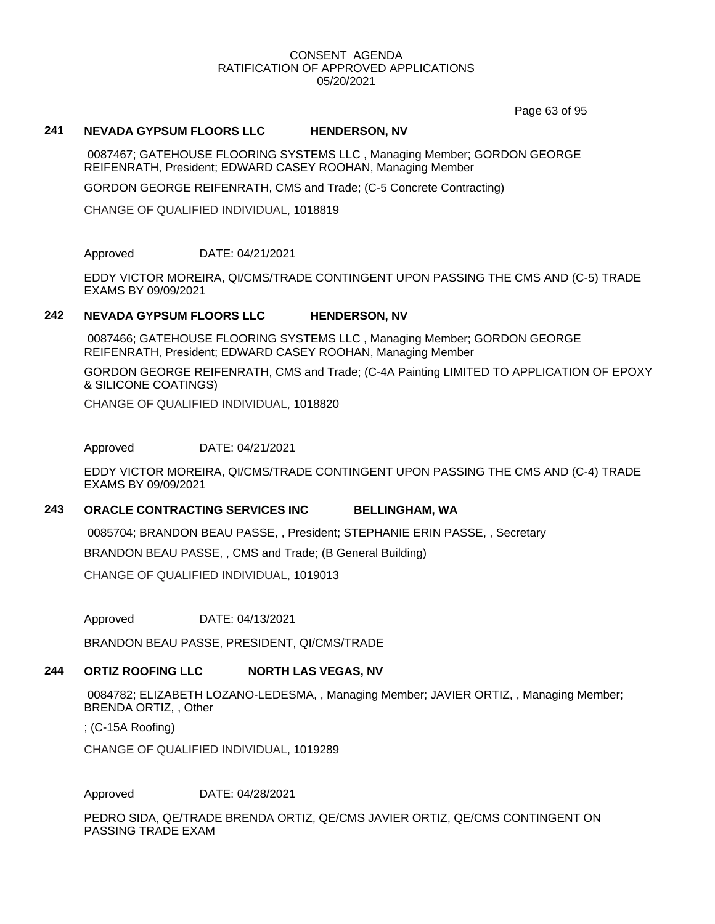Page 63 of 95

#### **241 NEVADA GYPSUM FLOORS LLC HENDERSON, NV**

0087467; GATEHOUSE FLOORING SYSTEMS LLC , Managing Member; GORDON GEORGE REIFENRATH, President; EDWARD CASEY ROOHAN, Managing Member

GORDON GEORGE REIFENRATH, CMS and Trade; (C-5 Concrete Contracting)

CHANGE OF QUALIFIED INDIVIDUAL, 1018819

Approved DATE: 04/21/2021

EDDY VICTOR MOREIRA, QI/CMS/TRADE CONTINGENT UPON PASSING THE CMS AND (C-5) TRADE EXAMS BY 09/09/2021

#### **242 NEVADA GYPSUM FLOORS LLC HENDERSON, NV**

0087466; GATEHOUSE FLOORING SYSTEMS LLC , Managing Member; GORDON GEORGE REIFENRATH, President; EDWARD CASEY ROOHAN, Managing Member

GORDON GEORGE REIFENRATH, CMS and Trade; (C-4A Painting LIMITED TO APPLICATION OF EPOXY & SILICONE COATINGS)

CHANGE OF QUALIFIED INDIVIDUAL, 1018820

Approved DATE: 04/21/2021

EDDY VICTOR MOREIRA, QI/CMS/TRADE CONTINGENT UPON PASSING THE CMS AND (C-4) TRADE EXAMS BY 09/09/2021

#### **243 ORACLE CONTRACTING SERVICES INC BELLINGHAM, WA**

0085704; BRANDON BEAU PASSE, , President; STEPHANIE ERIN PASSE, , Secretary BRANDON BEAU PASSE, , CMS and Trade; (B General Building)

CHANGE OF QUALIFIED INDIVIDUAL, 1019013

Approved DATE: 04/13/2021

BRANDON BEAU PASSE, PRESIDENT, QI/CMS/TRADE

# **244 ORTIZ ROOFING LLC NORTH LAS VEGAS, NV**

0084782; ELIZABETH LOZANO-LEDESMA, , Managing Member; JAVIER ORTIZ, , Managing Member; BRENDA ORTIZ, , Other

; (C-15A Roofing)

CHANGE OF QUALIFIED INDIVIDUAL, 1019289

Approved DATE: 04/28/2021

PEDRO SIDA, QE/TRADE BRENDA ORTIZ, QE/CMS JAVIER ORTIZ, QE/CMS CONTINGENT ON PASSING TRADE EXAM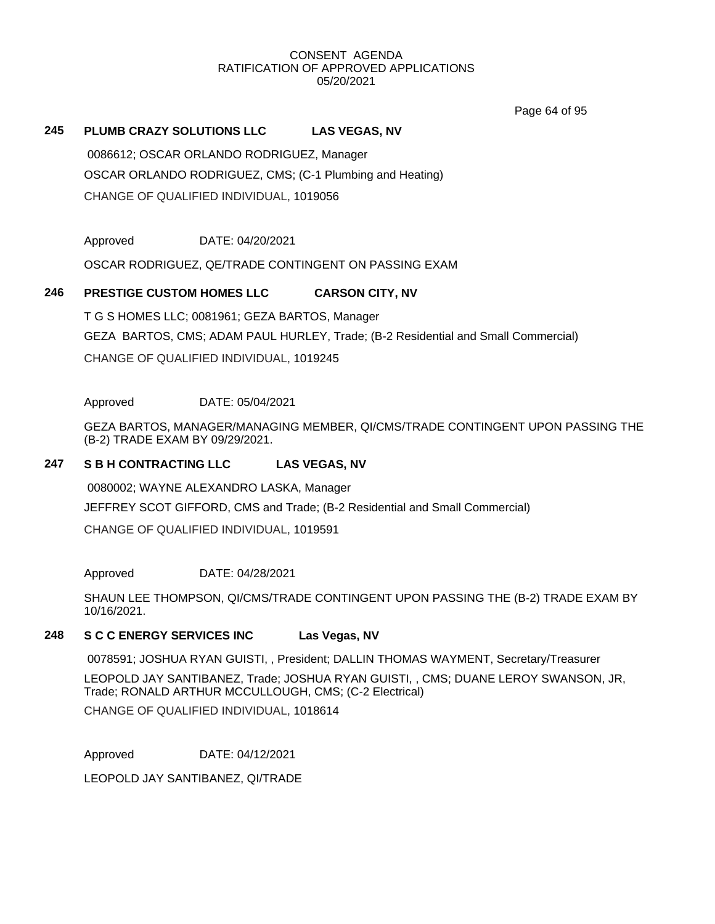Page 64 of 95

## **245 PLUMB CRAZY SOLUTIONS LLC LAS VEGAS, NV**

0086612; OSCAR ORLANDO RODRIGUEZ, Manager OSCAR ORLANDO RODRIGUEZ, CMS; (C-1 Plumbing and Heating) CHANGE OF QUALIFIED INDIVIDUAL, 1019056

Approved DATE: 04/20/2021

OSCAR RODRIGUEZ, QE/TRADE CONTINGENT ON PASSING EXAM

## **246 PRESTIGE CUSTOM HOMES LLC CARSON CITY, NV**

T G S HOMES LLC; 0081961; GEZA BARTOS, Manager GEZA BARTOS, CMS; ADAM PAUL HURLEY, Trade; (B-2 Residential and Small Commercial) CHANGE OF QUALIFIED INDIVIDUAL, 1019245

Approved DATE: 05/04/2021

GEZA BARTOS, MANAGER/MANAGING MEMBER, QI/CMS/TRADE CONTINGENT UPON PASSING THE (B-2) TRADE EXAM BY 09/29/2021.

# **247 S B H CONTRACTING LLC LAS VEGAS, NV**

0080002; WAYNE ALEXANDRO LASKA, Manager JEFFREY SCOT GIFFORD, CMS and Trade; (B-2 Residential and Small Commercial) CHANGE OF QUALIFIED INDIVIDUAL, 1019591

Approved DATE: 04/28/2021

SHAUN LEE THOMPSON, QI/CMS/TRADE CONTINGENT UPON PASSING THE (B-2) TRADE EXAM BY 10/16/2021.

# **248 S C C ENERGY SERVICES INC Las Vegas, NV**

0078591; JOSHUA RYAN GUISTI, , President; DALLIN THOMAS WAYMENT, Secretary/Treasurer

LEOPOLD JAY SANTIBANEZ, Trade; JOSHUA RYAN GUISTI, , CMS; DUANE LEROY SWANSON, JR, Trade; RONALD ARTHUR MCCULLOUGH, CMS; (C-2 Electrical)

CHANGE OF QUALIFIED INDIVIDUAL, 1018614

Approved DATE: 04/12/2021

LEOPOLD JAY SANTIBANEZ, QI/TRADE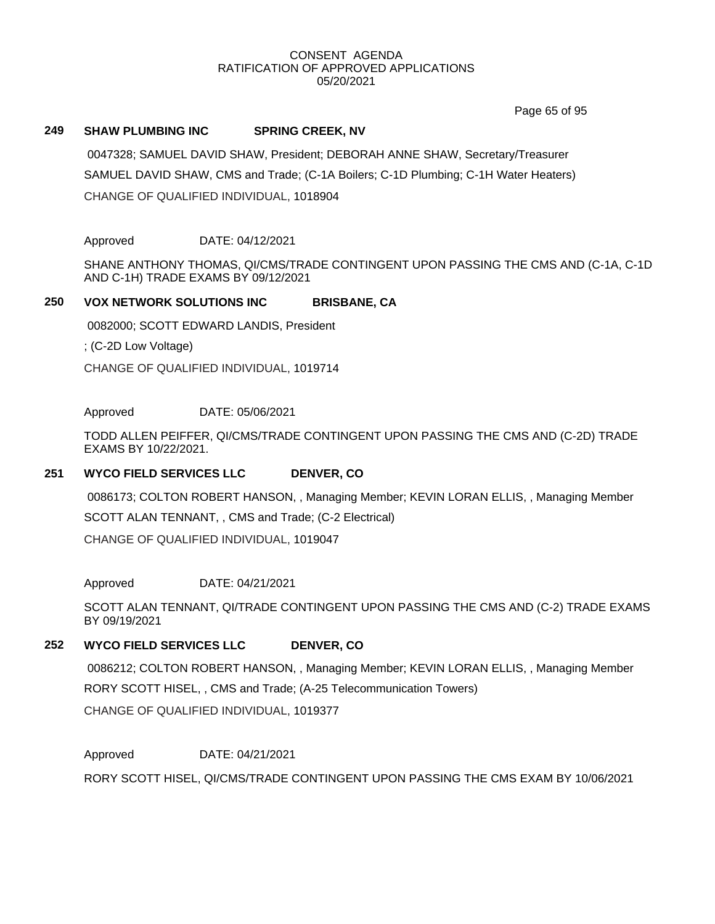Page 65 of 95

## **249 SHAW PLUMBING INC SPRING CREEK, NV**

0047328; SAMUEL DAVID SHAW, President; DEBORAH ANNE SHAW, Secretary/Treasurer SAMUEL DAVID SHAW, CMS and Trade; (C-1A Boilers; C-1D Plumbing; C-1H Water Heaters) CHANGE OF QUALIFIED INDIVIDUAL, 1018904

Approved DATE: 04/12/2021

SHANE ANTHONY THOMAS, QI/CMS/TRADE CONTINGENT UPON PASSING THE CMS AND (C-1A, C-1D AND C-1H) TRADE EXAMS BY 09/12/2021

#### **250 VOX NETWORK SOLUTIONS INC BRISBANE, CA**

0082000; SCOTT EDWARD LANDIS, President

; (C-2D Low Voltage)

CHANGE OF QUALIFIED INDIVIDUAL, 1019714

Approved DATE: 05/06/2021

TODD ALLEN PEIFFER, QI/CMS/TRADE CONTINGENT UPON PASSING THE CMS AND (C-2D) TRADE EXAMS BY 10/22/2021.

# **251 WYCO FIELD SERVICES LLC DENVER, CO**

0086173; COLTON ROBERT HANSON, , Managing Member; KEVIN LORAN ELLIS, , Managing Member SCOTT ALAN TENNANT, , CMS and Trade; (C-2 Electrical)

CHANGE OF QUALIFIED INDIVIDUAL, 1019047

Approved DATE: 04/21/2021

SCOTT ALAN TENNANT, QI/TRADE CONTINGENT UPON PASSING THE CMS AND (C-2) TRADE EXAMS BY 09/19/2021

# **252 WYCO FIELD SERVICES LLC DENVER, CO**

0086212; COLTON ROBERT HANSON, , Managing Member; KEVIN LORAN ELLIS, , Managing Member RORY SCOTT HISEL, , CMS and Trade; (A-25 Telecommunication Towers) CHANGE OF QUALIFIED INDIVIDUAL, 1019377

Approved DATE: 04/21/2021

RORY SCOTT HISEL, QI/CMS/TRADE CONTINGENT UPON PASSING THE CMS EXAM BY 10/06/2021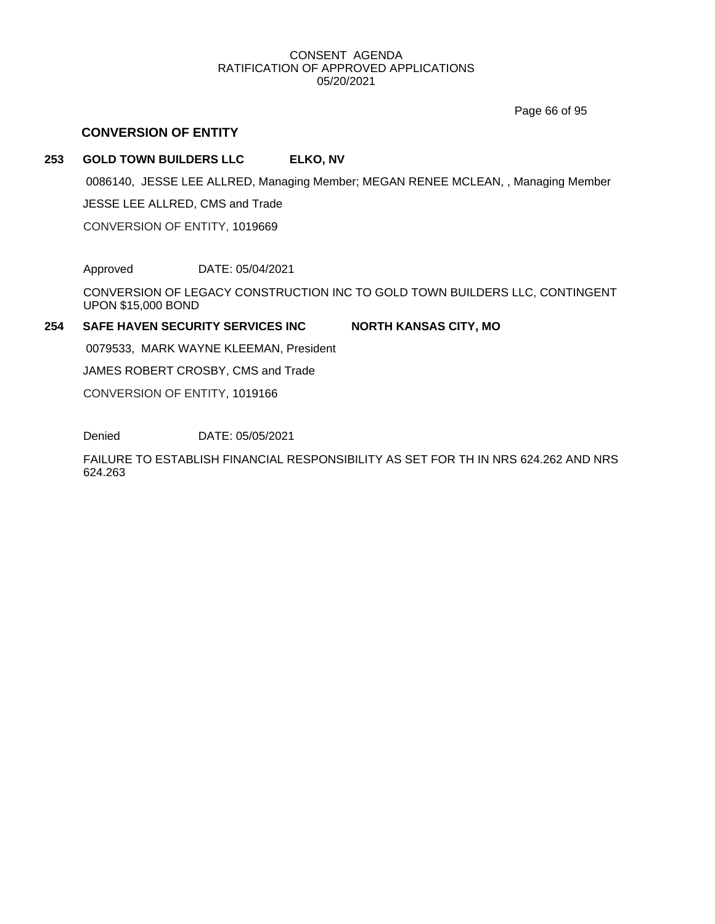Page 66 of 95

# **CONVERSION OF ENTITY**

# **253 GOLD TOWN BUILDERS LLC ELKO, NV**

0086140, JESSE LEE ALLRED, Managing Member; MEGAN RENEE MCLEAN, , Managing Member

JESSE LEE ALLRED, CMS and Trade

CONVERSION OF ENTITY, 1019669

Approved DATE: 05/04/2021

CONVERSION OF LEGACY CONSTRUCTION INC TO GOLD TOWN BUILDERS LLC, CONTINGENT UPON \$15,000 BOND

#### **254 SAFE HAVEN SECURITY SERVICES INC NORTH KANSAS CITY, MO**

0079533, MARK WAYNE KLEEMAN, President

JAMES ROBERT CROSBY, CMS and Trade

CONVERSION OF ENTITY, 1019166

Denied DATE: 05/05/2021

FAILURE TO ESTABLISH FINANCIAL RESPONSIBILITY AS SET FOR TH IN NRS 624.262 AND NRS 624.263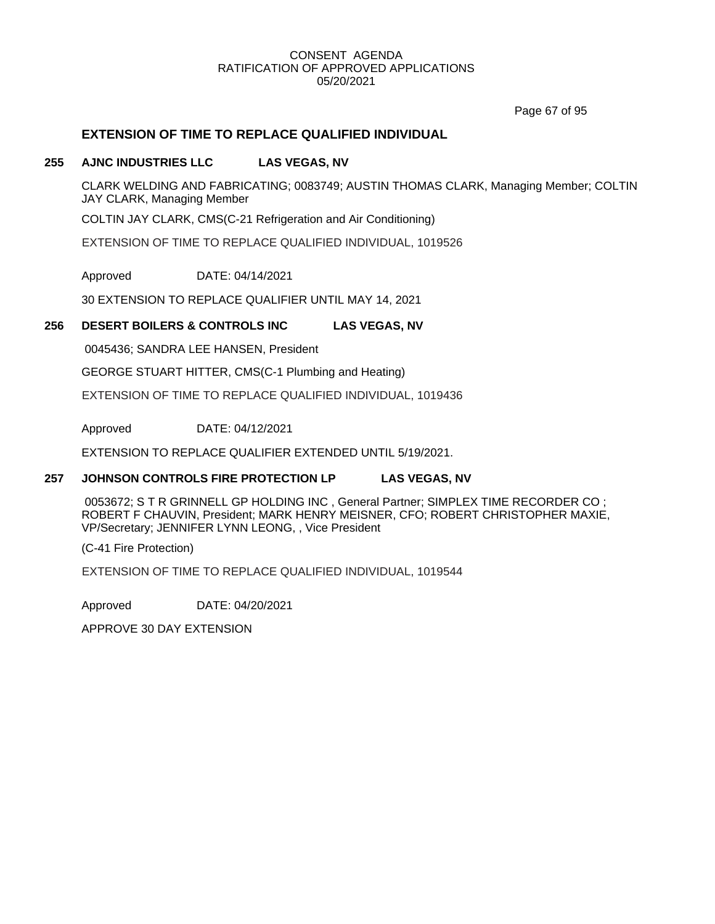Page 67 of 95

# **EXTENSION OF TIME TO REPLACE QUALIFIED INDIVIDUAL**

#### **255 AJNC INDUSTRIES LLC LAS VEGAS, NV**

CLARK WELDING AND FABRICATING; 0083749; AUSTIN THOMAS CLARK, Managing Member; COLTIN JAY CLARK, Managing Member

COLTIN JAY CLARK, CMS(C-21 Refrigeration and Air Conditioning)

EXTENSION OF TIME TO REPLACE QUALIFIED INDIVIDUAL, 1019526

Approved DATE: 04/14/2021

30 EXTENSION TO REPLACE QUALIFIER UNTIL MAY 14, 2021

#### **256 DESERT BOILERS & CONTROLS INC LAS VEGAS, NV**

0045436; SANDRA LEE HANSEN, President

GEORGE STUART HITTER, CMS(C-1 Plumbing and Heating)

EXTENSION OF TIME TO REPLACE QUALIFIED INDIVIDUAL, 1019436

Approved DATE: 04/12/2021

EXTENSION TO REPLACE QUALIFIER EXTENDED UNTIL 5/19/2021.

#### **257 JOHNSON CONTROLS FIRE PROTECTION LP LAS VEGAS, NV**

0053672; S T R GRINNELL GP HOLDING INC , General Partner; SIMPLEX TIME RECORDER CO ; ROBERT F CHAUVIN, President; MARK HENRY MEISNER, CFO; ROBERT CHRISTOPHER MAXIE, VP/Secretary; JENNIFER LYNN LEONG, , Vice President

(C-41 Fire Protection)

EXTENSION OF TIME TO REPLACE QUALIFIED INDIVIDUAL, 1019544

Approved DATE: 04/20/2021

APPROVE 30 DAY EXTENSION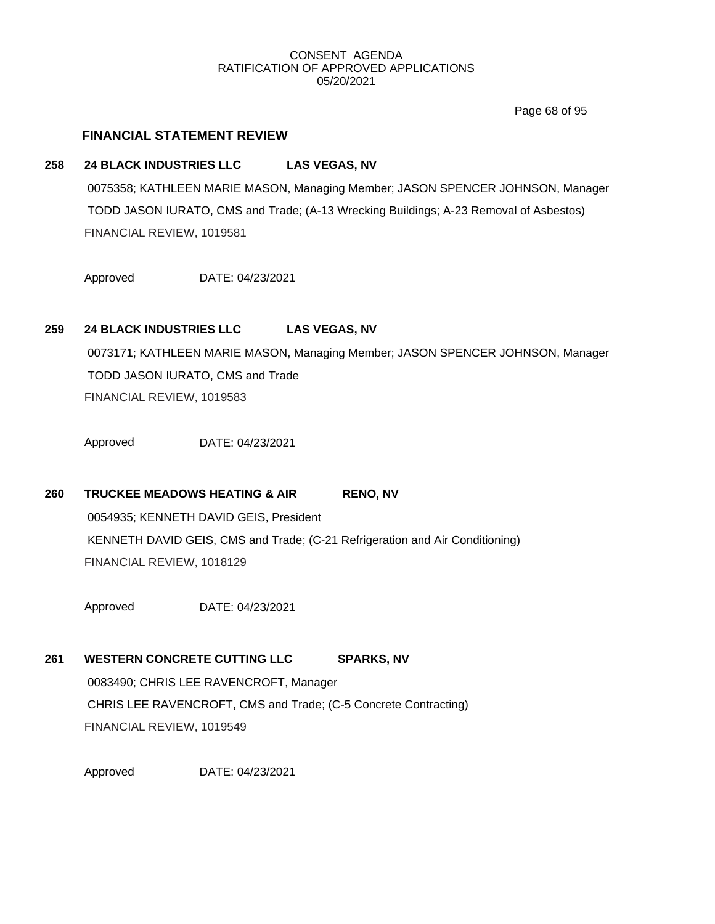Page 68 of 95

# **FINANCIAL STATEMENT REVIEW**

#### **258 24 BLACK INDUSTRIES LLC LAS VEGAS, NV**

0075358; KATHLEEN MARIE MASON, Managing Member; JASON SPENCER JOHNSON, Manager TODD JASON IURATO, CMS and Trade; (A-13 Wrecking Buildings; A-23 Removal of Asbestos) FINANCIAL REVIEW, 1019581

Approved DATE: 04/23/2021

# **259 24 BLACK INDUSTRIES LLC LAS VEGAS, NV**

0073171; KATHLEEN MARIE MASON, Managing Member; JASON SPENCER JOHNSON, Manager TODD JASON IURATO, CMS and Trade FINANCIAL REVIEW, 1019583

Approved DATE: 04/23/2021

# 260 **TRUCKEE MEADOWS HEATING & AIR** RENO, NV

0054935; KENNETH DAVID GEIS, President KENNETH DAVID GEIS, CMS and Trade; (C-21 Refrigeration and Air Conditioning) FINANCIAL REVIEW, 1018129

Approved DATE: 04/23/2021

#### **261 WESTERN CONCRETE CUTTING LLC SPARKS, NV**

0083490; CHRIS LEE RAVENCROFT, Manager CHRIS LEE RAVENCROFT, CMS and Trade; (C-5 Concrete Contracting) FINANCIAL REVIEW, 1019549

Approved DATE: 04/23/2021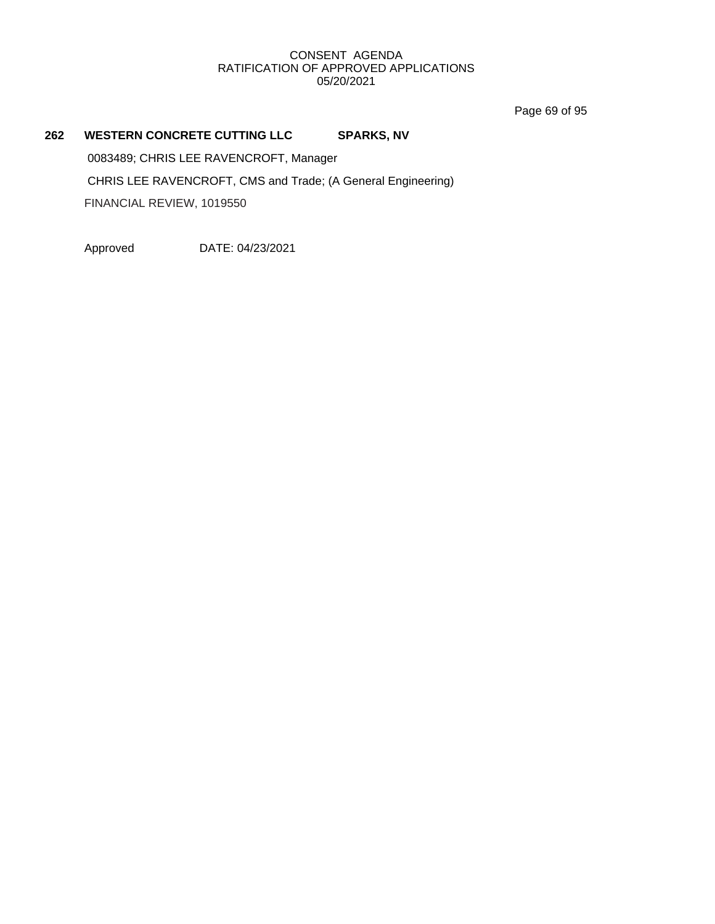Page 69 of 95

# **262 WESTERN CONCRETE CUTTING LLC SPARKS, NV**

0083489; CHRIS LEE RAVENCROFT, Manager CHRIS LEE RAVENCROFT, CMS and Trade; (A General Engineering) FINANCIAL REVIEW, 1019550

Approved DATE: 04/23/2021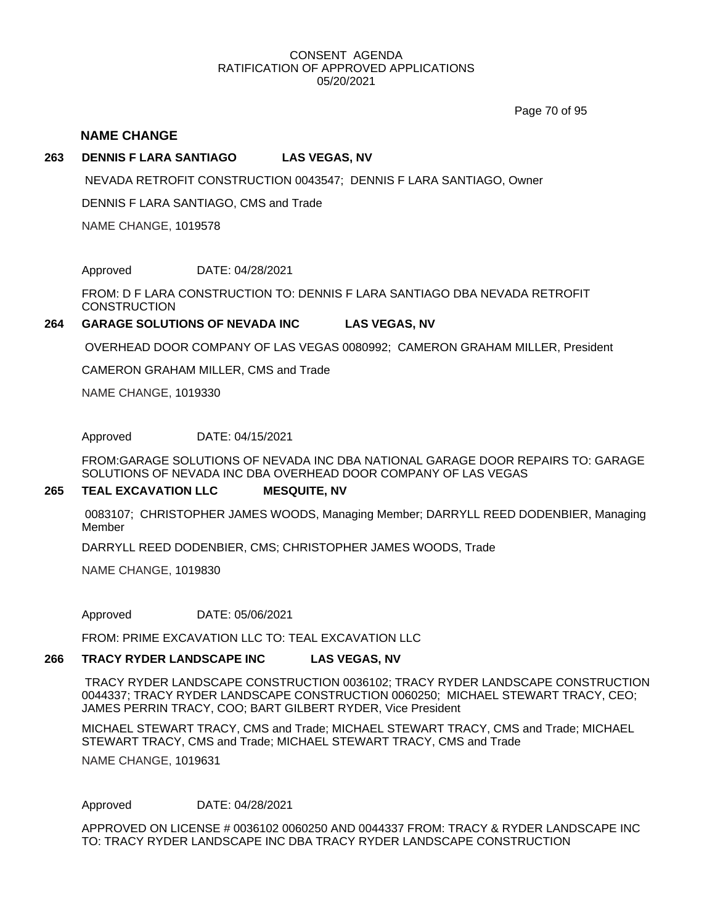Page 70 of 95

#### **NAME CHANGE**

#### **263 DENNIS F LARA SANTIAGO LAS VEGAS, NV**

NEVADA RETROFIT CONSTRUCTION 0043547; DENNIS F LARA SANTIAGO, Owner

DENNIS F LARA SANTIAGO, CMS and Trade

NAME CHANGE, 1019578

Approved DATE: 04/28/2021

FROM: D F LARA CONSTRUCTION TO: DENNIS F LARA SANTIAGO DBA NEVADA RETROFIT **CONSTRUCTION** 

#### **264 GARAGE SOLUTIONS OF NEVADA INC LAS VEGAS, NV**

OVERHEAD DOOR COMPANY OF LAS VEGAS 0080992; CAMERON GRAHAM MILLER, President

CAMERON GRAHAM MILLER, CMS and Trade

NAME CHANGE, 1019330

Approved DATE: 04/15/2021

FROM:GARAGE SOLUTIONS OF NEVADA INC DBA NATIONAL GARAGE DOOR REPAIRS TO: GARAGE SOLUTIONS OF NEVADA INC DBA OVERHEAD DOOR COMPANY OF LAS VEGAS

#### **265 TEAL EXCAVATION LLC MESQUITE, NV**

0083107; CHRISTOPHER JAMES WOODS, Managing Member; DARRYLL REED DODENBIER, Managing Member

DARRYLL REED DODENBIER, CMS; CHRISTOPHER JAMES WOODS, Trade

NAME CHANGE, 1019830

Approved DATE: 05/06/2021

FROM: PRIME EXCAVATION LLC TO: TEAL EXCAVATION LLC

#### **266 TRACY RYDER LANDSCAPE INC LAS VEGAS, NV**

TRACY RYDER LANDSCAPE CONSTRUCTION 0036102; TRACY RYDER LANDSCAPE CONSTRUCTION 0044337; TRACY RYDER LANDSCAPE CONSTRUCTION 0060250; MICHAEL STEWART TRACY, CEO; JAMES PERRIN TRACY, COO; BART GILBERT RYDER, Vice President

MICHAEL STEWART TRACY, CMS and Trade; MICHAEL STEWART TRACY, CMS and Trade; MICHAEL STEWART TRACY, CMS and Trade; MICHAEL STEWART TRACY, CMS and Trade

NAME CHANGE, 1019631

Approved DATE: 04/28/2021

APPROVED ON LICENSE # 0036102 0060250 AND 0044337 FROM: TRACY & RYDER LANDSCAPE INC TO: TRACY RYDER LANDSCAPE INC DBA TRACY RYDER LANDSCAPE CONSTRUCTION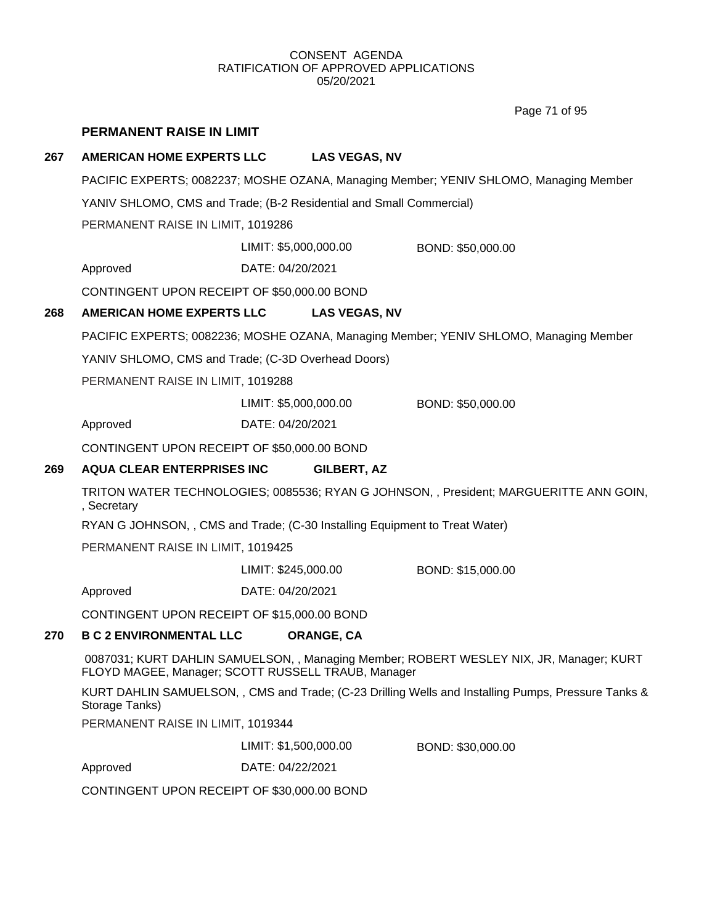Page 71 of 95

### **PERMANENT RAISE IN LIMIT**

#### **267 AMERICAN HOME EXPERTS LLC LAS VEGAS, NV**

PACIFIC EXPERTS; 0082237; MOSHE OZANA, Managing Member; YENIV SHLOMO, Managing Member

YANIV SHLOMO, CMS and Trade; (B-2 Residential and Small Commercial)

PERMANENT RAISE IN LIMIT, 1019286

LIMIT: \$5,000,000.00 BOND: \$50,000.00

Approved DATE: 04/20/2021

CONTINGENT UPON RECEIPT OF \$50,000.00 BOND

#### **268 AMERICAN HOME EXPERTS LLC LAS VEGAS, NV**

PACIFIC EXPERTS; 0082236; MOSHE OZANA, Managing Member; YENIV SHLOMO, Managing Member

YANIV SHLOMO, CMS and Trade; (C-3D Overhead Doors)

PERMANENT RAISE IN LIMIT, 1019288

LIMIT: \$5,000,000.00 BOND: \$50,000.00

Approved DATE: 04/20/2021

CONTINGENT UPON RECEIPT OF \$50,000.00 BOND

#### **269 AQUA CLEAR ENTERPRISES INC GILBERT, AZ**

TRITON WATER TECHNOLOGIES; 0085536; RYAN G JOHNSON, , President; MARGUERITTE ANN GOIN, , Secretary

RYAN G JOHNSON, , CMS and Trade; (C-30 Installing Equipment to Treat Water)

PERMANENT RAISE IN LIMIT, 1019425

LIMIT: \$245,000.00 BOND: \$15,000.00

Approved DATE: 04/20/2021

CONTINGENT UPON RECEIPT OF \$15,000.00 BOND

### **270 B C 2 ENVIRONMENTAL LLC ORANGE, CA**

0087031; KURT DAHLIN SAMUELSON, , Managing Member; ROBERT WESLEY NIX, JR, Manager; KURT FLOYD MAGEE, Manager; SCOTT RUSSELL TRAUB, Manager

KURT DAHLIN SAMUELSON, , CMS and Trade; (C-23 Drilling Wells and Installing Pumps, Pressure Tanks & Storage Tanks)

PERMANENT RAISE IN LIMIT, 1019344

LIMIT: \$1,500,000.00 BOND: \$30,000.00

Approved DATE: 04/22/2021

CONTINGENT UPON RECEIPT OF \$30,000.00 BOND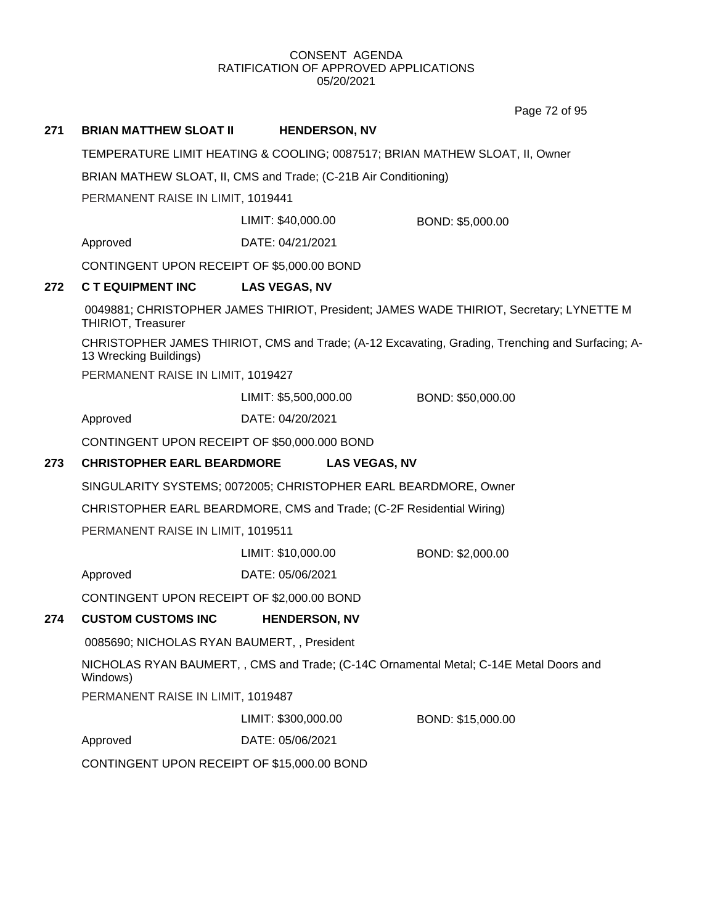Page 72 of 95

# **271 BRIAN MATTHEW SLOAT II HENDERSON, NV** TEMPERATURE LIMIT HEATING & COOLING; 0087517; BRIAN MATHEW SLOAT, II, Owner BRIAN MATHEW SLOAT, II, CMS and Trade; (C-21B Air Conditioning) PERMANENT RAISE IN LIMIT, 1019441 Approved DATE: 04/21/2021 LIMIT: \$40,000.00 BOND: \$5,000.00 CONTINGENT UPON RECEIPT OF \$5,000.00 BOND **272 C T EQUIPMENT INC LAS VEGAS, NV** 0049881; CHRISTOPHER JAMES THIRIOT, President; JAMES WADE THIRIOT, Secretary; LYNETTE M THIRIOT, Treasurer CHRISTOPHER JAMES THIRIOT, CMS and Trade; (A-12 Excavating, Grading, Trenching and Surfacing; A-13 Wrecking Buildings) PERMANENT RAISE IN LIMIT, 1019427 Approved DATE: 04/20/2021 LIMIT: \$5,500,000.00 BOND: \$50,000.00 CONTINGENT UPON RECEIPT OF \$50,000.000 BOND **273 CHRISTOPHER EARL BEARDMORE LAS VEGAS, NV** SINGULARITY SYSTEMS; 0072005; CHRISTOPHER EARL BEARDMORE, Owner CHRISTOPHER EARL BEARDMORE, CMS and Trade; (C-2F Residential Wiring) PERMANENT RAISE IN LIMIT, 1019511 Approved DATE: 05/06/2021 LIMIT: \$10,000.00 BOND: \$2,000.00 CONTINGENT UPON RECEIPT OF \$2,000.00 BOND

### **274 CUSTOM CUSTOMS INC HENDERSON, NV**

0085690; NICHOLAS RYAN BAUMERT, , President

NICHOLAS RYAN BAUMERT, , CMS and Trade; (C-14C Ornamental Metal; C-14E Metal Doors and Windows)

PERMANENT RAISE IN LIMIT, 1019487

LIMIT: \$300,000.00 BOND: \$15,000.00

Approved DATE: 05/06/2021

CONTINGENT UPON RECEIPT OF \$15,000.00 BOND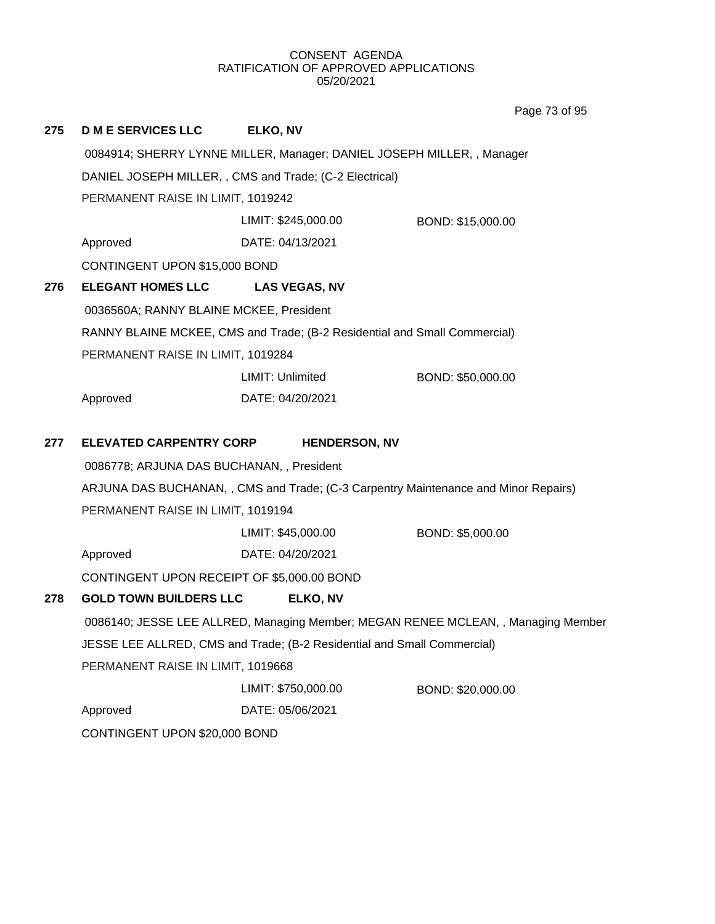**275 D M E SERVICES LLC ELKO, NV** 0084914; SHERRY LYNNE MILLER, Manager; DANIEL JOSEPH MILLER, , Manager DANIEL JOSEPH MILLER, , CMS and Trade; (C-2 Electrical) PERMANENT RAISE IN LIMIT, 1019242 Approved DATE: 04/13/2021 LIMIT: \$245,000.00 BOND: \$15,000.00 CONTINGENT UPON \$15,000 BOND **276 ELEGANT HOMES LLC LAS VEGAS, NV** 0036560A; RANNY BLAINE MCKEE, President RANNY BLAINE MCKEE, CMS and Trade; (B-2 Residential and Small Commercial) PERMANENT RAISE IN LIMIT, 1019284 Approved DATE: 04/20/2021 LIMIT: Unlimited BOND: \$50,000.00 **277 ELEVATED CARPENTRY CORP HENDERSON, NV** 0086778; ARJUNA DAS BUCHANAN, , President ARJUNA DAS BUCHANAN, , CMS and Trade; (C-3 Carpentry Maintenance and Minor Repairs) PERMANENT RAISE IN LIMIT, 1019194 Approved DATE: 04/20/2021 LIMIT: \$45,000.00 BOND: \$5,000.00 CONTINGENT UPON RECEIPT OF \$5,000.00 BOND **278 GOLD TOWN BUILDERS LLC ELKO, NV** 0086140; JESSE LEE ALLRED, Managing Member; MEGAN RENEE MCLEAN, , Managing Member JESSE LEE ALLRED, CMS and Trade; (B-2 Residential and Small Commercial) PERMANENT RAISE IN LIMIT, 1019668 Approved DATE: 05/06/2021 LIMIT: \$750,000.00 BOND: \$20,000.00 CONTINGENT UPON \$20,000 BOND Page 73 of 95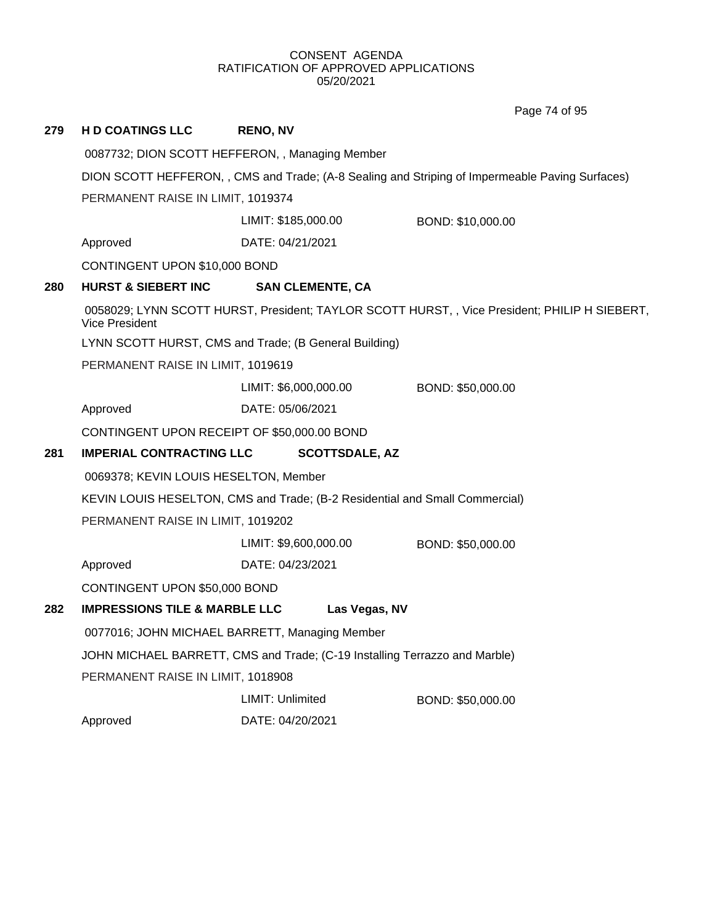Page 74 of 95

| 279                                                                        | <b>HD COATINGS LLC</b>                                                                          | <b>RENO, NV</b>                                       |                                                                                               |  |  |
|----------------------------------------------------------------------------|-------------------------------------------------------------------------------------------------|-------------------------------------------------------|-----------------------------------------------------------------------------------------------|--|--|
|                                                                            |                                                                                                 | 0087732; DION SCOTT HEFFERON, , Managing Member       |                                                                                               |  |  |
|                                                                            | DION SCOTT HEFFERON, , CMS and Trade; (A-8 Sealing and Striping of Impermeable Paving Surfaces) |                                                       |                                                                                               |  |  |
|                                                                            | PERMANENT RAISE IN LIMIT, 1019374                                                               |                                                       |                                                                                               |  |  |
|                                                                            |                                                                                                 | LIMIT: \$185,000.00<br>BOND: \$10,000.00              |                                                                                               |  |  |
|                                                                            | Approved                                                                                        | DATE: 04/21/2021                                      |                                                                                               |  |  |
|                                                                            | CONTINGENT UPON \$10,000 BOND                                                                   |                                                       |                                                                                               |  |  |
| 280                                                                        | <b>HURST &amp; SIEBERT INC</b>                                                                  | <b>SAN CLEMENTE, CA</b>                               |                                                                                               |  |  |
|                                                                            | <b>Vice President</b>                                                                           |                                                       | 0058029; LYNN SCOTT HURST, President; TAYLOR SCOTT HURST, , Vice President; PHILIP H SIEBERT, |  |  |
|                                                                            |                                                                                                 | LYNN SCOTT HURST, CMS and Trade; (B General Building) |                                                                                               |  |  |
|                                                                            | PERMANENT RAISE IN LIMIT, 1019619                                                               |                                                       |                                                                                               |  |  |
|                                                                            |                                                                                                 | LIMIT: \$6,000,000.00                                 | BOND: \$50,000.00                                                                             |  |  |
|                                                                            | Approved                                                                                        | DATE: 05/06/2021                                      |                                                                                               |  |  |
|                                                                            | CONTINGENT UPON RECEIPT OF \$50,000.00 BOND                                                     |                                                       |                                                                                               |  |  |
| 281                                                                        | <b>IMPERIAL CONTRACTING LLC</b>                                                                 | <b>SCOTTSDALE, AZ</b>                                 |                                                                                               |  |  |
| 0069378; KEVIN LOUIS HESELTON, Member                                      |                                                                                                 |                                                       |                                                                                               |  |  |
|                                                                            | KEVIN LOUIS HESELTON, CMS and Trade; (B-2 Residential and Small Commercial)                     |                                                       |                                                                                               |  |  |
|                                                                            | PERMANENT RAISE IN LIMIT, 1019202                                                               |                                                       |                                                                                               |  |  |
|                                                                            |                                                                                                 | LIMIT: \$9,600,000.00                                 | BOND: \$50,000.00                                                                             |  |  |
| Approved                                                                   |                                                                                                 | DATE: 04/23/2021                                      |                                                                                               |  |  |
|                                                                            | CONTINGENT UPON \$50,000 BOND                                                                   |                                                       |                                                                                               |  |  |
| 282                                                                        | <b>IMPRESSIONS TILE &amp; MARBLE LLC</b>                                                        | Las Vegas, NV                                         |                                                                                               |  |  |
|                                                                            | 0077016; JOHN MICHAEL BARRETT, Managing Member                                                  |                                                       |                                                                                               |  |  |
| JOHN MICHAEL BARRETT, CMS and Trade; (C-19 Installing Terrazzo and Marble) |                                                                                                 |                                                       |                                                                                               |  |  |
|                                                                            | PERMANENT RAISE IN LIMIT, 1018908                                                               |                                                       |                                                                                               |  |  |
|                                                                            |                                                                                                 | LIMIT: Unlimited                                      | BOND: \$50,000.00                                                                             |  |  |
|                                                                            | Approved                                                                                        | DATE: 04/20/2021                                      |                                                                                               |  |  |
|                                                                            |                                                                                                 |                                                       |                                                                                               |  |  |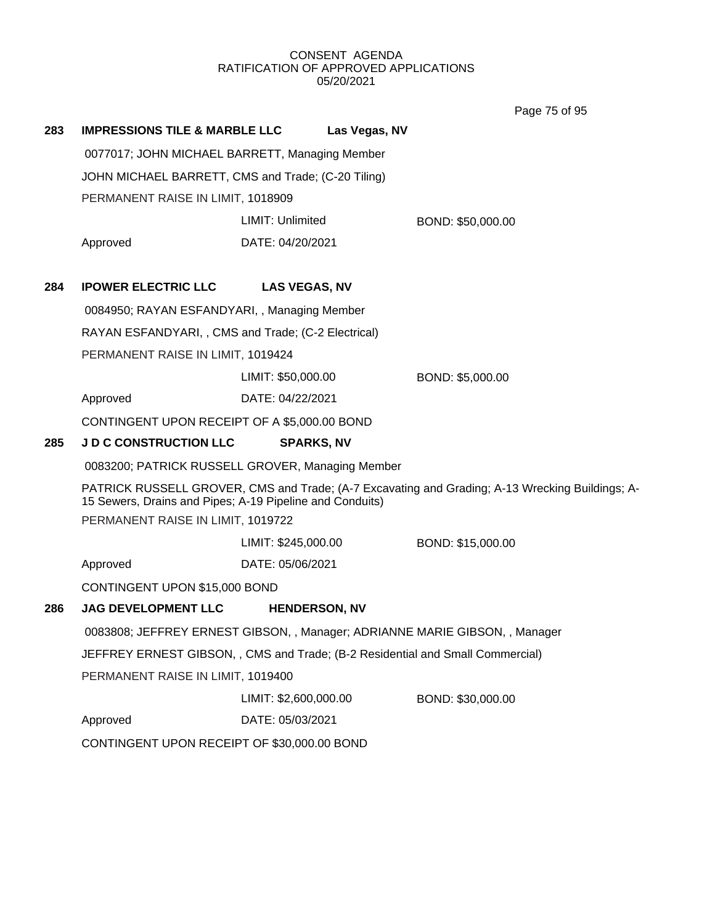Page 75 of 95

| 283                                                                         | <b>IMPRESSIONS TILE &amp; MARBLE LLC</b>                                      |                       | Las Vegas, NV |                                                                                                 |
|-----------------------------------------------------------------------------|-------------------------------------------------------------------------------|-----------------------|---------------|-------------------------------------------------------------------------------------------------|
|                                                                             | 0077017; JOHN MICHAEL BARRETT, Managing Member                                |                       |               |                                                                                                 |
|                                                                             | JOHN MICHAEL BARRETT, CMS and Trade; (C-20 Tiling)                            |                       |               |                                                                                                 |
|                                                                             | PERMANENT RAISE IN LIMIT, 1018909                                             |                       |               |                                                                                                 |
|                                                                             |                                                                               | LIMIT: Unlimited      |               | BOND: \$50,000.00                                                                               |
|                                                                             | Approved                                                                      | DATE: 04/20/2021      |               |                                                                                                 |
| 284                                                                         | <b>IPOWER ELECTRIC LLC</b>                                                    | <b>LAS VEGAS, NV</b>  |               |                                                                                                 |
|                                                                             | 0084950; RAYAN ESFANDYARI,, Managing Member                                   |                       |               |                                                                                                 |
|                                                                             | RAYAN ESFANDYARI,, CMS and Trade; (C-2 Electrical)                            |                       |               |                                                                                                 |
|                                                                             | PERMANENT RAISE IN LIMIT, 1019424                                             |                       |               |                                                                                                 |
|                                                                             |                                                                               | LIMIT: \$50,000.00    |               | BOND: \$5,000.00                                                                                |
|                                                                             | Approved                                                                      | DATE: 04/22/2021      |               |                                                                                                 |
|                                                                             | CONTINGENT UPON RECEIPT OF A \$5,000.00 BOND                                  |                       |               |                                                                                                 |
| 285                                                                         | <b>J D C CONSTRUCTION LLC</b>                                                 | <b>SPARKS, NV</b>     |               |                                                                                                 |
|                                                                             | 0083200; PATRICK RUSSELL GROVER, Managing Member                              |                       |               |                                                                                                 |
|                                                                             | 15 Sewers, Drains and Pipes; A-19 Pipeline and Conduits)                      |                       |               | PATRICK RUSSELL GROVER, CMS and Trade; (A-7 Excavating and Grading; A-13 Wrecking Buildings; A- |
| PERMANENT RAISE IN LIMIT, 1019722                                           |                                                                               |                       |               |                                                                                                 |
|                                                                             |                                                                               | LIMIT: \$245,000.00   |               | BOND: \$15,000.00                                                                               |
|                                                                             | Approved                                                                      | DATE: 05/06/2021      |               |                                                                                                 |
|                                                                             | CONTINGENT UPON \$15,000 BOND                                                 |                       |               |                                                                                                 |
| 286                                                                         | <b>JAG DEVELOPMENT LLC</b>                                                    | <b>HENDERSON, NV</b>  |               |                                                                                                 |
| 0083808; JEFFREY ERNEST GIBSON, , Manager; ADRIANNE MARIE GIBSON, , Manager |                                                                               |                       |               |                                                                                                 |
|                                                                             | JEFFREY ERNEST GIBSON,, CMS and Trade; (B-2 Residential and Small Commercial) |                       |               |                                                                                                 |
|                                                                             | PERMANENT RAISE IN LIMIT, 1019400                                             |                       |               |                                                                                                 |
|                                                                             |                                                                               | LIMIT: \$2,600,000.00 |               | BOND: \$30,000.00                                                                               |
|                                                                             | Approved                                                                      | DATE: 05/03/2021      |               |                                                                                                 |
|                                                                             | CONTINGENT UPON RECEIPT OF \$30,000.00 BOND                                   |                       |               |                                                                                                 |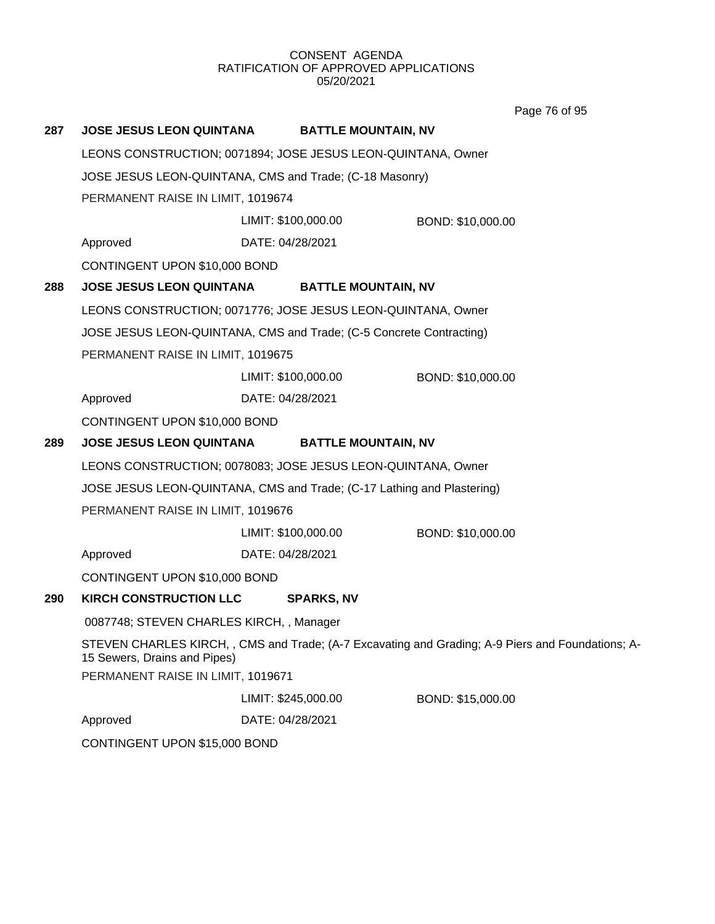Page 76 of 95

| 287 | <b>JOSE JESUS LEON QUINTANA</b>                         | <b>BATTLE MOUNTAIN, NV</b>                                             |                                                                                                   |  |  |
|-----|---------------------------------------------------------|------------------------------------------------------------------------|---------------------------------------------------------------------------------------------------|--|--|
|     |                                                         | LEONS CONSTRUCTION; 0071894; JOSE JESUS LEON-QUINTANA, Owner           |                                                                                                   |  |  |
|     | JOSE JESUS LEON-QUINTANA, CMS and Trade; (C-18 Masonry) |                                                                        |                                                                                                   |  |  |
|     | PERMANENT RAISE IN LIMIT, 1019674                       |                                                                        |                                                                                                   |  |  |
|     |                                                         | LIMIT: \$100,000.00                                                    | BOND: \$10,000.00                                                                                 |  |  |
|     | Approved                                                | DATE: 04/28/2021                                                       |                                                                                                   |  |  |
|     | CONTINGENT UPON \$10,000 BOND                           |                                                                        |                                                                                                   |  |  |
| 288 | <b>JOSE JESUS LEON QUINTANA</b>                         | <b>BATTLE MOUNTAIN, NV</b>                                             |                                                                                                   |  |  |
|     |                                                         | LEONS CONSTRUCTION; 0071776; JOSE JESUS LEON-QUINTANA, Owner           |                                                                                                   |  |  |
|     |                                                         | JOSE JESUS LEON-QUINTANA, CMS and Trade; (C-5 Concrete Contracting)    |                                                                                                   |  |  |
|     | PERMANENT RAISE IN LIMIT, 1019675                       |                                                                        |                                                                                                   |  |  |
|     |                                                         | LIMIT: \$100,000.00                                                    | BOND: \$10,000.00                                                                                 |  |  |
|     | Approved                                                | DATE: 04/28/2021                                                       |                                                                                                   |  |  |
|     | CONTINGENT UPON \$10,000 BOND                           |                                                                        |                                                                                                   |  |  |
| 289 | <b>JOSE JESUS LEON QUINTANA</b>                         | <b>BATTLE MOUNTAIN, NV</b>                                             |                                                                                                   |  |  |
|     |                                                         | LEONS CONSTRUCTION; 0078083; JOSE JESUS LEON-QUINTANA, Owner           |                                                                                                   |  |  |
|     |                                                         | JOSE JESUS LEON-QUINTANA, CMS and Trade; (C-17 Lathing and Plastering) |                                                                                                   |  |  |
|     | PERMANENT RAISE IN LIMIT, 1019676                       |                                                                        |                                                                                                   |  |  |
|     |                                                         | LIMIT: \$100,000.00                                                    | BOND: \$10,000.00                                                                                 |  |  |
|     | Approved                                                | DATE: 04/28/2021                                                       |                                                                                                   |  |  |
|     | CONTINGENT UPON \$10,000 BOND                           |                                                                        |                                                                                                   |  |  |
| 290 | <b>KIRCH CONSTRUCTION LLC</b>                           | <b>SPARKS, NV</b>                                                      |                                                                                                   |  |  |
|     | 0087748; STEVEN CHARLES KIRCH, , Manager                |                                                                        |                                                                                                   |  |  |
|     | 15 Sewers, Drains and Pipes)                            |                                                                        | STEVEN CHARLES KIRCH, , CMS and Trade; (A-7 Excavating and Grading; A-9 Piers and Foundations; A- |  |  |
|     | PERMANENT RAISE IN LIMIT, 1019671                       |                                                                        |                                                                                                   |  |  |
|     |                                                         | LIMIT: \$245,000.00                                                    | BOND: \$15,000.00                                                                                 |  |  |
|     | Approved                                                | DATE: 04/28/2021                                                       |                                                                                                   |  |  |
|     | CONTINGENT UPON \$15,000 BOND                           |                                                                        |                                                                                                   |  |  |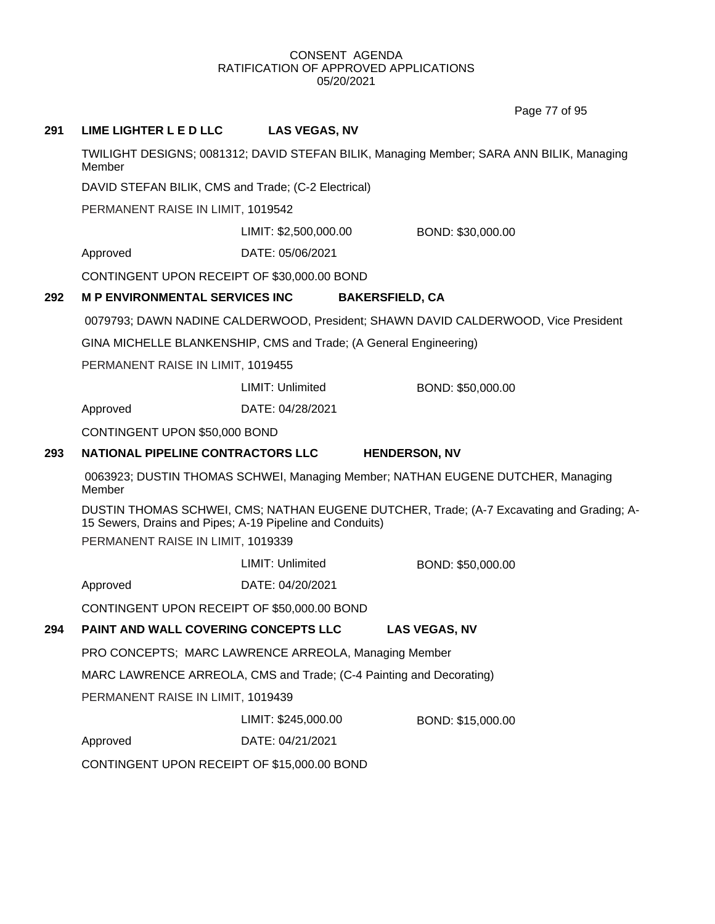Page 77 of 95

# **291 LIME LIGHTER L E D LLC LAS VEGAS, NV**

TWILIGHT DESIGNS; 0081312; DAVID STEFAN BILIK, Managing Member; SARA ANN BILIK, Managing Member

DAVID STEFAN BILIK, CMS and Trade; (C-2 Electrical)

PERMANENT RAISE IN LIMIT, 1019542

LIMIT: \$2,500,000.00 BOND: \$30,000.00

Approved DATE: 05/06/2021

CONTINGENT UPON RECEIPT OF \$30,000.00 BOND

### **292 M P ENVIRONMENTAL SERVICES INC BAKERSFIELD, CA**

0079793; DAWN NADINE CALDERWOOD, President; SHAWN DAVID CALDERWOOD, Vice President

GINA MICHELLE BLANKENSHIP, CMS and Trade; (A General Engineering)

PERMANENT RAISE IN LIMIT, 1019455

LIMIT: Unlimited BOND: \$50,000.00

Approved DATE: 04/28/2021

CONTINGENT UPON \$50,000 BOND

### **293 NATIONAL PIPELINE CONTRACTORS LLC HENDERSON, NV**

0063923; DUSTIN THOMAS SCHWEI, Managing Member; NATHAN EUGENE DUTCHER, Managing Member

DUSTIN THOMAS SCHWEI, CMS; NATHAN EUGENE DUTCHER, Trade; (A-7 Excavating and Grading; A-15 Sewers, Drains and Pipes; A-19 Pipeline and Conduits)

PERMANENT RAISE IN LIMIT, 1019339

Approved DATE: 04/20/2021

CONTINGENT UPON RECEIPT OF \$50,000.00 BOND

### **294 PAINT AND WALL COVERING CONCEPTS LLC LAS VEGAS, NV**

PRO CONCEPTS; MARC LAWRENCE ARREOLA, Managing Member

MARC LAWRENCE ARREOLA, CMS and Trade; (C-4 Painting and Decorating)

PERMANENT RAISE IN LIMIT, 1019439

LIMIT: \$245,000.00 BOND: \$15,000.00

Approved DATE: 04/21/2021

CONTINGENT UPON RECEIPT OF \$15,000.00 BOND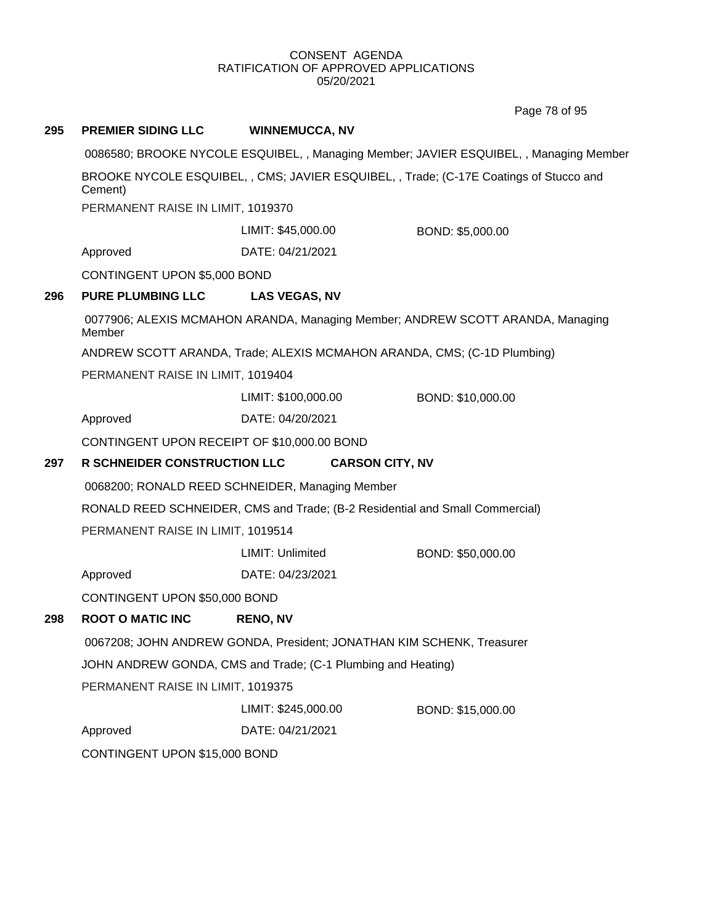Page 78 of 95

# **295 PREMIER SIDING LLC WINNEMUCCA, NV** 0086580; BROOKE NYCOLE ESQUIBEL, , Managing Member; JAVIER ESQUIBEL, , Managing Member BROOKE NYCOLE ESQUIBEL, , CMS; JAVIER ESQUIBEL, , Trade; (C-17E Coatings of Stucco and Cement) PERMANENT RAISE IN LIMIT, 1019370 Approved DATE: 04/21/2021 LIMIT: \$45,000.00 BOND: \$5,000.00 CONTINGENT UPON \$5,000 BOND **296 PURE PLUMBING LLC LAS VEGAS, NV** 0077906; ALEXIS MCMAHON ARANDA, Managing Member; ANDREW SCOTT ARANDA, Managing Member ANDREW SCOTT ARANDA, Trade; ALEXIS MCMAHON ARANDA, CMS; (C-1D Plumbing) PERMANENT RAISE IN LIMIT, 1019404 Approved DATE: 04/20/2021 LIMIT: \$100,000.00 BOND: \$10,000.00 CONTINGENT UPON RECEIPT OF \$10,000.00 BOND **297 R SCHNEIDER CONSTRUCTION LLC CARSON CITY, NV** 0068200; RONALD REED SCHNEIDER, Managing Member RONALD REED SCHNEIDER, CMS and Trade; (B-2 Residential and Small Commercial) PERMANENT RAISE IN LIMIT, 1019514 Approved DATE: 04/23/2021 LIMIT: Unlimited BOND: \$50,000.00 CONTINGENT UPON \$50,000 BOND **298 ROOT O MATIC INC RENO, NV** 0067208; JOHN ANDREW GONDA, President; JONATHAN KIM SCHENK, Treasurer JOHN ANDREW GONDA, CMS and Trade; (C-1 Plumbing and Heating) PERMANENT RAISE IN LIMIT, 1019375 Approved DATE: 04/21/2021 LIMIT: \$245,000.00 BOND: \$15,000.00 CONTINGENT UPON \$15,000 BOND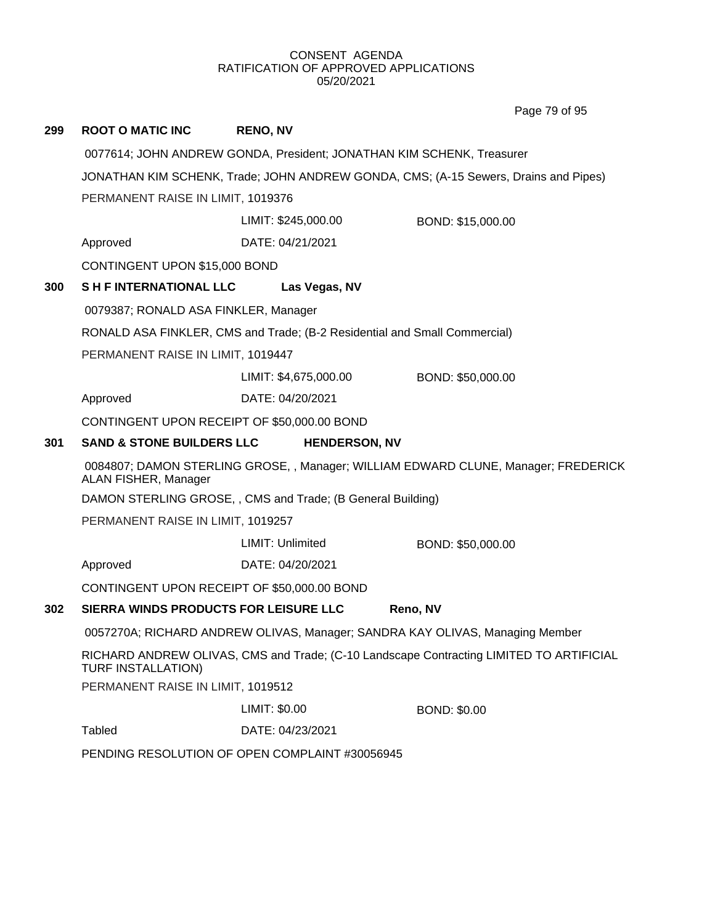Page 79 of 95

| 299 | <b>ROOT O MATIC INC</b>                                                                                                                                                   | <b>RENO, NV</b>                                                                                                                                              |                     |  |
|-----|---------------------------------------------------------------------------------------------------------------------------------------------------------------------------|--------------------------------------------------------------------------------------------------------------------------------------------------------------|---------------------|--|
|     |                                                                                                                                                                           | 0077614; JOHN ANDREW GONDA, President; JONATHAN KIM SCHENK, Treasurer<br>JONATHAN KIM SCHENK, Trade; JOHN ANDREW GONDA, CMS; (A-15 Sewers, Drains and Pipes) |                     |  |
|     |                                                                                                                                                                           |                                                                                                                                                              |                     |  |
|     | PERMANENT RAISE IN LIMIT, 1019376                                                                                                                                         |                                                                                                                                                              |                     |  |
|     |                                                                                                                                                                           | LIMIT: \$245,000.00                                                                                                                                          | BOND: \$15,000.00   |  |
|     | Approved                                                                                                                                                                  | DATE: 04/21/2021                                                                                                                                             |                     |  |
|     | CONTINGENT UPON \$15,000 BOND                                                                                                                                             |                                                                                                                                                              |                     |  |
| 300 | <b>SHE INTERNATIONAL LLC</b>                                                                                                                                              | Las Vegas, NV                                                                                                                                                |                     |  |
|     | 0079387; RONALD ASA FINKLER, Manager                                                                                                                                      |                                                                                                                                                              |                     |  |
|     |                                                                                                                                                                           | RONALD ASA FINKLER, CMS and Trade; (B-2 Residential and Small Commercial)                                                                                    |                     |  |
|     | PERMANENT RAISE IN LIMIT, 1019447                                                                                                                                         |                                                                                                                                                              |                     |  |
|     |                                                                                                                                                                           | LIMIT: \$4,675,000.00                                                                                                                                        | BOND: \$50,000.00   |  |
|     | Approved                                                                                                                                                                  | DATE: 04/20/2021                                                                                                                                             |                     |  |
|     | CONTINGENT UPON RECEIPT OF \$50,000.00 BOND                                                                                                                               |                                                                                                                                                              |                     |  |
| 301 | <b>SAND &amp; STONE BUILDERS LLC</b>                                                                                                                                      | <b>HENDERSON, NV</b>                                                                                                                                         |                     |  |
|     | 0084807; DAMON STERLING GROSE, , Manager; WILLIAM EDWARD CLUNE, Manager; FREDERICK<br>ALAN FISHER, Manager<br>DAMON STERLING GROSE, , CMS and Trade; (B General Building) |                                                                                                                                                              |                     |  |
|     |                                                                                                                                                                           |                                                                                                                                                              |                     |  |
|     | PERMANENT RAISE IN LIMIT, 1019257                                                                                                                                         |                                                                                                                                                              |                     |  |
|     |                                                                                                                                                                           | LIMIT: Unlimited                                                                                                                                             | BOND: \$50,000.00   |  |
|     | Approved                                                                                                                                                                  | DATE: 04/20/2021                                                                                                                                             |                     |  |
|     | CONTINGENT UPON RECEIPT OF \$50,000.00 BOND                                                                                                                               |                                                                                                                                                              |                     |  |
| 302 | SIERRA WINDS PRODUCTS FOR LEISURE LLC                                                                                                                                     |                                                                                                                                                              | Reno, NV            |  |
|     | 0057270A; RICHARD ANDREW OLIVAS, Manager; SANDRA KAY OLIVAS, Managing Member                                                                                              |                                                                                                                                                              |                     |  |
|     | RICHARD ANDREW OLIVAS, CMS and Trade; (C-10 Landscape Contracting LIMITED TO ARTIFICIAL<br>TURF INSTALLATION)                                                             |                                                                                                                                                              |                     |  |
|     | PERMANENT RAISE IN LIMIT, 1019512                                                                                                                                         |                                                                                                                                                              |                     |  |
|     |                                                                                                                                                                           | LIMIT: \$0.00                                                                                                                                                | <b>BOND: \$0.00</b> |  |
|     | <b>Tabled</b>                                                                                                                                                             | DATE: 04/23/2021                                                                                                                                             |                     |  |
|     | PENDING RESOLUTION OF OPEN COMPLAINT #30056945                                                                                                                            |                                                                                                                                                              |                     |  |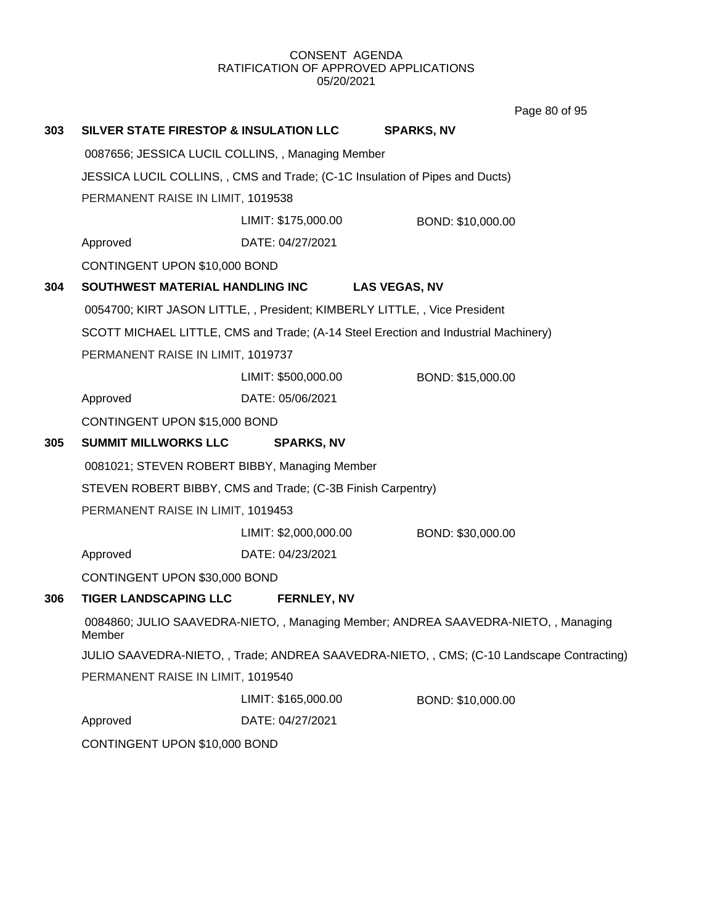| 303 | SILVER STATE FIRESTOP & INSULATION LLC                                                      |                                   | <b>SPARKS, NV</b>                                                                   |  |  |  |
|-----|---------------------------------------------------------------------------------------------|-----------------------------------|-------------------------------------------------------------------------------------|--|--|--|
|     | 0087656; JESSICA LUCIL COLLINS, , Managing Member                                           |                                   |                                                                                     |  |  |  |
|     | JESSICA LUCIL COLLINS, , CMS and Trade; (C-1C Insulation of Pipes and Ducts)                |                                   |                                                                                     |  |  |  |
|     | PERMANENT RAISE IN LIMIT, 1019538                                                           |                                   |                                                                                     |  |  |  |
|     |                                                                                             | LIMIT: \$175,000.00               | BOND: \$10,000.00                                                                   |  |  |  |
|     | Approved                                                                                    | DATE: 04/27/2021                  |                                                                                     |  |  |  |
|     | CONTINGENT UPON \$10,000 BOND                                                               |                                   |                                                                                     |  |  |  |
| 304 | SOUTHWEST MATERIAL HANDLING INC                                                             |                                   | <b>LAS VEGAS, NV</b>                                                                |  |  |  |
|     | 0054700; KIRT JASON LITTLE, , President; KIMBERLY LITTLE, , Vice President                  |                                   |                                                                                     |  |  |  |
|     |                                                                                             |                                   | SCOTT MICHAEL LITTLE, CMS and Trade; (A-14 Steel Erection and Industrial Machinery) |  |  |  |
|     | PERMANENT RAISE IN LIMIT, 1019737                                                           |                                   |                                                                                     |  |  |  |
|     |                                                                                             | LIMIT: \$500,000.00               | BOND: \$15,000.00                                                                   |  |  |  |
|     | Approved                                                                                    | DATE: 05/06/2021                  |                                                                                     |  |  |  |
|     | CONTINGENT UPON \$15,000 BOND                                                               |                                   |                                                                                     |  |  |  |
| 305 | <b>SUMMIT MILLWORKS LLC</b>                                                                 | <b>SPARKS, NV</b>                 |                                                                                     |  |  |  |
|     | 0081021; STEVEN ROBERT BIBBY, Managing Member                                               |                                   |                                                                                     |  |  |  |
|     | STEVEN ROBERT BIBBY, CMS and Trade; (C-3B Finish Carpentry)                                 |                                   |                                                                                     |  |  |  |
|     |                                                                                             | PERMANENT RAISE IN LIMIT, 1019453 |                                                                                     |  |  |  |
|     |                                                                                             | LIMIT: \$2,000,000.00             | BOND: \$30,000.00                                                                   |  |  |  |
|     | Approved                                                                                    | DATE: 04/23/2021                  |                                                                                     |  |  |  |
|     | CONTINGENT UPON \$30,000 BOND                                                               |                                   |                                                                                     |  |  |  |
| 306 | <b>TIGER LANDSCAPING LLC</b>                                                                | <b>FERNLEY, NV</b>                |                                                                                     |  |  |  |
|     | 0084860; JULIO SAAVEDRA-NIETO,, Managing Member; ANDREA SAAVEDRA-NIETO,, Managing<br>Member |                                   |                                                                                     |  |  |  |
|     | JULIO SAAVEDRA-NIETO,, Trade; ANDREA SAAVEDRA-NIETO,, CMS; (C-10 Landscape Contracting)     |                                   |                                                                                     |  |  |  |
|     | PERMANENT RAISE IN LIMIT, 1019540                                                           |                                   |                                                                                     |  |  |  |
|     |                                                                                             | LIMIT: \$165,000.00               | BOND: \$10,000.00                                                                   |  |  |  |
|     | Approved                                                                                    | DATE: 04/27/2021                  |                                                                                     |  |  |  |
|     | CONTINGENT UPON \$10,000 BOND                                                               |                                   |                                                                                     |  |  |  |

Page 80 of 95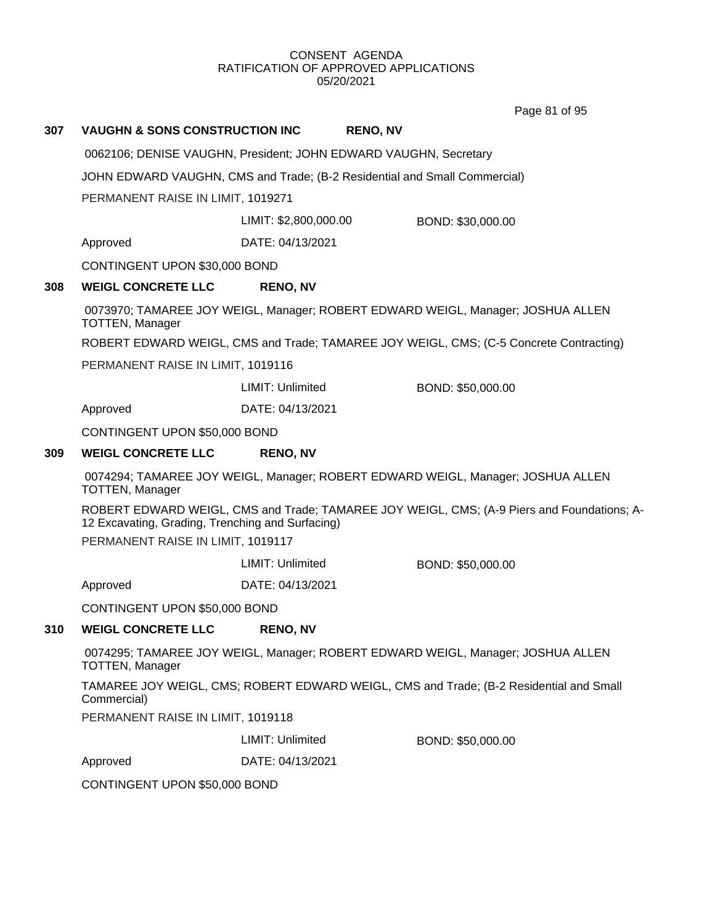Page 81 of 95

| 307 | <b>VAUGHN &amp; SONS CONSTRUCTION INC</b>                                                                                                                                           |                         | <b>RENO, NV</b> |                                                                                        |  |
|-----|-------------------------------------------------------------------------------------------------------------------------------------------------------------------------------------|-------------------------|-----------------|----------------------------------------------------------------------------------------|--|
|     | 0062106; DENISE VAUGHN, President; JOHN EDWARD VAUGHN, Secretary                                                                                                                    |                         |                 |                                                                                        |  |
|     | JOHN EDWARD VAUGHN, CMS and Trade; (B-2 Residential and Small Commercial)                                                                                                           |                         |                 |                                                                                        |  |
|     | PERMANENT RAISE IN LIMIT, 1019271                                                                                                                                                   |                         |                 |                                                                                        |  |
|     |                                                                                                                                                                                     | LIMIT: \$2,800,000.00   |                 | BOND: \$30,000.00                                                                      |  |
|     | Approved                                                                                                                                                                            | DATE: 04/13/2021        |                 |                                                                                        |  |
|     | CONTINGENT UPON \$30,000 BOND                                                                                                                                                       |                         |                 |                                                                                        |  |
| 308 | <b>WEIGL CONCRETE LLC</b>                                                                                                                                                           | <b>RENO, NV</b>         |                 |                                                                                        |  |
|     | <b>TOTTEN, Manager</b>                                                                                                                                                              |                         |                 | 0073970; TAMAREE JOY WEIGL, Manager; ROBERT EDWARD WEIGL, Manager; JOSHUA ALLEN        |  |
|     |                                                                                                                                                                                     |                         |                 | ROBERT EDWARD WEIGL, CMS and Trade; TAMAREE JOY WEIGL, CMS; (C-5 Concrete Contracting) |  |
|     | PERMANENT RAISE IN LIMIT, 1019116                                                                                                                                                   |                         |                 |                                                                                        |  |
|     |                                                                                                                                                                                     | <b>LIMIT: Unlimited</b> |                 | BOND: \$50,000.00                                                                      |  |
|     | Approved                                                                                                                                                                            | DATE: 04/13/2021        |                 |                                                                                        |  |
|     | CONTINGENT UPON \$50,000 BOND                                                                                                                                                       |                         |                 |                                                                                        |  |
| 309 | <b>WEIGL CONCRETE LLC</b>                                                                                                                                                           | <b>RENO, NV</b>         |                 |                                                                                        |  |
|     | 0074294; TAMAREE JOY WEIGL, Manager; ROBERT EDWARD WEIGL, Manager; JOSHUA ALLEN<br><b>TOTTEN, Manager</b>                                                                           |                         |                 |                                                                                        |  |
|     | ROBERT EDWARD WEIGL, CMS and Trade; TAMAREE JOY WEIGL, CMS; (A-9 Piers and Foundations; A-<br>12 Excavating, Grading, Trenching and Surfacing)<br>PERMANENT RAISE IN LIMIT, 1019117 |                         |                 |                                                                                        |  |
|     |                                                                                                                                                                                     | <b>LIMIT: Unlimited</b> |                 | BOND: \$50,000.00                                                                      |  |
|     | Approved                                                                                                                                                                            | DATE: 04/13/2021        |                 |                                                                                        |  |
|     | CONTINGENT UPON \$50,000 BOND                                                                                                                                                       |                         |                 |                                                                                        |  |
| 310 | <b>WEIGL CONCRETE LLC</b>                                                                                                                                                           | <b>RENO, NV</b>         |                 |                                                                                        |  |
|     | <b>TOTTEN, Manager</b>                                                                                                                                                              |                         |                 | 0074295; TAMAREE JOY WEIGL, Manager; ROBERT EDWARD WEIGL, Manager; JOSHUA ALLEN        |  |
|     | Commercial)                                                                                                                                                                         |                         |                 | TAMAREE JOY WEIGL, CMS; ROBERT EDWARD WEIGL, CMS and Trade; (B-2 Residential and Small |  |
|     | PERMANENT RAISE IN LIMIT, 1019118                                                                                                                                                   |                         |                 |                                                                                        |  |
|     |                                                                                                                                                                                     | LIMIT: Unlimited        |                 | BOND: \$50,000.00                                                                      |  |
|     | Approved                                                                                                                                                                            | DATE: 04/13/2021        |                 |                                                                                        |  |
|     | CONTINGENT UPON \$50,000 BOND                                                                                                                                                       |                         |                 |                                                                                        |  |
|     |                                                                                                                                                                                     |                         |                 |                                                                                        |  |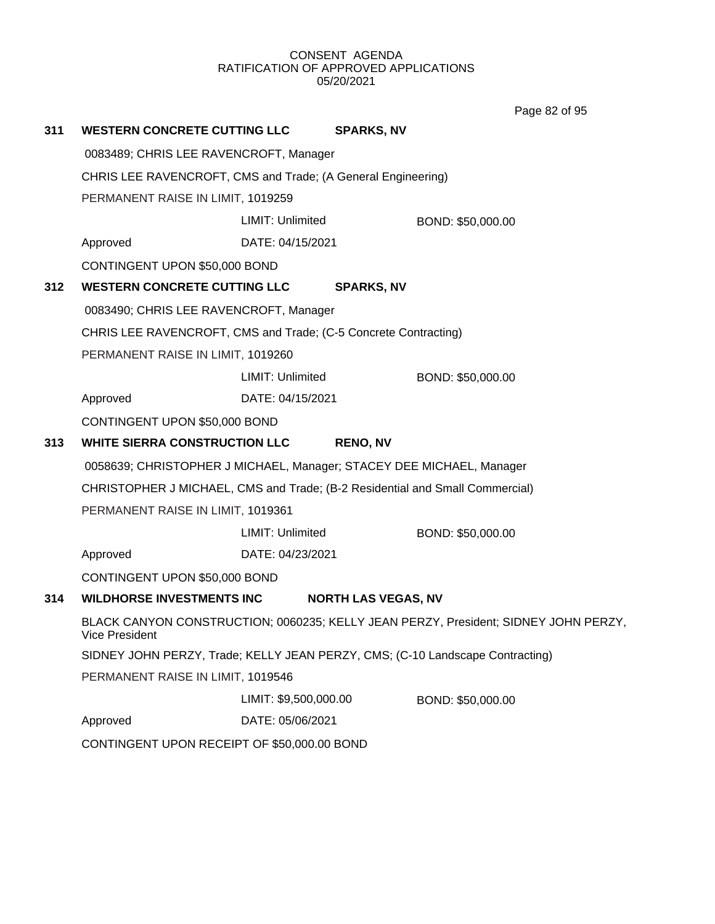Page 82 of 95

| 311                                         | <b>WESTERN CONCRETE CUTTING LLC</b>                                                                          |                       | <b>SPARKS, NV</b>          |                   |  |
|---------------------------------------------|--------------------------------------------------------------------------------------------------------------|-----------------------|----------------------------|-------------------|--|
|                                             | 0083489; CHRIS LEE RAVENCROFT, Manager                                                                       |                       |                            |                   |  |
|                                             | CHRIS LEE RAVENCROFT, CMS and Trade; (A General Engineering)                                                 |                       |                            |                   |  |
|                                             | PERMANENT RAISE IN LIMIT, 1019259                                                                            |                       |                            |                   |  |
|                                             |                                                                                                              | LIMIT: Unlimited      |                            | BOND: \$50,000.00 |  |
|                                             | Approved                                                                                                     | DATE: 04/15/2021      |                            |                   |  |
|                                             | CONTINGENT UPON \$50,000 BOND                                                                                |                       |                            |                   |  |
| 312                                         | <b>WESTERN CONCRETE CUTTING LLC</b>                                                                          |                       | <b>SPARKS, NV</b>          |                   |  |
|                                             | 0083490; CHRIS LEE RAVENCROFT, Manager                                                                       |                       |                            |                   |  |
|                                             | CHRIS LEE RAVENCROFT, CMS and Trade; (C-5 Concrete Contracting)                                              |                       |                            |                   |  |
|                                             | PERMANENT RAISE IN LIMIT, 1019260                                                                            |                       |                            |                   |  |
|                                             |                                                                                                              | LIMIT: Unlimited      |                            | BOND: \$50,000.00 |  |
|                                             | Approved                                                                                                     | DATE: 04/15/2021      |                            |                   |  |
|                                             | CONTINGENT UPON \$50,000 BOND                                                                                |                       |                            |                   |  |
| 313                                         | <b>WHITE SIERRA CONSTRUCTION LLC</b>                                                                         |                       | <b>RENO, NV</b>            |                   |  |
|                                             | 0058639; CHRISTOPHER J MICHAEL, Manager; STACEY DEE MICHAEL, Manager                                         |                       |                            |                   |  |
|                                             | CHRISTOPHER J MICHAEL, CMS and Trade; (B-2 Residential and Small Commercial)                                 |                       |                            |                   |  |
|                                             | PERMANENT RAISE IN LIMIT, 1019361                                                                            |                       |                            |                   |  |
|                                             |                                                                                                              | LIMIT: Unlimited      |                            | BOND: \$50,000.00 |  |
|                                             | Approved                                                                                                     | DATE: 04/23/2021      |                            |                   |  |
|                                             | CONTINGENT UPON \$50,000 BOND                                                                                |                       |                            |                   |  |
| 314                                         | <b>WILDHORSE INVESTMENTS INC</b>                                                                             |                       | <b>NORTH LAS VEGAS, NV</b> |                   |  |
|                                             | BLACK CANYON CONSTRUCTION; 0060235; KELLY JEAN PERZY, President; SIDNEY JOHN PERZY,<br><b>Vice President</b> |                       |                            |                   |  |
|                                             | SIDNEY JOHN PERZY, Trade; KELLY JEAN PERZY, CMS; (C-10 Landscape Contracting)                                |                       |                            |                   |  |
|                                             | PERMANENT RAISE IN LIMIT, 1019546                                                                            |                       |                            |                   |  |
|                                             |                                                                                                              | LIMIT: \$9,500,000.00 |                            | BOND: \$50,000.00 |  |
|                                             | Approved                                                                                                     | DATE: 05/06/2021      |                            |                   |  |
| CONTINGENT UPON RECEIPT OF \$50,000.00 BOND |                                                                                                              |                       |                            |                   |  |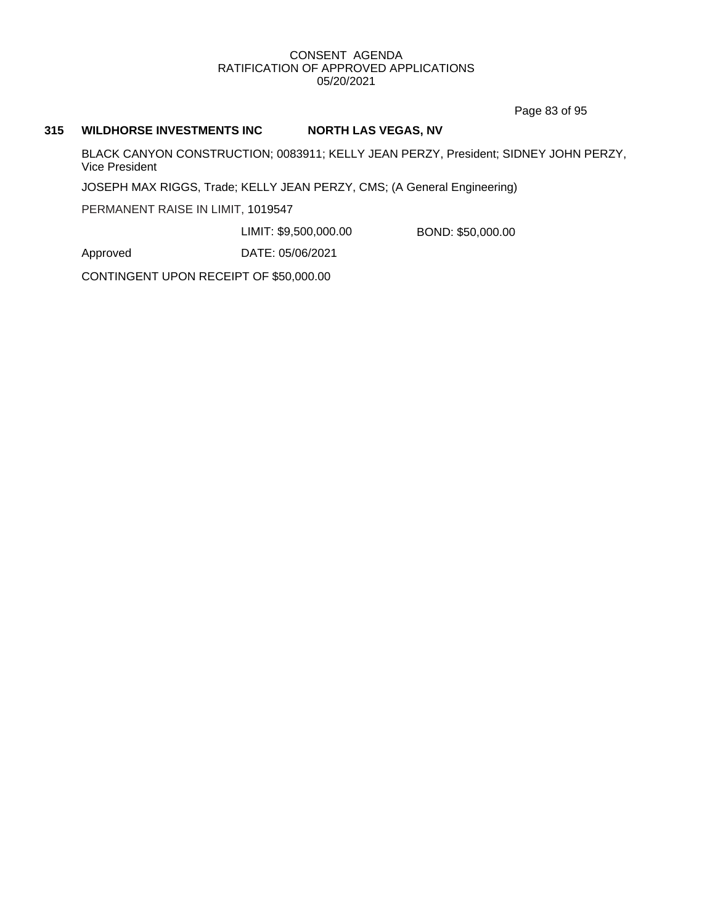Page 83 of 95

#### **315 WILDHORSE INVESTMENTS INC NORTH LAS VEGAS, NV**

BLACK CANYON CONSTRUCTION; 0083911; KELLY JEAN PERZY, President; SIDNEY JOHN PERZY, Vice President

JOSEPH MAX RIGGS, Trade; KELLY JEAN PERZY, CMS; (A General Engineering)

PERMANENT RAISE IN LIMIT, 1019547

LIMIT: \$9,500,000.00 BOND: \$50,000.00

Approved DATE: 05/06/2021

CONTINGENT UPON RECEIPT OF \$50,000.00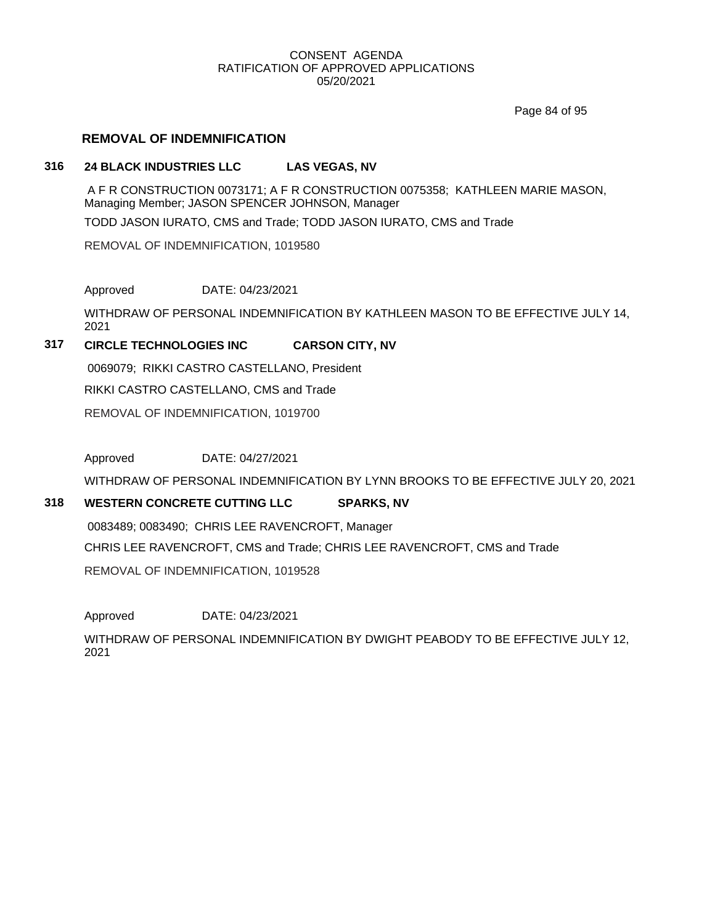Page 84 of 95

### **REMOVAL OF INDEMNIFICATION**

### **316 24 BLACK INDUSTRIES LLC LAS VEGAS, NV**

A F R CONSTRUCTION 0073171; A F R CONSTRUCTION 0075358; KATHLEEN MARIE MASON, Managing Member; JASON SPENCER JOHNSON, Manager

TODD JASON IURATO, CMS and Trade; TODD JASON IURATO, CMS and Trade

REMOVAL OF INDEMNIFICATION, 1019580

Approved DATE: 04/23/2021

WITHDRAW OF PERSONAL INDEMNIFICATION BY KATHLEEN MASON TO BE EFFECTIVE JULY 14, 2021

### **317 CIRCLE TECHNOLOGIES INC CARSON CITY, NV**

0069079; RIKKI CASTRO CASTELLANO, President RIKKI CASTRO CASTELLANO, CMS and Trade REMOVAL OF INDEMNIFICATION, 1019700

Approved DATE: 04/27/2021

WITHDRAW OF PERSONAL INDEMNIFICATION BY LYNN BROOKS TO BE EFFECTIVE JULY 20, 2021

### **318 WESTERN CONCRETE CUTTING LLC SPARKS, NV**

0083489; 0083490; CHRIS LEE RAVENCROFT, Manager

CHRIS LEE RAVENCROFT, CMS and Trade; CHRIS LEE RAVENCROFT, CMS and Trade REMOVAL OF INDEMNIFICATION, 1019528

Approved DATE: 04/23/2021

WITHDRAW OF PERSONAL INDEMNIFICATION BY DWIGHT PEABODY TO BE EFFECTIVE JULY 12, 2021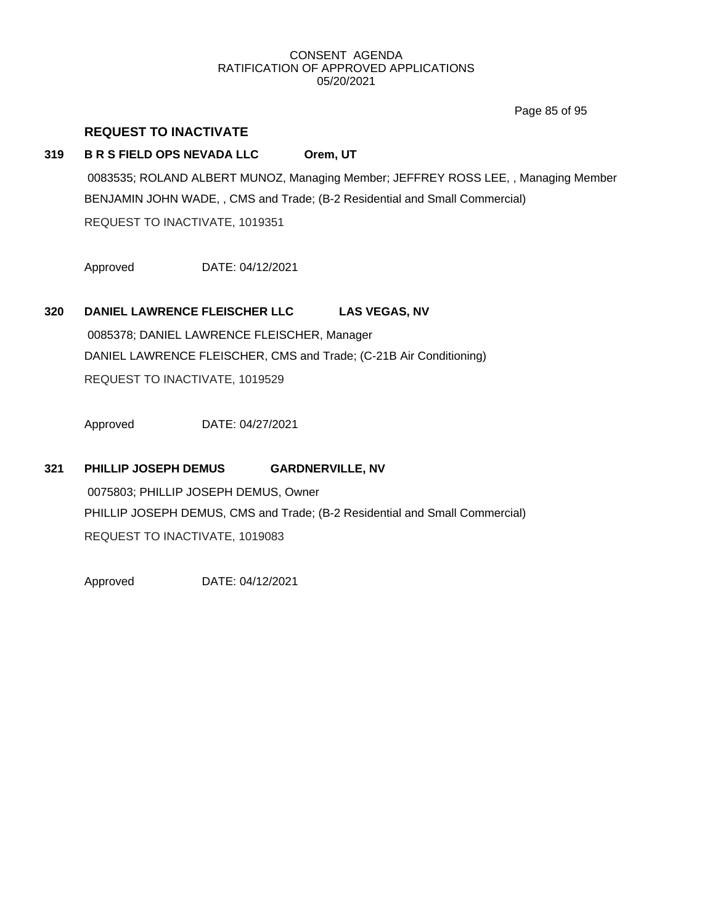Page 85 of 95

### **REQUEST TO INACTIVATE**

### **319 B R S FIELD OPS NEVADA LLC Orem, UT**

0083535; ROLAND ALBERT MUNOZ, Managing Member; JEFFREY ROSS LEE, , Managing Member BENJAMIN JOHN WADE, , CMS and Trade; (B-2 Residential and Small Commercial) REQUEST TO INACTIVATE, 1019351

Approved DATE: 04/12/2021

#### **320 DANIEL LAWRENCE FLEISCHER LLC LAS VEGAS, NV**

0085378; DANIEL LAWRENCE FLEISCHER, Manager DANIEL LAWRENCE FLEISCHER, CMS and Trade; (C-21B Air Conditioning) REQUEST TO INACTIVATE, 1019529

Approved DATE: 04/27/2021

#### **321 PHILLIP JOSEPH DEMUS GARDNERVILLE, NV**

0075803; PHILLIP JOSEPH DEMUS, Owner PHILLIP JOSEPH DEMUS, CMS and Trade; (B-2 Residential and Small Commercial) REQUEST TO INACTIVATE, 1019083

Approved DATE: 04/12/2021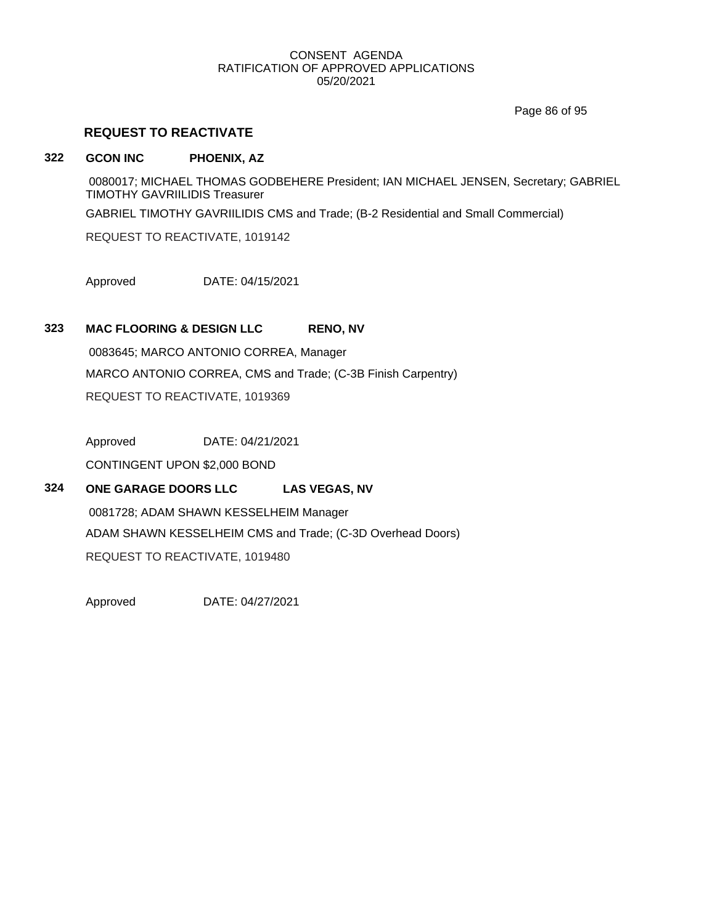Page 86 of 95

### **REQUEST TO REACTIVATE**

#### **322 GCON INC PHOENIX, AZ**

0080017; MICHAEL THOMAS GODBEHERE President; IAN MICHAEL JENSEN, Secretary; GABRIEL TIMOTHY GAVRIILIDIS Treasurer GABRIEL TIMOTHY GAVRIILIDIS CMS and Trade; (B-2 Residential and Small Commercial) REQUEST TO REACTIVATE, 1019142

Approved DATE: 04/15/2021

### **323 MAC FLOORING & DESIGN LLC RENO, NV**

0083645; MARCO ANTONIO CORREA, Manager MARCO ANTONIO CORREA, CMS and Trade; (C-3B Finish Carpentry) REQUEST TO REACTIVATE, 1019369

Approved DATE: 04/21/2021

CONTINGENT UPON \$2,000 BOND

### **324 ONE GARAGE DOORS LLC LAS VEGAS, NV**

0081728; ADAM SHAWN KESSELHEIM Manager ADAM SHAWN KESSELHEIM CMS and Trade; (C-3D Overhead Doors) REQUEST TO REACTIVATE, 1019480

Approved DATE: 04/27/2021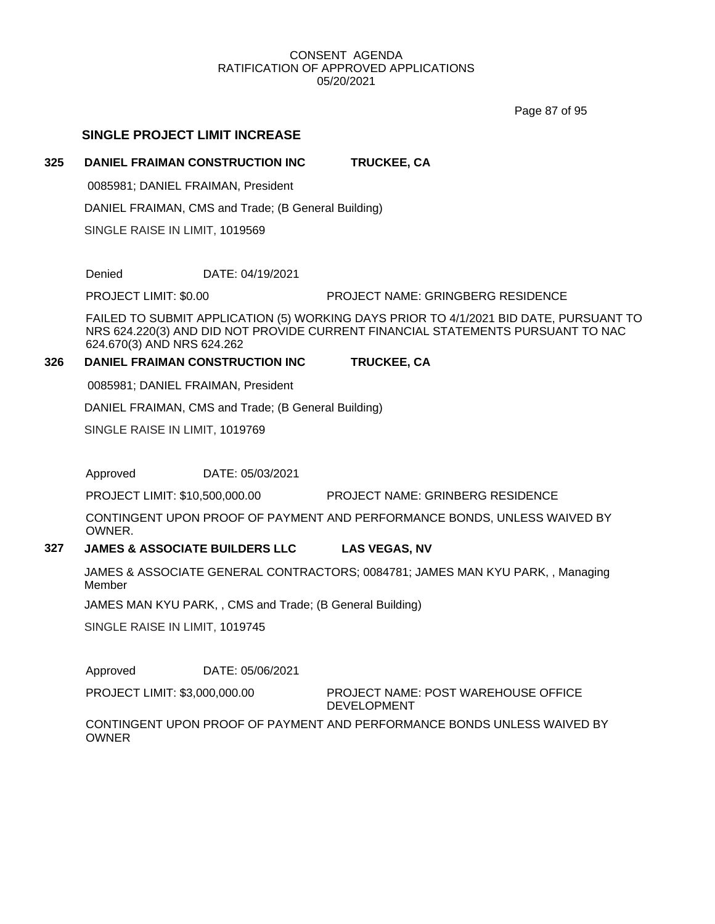Page 87 of 95

### **SINGLE PROJECT LIMIT INCREASE**

### **325 DANIEL FRAIMAN CONSTRUCTION INC TRUCKEE, CA**

0085981; DANIEL FRAIMAN, President

DANIEL FRAIMAN, CMS and Trade; (B General Building)

SINGLE RAISE IN LIMIT, 1019569

Denied DATE: 04/19/2021

PROJECT LIMIT: \$0.00 PROJECT NAME: GRINGBERG RESIDENCE

FAILED TO SUBMIT APPLICATION (5) WORKING DAYS PRIOR TO 4/1/2021 BID DATE, PURSUANT TO NRS 624.220(3) AND DID NOT PROVIDE CURRENT FINANCIAL STATEMENTS PURSUANT TO NAC 624.670(3) AND NRS 624.262

### **326 DANIEL FRAIMAN CONSTRUCTION INC TRUCKEE, CA**

0085981; DANIEL FRAIMAN, President

DANIEL FRAIMAN, CMS and Trade; (B General Building)

SINGLE RAISE IN LIMIT, 1019769

Approved DATE: 05/03/2021

PROJECT LIMIT: \$10,500,000.00 PROJECT NAME: GRINBERG RESIDENCE

CONTINGENT UPON PROOF OF PAYMENT AND PERFORMANCE BONDS, UNLESS WAIVED BY **OWNER** 

### **327 JAMES & ASSOCIATE BUILDERS LLC LAS VEGAS, NV**

JAMES & ASSOCIATE GENERAL CONTRACTORS; 0084781; JAMES MAN KYU PARK, , Managing Member

JAMES MAN KYU PARK, , CMS and Trade; (B General Building)

SINGLE RAISE IN LIMIT, 1019745

Approved DATE: 05/06/2021

PROJECT LIMIT: \$3,000,000.00

PROJECT NAME: POST WAREHOUSE OFFICE DEVELOPMENT

CONTINGENT UPON PROOF OF PAYMENT AND PERFORMANCE BONDS UNLESS WAIVED BY **OWNER**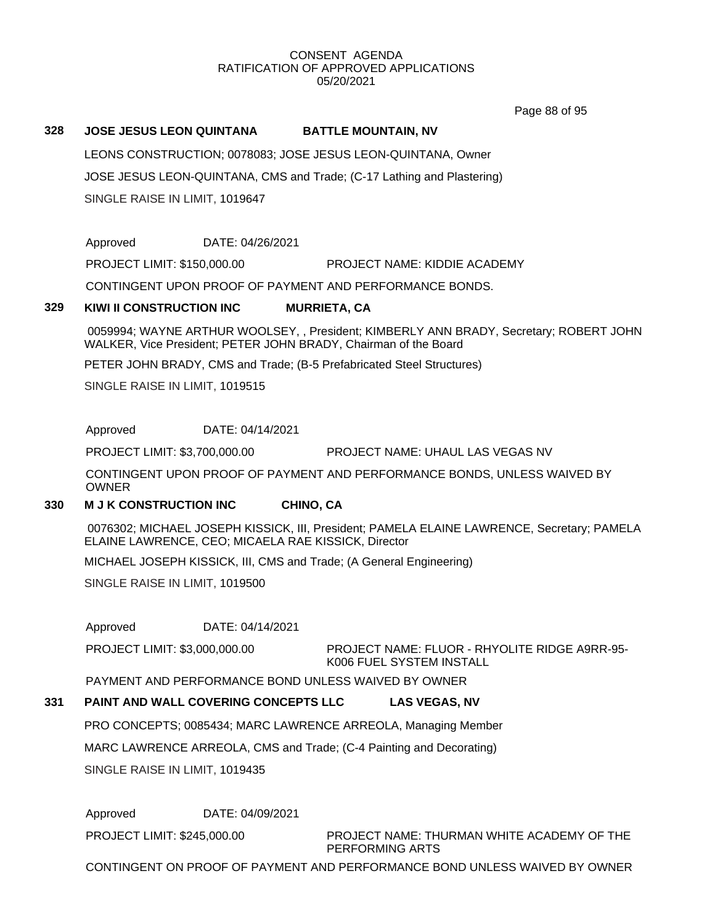Page 88 of 95

#### **328 JOSE JESUS LEON QUINTANA BATTLE MOUNTAIN, NV**

LEONS CONSTRUCTION; 0078083; JOSE JESUS LEON-QUINTANA, Owner JOSE JESUS LEON-QUINTANA, CMS and Trade; (C-17 Lathing and Plastering) SINGLE RAISE IN LIMIT, 1019647

Approved DATE: 04/26/2021

PROJECT LIMIT: \$150,000.00 PROJECT NAME: KIDDIE ACADEMY

CONTINGENT UPON PROOF OF PAYMENT AND PERFORMANCE BONDS.

### **329 KIWI II CONSTRUCTION INC MURRIETA, CA**

0059994; WAYNE ARTHUR WOOLSEY, , President; KIMBERLY ANN BRADY, Secretary; ROBERT JOHN WALKER, Vice President; PETER JOHN BRADY, Chairman of the Board

PETER JOHN BRADY, CMS and Trade; (B-5 Prefabricated Steel Structures)

SINGLE RAISE IN LIMIT, 1019515

Approved DATE: 04/14/2021

PROJECT LIMIT: \$3,700,000.00 PROJECT NAME: UHAUL LAS VEGAS NV

CONTINGENT UPON PROOF OF PAYMENT AND PERFORMANCE BONDS, UNLESS WAIVED BY OWNER

#### **330 M J K CONSTRUCTION INC CHINO, CA**

0076302; MICHAEL JOSEPH KISSICK, III, President; PAMELA ELAINE LAWRENCE, Secretary; PAMELA ELAINE LAWRENCE, CEO; MICAELA RAE KISSICK, Director

MICHAEL JOSEPH KISSICK, III, CMS and Trade; (A General Engineering)

SINGLE RAISE IN LIMIT, 1019500

Approved DATE: 04/14/2021

PROJECT NAME: FLUOR - RHYOLITE RIDGE A9RR-95- K006 FUEL SYSTEM INSTALL PROJECT LIMIT: \$3,000,000.00

PAYMENT AND PERFORMANCE BOND UNLESS WAIVED BY OWNER

### **331 PAINT AND WALL COVERING CONCEPTS LLC LAS VEGAS, NV**

PRO CONCEPTS; 0085434; MARC LAWRENCE ARREOLA, Managing Member

MARC LAWRENCE ARREOLA, CMS and Trade; (C-4 Painting and Decorating)

SINGLE RAISE IN LIMIT, 1019435

Approved DATE: 04/09/2021

PROJECT LIMIT: \$245,000.00

PROJECT NAME: THURMAN WHITE ACADEMY OF THE PERFORMING ARTS

CONTINGENT ON PROOF OF PAYMENT AND PERFORMANCE BOND UNLESS WAIVED BY OWNER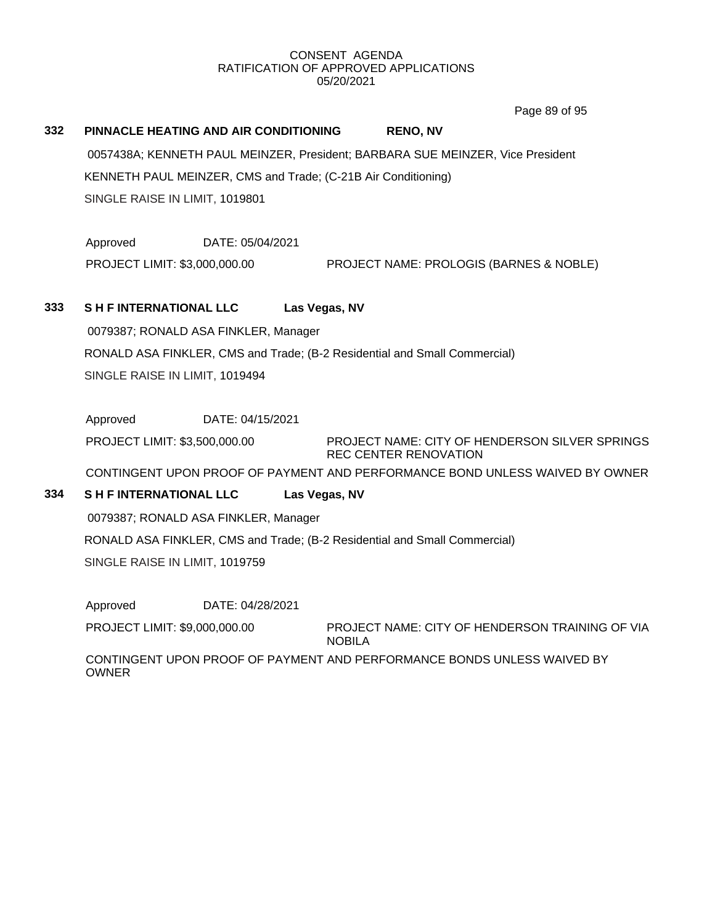Page 89 of 95

| 332                            | PINNACLE HEATING AND AIR CONDITIONING                                                                             |                  |               | <b>RENO, NV</b>                                                                |  |
|--------------------------------|-------------------------------------------------------------------------------------------------------------------|------------------|---------------|--------------------------------------------------------------------------------|--|
|                                | 0057438A; KENNETH PAUL MEINZER, President; BARBARA SUE MEINZER, Vice President                                    |                  |               |                                                                                |  |
|                                | KENNETH PAUL MEINZER, CMS and Trade; (C-21B Air Conditioning)                                                     |                  |               |                                                                                |  |
|                                | SINGLE RAISE IN LIMIT, 1019801                                                                                    |                  |               |                                                                                |  |
|                                | Approved                                                                                                          | DATE: 05/04/2021 |               |                                                                                |  |
|                                | PROJECT LIMIT: \$3,000,000.00                                                                                     |                  |               | PROJECT NAME: PROLOGIS (BARNES & NOBLE)                                        |  |
| 333                            | <b>SH FINTERNATIONAL LLC</b>                                                                                      |                  | Las Vegas, NV |                                                                                |  |
|                                | 0079387; RONALD ASA FINKLER, Manager                                                                              |                  |               |                                                                                |  |
|                                | RONALD ASA FINKLER, CMS and Trade; (B-2 Residential and Small Commercial)                                         |                  |               |                                                                                |  |
|                                | SINGLE RAISE IN LIMIT, 1019494                                                                                    |                  |               |                                                                                |  |
|                                | Approved                                                                                                          | DATE: 04/15/2021 |               |                                                                                |  |
|                                | PROJECT LIMIT: \$3,500,000.00                                                                                     |                  |               | PROJECT NAME: CITY OF HENDERSON SILVER SPRINGS<br><b>REC CENTER RENOVATION</b> |  |
|                                |                                                                                                                   |                  |               | CONTINGENT UPON PROOF OF PAYMENT AND PERFORMANCE BOND UNLESS WAIVED BY OWNER   |  |
| 334                            | <b>SH FINTERNATIONAL LLC</b>                                                                                      |                  | Las Vegas, NV |                                                                                |  |
|                                | 0079387; RONALD ASA FINKLER, Manager<br>RONALD ASA FINKLER, CMS and Trade; (B-2 Residential and Small Commercial) |                  |               |                                                                                |  |
|                                |                                                                                                                   |                  |               |                                                                                |  |
| SINGLE RAISE IN LIMIT, 1019759 |                                                                                                                   |                  |               |                                                                                |  |
|                                | Approved                                                                                                          | DATE: 04/28/2021 |               |                                                                                |  |
|                                | PROJECT LIMIT: \$9,000,000.00                                                                                     |                  |               | PROJECT NAME: CITY OF HENDERSON TRAINING OF VIA                                |  |

NOBILA

CONTINGENT UPON PROOF OF PAYMENT AND PERFORMANCE BONDS UNLESS WAIVED BY OWNER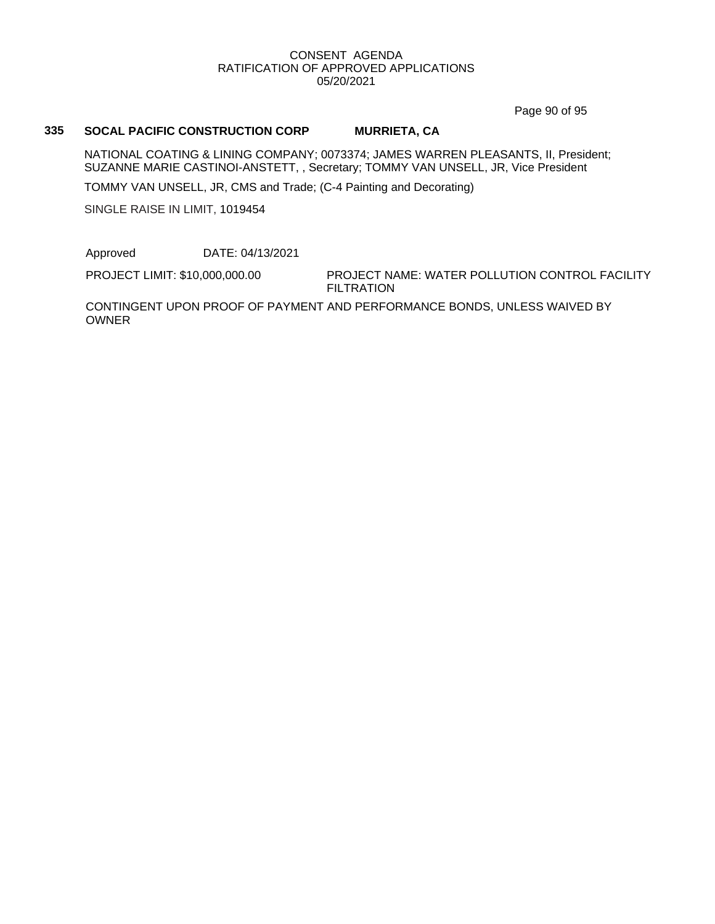Page 90 of 95

#### **335 SOCAL PACIFIC CONSTRUCTION CORP MURRIETA, CA**

NATIONAL COATING & LINING COMPANY; 0073374; JAMES WARREN PLEASANTS, II, President; SUZANNE MARIE CASTINOI-ANSTETT, , Secretary; TOMMY VAN UNSELL, JR, Vice President

TOMMY VAN UNSELL, JR, CMS and Trade; (C-4 Painting and Decorating)

SINGLE RAISE IN LIMIT, 1019454

Approved DATE: 04/13/2021

PROJECT LIMIT: \$10,000,000.00

PROJECT NAME: WATER POLLUTION CONTROL FACILITY FILTRATION

CONTINGENT UPON PROOF OF PAYMENT AND PERFORMANCE BONDS, UNLESS WAIVED BY OWNER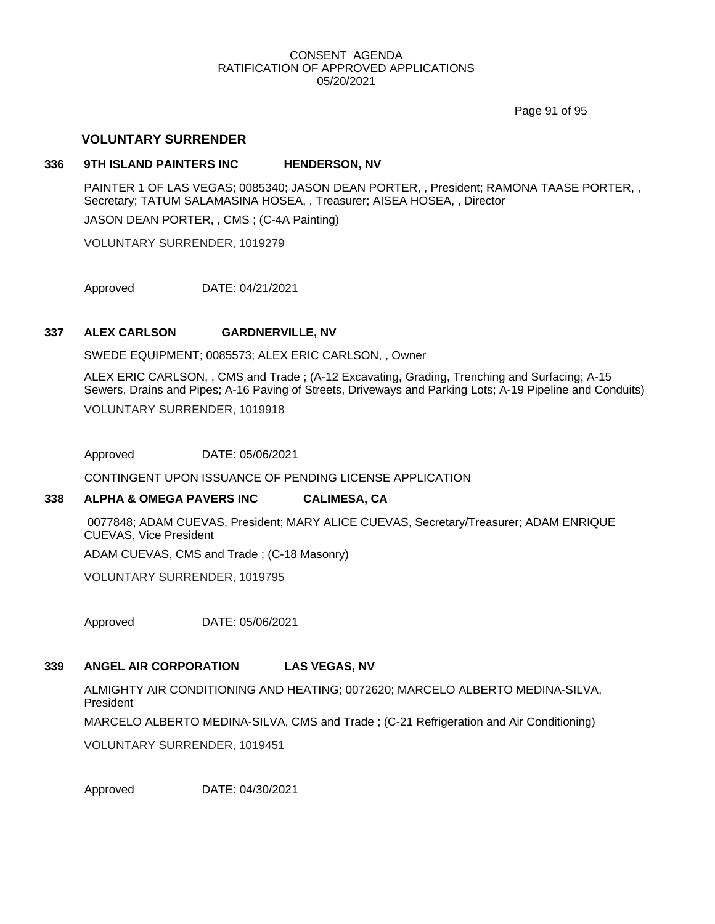Page 91 of 95

### **VOLUNTARY SURRENDER**

#### **336 9TH ISLAND PAINTERS INC HENDERSON, NV**

PAINTER 1 OF LAS VEGAS; 0085340; JASON DEAN PORTER, , President; RAMONA TAASE PORTER, , Secretary; TATUM SALAMASINA HOSEA, , Treasurer; AISEA HOSEA, , Director

JASON DEAN PORTER, , CMS ; (C-4A Painting)

VOLUNTARY SURRENDER, 1019279

Approved DATE: 04/21/2021

#### **337 ALEX CARLSON GARDNERVILLE, NV**

SWEDE EQUIPMENT; 0085573; ALEX ERIC CARLSON, , Owner

ALEX ERIC CARLSON, , CMS and Trade ; (A-12 Excavating, Grading, Trenching and Surfacing; A-15 Sewers, Drains and Pipes; A-16 Paving of Streets, Driveways and Parking Lots; A-19 Pipeline and Conduits)

VOLUNTARY SURRENDER, 1019918

Approved DATE: 05/06/2021

CONTINGENT UPON ISSUANCE OF PENDING LICENSE APPLICATION

#### **338 ALPHA & OMEGA PAVERS INC CALIMESA, CA**

0077848; ADAM CUEVAS, President; MARY ALICE CUEVAS, Secretary/Treasurer; ADAM ENRIQUE CUEVAS, Vice President

ADAM CUEVAS, CMS and Trade ; (C-18 Masonry)

VOLUNTARY SURRENDER, 1019795

Approved DATE: 05/06/2021

### **339 ANGEL AIR CORPORATION LAS VEGAS, NV**

ALMIGHTY AIR CONDITIONING AND HEATING; 0072620; MARCELO ALBERTO MEDINA-SILVA, President

MARCELO ALBERTO MEDINA-SILVA, CMS and Trade ; (C-21 Refrigeration and Air Conditioning)

VOLUNTARY SURRENDER, 1019451

Approved DATE: 04/30/2021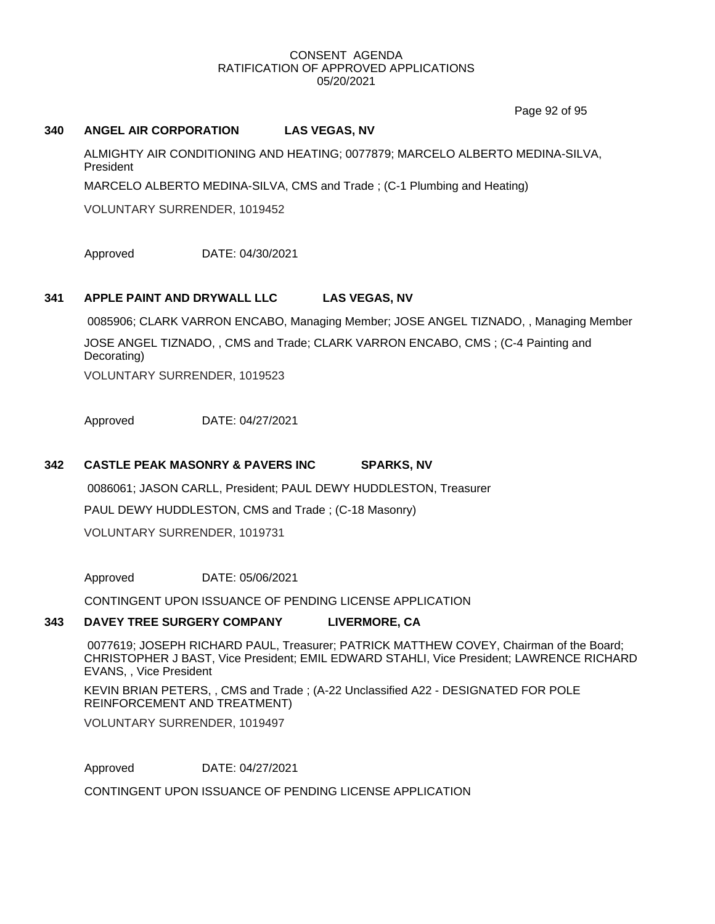Page 92 of 95

#### **340 ANGEL AIR CORPORATION LAS VEGAS, NV**

ALMIGHTY AIR CONDITIONING AND HEATING; 0077879; MARCELO ALBERTO MEDINA-SILVA, President

MARCELO ALBERTO MEDINA-SILVA, CMS and Trade ; (C-1 Plumbing and Heating)

VOLUNTARY SURRENDER, 1019452

Approved DATE: 04/30/2021

#### **341 APPLE PAINT AND DRYWALL LLC LAS VEGAS, NV**

0085906; CLARK VARRON ENCABO, Managing Member; JOSE ANGEL TIZNADO, , Managing Member

JOSE ANGEL TIZNADO, , CMS and Trade; CLARK VARRON ENCABO, CMS ; (C-4 Painting and Decorating)

VOLUNTARY SURRENDER, 1019523

Approved DATE: 04/27/2021

### **342 CASTLE PEAK MASONRY & PAVERS INC SPARKS, NV**

0086061; JASON CARLL, President; PAUL DEWY HUDDLESTON, Treasurer PAUL DEWY HUDDLESTON, CMS and Trade ; (C-18 Masonry) VOLUNTARY SURRENDER, 1019731

Approved DATE: 05/06/2021

CONTINGENT UPON ISSUANCE OF PENDING LICENSE APPLICATION

#### **343 DAVEY TREE SURGERY COMPANY LIVERMORE, CA**

0077619; JOSEPH RICHARD PAUL, Treasurer; PATRICK MATTHEW COVEY, Chairman of the Board; CHRISTOPHER J BAST, Vice President; EMIL EDWARD STAHLI, Vice President; LAWRENCE RICHARD EVANS, , Vice President

KEVIN BRIAN PETERS, , CMS and Trade ; (A-22 Unclassified A22 - DESIGNATED FOR POLE REINFORCEMENT AND TREATMENT)

VOLUNTARY SURRENDER, 1019497

Approved DATE: 04/27/2021

CONTINGENT UPON ISSUANCE OF PENDING LICENSE APPLICATION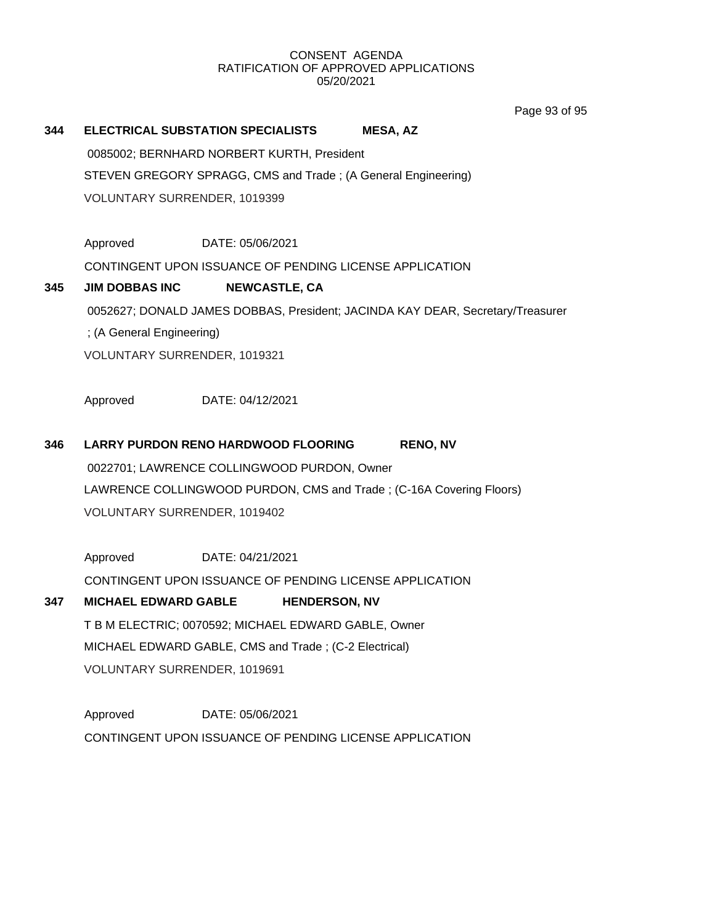Page 93 of 95

# **344 ELECTRICAL SUBSTATION SPECIALISTS MESA, AZ** 0085002; BERNHARD NORBERT KURTH, President STEVEN GREGORY SPRAGG, CMS and Trade ; (A General Engineering) VOLUNTARY SURRENDER, 1019399

Approved DATE: 05/06/2021

CONTINGENT UPON ISSUANCE OF PENDING LICENSE APPLICATION

## **345 JIM DOBBAS INC NEWCASTLE, CA** 0052627; DONALD JAMES DOBBAS, President; JACINDA KAY DEAR, Secretary/Treasurer ; (A General Engineering)

VOLUNTARY SURRENDER, 1019321

Approved DATE: 04/12/2021

# **346 LARRY PURDON RENO HARDWOOD FLOORING RENO, NV**

0022701; LAWRENCE COLLINGWOOD PURDON, Owner LAWRENCE COLLINGWOOD PURDON, CMS and Trade ; (C-16A Covering Floors) VOLUNTARY SURRENDER, 1019402

Approved DATE: 04/21/2021 CONTINGENT UPON ISSUANCE OF PENDING LICENSE APPLICATION

### **347 MICHAEL EDWARD GABLE HENDERSON, NV**

T B M ELECTRIC; 0070592; MICHAEL EDWARD GABLE, Owner MICHAEL EDWARD GABLE, CMS and Trade ; (C-2 Electrical) VOLUNTARY SURRENDER, 1019691

Approved DATE: 05/06/2021 CONTINGENT UPON ISSUANCE OF PENDING LICENSE APPLICATION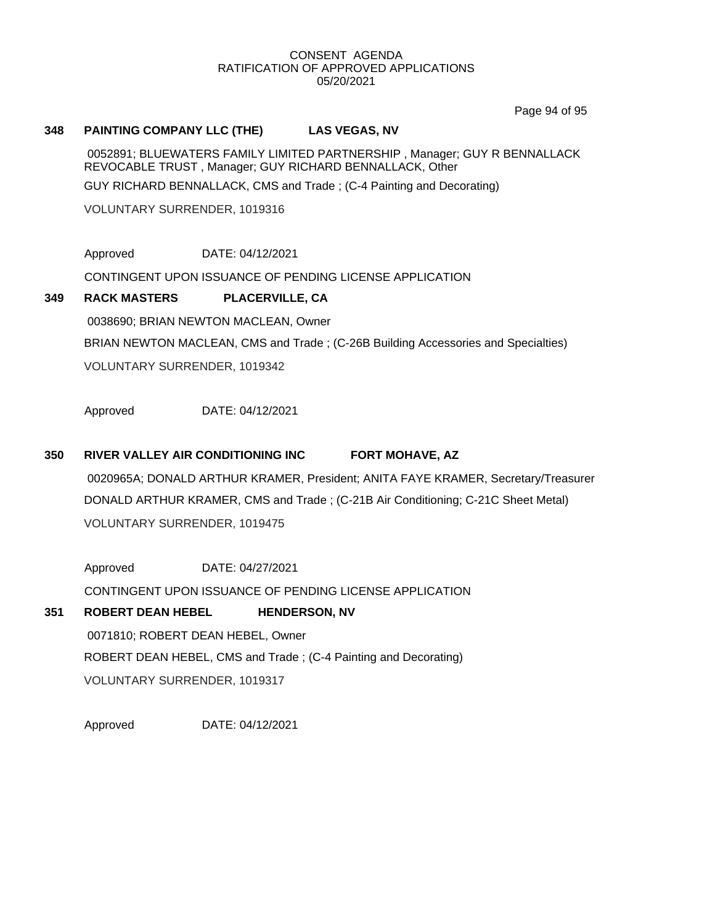Page 94 of 95

#### **348 PAINTING COMPANY LLC (THE) LAS VEGAS, NV**

0052891; BLUEWATERS FAMILY LIMITED PARTNERSHIP , Manager; GUY R BENNALLACK REVOCABLE TRUST , Manager; GUY RICHARD BENNALLACK, Other

GUY RICHARD BENNALLACK, CMS and Trade ; (C-4 Painting and Decorating)

VOLUNTARY SURRENDER, 1019316

Approved DATE: 04/12/2021

CONTINGENT UPON ISSUANCE OF PENDING LICENSE APPLICATION

### **349 RACK MASTERS PLACERVILLE, CA**

0038690; BRIAN NEWTON MACLEAN, Owner

BRIAN NEWTON MACLEAN, CMS and Trade ; (C-26B Building Accessories and Specialties)

VOLUNTARY SURRENDER, 1019342

Approved DATE: 04/12/2021

### **350 RIVER VALLEY AIR CONDITIONING INC FORT MOHAVE, AZ**

0020965A; DONALD ARTHUR KRAMER, President; ANITA FAYE KRAMER, Secretary/Treasurer DONALD ARTHUR KRAMER, CMS and Trade ; (C-21B Air Conditioning; C-21C Sheet Metal) VOLUNTARY SURRENDER, 1019475

Approved DATE: 04/27/2021 CONTINGENT UPON ISSUANCE OF PENDING LICENSE APPLICATION

### **351 ROBERT DEAN HEBEL HENDERSON, NV**

0071810; ROBERT DEAN HEBEL, Owner ROBERT DEAN HEBEL, CMS and Trade ; (C-4 Painting and Decorating) VOLUNTARY SURRENDER, 1019317

Approved DATE: 04/12/2021